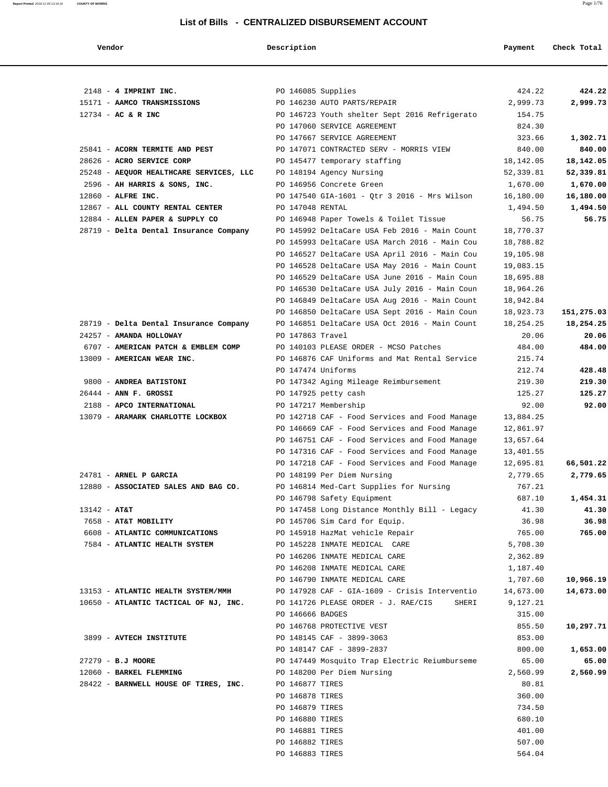| Vendor                                                                   | Description        |                                                      | Payment               | Check Total           |
|--------------------------------------------------------------------------|--------------------|------------------------------------------------------|-----------------------|-----------------------|
|                                                                          |                    |                                                      |                       |                       |
| $2148$ - 4 IMPRINT INC.                                                  | PO 146085 Supplies |                                                      | 424.22                | 424.22                |
| 15171 - AAMCO TRANSMISSIONS                                              |                    | PO 146230 AUTO PARTS/REPAIR                          | 2,999.73              | 2,999.73              |
| $12734 - AC & R$ INC                                                     |                    | PO 146723 Youth shelter Sept 2016 Refrigerato        | 154.75                |                       |
|                                                                          |                    | PO 147060 SERVICE AGREEMENT                          | 824.30                |                       |
|                                                                          |                    | PO 147667 SERVICE AGREEMENT                          | 323.66                | 1,302.71              |
| 25841 - ACORN TERMITE AND PEST                                           |                    | PO 147071 CONTRACTED SERV - MORRIS VIEW              | 840.00                | 840.00                |
| 28626 - ACRO SERVICE CORP                                                |                    | PO 145477 temporary staffing                         | 18,142.05             | 18,142.05             |
| 25248 - AEQUOR HEALTHCARE SERVICES, LLC<br>2596 - AH HARRIS & SONS, INC. |                    | PO 148194 Agency Nursing<br>PO 146956 Concrete Green | 52,339.81<br>1,670.00 | 52,339.81<br>1,670.00 |
| 12860 - ALFRE INC.                                                       |                    | PO 147540 GIA-1601 - Qtr 3 2016 - Mrs Wilson         | 16,180.00             | 16,180.00             |
| 12867 - ALL COUNTY RENTAL CENTER                                         | PO 147048 RENTAL   |                                                      | 1,494.50              | 1,494.50              |
| 12884 - ALLEN PAPER & SUPPLY CO                                          |                    | PO 146948 Paper Towels & Toilet Tissue               | 56.75                 | 56.75                 |
| 28719 - Delta Dental Insurance Company                                   |                    | PO 145992 DeltaCare USA Feb 2016 - Main Count        | 18,770.37             |                       |
|                                                                          |                    | PO 145993 DeltaCare USA March 2016 - Main Cou        | 18,788.82             |                       |
|                                                                          |                    | PO 146527 DeltaCare USA April 2016 - Main Cou        | 19,105.98             |                       |
|                                                                          |                    | PO 146528 DeltaCare USA May 2016 - Main Count        | 19,083.15             |                       |
|                                                                          |                    | PO 146529 DeltaCare USA June 2016 - Main Coun        | 18,695.88             |                       |
|                                                                          |                    | PO 146530 DeltaCare USA July 2016 - Main Coun        | 18,964.26             |                       |
|                                                                          |                    | PO 146849 DeltaCare USA Aug 2016 - Main Count        | 18,942.84             |                       |
|                                                                          |                    | PO 146850 DeltaCare USA Sept 2016 - Main Coun        | 18,923.73             | 151,275.03            |
| 28719 - Delta Dental Insurance Company                                   |                    | PO 146851 DeltaCare USA Oct 2016 - Main Count        | 18,254.25             | 18,254.25             |
| 24257 - AMANDA HOLLOWAY                                                  | PO 147863 Travel   |                                                      | 20.06                 | 20.06                 |
| 6707 - AMERICAN PATCH & EMBLEM COMP                                      |                    | PO 140103 PLEASE ORDER - MCSO Patches                | 484.00                | 484.00                |
| 13009 - AMERICAN WEAR INC.                                               |                    | PO 146876 CAF Uniforms and Mat Rental Service        | 215.74                |                       |
|                                                                          | PO 147474 Uniforms |                                                      | 212.74                | 428.48                |
| 9800 - ANDREA BATISTONI                                                  |                    | PO 147342 Aging Mileage Reimbursement                | 219.30                | 219.30                |
| $26444$ - ANN F. GROSSI                                                  |                    | PO 147925 petty cash                                 | 125.27                | 125.27                |
| 2188 - APCO INTERNATIONAL                                                |                    | PO 147217 Membership                                 | 92.00                 | 92.00                 |
| 13079 - ARAMARK CHARLOTTE LOCKBOX                                        |                    | PO 142718 CAF - Food Services and Food Manage        | 13,884.25             |                       |
|                                                                          |                    | PO 146669 CAF - Food Services and Food Manage        | 12,861.97             |                       |
|                                                                          |                    | PO 146751 CAF - Food Services and Food Manage        | 13,657.64             |                       |
|                                                                          |                    | PO 147316 CAF - Food Services and Food Manage        | 13,401.55             |                       |
|                                                                          |                    | PO 147218 CAF - Food Services and Food Manage        | 12,695.81             | 66,501.22             |
| 24781 - ARNEL P GARCIA                                                   |                    | PO 148199 Per Diem Nursing                           | 2,779.65              | 2,779.65              |
| 12880 - ASSOCIATED SALES AND BAG CO.                                     |                    | PO 146814 Med-Cart Supplies for Nursing              | 767.21                |                       |
|                                                                          |                    | PO 146798 Safety Equipment                           | 687.10                | 1,454.31              |
| $13142 - AT&T$                                                           |                    | PO 147458 Long Distance Monthly Bill - Legacy        | 41.30                 | 41.30                 |
| 7658 - AT&T MOBILITY                                                     |                    | PO 145706 Sim Card for Equip.                        | 36.98                 | 36.98                 |
| 6608 - ATLANTIC COMMUNICATIONS                                           |                    | PO 145918 HazMat vehicle Repair                      | 765.00                | 765.00                |
| 7584 - ATLANTIC HEALTH SYSTEM                                            |                    | PO 145228 INMATE MEDICAL CARE                        | 5,708.30              |                       |
|                                                                          |                    | PO 146206 INMATE MEDICAL CARE                        | 2,362.89              |                       |
|                                                                          |                    | PO 146208 INMATE MEDICAL CARE                        | 1,187.40              |                       |
|                                                                          |                    | PO 146790 INMATE MEDICAL CARE                        | 1,707.60              | 10,966.19             |
| 13153 - ATLANTIC HEALTH SYSTEM/MMH                                       |                    | PO 147928 CAF - GIA-1609 - Crisis Interventio        | 14,673.00             | 14,673.00             |
| 10650 - ATLANTIC TACTICAL OF NJ, INC.                                    |                    | PO 141726 PLEASE ORDER - J. RAE/CIS<br>SHERI         | 9,127.21              |                       |
|                                                                          | PO 146666 BADGES   |                                                      | 315.00                |                       |
|                                                                          |                    | PO 146768 PROTECTIVE VEST                            | 855.50                | 10,297.71             |
| 3899 - AVTECH INSTITUTE                                                  |                    | PO 148145 CAF - 3899-3063                            | 853.00                |                       |
|                                                                          |                    | PO 148147 CAF - 3899-2837                            | 800.00                | 1,653.00              |
| 27279 - B.J MOORE                                                        |                    | PO 147449 Mosquito Trap Electric Reiumburseme        | 65.00                 | 65.00                 |
| 12060 - BARKEL FLEMMING                                                  |                    | PO 148200 Per Diem Nursing                           | 2,560.99              | 2,560.99              |
| 28422 - BARNWELL HOUSE OF TIRES, INC.                                    | PO 146877 TIRES    |                                                      | 80.81                 |                       |
|                                                                          | PO 146878 TIRES    |                                                      | 360.00                |                       |
|                                                                          | PO 146879 TIRES    |                                                      | 734.50                |                       |
|                                                                          | PO 146880 TIRES    |                                                      | 680.10                |                       |
|                                                                          | PO 146881 TIRES    |                                                      | 401.00                |                       |
|                                                                          | PO 146882 TIRES    |                                                      | 507.00                |                       |
|                                                                          | PO 146883 TIRES    |                                                      | 564.04                |                       |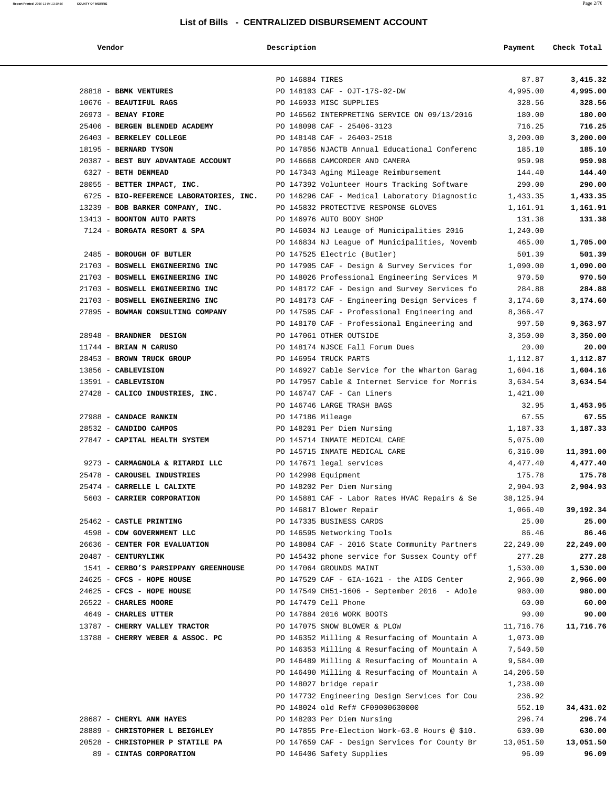| ,,,,,,,,,,, |  |
|-------------|--|

#### **Vendor Description Payment Check Total**

|                                                                   | PO 146884 TIRES                                                                            | 87.87               | 3,415.32            |
|-------------------------------------------------------------------|--------------------------------------------------------------------------------------------|---------------------|---------------------|
| 28818 - BBMK VENTURES                                             | PO 148103 CAF - OJT-17S-02-DW                                                              | 4,995.00            | 4,995.00            |
| 10676 - BEAUTIFUL RAGS                                            | PO 146933 MISC SUPPLIES                                                                    | 328.56              | 328.56              |
| 26973 - BENAY FIORE                                               | PO 146562 INTERPRETING SERVICE ON 09/13/2016                                               | 180.00              | 180.00              |
| 25406 - BERGEN BLENDED ACADEMY                                    | PO 148098 CAF - 25406-3123                                                                 | 716.25              | 716.25              |
| 26403 - BERKELEY COLLEGE                                          | PO 148148 CAF - 26403-2518                                                                 | 3,200.00            | 3,200.00            |
| 18195 - BERNARD TYSON                                             | PO 147856 NJACTB Annual Educational Conferenc                                              | 185.10              | 185.10              |
| 20387 - BEST BUY ADVANTAGE ACCOUNT                                | PO 146668 CAMCORDER AND CAMERA                                                             | 959.98              | 959.98              |
| 6327 - BETH DENMEAD                                               | PO 147343 Aging Mileage Reimbursement                                                      | 144.40              | 144.40              |
| 28055 - BETTER IMPACT, INC.                                       | PO 147392 Volunteer Hours Tracking Software                                                | 290.00              | 290.00              |
| 6725 - BIO-REFERENCE LABORATORIES, INC.                           | PO 146296 CAF - Medical Laboratory Diagnostic                                              | 1,433.35            | 1,433.35            |
| 13239 - BOB BARKER COMPANY, INC.                                  | PO 145832 PROTECTIVE RESPONSE GLOVES                                                       | 1,161.91            | 1,161.91            |
| 13413 - BOONTON AUTO PARTS                                        | PO 146976 AUTO BODY SHOP                                                                   | 131.38              | 131.38              |
| 7124 - BORGATA RESORT & SPA                                       | PO 146034 NJ Leauge of Municipalities 2016                                                 | 1,240.00            |                     |
|                                                                   | PO 146834 NJ League of Municipalities, Novemb                                              | 465.00              | 1,705.00            |
| 2485 - BOROUGH OF BUTLER                                          | PO 147525 Electric (Butler)                                                                | 501.39              | 501.39              |
| 21703 - BOSWELL ENGINEERING INC                                   | PO 147905 CAF - Design & Survey Services for                                               | 1,090.00            | 1,090.00            |
| 21703 - BOSWELL ENGINEERING INC                                   | PO 148026 Professional Engineering Services M                                              | 970.50              | 970.50              |
| 21703 - BOSWELL ENGINEERING INC                                   | PO 148172 CAF - Design and Survey Services fo                                              | 284.88              | 284.88              |
| 21703 - BOSWELL ENGINEERING INC                                   | PO 148173 CAF - Engineering Design Services f                                              | 3,174.60            | 3,174.60            |
| 27895 - BOWMAN CONSULTING COMPANY                                 | PO 147595 CAF - Professional Engineering and                                               | 8,366.47            |                     |
|                                                                   | PO 148170 CAF - Professional Engineering and                                               | 997.50              | 9,363.97            |
| 28948 - BRANDNER DESIGN                                           | PO 147061 OTHER OUTSIDE                                                                    | 3,350.00            | 3,350.00            |
| 11744 - BRIAN M CARUSO                                            | PO 148174 NJSCE Fall Forum Dues                                                            | 20.00               | 20.00               |
| 28453 - BROWN TRUCK GROUP                                         | PO 146954 TRUCK PARTS                                                                      | 1,112.87            | 1,112.87            |
| 13856 - CABLEVISION                                               | PO 146927 Cable Service for the Wharton Garag                                              | 1,604.16            | 1,604.16            |
| 13591 - CABLEVISION                                               | PO 147957 Cable & Internet Service for Morris                                              | 3,634.54            | 3,634.54            |
| 27428 - CALICO INDUSTRIES, INC.                                   | PO 146747 CAF - Can Liners                                                                 | 1,421.00            |                     |
|                                                                   | PO 146746 LARGE TRASH BAGS                                                                 | 32.95               | 1,453.95            |
| 27988 - CANDACE RANKIN                                            | PO 147186 Mileage                                                                          | 67.55               | 67.55               |
| 28532 - CANDIDO CAMPOS                                            | PO 148201 Per Diem Nursing                                                                 | 1,187.33            | 1,187.33            |
| 27847 - CAPITAL HEALTH SYSTEM                                     | PO 145714 INMATE MEDICAL CARE                                                              | 5,075.00            |                     |
|                                                                   | PO 145715 INMATE MEDICAL CARE                                                              | 6,316.00            | 11,391.00           |
| 9273 - CARMAGNOLA & RITARDI LLC                                   | PO 147671 legal services                                                                   | 4,477.40            | 4,477.40            |
| 25478 - CAROUSEL INDUSTRIES                                       | PO 142998 Equipment                                                                        | 175.78              | 175.78              |
| 25474 - CARRELLE L CALIXTE                                        | PO 148202 Per Diem Nursing                                                                 | 2,904.93            | 2,904.93            |
| 5603 - CARRIER CORPORATION                                        | PO 145881 CAF - Labor Rates HVAC Repairs & Se                                              | 38,125.94           |                     |
|                                                                   | PO 146817 Blower Repair                                                                    | 1,066.40            | 39,192.34           |
| 25462 - CASTLE PRINTING                                           |                                                                                            | 25.00               | 25.00               |
|                                                                   | PO 147335 BUSINESS CARDS<br>PO 146595 Networking Tools                                     |                     | 86.46               |
| 4598 - CDW GOVERNMENT LLC                                         | PO 148084 CAF - 2016 State Community Partners                                              | 86.46               |                     |
| 26636 - CENTER FOR EVALUATION<br>20487 - CENTURYLINK              | PO 145432 phone service for Sussex County off                                              | 22,249.00<br>277.28 | 22,249.00<br>277.28 |
|                                                                   |                                                                                            |                     |                     |
| 1541 - CERBO'S PARSIPPANY GREENHOUSE<br>24625 - CFCS - HOPE HOUSE | PO 147064 GROUNDS MAINT                                                                    | 1,530.00            | 1,530.00            |
| 24625 - CFCS - HOPE HOUSE                                         | PO 147529 CAF - GIA-1621 - the AIDS Center<br>PO 147549 CH51-1606 - September 2016 - Adole | 2,966.00<br>980.00  | 2,966.00<br>980.00  |
| 26522 - CHARLES MOORE                                             | PO 147479 Cell Phone                                                                       |                     | 60.00               |
| 4649 - CHARLES UTTER                                              | PO 147884 2016 WORK BOOTS                                                                  | 60.00<br>90.00      | 90.00               |
| 13787 - CHERRY VALLEY TRACTOR                                     | PO 147075 SNOW BLOWER & PLOW                                                               |                     |                     |
| 13788 - CHERRY WEBER & ASSOC. PC                                  |                                                                                            | 11,716.76           | 11,716.76           |
|                                                                   | PO 146352 Milling & Resurfacing of Mountain A                                              | 1,073.00            |                     |
|                                                                   | PO 146353 Milling & Resurfacing of Mountain A                                              | 7,540.50            |                     |
|                                                                   | PO 146489 Milling & Resurfacing of Mountain A                                              | 9,584.00            |                     |
|                                                                   | PO 146490 Milling & Resurfacing of Mountain A                                              | 14,206.50           |                     |
|                                                                   | PO 148027 bridge repair                                                                    | 1,238.00            |                     |
|                                                                   | PO 147732 Engineering Design Services for Cou                                              | 236.92              |                     |
|                                                                   | PO 148024 old Ref# CF09000630000                                                           | 552.10              | 34,431.02           |
| 28687 - CHERYL ANN HAYES                                          | PO 148203 Per Diem Nursing                                                                 | 296.74              | 296.74              |
| 28889 - CHRISTOPHER L BEIGHLEY                                    | PO 147855 Pre-Election Work-63.0 Hours @ \$10.                                             | 630.00              | 630.00              |
| 20528 - CHRISTOPHER P STATILE PA                                  | PO 147659 CAF - Design Services for County Br                                              | 13,051.50           | 13,051.50           |
| 89 - CINTAS CORPORATION                                           | PO 146406 Safety Supplies                                                                  | 96.09               | 96.09               |

|  | $28687$ - CHERYL ANN HAYES       |
|--|----------------------------------|
|  | 28889 - CHRISTOPHER L BEIGHLEY   |
|  | 20528 - CHRISTOPHER P STATILE PA |
|  | 89 - CINTAS CORPORATION          |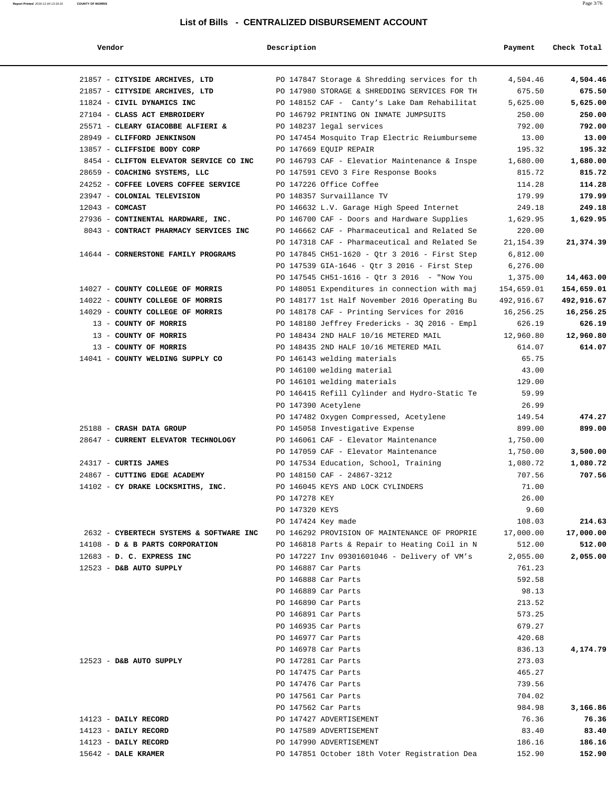| Vendor                                                     | Description        |                                               | Payment    | Check Total |
|------------------------------------------------------------|--------------------|-----------------------------------------------|------------|-------------|
| 21857 - CITYSIDE ARCHIVES, LTD                             |                    | PO 147847 Storage & Shredding services for th | 4,504.46   | 4,504.46    |
| 21857 - CITYSIDE ARCHIVES, LTD                             |                    | PO 147980 STORAGE & SHREDDING SERVICES FOR TH | 675.50     | 675.50      |
| 11824 - CIVIL DYNAMICS INC                                 |                    | PO 148152 CAF -  Canty's Lake Dam Rehabilitat | 5,625.00   | 5,625.00    |
| 27104 - CLASS ACT EMBROIDERY                               |                    | PO 146792 PRINTING ON INMATE JUMPSUITS        | 250.00     | 250.00      |
| 25571 - CLEARY GIACOBBE ALFIERI & PO 148237 legal services |                    |                                               | 792.00     | 792.00      |
| 28949 - CLIFFORD JENKINSON                                 |                    | PO 147454 Mosquito Trap Electric Reiumburseme | 13.00      | 13.00       |
| 13857 - CLIFFSIDE BODY CORP                                |                    | PO 147669 EQUIP REPAIR                        | 195.32     | 195.32      |
| 8454 - CLIFTON ELEVATOR SERVICE CO INC                     |                    | PO 146793 CAF - Elevatior Maintenance & Inspe | 1,680.00   | 1,680.00    |
| 28659 - COACHING SYSTEMS, LLC                              |                    | PO 147591 CEVO 3 Fire Response Books          | 815.72     | 815.72      |
| 24252 - COFFEE LOVERS COFFEE SERVICE                       |                    | PO 147226 Office Coffee                       | 114.28     | 114.28      |
| 23947 - COLONIAL TELEVISION                                |                    | PO 148357 Survaillance TV                     | 179.99     | 179.99      |
| $12043$ - COMCAST                                          |                    | PO 146632 L.V. Garage High Speed Internet     | 249.18     | 249.18      |
| 27936 - CONTINENTAL HARDWARE, INC.                         |                    | PO 146700 CAF - Doors and Hardware Supplies   | 1,629.95   | 1,629.95    |
| 8043 - CONTRACT PHARMACY SERVICES INC                      |                    | PO 146662 CAF - Pharmaceutical and Related Se | 220.00     |             |
|                                                            |                    | PO 147318 CAF - Pharmaceutical and Related Se | 21,154.39  | 21,374.39   |
| 14644 - CORNERSTONE FAMILY PROGRAMS                        |                    | PO 147845 CH51-1620 - Otr 3 2016 - First Step | 6,812.00   |             |
|                                                            |                    | PO 147539 GIA-1646 - Qtr 3 2016 - First Step  | 6,276.00   |             |
|                                                            |                    | PO 147545 CH51-1616 - Qtr 3 2016 - "Now You   | 1,375.00   | 14,463.00   |
| 14027 - COUNTY COLLEGE OF MORRIS                           |                    | PO 148051 Expenditures in connection with maj | 154,659.01 | 154,659.01  |
| 14022 - COUNTY COLLEGE OF MORRIS                           |                    | PO 148177 1st Half November 2016 Operating Bu | 492,916.67 | 492,916.67  |
| 14029 - COUNTY COLLEGE OF MORRIS                           |                    | PO 148178 CAF - Printing Services for 2016    | 16,256.25  | 16,256.25   |
| 13 - COUNTY OF MORRIS                                      |                    | PO 148180 Jeffrey Fredericks - 3Q 2016 - Empl | 626.19     | 626.19      |
| 13 - COUNTY OF MORRIS                                      |                    | PO 148434 2ND HALF 10/16 METERED MAIL         | 12,960.80  | 12,960.80   |
| 13 - COUNTY OF MORRIS                                      |                    | PO 148435 2ND HALF 10/16 METERED MAIL         | 614.07     | 614.07      |
| 14041 - COUNTY WELDING SUPPLY CO                           |                    | PO 146143 welding materials                   | 65.75      |             |
|                                                            |                    | PO 146100 welding material                    | 43.00      |             |
|                                                            |                    | PO 146101 welding materials                   | 129.00     |             |
|                                                            |                    | PO 146415 Refill Cylinder and Hydro-Static Te | 59.99      |             |
|                                                            |                    | PO 147390 Acetylene                           | 26.99      |             |
|                                                            |                    | PO 147482 Oxygen Compressed, Acetylene        | 149.54     | 474.27      |
| 25188 - CRASH DATA GROUP                                   |                    | PO 145058 Investigative Expense               | 899.00     | 899.00      |
| 28647 - CURRENT ELEVATOR TECHNOLOGY                        |                    | PO 146061 CAF - Elevator Maintenance          | 1,750.00   |             |
|                                                            |                    | PO 147059 CAF - Elevator Maintenance          | 1,750.00   | 3,500.00    |
| 24317 - CURTIS JAMES                                       |                    | PO 147534 Education, School, Training         | 1,080.72   | 1,080.72    |
| 24867 - CUTTING EDGE ACADEMY                               |                    | PO 148150 CAF - 24867-3212                    | 707.56     | 707.56      |
| 14102 - CY DRAKE LOCKSMITHS, INC.                          |                    | PO 146045 KEYS AND LOCK CYLINDERS             | 71.00      |             |
|                                                            | PO 147278 KEY      |                                               | 26.00      |             |
|                                                            | PO 147320 KEYS     |                                               | 9.60       |             |
|                                                            | PO 147424 Key made |                                               | 108.03     | 214.63      |
| 2632 - CYBERTECH SYSTEMS & SOFTWARE INC                    |                    | PO 146292 PROVISION OF MAINTENANCE OF PROPRIE | 17,000.00  | 17,000.00   |
| 14108 - D & B PARTS CORPORATION                            |                    | PO 146818 Parts & Repair to Heating Coil in N | 512.00     | 512.00      |
| 12683 - D. C. EXPRESS INC                                  |                    | PO 147227 Inv 09301601046 - Delivery of VM's  | 2,055.00   | 2,055.00    |
| 12523 - D&B AUTO SUPPLY                                    |                    | PO 146887 Car Parts                           | 761.23     |             |
|                                                            |                    | PO 146888 Car Parts                           | 592.58     |             |
|                                                            |                    | PO 146889 Car Parts                           | 98.13      |             |
|                                                            |                    | PO 146890 Car Parts                           | 213.52     |             |
|                                                            |                    | PO 146891 Car Parts                           | 573.25     |             |
|                                                            |                    | PO 146935 Car Parts                           | 679.27     |             |
|                                                            |                    | PO 146977 Car Parts                           | 420.68     |             |
|                                                            |                    | PO 146978 Car Parts                           | 836.13     | 4,174.79    |
| 12523 - D&B AUTO SUPPLY                                    |                    | PO 147281 Car Parts                           | 273.03     |             |
|                                                            |                    | PO 147475 Car Parts                           | 465.27     |             |
|                                                            |                    | PO 147476 Car Parts                           | 739.56     |             |
|                                                            |                    | PO 147561 Car Parts                           | 704.02     |             |
|                                                            |                    | PO 147562 Car Parts                           | 984.98     | 3,166.86    |
| 14123 - DAILY RECORD                                       |                    | PO 147427 ADVERTISEMENT                       | 76.36      | 76.36       |
| 14123 - DAILY RECORD                                       |                    | PO 147589 ADVERTISEMENT                       | 83.40      | 83.40       |
| 14123 - DAILY RECORD                                       |                    | PO 147990 ADVERTISEMENT                       | 186.16     | 186.16      |
| $15642$ - DALE KRAMER                                      |                    | PO 147851 October 18th Voter Registration Dea | 152.90     | 152.90      |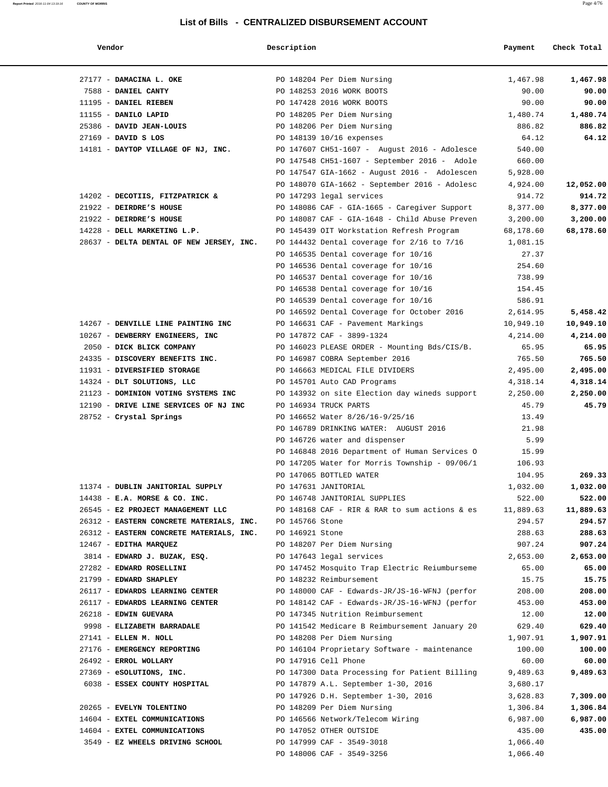| Vendor                                                                          | Description |                                                                            | Payment              | Check Total |
|---------------------------------------------------------------------------------|-------------|----------------------------------------------------------------------------|----------------------|-------------|
| 27177 - DAMACINA L. OKE                                                         |             | PO 148204 Per Diem Nursing                                                 | 1,467.98             | 1,467.98    |
| 7588 - DANIEL CANTY                                                             |             | PO 148253 2016 WORK BOOTS                                                  | 90.00                | 90.00       |
| 11195 - DANIEL RIEBEN                                                           |             | PO 147428 2016 WORK BOOTS                                                  | 90.00                | 90.00       |
| 11155 - DANILO LAPID                                                            |             | PO 148205 Per Diem Nursing                                                 | 1,480.74             | 1,480.74    |
| 25386 - DAVID JEAN-LOUIS                                                        |             | PO 148206 Per Diem Nursing                                                 | 886.82               | 886.82      |
| $27169$ - DAVID S LOS                                                           |             | PO 148139 10/16 expenses                                                   | 64.12                | 64.12       |
| 14181 - DAYTOP VILLAGE OF NJ, INC.                                              |             | PO 147607 CH51-1607 - August 2016 - Adolesce                               | 540.00               |             |
|                                                                                 |             | PO 147548 CH51-1607 - September 2016 - Adole                               | 660.00               |             |
|                                                                                 |             | PO 147547 GIA-1662 - August 2016 - Adolescen                               | 5,928.00             |             |
|                                                                                 |             | PO 148070 GIA-1662 - September 2016 - Adolesc                              | 4,924.00             | 12,052.00   |
| 14202 - DECOTIIS, FITZPATRICK &                                                 |             | PO 147293 legal services                                                   | 914.72               | 914.72      |
| 21922 - DEIRDRE'S HOUSE                                                         |             | PO 148086 CAF - GIA-1665 - Caregiver Support                               | 8,377.00             | 8,377.00    |
| 21922 - DEIRDRE'S HOUSE                                                         |             | PO 148087 CAF - GIA-1648 - Child Abuse Preven                              | 3,200.00             | 3,200.00    |
| 14228 - DELL MARKETING L.P.                                                     |             | PO 145439 OIT Workstation Refresh Program                                  | 68,178.60            | 68,178.60   |
| 28637 - DELTA DENTAL OF NEW JERSEY, INC.                                        |             | PO 144432 Dental coverage for $2/16$ to $7/16$                             | 1,081.15             |             |
|                                                                                 |             | PO 146535 Dental coverage for 10/16                                        | 27.37                |             |
|                                                                                 |             | PO 146536 Dental coverage for 10/16                                        | 254.60               |             |
|                                                                                 |             | PO 146537 Dental coverage for 10/16                                        | 738.99               |             |
|                                                                                 |             | PO 146538 Dental coverage for 10/16                                        | 154.45               |             |
|                                                                                 |             | PO 146539 Dental coverage for 10/16                                        | 586.91               |             |
|                                                                                 |             | PO 146592 Dental Coverage for October 2016                                 | 2,614.95             | 5,458.42    |
| 14267 - DENVILLE LINE PAINTING INC                                              |             | PO 146631 CAF - Pavement Markings                                          | 10,949.10            | 10,949.10   |
| 10267 - DEWBERRY ENGINEERS, INC                                                 |             | PO 147872 CAF - 3899-1324                                                  | 4,214.00             | 4,214.00    |
| 2050 - DICK BLICK COMPANY                                                       |             | PO 146023 PLEASE ORDER - Mounting Bds/CIS/B.                               | 65.95                | 65.95       |
| 24335 - DISCOVERY BENEFITS INC.                                                 |             | PO 146987 COBRA September 2016                                             | 765.50               | 765.50      |
| 11931 - DIVERSIFIED STORAGE                                                     |             | PO 146663 MEDICAL FILE DIVIDERS                                            | 2,495.00             | 2,495.00    |
| 14324 - DLT SOLUTIONS, LLC                                                      |             | PO 145701 Auto CAD Programs                                                | 4,318.14             | 4,318.14    |
| 21123 - DOMINION VOTING SYSTEMS INC                                             |             | PO 143932 on site Election day wineds support                              | 2,250.00             | 2,250.00    |
| 12190 - DRIVE LINE SERVICES OF NJ INC                                           |             | PO 146934 TRUCK PARTS                                                      | 45.79                | 45.79       |
| 28752 - Crystal Springs                                                         |             | PO 146652 Water 8/26/16-9/25/16                                            | 13.49                |             |
|                                                                                 |             | PO 146789 DRINKING WATER: AUGUST 2016                                      | 21.98                |             |
|                                                                                 |             | PO 146726 water and dispenser                                              | 5.99                 |             |
|                                                                                 |             | PO 146848 2016 Department of Human Services O                              | 15.99                |             |
|                                                                                 |             | PO 147205 Water for Morris Township - 09/06/1                              | 106.93               |             |
|                                                                                 |             | PO 147065 BOTTLED WATER                                                    | 104.95               | 269.33      |
| 11374 - DUBLIN JANITORIAL SUPPLY                                                |             | PO 147631 JANITORIAL                                                       | 1,032.00             | 1,032.00    |
| $14438$ - E.A. MORSE & CO. INC.                                                 |             | PO 146748 JANITORIAL SUPPLIES                                              | 522.00               | 522.00      |
| 26545 - E2 PROJECT MANAGEMENT LLC PO 148168 CAF - RIR & RAR to sum actions & es |             |                                                                            | 11,889.63            | 11,889.63   |
| 26312 - EASTERN CONCRETE MATERIALS, INC. PO 145766 Stone                        |             |                                                                            | 294.57               | 294.57      |
| 26312 - EASTERN CONCRETE MATERIALS, INC. PO 146921 Stone                        |             |                                                                            | 288.63               | 288.63      |
| 12467 - EDITHA MARQUEZ                                                          |             | PO 148207 Per Diem Nursing                                                 | 907.24               | 907.24      |
| 3814 - EDWARD J. BUZAK, ESQ.                                                    |             | PO 147643 legal services                                                   | 2,653.00             | 2,653.00    |
| 27282 - EDWARD ROSELLINI                                                        |             | PO 147452 Mosquito Trap Electric Reiumburseme                              | 65.00                | 65.00       |
| 21799 - EDWARD SHAPLEY                                                          |             | PO 148232 Reimbursement                                                    | 15.75                | 15.75       |
| 26117 - EDWARDS LEARNING CENTER                                                 |             | PO 148000 CAF - Edwards-JR/JS-16-WFNJ (perfor                              | 208.00               | 208.00      |
| 26117 - EDWARDS LEARNING CENTER                                                 |             | PO 148142 CAF - Edwards-JR/JS-16-WFNJ (perfor                              | 453.00               | 453.00      |
| 26218 - EDWIN GUEVARA                                                           |             | PO 147345 Nutrition Reimbursement                                          | 12.00                | 12.00       |
| 9998 - ELIZABETH BARRADALE                                                      |             | PO 141542 Medicare B Reimbursement January 20                              | 629.40               | 629.40      |
| 27141 - ELLEN M. NOLL                                                           |             | PO 148208 Per Diem Nursing                                                 | 1,907.91             | 1,907.91    |
| 27176 - EMERGENCY REPORTING                                                     |             | PO 146104 Proprietary Software - maintenance                               | 100.00               | 100.00      |
| 26492 - ERROL WOLLARY                                                           |             | PO 147916 Cell Phone                                                       | 60.00                | 60.00       |
| 27369 - eSOLUTIONS, INC.                                                        |             | PO 147300 Data Processing for Patient Billing                              | 9,489.63             | 9,489.63    |
| 6038 - ESSEX COUNTY HOSPITAL                                                    |             | PO 147879 A.L. September 1-30, 2016<br>PO 147926 D.H. September 1-30, 2016 | 3,680.17<br>3,628.83 | 7,309.00    |
| 20265 - EVELYN TOLENTINO                                                        |             | PO 148209 Per Diem Nursing                                                 | 1,306.84             | 1,306.84    |
|                                                                                 |             | PO 146566 Network/Telecom Wiring                                           |                      | 6,987.00    |
| 14604 - EXTEL COMMUNICATIONS<br>14604 - EXTEL COMMUNICATIONS                    |             | PO 147052 OTHER OUTSIDE                                                    | 6,987.00<br>435.00   | 435.00      |
| 3549 - EZ WHEELS DRIVING SCHOOL                                                 |             | PO 147999 CAF - 3549-3018                                                  | 1,066.40             |             |
|                                                                                 |             | PO 148006 CAF - 3549-3256                                                  | 1,066.40             |             |
|                                                                                 |             |                                                                            |                      |             |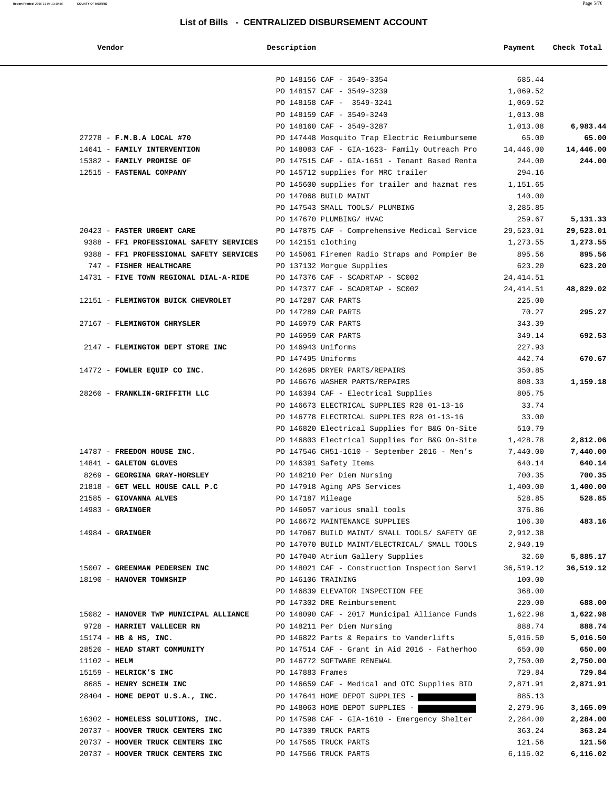| Vendor                                  | Description        |                                               | Payment    | Check Total |
|-----------------------------------------|--------------------|-----------------------------------------------|------------|-------------|
|                                         |                    | PO 148156 CAF - 3549-3354                     | 685.44     |             |
|                                         |                    | PO 148157 CAF - 3549-3239                     | 1,069.52   |             |
|                                         |                    | PO 148158 CAF - 3549-3241                     | 1,069.52   |             |
|                                         |                    | PO 148159 CAF - 3549-3240                     | 1,013.08   |             |
|                                         |                    | PO 148160 CAF - 3549-3287                     | 1,013.08   | 6,983.44    |
| 27278 - F.M.B.A LOCAL #70               |                    | PO 147448 Mosquito Trap Electric Reiumburseme | 65.00      | 65.00       |
| 14641 - FAMILY INTERVENTION             |                    | PO 148083 CAF - GIA-1623- Family Outreach Pro | 14,446.00  | 14,446.00   |
| 15382 - FAMILY PROMISE OF               |                    | PO 147515 CAF - GIA-1651 - Tenant Based Renta | 244.00     | 244.00      |
| 12515 - FASTENAL COMPANY                |                    | PO 145712 supplies for MRC trailer            | 294.16     |             |
|                                         |                    | PO 145600 supplies for trailer and hazmat res | 1,151.65   |             |
|                                         |                    | PO 147068 BUILD MAINT                         | 140.00     |             |
|                                         |                    | PO 147543 SMALL TOOLS/ PLUMBING               | 3,285.85   |             |
|                                         |                    | PO 147670 PLUMBING/ HVAC                      | 259.67     | 5,131.33    |
| 20423 - FASTER URGENT CARE              |                    | PO 147875 CAF - Comprehensive Medical Service | 29,523.01  | 29,523.01   |
| 9388 - FF1 PROFESSIONAL SAFETY SERVICES | PO 142151 clothing |                                               | 1,273.55   | 1,273.55    |
| 9388 - FF1 PROFESSIONAL SAFETY SERVICES |                    | PO 145061 Firemen Radio Straps and Pompier Be | 895.56     | 895.56      |
| 747 - FISHER HEALTHCARE                 |                    | PO 137132 Morgue Supplies                     | 623.20     | 623.20      |
| 14731 - FIVE TOWN REGIONAL DIAL-A-RIDE  |                    | PO 147376 CAF - SCADRTAP - SC002              | 24, 414.51 |             |
|                                         |                    | PO 147377 CAF - SCADRTAP - SC002              | 24, 414.51 | 48,829.02   |
| 12151 - FLEMINGTON BUICK CHEVROLET      |                    | PO 147287 CAR PARTS                           | 225.00     |             |
|                                         |                    | PO 147289 CAR PARTS                           | 70.27      | 295.27      |
| 27167 - FLEMINGTON CHRYSLER             |                    | PO 146979 CAR PARTS                           | 343.39     |             |
|                                         |                    | PO 146959 CAR PARTS                           | 349.14     | 692.53      |
| 2147 - FLEMINGTON DEPT STORE INC        | PO 146943 Uniforms |                                               | 227.93     |             |
|                                         | PO 147495 Uniforms |                                               | 442.74     | 670.67      |
| 14772 - FOWLER EQUIP CO INC.            |                    | PO 142695 DRYER PARTS/REPAIRS                 | 350.85     |             |
|                                         |                    | PO 146676 WASHER PARTS/REPAIRS                | 808.33     | 1,159.18    |
| 28260 - FRANKLIN-GRIFFITH LLC           |                    | PO 146394 CAF - Electrical Supplies           | 805.75     |             |
|                                         |                    | PO 146673 ELECTRICAL SUPPLIES R28 01-13-16    | 33.74      |             |
|                                         |                    | PO 146778 ELECTRICAL SUPPLIES R28 01-13-16    | 33.00      |             |
|                                         |                    | PO 146820 Electrical Supplies for B&G On-Site | 510.79     |             |
|                                         |                    | PO 146803 Electrical Supplies for B&G On-Site | 1,428.78   | 2,812.06    |
| 14787 - FREEDOM HOUSE INC.              |                    | PO 147546 CH51-1610 - September 2016 - Men's  | 7,440.00   | 7,440.00    |
| 14841 - GALETON GLOVES                  |                    | PO 146391 Safety Items                        | 640.14     | 640.14      |
| 8269 - GEORGINA GRAY-HORSLEY            |                    | PO 148210 Per Diem Nursing                    | 700.35     | 700.35      |
| 21818 - GET WELL HOUSE CALL P.C         |                    | PO 147918 Aging APS Services                  | 1,400.00   | 1,400.00    |
| 21585 - GIOVANNA ALVES                  | PO 147187 Mileage  |                                               | 528.85     | 528.85      |
| $14983$ - GRAINGER                      |                    | PO 146057 various small tools                 | 376.86     |             |
|                                         |                    | PO 146672 MAINTENANCE SUPPLIES                | 106.30     | 483.16      |
| $14984 -$ GRAINGER                      |                    | PO 147067 BUILD MAINT/ SMALL TOOLS/ SAFETY GE | 2,912.38   |             |
|                                         |                    | PO 147070 BUILD MAINT/ELECTRICAL/ SMALL TOOLS | 2,940.19   |             |
|                                         |                    | PO 147040 Atrium Gallery Supplies             | 32.60      | 5,885.17    |
| 15007 - GREENMAN PEDERSEN INC           |                    | PO 148021 CAF - Construction Inspection Servi | 36,519.12  | 36,519.12   |
| 18190 - HANOVER TOWNSHIP                | PO 146106 TRAINING |                                               | 100.00     |             |
|                                         |                    | PO 146839 ELEVATOR INSPECTION FEE             | 368.00     |             |
|                                         |                    | PO 147302 DRE Reimbursement                   | 220.00     | 688.00      |
| 15082 - HANOVER TWP MUNICIPAL ALLIANCE  |                    | PO 148090 CAF - 2017 Municipal Alliance Funds | 1,622.98   | 1,622.98    |
| 9728 - HARRIET VALLECER RN              |                    | PO 148211 Per Diem Nursing                    | 888.74     | 888.74      |
| $15174$ - HB & HS, INC.                 |                    | PO 146822 Parts & Repairs to Vanderlifts      | 5,016.50   | 5,016.50    |
| 28520 - HEAD START COMMUNITY            |                    | PO 147514 CAF - Grant in Aid 2016 - Fatherhoo | 650.00     | 650.00      |
| $11102 - HELM$                          |                    | PO 146772 SOFTWARE RENEWAL                    | 2,750.00   | 2,750.00    |
| 15159 - HELRICK'S INC                   | PO 147883 Frames   |                                               | 729.84     | 729.84      |
| 8685 - HENRY SCHEIN INC                 |                    | PO 146659 CAF - Medical and OTC Supplies BID  | 2,871.91   | 2,871.91    |
| 28404 - HOME DEPOT U.S.A., INC.         |                    | PO 147641 HOME DEPOT SUPPLIES -               | 885.13     |             |
|                                         |                    | PO 148063 HOME DEPOT SUPPLIES -               | 2,279.96   | 3,165.09    |
| 16302 - HOMELESS SOLUTIONS, INC.        |                    | PO 147598 CAF - GIA-1610 - Emergency Shelter  | 2,284.00   | 2,284.00    |
| 20737 - HOOVER TRUCK CENTERS INC        |                    | PO 147309 TRUCK PARTS                         | 363.24     | 363.24      |
| 20737 - HOOVER TRUCK CENTERS INC        |                    | PO 147565 TRUCK PARTS                         | 121.56     | 121.56      |
| 20737 - HOOVER TRUCK CENTERS INC        |                    | PO 147566 TRUCK PARTS                         | 6,116.02   | 6,116.02    |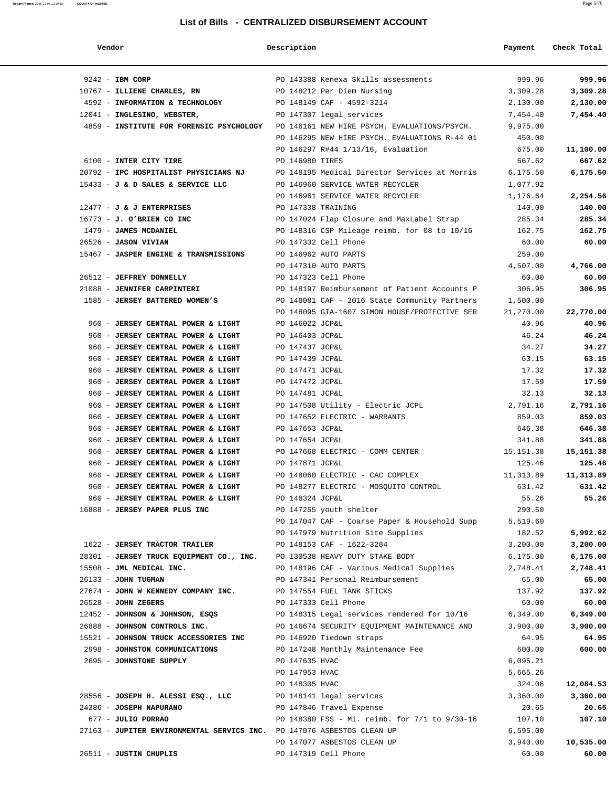| Vendor                                                                                | Description        |                                                                                    | Payment   | Check Total |
|---------------------------------------------------------------------------------------|--------------------|------------------------------------------------------------------------------------|-----------|-------------|
| $9242$ - IBM CORP                                                                     |                    | PO 143388 Kenexa Skills assessments                                                | 999.96    | 999.96      |
| 10767 - ILLIENE CHARLES, RN                                                           |                    | PO 148212 Per Diem Nursing                                                         | 3,309.28  | 3,309.28    |
| 4592 - INFORMATION & TECHNOLOGY                                                       |                    | PO 148149 CAF - 4592-3214                                                          | 2,130.00  | 2,130.00    |
| 12041 - INGLESINO, WEBSTER,                                                           |                    | PO 147307 legal services                                                           | 7,454.40  | 7,454.40    |
| 4859 - INSTITUTE FOR FORENSIC PSYCHOLOGY PO 146161 NEW HIRE PSYCH. EVALUATIONS/PSYCH. |                    |                                                                                    | 9,975.00  |             |
|                                                                                       |                    | PO 146295 NEW HIRE PSYCH. EVALUATIONS R-44 01                                      | 450.00    |             |
|                                                                                       |                    | PO 146297 R#44 1/13/16, Evaluation                                                 | 675.00    | 11,100.00   |
| 6100 - INTER CITY TIRE                                                                | PO 146980 TIRES    |                                                                                    | 667.62    | 667.62      |
| 20792 - IPC HOSPITALIST PHYSICIANS NJ                                                 |                    | PO 148195 Medical Director Services at Morris                                      | 6,175.50  | 6,175.50    |
| 15433 - J & D SALES & SERVICE LLC                                                     |                    | PO 146960 SERVICE WATER RECYCLER                                                   | 1,077.92  |             |
|                                                                                       |                    | PO 146961 SERVICE WATER RECYCLER                                                   | 1,176.64  | 2,254.56    |
| $12477 - J$ & J ENTERPRISES                                                           | PO 147338 TRAINING |                                                                                    | 140.00    | 140.00      |
| $16773 - J.$ O'BRIEN CO INC                                                           |                    | PO 147024 Flap Closure and MaxLabel Strap                                          | 285.34    | 285.34      |
| 1479 - JAMES MCDANIEL                                                                 |                    | PO 148316 CSP Mileage reimb. for 08 to 10/16                                       | 162.75    | 162.75      |
| 26526 - JASON VIVIAN                                                                  |                    | PO 147332 Cell Phone                                                               | 60.00     | 60.00       |
| 15467 - JASPER ENGINE & TRANSMISSIONS                                                 |                    | PO 146962 AUTO PARTS                                                               | 259.00    |             |
|                                                                                       |                    | PO 147310 AUTO PARTS                                                               | 4,507.00  | 4,766.00    |
| 26512 - JEFFREY DONNELLY                                                              |                    | PO 147323 Cell Phone                                                               | 60.00     | 60.00       |
| 21088 - JENNIFER CARPINTERI                                                           |                    | PO 148197 Reimbursement of Patient Accounts P                                      | 306.95    | 306.95      |
| 1585 - JERSEY BATTERED WOMEN'S                                                        |                    | PO 148081 CAF - 2016 State Community Partners                                      | 1,500.00  |             |
|                                                                                       |                    | PO 148095 GIA-1607 SIMON HOUSE/PROTECTIVE SER                                      | 21,270.00 | 22,770.00   |
| 960 - JERSEY CENTRAL POWER & LIGHT                                                    | PO 146022 JCP&L    |                                                                                    | 40.96     | 40.96       |
| 960 - JERSEY CENTRAL POWER & LIGHT                                                    | PO 146403 JCP&L    |                                                                                    | 46.24     | 46.24       |
| 960 - JERSEY CENTRAL POWER & LIGHT                                                    | PO 147437 JCP&L    |                                                                                    | 34.27     | 34.27       |
| 960 - JERSEY CENTRAL POWER & LIGHT                                                    | PO 147439 JCP&L    |                                                                                    | 63.15     | 63.15       |
| 960 - JERSEY CENTRAL POWER & LIGHT                                                    | PO 147471 JCP&L    |                                                                                    | 17.32     | 17.32       |
| 960 - JERSEY CENTRAL POWER & LIGHT                                                    | PO 147472 JCP&L    |                                                                                    | 17.59     | 17.59       |
| 960 - JERSEY CENTRAL POWER & LIGHT                                                    | PO 147481 JCP&L    |                                                                                    | 32.13     | 32.13       |
| 960 - JERSEY CENTRAL POWER & LIGHT                                                    |                    | PO 147508 Utility - Electric JCPL                                                  | 2,791.16  | 2,791.16    |
| 960 - JERSEY CENTRAL POWER & LIGHT                                                    |                    | PO 147652 ELECTRIC - WARRANTS                                                      | 859.03    | 859.03      |
| 960 - JERSEY CENTRAL POWER & LIGHT                                                    | PO 147653 JCP&L    |                                                                                    | 646.38    | 646.38      |
| 960 - JERSEY CENTRAL POWER & LIGHT                                                    | PO 147654 JCP&L    |                                                                                    | 341.88    | 341.88      |
| 960 - JERSEY CENTRAL POWER & LIGHT                                                    |                    | PO 147668 ELECTRIC - COMM CENTER                                                   | 15,151.38 | 15,151.38   |
| 960 - JERSEY CENTRAL POWER & LIGHT                                                    | PO 147871 JCP&L    |                                                                                    | 125.46    | 125.46      |
| 960 - JERSEY CENTRAL POWER & LIGHT                                                    |                    | PO 148060 ELECTRIC - CAC COMPLEX                                                   | 11,313.89 | 11,313.89   |
|                                                                                       |                    | PO 148277 ELECTRIC - MOSQUITO CONTROL                                              | 631.42    | 631.42      |
| 960 - JERSEY CENTRAL POWER & LIGHT                                                    |                    |                                                                                    | 55.26     | 55.26       |
| 960 - JERSEY CENTRAL POWER & LIGHT<br>16888 - JERSEY PAPER PLUS INC                   | PO 148324 JCP&L    | PO 147255 youth shelter                                                            | 290.50    |             |
|                                                                                       |                    |                                                                                    |           |             |
|                                                                                       |                    | PO 147047 CAF - Coarse Paper & Household Supp<br>PO 147979 Nutrition Site Supplies | 5,519.60  |             |
|                                                                                       |                    |                                                                                    | 182.52    | 5,992.62    |
| 1622 - JERSEY TRACTOR TRAILER                                                         |                    | PO 148153 CAF - 1622-3284                                                          | 3,200.00  | 3,200.00    |
| 28301 - JERSEY TRUCK EQUIPMENT CO., INC.                                              |                    | PO 130538 HEAVY DUTY STAKE BODY                                                    | 6, 175.00 | 6,175.00    |
| 15508 - JML MEDICAL INC.                                                              |                    | PO 148196 CAF - Various Medical Supplies                                           | 2,748.41  | 2,748.41    |
| 26133 - JOHN TUGMAN                                                                   |                    | PO 147341 Personal Reimbursement                                                   | 65.00     | 65.00       |
| 27674 - JOHN W KENNEDY COMPANY INC.                                                   |                    | PO 147554 FUEL TANK STICKS                                                         | 137.92    | 137.92      |
| $26528$ - JOHN ZEGERS                                                                 |                    | PO 147333 Cell Phone                                                               | 60.00     | 60.00       |
| 12452 - JOHNSON & JOHNSON, ESQS                                                       |                    | PO 148315 Legal services rendered for 10/16                                        | 6,349.00  | 6,349.00    |
| 26888 - JOHNSON CONTROLS INC.                                                         |                    | PO 146674 SECURITY EQUIPMENT MAINTENANCE AND                                       | 3,900.00  | 3,900.00    |
| 15521 - JOHNSON TRUCK ACCESSORIES INC                                                 |                    | PO 146920 Tiedown straps                                                           | 64.95     | 64.95       |
| 2998 - JOHNSTON COMMUNICATIONS                                                        |                    | PO 147248 Monthly Maintenance Fee                                                  | 600.00    | 600.00      |
| 2695 - JOHNSTONE SUPPLY                                                               | PO 147635 HVAC     |                                                                                    | 6,095.21  |             |
|                                                                                       | PO 147953 HVAC     |                                                                                    | 5,665.26  |             |
|                                                                                       | PO 148305 HVAC     |                                                                                    | 324.06    | 12,084.53   |
| 28556 - JOSEPH H. ALESSI ESQ., LLC                                                    |                    | PO 148141 legal services                                                           | 3,360.00  | 3,360.00    |
| 24386 - JOSEPH NAPURANO                                                               |                    | PO 147846 Travel Expense                                                           | 20.65     | 20.65       |
| 677 - JULIO PORRAO                                                                    |                    | PO 148380 FSS - Mi. reimb. for 7/1 to 9/30-16                                      | 107.10    | 107.10      |
| 27163 - JUPITER ENVIRONMENTAL SERVICS INC. PO 147076 ASBESTOS CLEAN UP                |                    |                                                                                    | 6,595.00  |             |
|                                                                                       |                    | PO 147077 ASBESTOS CLEAN UP                                                        | 3,940.00  | 10,535.00   |
| 26511 - JUSTIN CHUPLIS                                                                |                    | PO 147319 Cell Phone                                                               | 60.00     | 60.00       |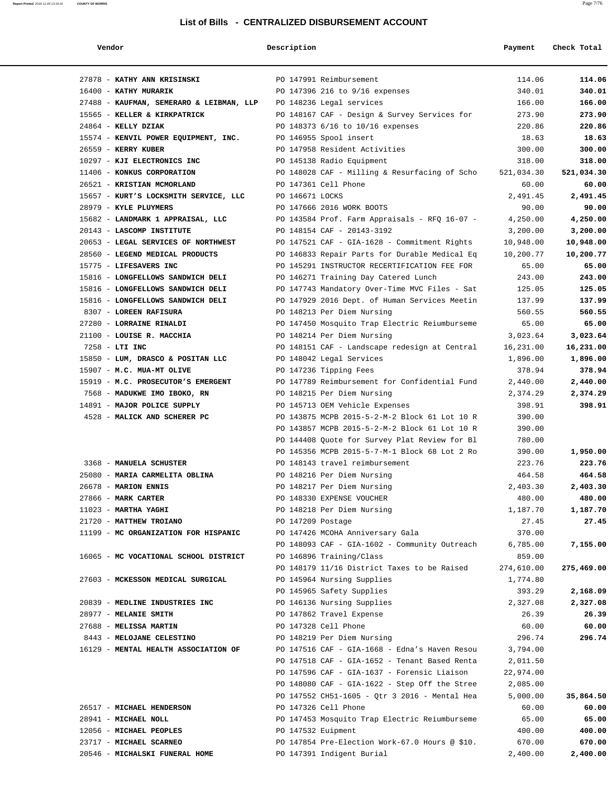| Vendor                                   | Description        |                                                | Payment    | Check Total |
|------------------------------------------|--------------------|------------------------------------------------|------------|-------------|
| 27878 - KATHY ANN KRISINSKI              |                    | PO 147991 Reimbursement                        | 114.06     | 114.06      |
| 16400 - KATHY MURARIK                    |                    | PO 147396 216 to 9/16 expenses                 | 340.01     | 340.01      |
| 27488 - KAUFMAN, SEMERARO & LEIBMAN, LLP |                    | PO 148236 Legal services                       | 166.00     | 166.00      |
| 15565 - KELLER & KIRKPATRICK             |                    | PO 148167 CAF - Design & Survey Services for   | 273.90     | 273.90      |
| $24864$ - KELLY DZIAK                    |                    | PO 148373 6/16 to 10/16 expenses               | 220.86     | 220.86      |
| 15574 - KENVIL POWER EQUIPMENT, INC.     |                    | PO 146955 Spool insert                         | 18.63      | 18.63       |
| 26559 - KERRY KUBER                      |                    | PO 147958 Resident Activities                  | 300.00     | 300.00      |
| 10297 - KJI ELECTRONICS INC              |                    | PO 145138 Radio Equipment                      | 318.00     | 318.00      |
| 11406 - KONKUS CORPORATION               |                    | PO 148028 CAF - Milling & Resurfacing of Scho  | 521,034.30 | 521,034.30  |
| 26521 - KRISTIAN MCMORLAND               |                    | PO 147361 Cell Phone                           | 60.00      | 60.00       |
| 15657 - KURT'S LOCKSMITH SERVICE, LLC    | PO 146671 LOCKS    |                                                | 2,491.45   | 2,491.45    |
| 28979 - KYLE PLUYMERS                    |                    | PO 147666 2016 WORK BOOTS                      | 90.00      | 90.00       |
| 15682 - LANDMARK 1 APPRAISAL, LLC        |                    | PO 143584 Prof. Farm Appraisals - RFQ 16-07 -  | 4,250.00   | 4,250.00    |
| 20143 - LASCOMP INSTITUTE                |                    | PO 148154 CAF - 20143-3192                     | 3,200.00   | 3,200.00    |
| 20653 - LEGAL SERVICES OF NORTHWEST      |                    | PO 147521 CAF - GIA-1628 - Commitment Rights   | 10,948.00  | 10,948.00   |
| 28560 - LEGEND MEDICAL PRODUCTS          |                    | PO 146833 Repair Parts for Durable Medical Eq  | 10,200.77  | 10,200.77   |
| 15775 - LIFESAVERS INC                   |                    | PO 145291 INSTRUCTOR RECERTIFICATION FEE FOR   | 65.00      | 65.00       |
| 15816 - LONGFELLOWS SANDWICH DELI        |                    | PO 146271 Training Day Catered Lunch           | 243.00     | 243.00      |
| 15816 - LONGFELLOWS SANDWICH DELI        |                    | PO 147743 Mandatory Over-Time MVC Files - Sat  | 125.05     | 125.05      |
| 15816 - LONGFELLOWS SANDWICH DELI        |                    | PO 147929 2016 Dept. of Human Services Meetin  | 137.99     | 137.99      |
| 8307 - LOREEN RAFISURA                   |                    | PO 148213 Per Diem Nursing                     | 560.55     | 560.55      |
| 27280 - LORRAINE RINALDI                 |                    | PO 147450 Mosquito Trap Electric Reiumburseme  | 65.00      | 65.00       |
| 21100 - LOUISE R. MACCHIA                |                    | PO 148214 Per Diem Nursing                     | 3,023.64   | 3,023.64    |
| 7258 - LTI INC                           |                    | PO 148151 CAF - Landscape redesign at Central  | 16,231.00  | 16,231.00   |
| 15850 - LUM, DRASCO & POSITAN LLC        |                    | PO 148042 Legal Services                       | 1,896.00   | 1,896.00    |
| 15907 - M.C. MUA-MT OLIVE                |                    | PO 147236 Tipping Fees                         | 378.94     | 378.94      |
| 15919 - M.C. PROSECUTOR'S EMERGENT       |                    | PO 147789 Reimbursement for Confidential Fund  | 2,440.00   | 2,440.00    |
| 7568 - MADUKWE IMO IBOKO, RN             |                    | PO 148215 Per Diem Nursing                     | 2,374.29   | 2,374.29    |
| 14891 - MAJOR POLICE SUPPLY              |                    | PO 145713 OEM Vehicle Expenses                 | 398.91     | 398.91      |
| 4528 - MALICK AND SCHERER PC             |                    | PO 143875 MCPB 2015-5-2-M-2 Block 61 Lot 10 R  | 390.00     |             |
|                                          |                    | PO 143857 MCPB 2015-5-2-M-2 Block 61 Lot 10 R  | 390.00     |             |
|                                          |                    | PO 144408 Quote for Survey Plat Review for Bl  | 780.00     |             |
|                                          |                    | PO 145356 MCPB 2015-5-7-M-1 Block 68 Lot 2 Ro  | 390.00     | 1,950.00    |
| 3368 - MANUELA SCHUSTER                  |                    | PO 148143 travel reimbursement                 | 223.76     | 223.76      |
| 25080 - MARIA CARMELITA OBLINA           |                    | PO 148216 Per Diem Nursing                     | 464.58     | 464.58      |
| 26678 - MARION ENNIS                     |                    | PO 148217 Per Diem Nursing                     | 2,403.30   | 2,403.30    |
| 27866 - MARK CARTER                      |                    | PO 148330 EXPENSE VOUCHER                      | 480.00     | 480.00      |
| $11023$ - MARTHA YAGHI                   |                    | PO 148218 Per Diem Nursing                     | 1,187.70   | 1,187.70    |
| 21720 - MATTHEW TROIANO                  | PO 147209 Postage  |                                                | 27.45      | 27.45       |
| 11199 - MC ORGANIZATION FOR HISPANIC     |                    | PO 147426 MCOHA Anniversary Gala               | 370.00     |             |
|                                          |                    | PO 148093 CAF - GIA-1602 - Community Outreach  | 6,785.00   | 7,155.00    |
| 16065 - MC VOCATIONAL SCHOOL DISTRICT    |                    | PO 146896 Training/Class                       | 859.00     |             |
|                                          |                    | PO 148179 11/16 District Taxes to be Raised    | 274,610.00 | 275,469.00  |
| 27603 - MCKESSON MEDICAL SURGICAL        |                    | PO 145964 Nursing Supplies                     | 1,774.80   |             |
|                                          |                    | PO 145965 Safety Supplies                      | 393.29     | 2,168.09    |
| 20839 - MEDLINE INDUSTRIES INC           |                    | PO 146136 Nursing Supplies                     | 2,327.08   | 2,327.08    |
| 28977 - MELANIE SMITH                    |                    | PO 147862 Travel Expense                       | 26.39      | 26.39       |
| 27688 - MELISSA MARTIN                   |                    | PO 147328 Cell Phone                           | 60.00      | 60.00       |
| 8443 - MELOJANE CELESTINO                |                    | PO 148219 Per Diem Nursing                     | 296.74     | 296.74      |
| 16129 - MENTAL HEALTH ASSOCIATION OF     |                    | PO 147516 CAF - GIA-1668 - Edna's Haven Resou  | 3,794.00   |             |
|                                          |                    | PO 147518 CAF - GIA-1652 - Tenant Based Renta  | 2,011.50   |             |
|                                          |                    | PO 147596 CAF - GIA-1637 - Forensic Liaison    | 22,974.00  |             |
|                                          |                    | PO 148080 CAF - GIA-1622 - Step Off the Stree  | 2,085.00   |             |
|                                          |                    | PO 147552 CH51-1605 - Qtr 3 2016 - Mental Hea  | 5,000.00   | 35,864.50   |
| 26517 - MICHAEL HENDERSON                |                    | PO 147326 Cell Phone                           | 60.00      | 60.00       |
| 28941 - MICHAEL NOLL                     |                    | PO 147453 Mosquito Trap Electric Reiumburseme  | 65.00      | 65.00       |
| 12056 - MICHAEL PEOPLES                  | PO 147532 Euipment |                                                | 400.00     | 400.00      |
| 23717 - MICHAEL SCARNEO                  |                    | PO 147854 Pre-Election Work-67.0 Hours @ \$10. | 670.00     | 670.00      |
| 20546 - MICHALSKI FUNERAL HOME           |                    | PO 147391 Indigent Burial                      | 2,400.00   | 2,400.00    |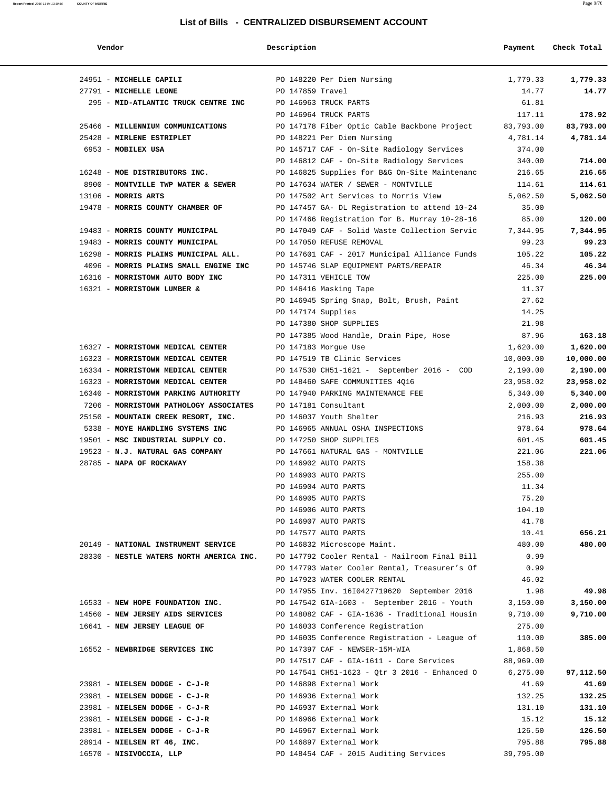| Vendor                                                      | Description      |                                               | Payment   | Check Total |
|-------------------------------------------------------------|------------------|-----------------------------------------------|-----------|-------------|
| 24951 - MICHELLE CAPILI                                     |                  | PO 148220 Per Diem Nursing                    | 1,779.33  | 1,779.33    |
| 27791 - MICHELLE LEONE                                      | PO 147859 Travel |                                               | 14.77     | 14.77       |
| 295 - MID-ATLANTIC TRUCK CENTRE INC                         |                  | PO 146963 TRUCK PARTS                         | 61.81     |             |
|                                                             |                  | PO 146964 TRUCK PARTS                         | 117.11    | 178.92      |
| 25466 - MILLENNIUM COMMUNICATIONS                           |                  | PO 147178 Fiber Optic Cable Backbone Project  | 83,793.00 | 83,793.00   |
| 25428 - MIRLENE ESTRIPLET                                   |                  | PO 148221 Per Diem Nursing                    | 4,781.14  | 4,781.14    |
| 6953 - MOBILEX USA                                          |                  | PO 145717 CAF - On-Site Radiology Services    | 374.00    |             |
|                                                             |                  | PO 146812 CAF - On-Site Radiology Services    | 340.00    | 714.00      |
| 16248 - MOE DISTRIBUTORS INC.                               |                  | PO 146825 Supplies for B&G On-Site Maintenanc | 216.65    | 216.65      |
| 8900 - MONTVILLE TWP WATER & SEWER                          |                  | PO 147634 WATER / SEWER - MONTVILLE           | 114.61    | 114.61      |
| $13106$ - MORRIS ARTS                                       |                  | PO 147502 Art Services to Morris View         | 5,062.50  | 5,062.50    |
| 19478 - MORRIS COUNTY CHAMBER OF                            |                  | PO 147457 GA- DL Registration to attend 10-24 | 35.00     |             |
|                                                             |                  | PO 147466 Registration for B. Murray 10-28-16 | 85.00     | 120.00      |
| 19483 - MORRIS COUNTY MUNICIPAL                             |                  | PO 147049 CAF - Solid Waste Collection Servic | 7,344.95  | 7,344.95    |
| 19483 - MORRIS COUNTY MUNICIPAL                             |                  | PO 147050 REFUSE REMOVAL                      | 99.23     | 99.23       |
| 16298 - MORRIS PLAINS MUNICIPAL ALL.                        |                  | PO 147601 CAF - 2017 Municipal Alliance Funds | 105.22    | 105.22      |
| 4096 - MORRIS PLAINS SMALL ENGINE INC                       |                  | PO 145746 SLAP EQUIPMENT PARTS/REPAIR         | 46.34     | 46.34       |
| 16316 - MORRISTOWN AUTO BODY INC                            |                  | PO 147311 VEHICLE TOW                         | 225.00    | 225.00      |
| 16321 - MORRISTOWN LUMBER &                                 |                  | PO 146416 Masking Tape                        | 11.37     |             |
|                                                             |                  | PO 146945 Spring Snap, Bolt, Brush, Paint     | 27.62     |             |
|                                                             |                  | PO 147174 Supplies                            | 14.25     |             |
|                                                             |                  | PO 147380 SHOP SUPPLIES                       | 21.98     |             |
|                                                             |                  | PO 147385 Wood Handle, Drain Pipe, Hose       | 87.96     | 163.18      |
| 16327 - MORRISTOWN MEDICAL CENTER                           |                  | PO 147183 Morgue Use                          | 1,620.00  | 1,620.00    |
| 16323 - MORRISTOWN MEDICAL CENTER                           |                  | PO 147519 TB Clinic Services                  | 10,000.00 | 10,000.00   |
| 16334 - MORRISTOWN MEDICAL CENTER                           |                  | PO 147530 CH51-1621 - September 2016 - COD    | 2,190.00  | 2,190.00    |
| 16323 - MORRISTOWN MEDICAL CENTER                           |                  | PO 148460 SAFE COMMUNITIES 4Q16               | 23,958.02 | 23,958.02   |
| 16340 - MORRISTOWN PARKING AUTHORITY                        |                  | PO 147940 PARKING MAINTENANCE FEE             | 5,340.00  | 5,340.00    |
| 7206 - MORRISTOWN PATHOLOGY ASSOCIATES PO 147181 Consultant |                  |                                               | 2,000.00  | 2,000.00    |
| 25150 - MOUNTAIN CREEK RESORT, INC.                         |                  | PO 146037 Youth Shelter                       | 216.93    | 216.93      |
| 5338 - MOYE HANDLING SYSTEMS INC                            |                  | PO 146965 ANNUAL OSHA INSPECTIONS             | 978.64    | 978.64      |
| 19501 - MSC INDUSTRIAL SUPPLY CO.                           |                  | PO 147250 SHOP SUPPLIES                       | 601.45    | 601.45      |
| 19523 - N.J. NATURAL GAS COMPANY                            |                  | PO 147661 NATURAL GAS - MONTVILLE             | 221.06    | 221.06      |
| 28785 - NAPA OF ROCKAWAY                                    |                  | PO 146902 AUTO PARTS                          | 158.38    |             |
|                                                             |                  | PO 146903 AUTO PARTS                          | 255.00    |             |
|                                                             |                  | PO 146904 AUTO PARTS                          | 11.34     |             |
|                                                             |                  | PO 146905 AUTO PARTS                          | 75.20     |             |
|                                                             |                  | PO 146906 AUTO PARTS                          | 104.10    |             |
|                                                             |                  | PO 146907 AUTO PARTS                          | 41.78     |             |
|                                                             |                  | PO 147577 AUTO PARTS                          | 10.41     | 656.21      |
| 20149 - NATIONAL INSTRUMENT SERVICE                         |                  | PO 146832 Microscope Maint.                   | 480.00    | 480.00      |
| 28330 - NESTLE WATERS NORTH AMERICA INC.                    |                  | PO 147792 Cooler Rental - Mailroom Final Bill | 0.99      |             |
|                                                             |                  | PO 147793 Water Cooler Rental, Treasurer's Of | 0.99      |             |
|                                                             |                  | PO 147923 WATER COOLER RENTAL                 | 46.02     |             |
|                                                             |                  | PO 147955 Inv. 1610427719620 September 2016   | 1.98      | 49.98       |
| 16533 - NEW HOPE FOUNDATION INC.                            |                  | PO 147542 GIA-1603 - September 2016 - Youth   | 3,150.00  | 3,150.00    |
| 14560 - NEW JERSEY AIDS SERVICES                            |                  | PO 148082 CAF - GIA-1636 - Traditional Housin | 9,710.00  | 9,710.00    |
| 16641 - NEW JERSEY LEAGUE OF                                |                  | PO 146033 Conference Registration             | 275.00    |             |
|                                                             |                  | PO 146035 Conference Registration - League of | 110.00    | 385.00      |
| 16552 - NEWBRIDGE SERVICES INC                              |                  | PO 147397 CAF - NEWSER-15M-WIA                | 1,868.50  |             |
|                                                             |                  | PO 147517 CAF - GIA-1611 - Core Services      | 88,969.00 |             |
|                                                             |                  | PO 147541 CH51-1623 - Qtr 3 2016 - Enhanced O | 6,275.00  | 97,112.50   |
| 23981 - NIELSEN DODGE - C-J-R                               |                  | PO 146898 External Work                       | 41.69     | 41.69       |
|                                                             |                  |                                               |           |             |
| 23981 - NIELSEN DODGE - C-J-R                               |                  | PO 146936 External Work                       | 132.25    | 132.25      |
| 23981 - NIELSEN DODGE - C-J-R                               |                  | PO 146937 External Work                       | 131.10    | 131.10      |
| 23981 - NIELSEN DODGE - C-J-R                               |                  | PO 146966 External Work                       | 15.12     | 15.12       |
| 23981 - NIELSEN DODGE - C-J-R                               |                  | PO 146967 External Work                       | 126.50    | 126.50      |
| 28914 - NIELSEN RT 46, INC.                                 |                  | PO 146897 External Work                       | 795.88    | 795.88      |
| 16570 - NISIVOCCIA, LLP                                     |                  | PO 148454 CAF - 2015 Auditing Services        | 39,795.00 |             |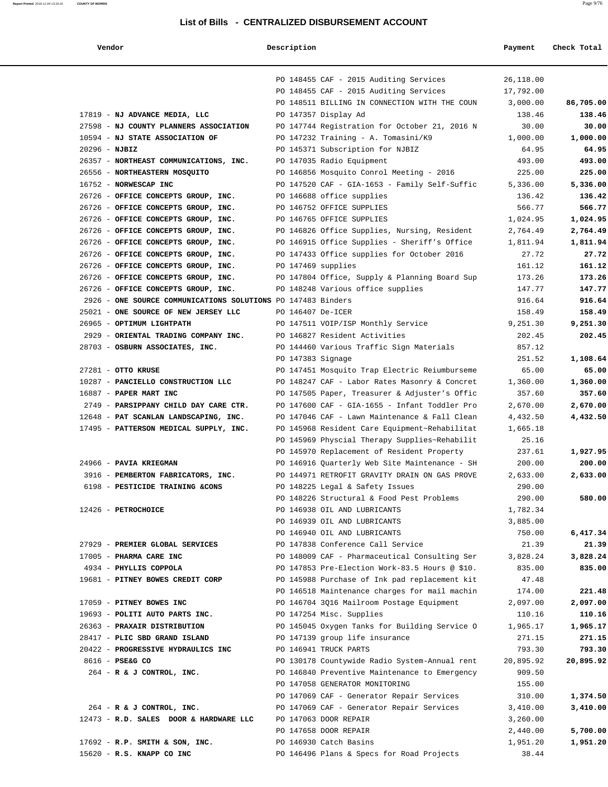#### **Report Printed 2016-11-04 13:19:16 COUNTY OF MORRIS COUNTY OF MORRIS**

| Vendor | Description | Payment | Check Total |
|--------|-------------|---------|-------------|
|        |             |         |             |

|                                                              |                    | PO 148455 CAF - 2015 Auditing Services         | 26,118.00 |           |
|--------------------------------------------------------------|--------------------|------------------------------------------------|-----------|-----------|
|                                                              |                    | PO 148455 CAF - 2015 Auditing Services         | 17,792.00 |           |
|                                                              |                    | PO 148511 BILLING IN CONNECTION WITH THE COUN  | 3,000.00  | 86,705.00 |
| 17819 - NJ ADVANCE MEDIA, LLC                                |                    | PO 147357 Display Ad                           | 138.46    | 138.46    |
| 27598 - NJ COUNTY PLANNERS ASSOCIATION                       |                    | PO 147744 Registration for October 21, 2016 N  | 30.00     | 30.00     |
| 10594 - NJ STATE ASSOCIATION OF                              |                    | PO 147232 Training - A. Tomasini/K9            | 1,000.00  | 1,000.00  |
| $20296 - NJBIZ$                                              |                    | PO 145371 Subscription for NJBIZ               | 64.95     | 64.95     |
| 26357 - NORTHEAST COMMUNICATIONS, INC.                       |                    | PO 147035 Radio Equipment                      | 493.00    | 493.00    |
| 26556 - NORTHEASTERN MOSQUITO                                |                    | PO 146856 Mosquito Conrol Meeting - 2016       | 225.00    | 225.00    |
| 16752 - NORWESCAP INC                                        |                    | PO 147520 CAF - GIA-1653 - Family Self-Suffic  | 5,336.00  | 5,336.00  |
| 26726 - OFFICE CONCEPTS GROUP, INC.                          |                    | PO 146688 office supplies                      | 136.42    | 136.42    |
| 26726 - OFFICE CONCEPTS GROUP, INC.                          |                    | PO 146752 OFFICE SUPPLIES                      | 566.77    | 566.77    |
| 26726 - OFFICE CONCEPTS GROUP, INC.                          |                    | PO 146765 OFFICE SUPPLIES                      | 1,024.95  | 1,024.95  |
| 26726 - OFFICE CONCEPTS GROUP, INC.                          |                    | PO 146826 Office Supplies, Nursing, Resident   | 2,764.49  | 2,764.49  |
| 26726 - OFFICE CONCEPTS GROUP, INC.                          |                    | PO 146915 Office Supplies - Sheriff's Office   | 1,811.94  | 1,811.94  |
| 26726 - OFFICE CONCEPTS GROUP, INC.                          |                    | PO 147433 Office supplies for October 2016     | 27.72     | 27.72     |
| 26726 - OFFICE CONCEPTS GROUP, INC.                          | PO 147469 supplies |                                                | 161.12    | 161.12    |
| 26726 - OFFICE CONCEPTS GROUP, INC.                          |                    | PO 147804 Office, Supply & Planning Board Sup  | 173.26    | 173.26    |
| 26726 - OFFICE CONCEPTS GROUP, INC.                          |                    | PO 148248 Various office supplies              | 147.77    | 147.77    |
| 2926 - ONE SOURCE COMMUNICATIONS SOLUTIONS PO 147483 Binders |                    |                                                | 916.64    | 916.64    |
| 25021 - ONE SOURCE OF NEW JERSEY LLC                         | PO 146407 De-ICER  |                                                | 158.49    | 158.49    |
| 26965 - OPTIMUM LIGHTPATH                                    |                    | PO 147511 VOIP/ISP Monthly Service             | 9,251.30  | 9,251.30  |
| 2929 - ORIENTAL TRADING COMPANY INC.                         |                    | PO 146827 Resident Activities                  | 202.45    | 202.45    |
| 28703 - OSBURN ASSOCIATES, INC.                              |                    | PO 144460 Various Traffic Sign Materials       | 857.12    |           |
|                                                              | PO 147383 Signage  |                                                | 251.52    | 1,108.64  |
| $27281$ - OTTO KRUSE                                         |                    | PO 147451 Mosquito Trap Electric Reiumburseme  | 65.00     | 65.00     |
| 10287 - PANCIELLO CONSTRUCTION LLC                           |                    | PO 148247 CAF - Labor Rates Masonry & Concret  | 1,360.00  | 1,360.00  |
| 16887 - PAPER MART INC                                       |                    | PO 147505 Paper, Treasurer & Adjuster's Offic  | 357.60    | 357.60    |
| 2749 - PARSIPPANY CHILD DAY CARE CTR.                        |                    | PO 147600 CAF - GIA-1655 - Infant Toddler Pro  | 2,670.00  | 2,670.00  |
| 12648 - PAT SCANLAN LANDSCAPING, INC.                        |                    | PO 147046 CAF - Lawn Maintenance & Fall Clean  | 4,432.50  | 4,432.50  |
| 17495 - PATTERSON MEDICAL SUPPLY, INC.                       |                    | PO 145968 Resident Care Equipment~Rehabilitat  | 1,665.18  |           |
|                                                              |                    | PO 145969 Physcial Therapy Supplies~Rehabilit  | 25.16     |           |
|                                                              |                    | PO 145970 Replacement of Resident Property     | 237.61    | 1,927.95  |
| 24966 - PAVIA KRIEGMAN                                       |                    | PO 146916 Quarterly Web Site Maintenance - SH  | 200.00    | 200.00    |
| 3916 - PEMBERTON FABRICATORS, INC.                           |                    | PO 144971 RETROFIT GRAVITY DRAIN ON GAS PROVE  | 2,633.00  | 2,633.00  |
| 6198 - PESTICIDE TRAINING &CONS                              |                    | PO 148225 Legal & Safety Issues                | 290.00    |           |
|                                                              |                    | PO 148226 Structural & Food Pest Problems      | 290.00    | 580.00    |
| 12426 - PETROCHOICE                                          |                    | PO 146938 OIL AND LUBRICANTS                   | 1,782.34  |           |
|                                                              |                    | PO 146939 OIL AND LUBRICANTS                   | 3,885.00  |           |
|                                                              |                    | PO 146940 OIL AND LUBRICANTS                   | 750.00    | 6,417.34  |
| 27929 - PREMIER GLOBAL SERVICES                              |                    | PO 147838 Conference Call Service              | 21.39     | 21.39     |
| 17005 - PHARMA CARE INC                                      |                    | PO 148009 CAF - Pharmaceutical Consulting Ser  | 3,828.24  | 3,828.24  |
| 4934 - PHYLLIS COPPOLA                                       |                    | PO 147853 Pre-Election Work-83.5 Hours @ \$10. | 835.00    | 835.00    |
| 19681 - PITNEY BOWES CREDIT CORP                             |                    | PO 145988 Purchase of Ink pad replacement kit  | 47.48     |           |
|                                                              |                    | PO 146518 Maintenance charges for mail machin  | 174.00    | 221.48    |
| 17059 - PITNEY BOWES INC                                     |                    | PO 146704 3Q16 Mailroom Postage Equipment      | 2,097.00  | 2,097.00  |
| 19693 - POLITI AUTO PARTS INC.                               |                    | PO 147254 Misc. Supplies                       | 110.16    | 110.16    |
| 26363 - PRAXAIR DISTRIBUTION                                 |                    | PO 145045 Oxygen Tanks for Building Service O  | 1,965.17  | 1,965.17  |
| 28417 - PLIC SBD GRAND ISLAND                                |                    | PO 147139 group life insurance                 | 271.15    | 271.15    |
| 20422 - PROGRESSIVE HYDRAULICS INC                           |                    | PO 146941 TRUCK PARTS                          | 793.30    | 793.30    |
| 8616 - PSE&G CO                                              |                    | PO 130178 Countywide Radio System-Annual rent  | 20,895.92 | 20,895.92 |
| 264 - R & J CONTROL, INC.                                    |                    | PO 146840 Preventive Maintenance to Emergency  | 909.50    |           |
|                                                              |                    | PO 147058 GENERATOR MONITORING                 | 155.00    |           |
|                                                              |                    | PO 147069 CAF - Generator Repair Services      | 310.00    | 1,374.50  |
| 264 - R & J CONTROL, INC.                                    |                    | PO 147069 CAF - Generator Repair Services      | 3,410.00  | 3,410.00  |
| 12473 - R.D. SALES DOOR & HARDWARE LLC                       |                    | PO 147063 DOOR REPAIR                          | 3,260.00  |           |
|                                                              |                    | PO 147658 DOOR REPAIR                          | 2,440.00  | 5,700.00  |
| 17692 - R.P. SMITH & SON, INC.                               |                    | PO 146930 Catch Basins                         | 1,951.20  | 1,951.20  |
| 15620 - R.S. KNAPP CO INC                                    |                    | PO 146496 Plans & Specs for Road Projects      | 38.44     |           |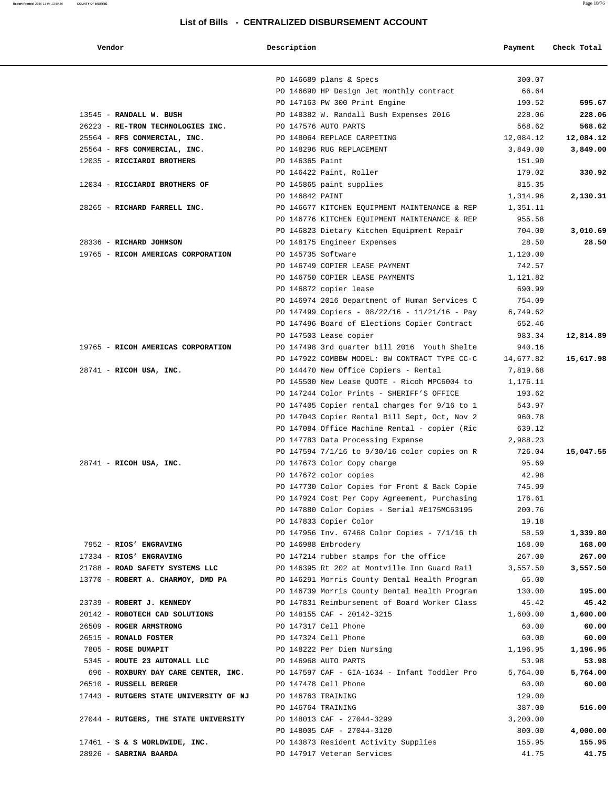| Vendor | Description | Pavment<br>Check Total |
|--------|-------------|------------------------|
|--------|-------------|------------------------|

**Report Printed 2016-11-04 13:19:16 COUNTY OF MORRIS COUNTY OF MORRIS** 

|                                        | PO 146689 plans & Specs<br>300.07                                                                                  |           |
|----------------------------------------|--------------------------------------------------------------------------------------------------------------------|-----------|
|                                        | PO 146690 HP Design Jet monthly contract<br>66.64                                                                  |           |
|                                        | PO 147163 PW 300 Print Engine<br>190.52                                                                            | 595.67    |
| 13545 - RANDALL W. BUSH                | PO 148382 W. Randall Bush Expenses 2016<br>228.06                                                                  | 228.06    |
| 26223 - RE-TRON TECHNOLOGIES INC.      | PO 147576 AUTO PARTS<br>568.62                                                                                     | 568.62    |
| 25564 - RFS COMMERCIAL, INC.           | 12,084.12<br>PO 148064 REPLACE CARPETING                                                                           | 12,084.12 |
| 25564 - RFS COMMERCIAL, INC.           | PO 148296 RUG REPLACEMENT<br>3,849.00                                                                              | 3,849.00  |
| 12035 - RICCIARDI BROTHERS             | PO 146365 Paint<br>151.90                                                                                          |           |
|                                        | PO 146422 Paint, Roller<br>179.02                                                                                  | 330.92    |
| 12034 - RICCIARDI BROTHERS OF          | PO 145865 paint supplies<br>815.35                                                                                 |           |
|                                        | PO 146842 PAINT<br>1,314.96                                                                                        | 2,130.31  |
| 28265 - RICHARD FARRELL INC.           | PO 146677 KITCHEN EQUIPMENT MAINTENANCE & REP<br>1,351.11                                                          |           |
|                                        | PO 146776 KITCHEN EQUIPMENT MAINTENANCE & REP<br>955.58                                                            |           |
|                                        | PO 146823 Dietary Kitchen Equipment Repair<br>704.00                                                               | 3,010.69  |
| 28336 - RICHARD JOHNSON                | PO 148175 Engineer Expenses<br>28.50                                                                               | 28.50     |
| 19765 - RICOH AMERICAS CORPORATION     | PO 145735 Software<br>1,120.00                                                                                     |           |
|                                        | PO 146749 COPIER LEASE PAYMENT<br>742.57                                                                           |           |
|                                        | PO 146750 COPIER LEASE PAYMENTS<br>1,121.82                                                                        |           |
|                                        | PO 146872 copier lease<br>690.99                                                                                   |           |
|                                        | PO 146974 2016 Department of Human Services C<br>754.09                                                            |           |
|                                        | PO 147499 Copiers - $08/22/16$ - $11/21/16$ - Pay<br>6,749.62                                                      |           |
|                                        | PO 147496 Board of Elections Copier Contract<br>652.46                                                             |           |
|                                        | PO 147503 Lease copier<br>983.34                                                                                   | 12,814.89 |
| 19765 - RICOH AMERICAS CORPORATION     | PO 147498 3rd quarter bill 2016 Youth Shelte<br>940.16                                                             |           |
|                                        | PO 147922 COMBBW MODEL: BW CONTRACT TYPE CC-C<br>14,677.82                                                         | 15,617.98 |
| $28741$ - RICOH USA, INC.              | PO 144470 New Office Copiers - Rental<br>7,819.68                                                                  |           |
|                                        | PO 145500 New Lease QUOTE - Ricoh MPC6004 to<br>1,176.11                                                           |           |
|                                        | PO 147244 Color Prints - SHERIFF'S OFFICE<br>193.62                                                                |           |
|                                        | PO 147405 Copier rental charges for 9/16 to 1<br>543.97<br>PO 147043 Copier Rental Bill Sept, Oct, Nov 2<br>960.78 |           |
|                                        | PO 147084 Office Machine Rental - copier (Ric<br>639.12                                                            |           |
|                                        | PO 147783 Data Processing Expense<br>2,988.23                                                                      |           |
|                                        | PO 147594 7/1/16 to 9/30/16 color copies on R<br>726.04                                                            | 15,047.55 |
| $28741$ - RICOH USA, INC.              | 95.69<br>PO 147673 Color Copy charge                                                                               |           |
|                                        | PO 147672 color copies<br>42.98                                                                                    |           |
|                                        | PO 147730 Color Copies for Front & Back Copie<br>745.99                                                            |           |
|                                        | PO 147924 Cost Per Copy Agreement, Purchasing<br>176.61                                                            |           |
|                                        | PO 147880 Color Copies - Serial #E175MC63195<br>200.76                                                             |           |
|                                        | PO 147833 Copier Color<br>19.18                                                                                    |           |
|                                        | 58.59<br>PO 147956 Inv. 67468 Color Copies - 7/1/16 th                                                             | 1,339.80  |
| 7952 - RIOS' ENGRAVING                 | PO 146988 Embrodery<br>168.00                                                                                      | 168.00    |
| 17334 - RIOS' ENGRAVING                | PO 147214 rubber stamps for the office<br>267.00                                                                   | 267.00    |
| 21788 - ROAD SAFETY SYSTEMS LLC        | PO 146395 Rt 202 at Montville Inn Guard Rail<br>3,557.50                                                           | 3,557.50  |
| 13770 - ROBERT A. CHARMOY, DMD PA      | 65.00<br>PO 146291 Morris County Dental Health Program                                                             |           |
|                                        | 130.00<br>PO 146739 Morris County Dental Health Program                                                            | 195.00    |
| 23739 - ROBERT J. KENNEDY              | PO 147831 Reimbursement of Board Worker Class<br>45.42                                                             | 45.42     |
| 20142 - ROBOTECH CAD SOLUTIONS         | PO 148155 CAF - 20142-3215<br>1,600.00                                                                             | 1,600.00  |
| 26509 - ROGER ARMSTRONG                | PO 147317 Cell Phone<br>60.00                                                                                      | 60.00     |
| 26515 - RONALD FOSTER                  | PO 147324 Cell Phone<br>60.00                                                                                      | 60.00     |
| 7805 - ROSE DUMAPIT                    | PO 148222 Per Diem Nursing<br>1,196.95                                                                             | 1,196.95  |
| 5345 - ROUTE 23 AUTOMALL LLC           | PO 146968 AUTO PARTS<br>53.98                                                                                      | 53.98     |
| 696 - ROXBURY DAY CARE CENTER, INC.    | PO 147597 CAF - GIA-1634 - Infant Toddler Pro<br>5,764.00                                                          | 5,764.00  |
| 26510 - RUSSELL BERGER                 | PO 147478 Cell Phone<br>60.00                                                                                      | 60.00     |
| 17443 - RUTGERS STATE UNIVERSITY OF NJ | PO 146763 TRAINING<br>129.00                                                                                       |           |
|                                        | PO 146764 TRAINING<br>387.00                                                                                       | 516.00    |
| 27044 - RUTGERS, THE STATE UNIVERSITY  | PO 148013 CAF - 27044-3299<br>3,200.00                                                                             |           |
|                                        | PO 148005 CAF - 27044-3120<br>800.00                                                                               | 4,000.00  |
| $17461 - S$ & S WORLDWIDE, INC.        | PO 143873 Resident Activity Supplies<br>155.95                                                                     | 155.95    |
| 28926 - SABRINA BAARDA                 | PO 147917 Veteran Services<br>41.75                                                                                | 41.75     |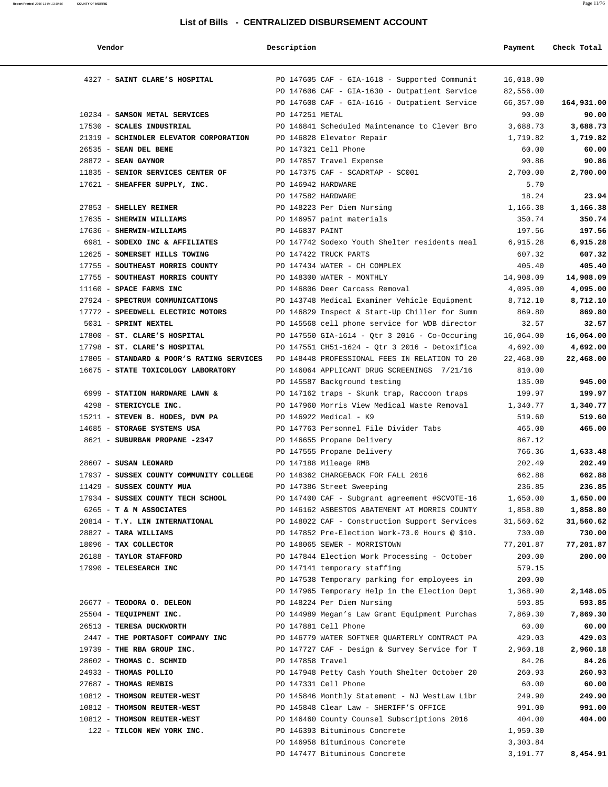| Vendor                                           | Description        |                                                                              | Payment             | Check Total         |
|--------------------------------------------------|--------------------|------------------------------------------------------------------------------|---------------------|---------------------|
| 4327 - SAINT CLARE'S HOSPITAL                    |                    | PO 147605 CAF - GIA-1618 - Supported Communit                                | 16,018.00           |                     |
|                                                  |                    | PO 147606 CAF - GIA-1630 - Outpatient Service                                | 82,556.00           |                     |
|                                                  |                    | PO 147608 CAF - GIA-1616 - Outpatient Service                                | 66,357.00           | 164,931.00          |
| 10234 - SAMSON METAL SERVICES                    | PO 147251 METAL    |                                                                              | 90.00               | 90.00               |
| 17530 - SCALES INDUSTRIAL                        |                    | PO 146841 Scheduled Maintenance to Clever Bro                                | 3,688.73            | 3,688.73            |
| 21319 - SCHINDLER ELEVATOR CORPORATION           |                    | PO 146828 Elevator Repair                                                    | 1,719.82            | 1,719.82            |
| 26535 - SEAN DEL BENE                            |                    | PO 147321 Cell Phone                                                         | 60.00               | 60.00               |
| $28872$ - SEAN GAYNOR                            |                    | PO 147857 Travel Expense                                                     | 90.86               | 90.86               |
| 11835 - SENIOR SERVICES CENTER OF                |                    | PO 147375 CAF - SCADRTAP - SC001                                             | 2,700.00            | 2,700.00            |
| 17621 - SHEAFFER SUPPLY, INC.                    | PO 146942 HARDWARE |                                                                              | 5.70                |                     |
|                                                  | PO 147582 HARDWARE |                                                                              | 18.24               | 23.94               |
| 27853 - SHELLEY REINER                           |                    | PO 148223 Per Diem Nursing                                                   | 1,166.38            | 1,166.38            |
| 17635 - SHERWIN WILLIAMS                         |                    | PO 146957 paint materials                                                    | 350.74              | 350.74              |
| 17636 - SHERWIN-WILLIAMS                         | PO 146837 PAINT    |                                                                              | 197.56              | 197.56              |
| 6981 - SODEXO INC & AFFILIATES                   |                    | PO 147742 Sodexo Youth Shelter residents meal                                | 6,915.28            | 6,915.28            |
| 12625 - SOMERSET HILLS TOWING                    |                    | PO 147422 TRUCK PARTS                                                        | 607.32              | 607.32              |
| 17755 - SOUTHEAST MORRIS COUNTY                  |                    | PO 147434 WATER - CH COMPLEX                                                 | 405.40              | 405.40              |
| 17755 - SOUTHEAST MORRIS COUNTY                  |                    | PO 148300 WATER - MONTHLY                                                    | 14,908.09           | 14,908.09           |
| 11160 - SPACE FARMS INC                          |                    | PO 146806 Deer Carcass Removal                                               | 4,095.00            | 4,095.00            |
| 27924 - SPECTRUM COMMUNICATIONS                  |                    | PO 143748 Medical Examiner Vehicle Equipment                                 | 8,712.10            | 8,712.10            |
| 17772 - SPEEDWELL ELECTRIC MOTORS                |                    | PO 146829 Inspect & Start-Up Chiller for Summ                                | 869.80              | 869.80              |
| 5031 - SPRINT NEXTEL                             |                    | PO 145568 cell phone service for WDB director                                | 32.57               | 32.57               |
| 17800 - ST. CLARE'S HOSPITAL                     |                    | PO 147550 GIA-1614 - Qtr 3 2016 - Co-Occuring                                | 16,064.00           | 16,064.00           |
| 17798 - ST. CLARE'S HOSPITAL                     |                    | PO 147551 CH51-1624 - Qtr 3 2016 - Detoxifica                                | 4,692.00            | 4,692.00            |
| 17805 - STANDARD & POOR'S RATING SERVICES        |                    | PO 148448 PROFESSIONAL FEES IN RELATION TO 20                                | 22,468.00           | 22,468.00           |
| 16675 - STATE TOXICOLOGY LABORATORY              |                    | PO 146064 APPLICANT DRUG SCREENINGS 7/21/16                                  | 810.00              |                     |
|                                                  |                    | PO 145587 Background testing                                                 | 135.00              | 945.00              |
| 6999 - STATION HARDWARE LAWN &                   |                    | PO 147162 traps - Skunk trap, Raccoon traps                                  | 199.97              | 199.97              |
| 4298 - STERICYCLE INC.                           |                    | PO 147960 Morris View Medical Waste Removal                                  | 1,340.77            | 1,340.77            |
| 15211 - STEVEN B. HODES, DVM PA                  |                    | PO 146922 Medical - K9                                                       | 519.60              | 519.60              |
| 14685 - STORAGE SYSTEMS USA                      |                    | PO 147763 Personnel File Divider Tabs                                        | 465.00              | 465.00              |
| 8621 - SUBURBAN PROPANE -2347                    |                    | PO 146655 Propane Delivery                                                   | 867.12              |                     |
|                                                  |                    | PO 147555 Propane Delivery                                                   | 766.36              | 1,633.48            |
| 28607 - SUSAN LEONARD                            |                    | PO 147188 Mileage RMB                                                        | 202.49              | 202.49              |
| 17937 - SUSSEX COUNTY COMMUNITY COLLEGE          |                    | PO 148362 CHARGEBACK FOR FALL 2016                                           | 662.88              | 662.88              |
| 11429 - SUSSEX COUNTY MUA                        |                    | PO 147386 Street Sweeping                                                    | 236.85              | 236.85              |
| 17934 - SUSSEX COUNTY TECH SCHOOL                |                    | PO 147400 CAF - Subgrant agreement #SCVOTE-16                                | 1,650.00            | 1,650.00            |
| 6265 - T & M ASSOCIATES                          |                    | PO 146162 ASBESTOS ABATEMENT AT MORRIS COUNTY                                | 1,858.80            | 1,858.80            |
| 20814 - T.Y. LIN INTERNATIONAL                   |                    | PO 148022 CAF - Construction Support Services                                | 31,560.62           | 31,560.62           |
| 28827 - TARA WILLIAMS                            |                    | PO 147852 Pre-Election Work-73.0 Hours @ \$10.                               | 730.00              | 730.00              |
| 18096 - TAX COLLECTOR<br>26188 - TAYLOR STAFFORD |                    | PO 148065 SEWER - MORRISTOWN<br>PO 147844 Election Work Processing - October | 77,201.87<br>200.00 | 77,201.87<br>200.00 |
|                                                  |                    |                                                                              |                     |                     |
| 17990 - TELESEARCH INC                           |                    | PO 147141 temporary staffing<br>PO 147538 Temporary parking for employees in | 579.15<br>200.00    |                     |
|                                                  |                    | PO 147965 Temporary Help in the Election Dept                                | 1,368.90            | 2,148.05            |
| 26677 - TEODORA O. DELEON                        |                    | PO 148224 Per Diem Nursing                                                   | 593.85              | 593.85              |
| 25504 - TEQUIPMENT INC.                          |                    | PO 144989 Megan's Law Grant Equipment Purchas                                | 7,869.30            | 7,869.30            |
| 26513 - TERESA DUCKWORTH                         |                    | PO 147881 Cell Phone                                                         | 60.00               | 60.00               |
| 2447 - THE PORTASOFT COMPANY INC                 |                    | PO 146779 WATER SOFTNER QUARTERLY CONTRACT PA                                | 429.03              | 429.03              |
| 19739 - THE RBA GROUP INC.                       |                    | PO 147727 CAF - Design & Survey Service for T                                | 2,960.18            | 2,960.18            |
| 28602 - THOMAS C. SCHMID                         | PO 147858 Travel   |                                                                              | 84.26               | 84.26               |
| 24933 - THOMAS POLLIO                            |                    | PO 147948 Petty Cash Youth Shelter October 20                                | 260.93              | 260.93              |
| 27687 - THOMAS REMBIS                            |                    | PO 147331 Cell Phone                                                         | 60.00               | 60.00               |
| 10812 - THOMSON REUTER-WEST                      |                    | PO 145846 Monthly Statement - NJ WestLaw Libr                                | 249.90              | 249.90              |
| 10812 - THOMSON REUTER-WEST                      |                    | PO 145848 Clear Law - SHERIFF'S OFFICE                                       | 991.00              | 991.00              |
| 10812 - THOMSON REUTER-WEST                      |                    | PO 146460 County Counsel Subscriptions 2016                                  | 404.00              | 404.00              |
| 122 - TILCON NEW YORK INC.                       |                    | PO 146393 Bituminous Concrete                                                | 1,959.30            |                     |
|                                                  |                    | PO 146958 Bituminous Concrete                                                | 3,303.84            |                     |
|                                                  |                    | PO 147477 Bituminous Concrete                                                | 3,191.77            | 8,454.91            |
|                                                  |                    |                                                                              |                     |                     |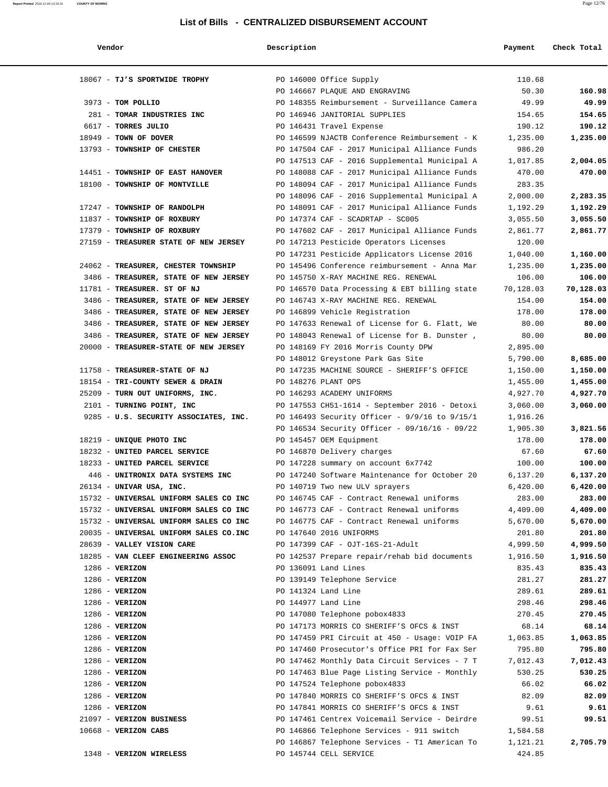| Vendor                                 | Description |                                               | Payment   | Check Total |
|----------------------------------------|-------------|-----------------------------------------------|-----------|-------------|
| 18067 - TJ'S SPORTWIDE TROPHY          |             | PO 146000 Office Supply                       | 110.68    |             |
|                                        |             | PO 146667 PLAQUE AND ENGRAVING                | 50.30     | 160.98      |
| 3973 - TOM POLLIO                      |             | PO 148355 Reimbursement - Surveillance Camera | 49.99     | 49.99       |
| 281 - TOMAR INDUSTRIES INC             |             | PO 146946 JANITORIAL SUPPLIES                 | 154.65    | 154.65      |
| 6617 - TORRES JULIO                    |             | PO 146431 Travel Expense                      | 190.12    | 190.12      |
| 18949 - TOWN OF DOVER                  |             | PO 146599 NJACTB Conference Reimbursement - K | 1,235.00  | 1,235.00    |
| 13793 - TOWNSHIP OF CHESTER            |             | PO 147504 CAF - 2017 Municipal Alliance Funds | 986.20    |             |
|                                        |             | PO 147513 CAF - 2016 Supplemental Municipal A | 1,017.85  | 2,004.05    |
| 14451 - TOWNSHIP OF EAST HANOVER       |             | PO 148088 CAF - 2017 Municipal Alliance Funds | 470.00    | 470.00      |
| 18100 - TOWNSHIP OF MONTVILLE          |             | PO 148094 CAF - 2017 Municipal Alliance Funds | 283.35    |             |
|                                        |             | PO 148096 CAF - 2016 Supplemental Municipal A | 2,000.00  | 2,283.35    |
| 17247 - TOWNSHIP OF RANDOLPH           |             | PO 148091 CAF - 2017 Municipal Alliance Funds | 1,192.29  | 1,192.29    |
| 11837 - TOWNSHIP OF ROXBURY            |             | PO 147374 CAF - SCADRTAP - SC005              | 3,055.50  | 3,055.50    |
| 17379 - TOWNSHIP OF ROXBURY            |             | PO 147602 CAF - 2017 Municipal Alliance Funds | 2,861.77  | 2,861.77    |
| 27159 - TREASURER STATE OF NEW JERSEY  |             | PO 147213 Pesticide Operators Licenses        | 120.00    |             |
|                                        |             | PO 147231 Pesticide Applicators License 2016  | 1,040.00  | 1,160.00    |
| 24062 - TREASURER, CHESTER TOWNSHIP    |             | PO 145496 Conference reimbursement - Anna Mar | 1,235.00  | 1,235.00    |
| 3486 - TREASURER, STATE OF NEW JERSEY  |             | PO 145750 X-RAY MACHINE REG. RENEWAL          | 106.00    | 106.00      |
| 11781 - TREASURER. ST OF NJ            |             | PO 146570 Data Processing & EBT billing state | 70,128.03 | 70,128.03   |
| 3486 - TREASURER, STATE OF NEW JERSEY  |             | PO 146743 X-RAY MACHINE REG. RENEWAL          | 154.00    | 154.00      |
| 3486 - TREASURER, STATE OF NEW JERSEY  |             | PO 146899 Vehicle Registration                | 178.00    | 178.00      |
| 3486 - TREASURER, STATE OF NEW JERSEY  |             | PO 147633 Renewal of License for G. Flatt, We | 80.00     | 80.00       |
| 3486 - TREASURER, STATE OF NEW JERSEY  |             | PO 148043 Renewal of License for B. Dunster,  | 80.00     | 80.00       |
| 20000 - TREASURER-STATE OF NEW JERSEY  |             | PO 148169 FY 2016 Morris County DPW           | 2,895.00  |             |
|                                        |             | PO 148012 Greystone Park Gas Site             | 5,790.00  | 8,685.00    |
| 11758 - TREASURER-STATE OF NJ          |             | PO 147235 MACHINE SOURCE - SHERIFF'S OFFICE   | 1,150.00  | 1,150.00    |
| 18154 - TRI-COUNTY SEWER & DRAIN       |             | PO 148276 PLANT OPS                           | 1,455.00  | 1,455.00    |
| 25209 - TURN OUT UNIFORMS, INC.        |             | PO 146293 ACADEMY UNIFORMS                    | 4,927.70  | 4,927.70    |
| 2101 - TURNING POINT, INC              |             | PO 147553 CH51-1614 - September 2016 - Detoxi | 3,060.00  | 3,060.00    |
| 9285 - U.S. SECURITY ASSOCIATES, INC.  |             | PO 146493 Security Officer - 9/9/16 to 9/15/1 | 1,916.26  |             |
|                                        |             | PO 146534 Security Officer - 09/16/16 - 09/22 | 1,905.30  | 3,821.56    |
| 18219 - UNIQUE PHOTO INC               |             | PO 145457 OEM Equipment                       | 178.00    | 178.00      |
| 18232 - UNITED PARCEL SERVICE          |             | PO 146870 Delivery charges                    | 67.60     | 67.60       |
| 18233 - UNITED PARCEL SERVICE          |             | PO 147228 summary on account 6x7742           | 100.00    | 100.00      |
| 446 - UNITRONIX DATA SYSTEMS INC       |             | PO 147240 Software Maintenance for October 20 | 6,137.20  | 6,137.20    |
| 26134 - UNIVAR USA, INC.               |             | PO 140719 Two new ULV sprayers                | 6,420.00  | 6,420.00    |
| 15732 - UNIVERSAL UNIFORM SALES CO INC |             | PO 146745 CAF - Contract Renewal uniforms     | 283.00    | 283.00      |
| 15732 - UNIVERSAL UNIFORM SALES CO INC |             | PO 146773 CAF - Contract Renewal uniforms     | 4,409.00  | 4,409.00    |
| 15732 - UNIVERSAL UNIFORM SALES CO INC |             | PO 146775 CAF - Contract Renewal uniforms     | 5,670.00  | 5,670.00    |
| 20035 - UNIVERSAL UNIFORM SALES CO.INC |             | PO 147640 2016 UNIFORMS                       | 201.80    | 201.80      |
| 28639 - VALLEY VISION CARE             |             | PO 147399 CAF - OJT-16S-21-Adult              | 4,999.50  | 4,999.50    |
| 18285 - VAN CLEEF ENGINEERING ASSOC    |             | PO 142537 Prepare repair/rehab bid documents  | 1,916.50  | 1,916.50    |
| $1286$ - VERIZON                       |             | PO 136091 Land Lines                          | 835.43    | 835.43      |
| $1286$ - VERIZON                       |             | PO 139149 Telephone Service                   | 281.27    | 281.27      |
| $1286$ - VERIZON                       |             | PO 141324 Land Line                           | 289.61    | 289.61      |
| $1286$ - VERIZON                       |             | PO 144977 Land Line                           | 298.46    | 298.46      |
| $1286$ - VERIZON                       |             | PO 147080 Telephone pobox4833                 | 270.45    | 270.45      |
| $1286$ - VERIZON                       |             | PO 147173 MORRIS CO SHERIFF'S OFCS & INST     | 68.14     | 68.14       |
| $1286$ - VERIZON                       |             | PO 147459 PRI Circuit at 450 - Usage: VOIP FA | 1,063.85  | 1,063.85    |
| $1286$ - VERIZON                       |             | PO 147460 Prosecutor's Office PRI for Fax Ser | 795.80    | 795.80      |
| $1286$ - VERIZON                       |             | PO 147462 Monthly Data Circuit Services - 7 T | 7,012.43  | 7,012.43    |
| $1286$ - VERIZON                       |             | PO 147463 Blue Page Listing Service - Monthly | 530.25    | 530.25      |
| $1286$ - VERIZON                       |             | PO 147524 Telephone pobox4833                 | 66.02     | 66.02       |
| $1286$ - VERIZON                       |             | PO 147840 MORRIS CO SHERIFF'S OFCS & INST     | 82.09     | 82.09       |
| $1286$ - VERIZON                       |             | PO 147841 MORRIS CO SHERIFF'S OFCS & INST     | 9.61      | 9.61        |
| 21097 - VERIZON BUSINESS               |             | PO 147461 Centrex Voicemail Service - Deirdre | 99.51     | 99.51       |
| 10668 - VERIZON CABS                   |             | PO 146866 Telephone Services - 911 switch     | 1,584.58  |             |
|                                        |             | PO 146867 Telephone Services - T1 American To | 1,121.21  | 2,705.79    |
| 1348 - VERIZON WIRELESS                |             | PO 145744 CELL SERVICE                        | 424.85    |             |

**Report Printed** 2016-11-04 13:19:16 **COUNTY OF MORRIS** Page 12/76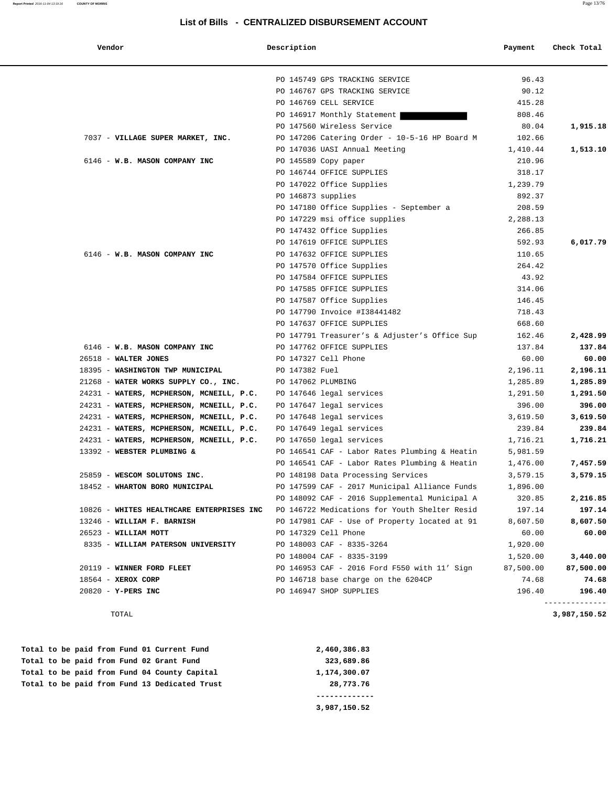**Report Printed** 2016-11-04 13:19:16 **COUNTY OF MORRIS** Page 13/76

#### **List of Bills - CENTRALIZED DISBURSEMENT ACCOUNT**

| Vendor                                    | Description        |                                               | Payment   | Check Total    |
|-------------------------------------------|--------------------|-----------------------------------------------|-----------|----------------|
|                                           |                    | PO 145749 GPS TRACKING SERVICE                | 96.43     |                |
|                                           |                    | PO 146767 GPS TRACKING SERVICE                | 90.12     |                |
|                                           |                    | PO 146769 CELL SERVICE                        | 415.28    |                |
|                                           |                    | PO 146917 Monthly Statement                   | 808.46    |                |
|                                           |                    | PO 147560 Wireless Service                    | 80.04     | 1,915.18       |
| 7037 - VILLAGE SUPER MARKET, INC.         |                    | PO 147206 Catering Order - 10-5-16 HP Board M | 102.66    |                |
|                                           |                    | PO 147036 UASI Annual Meeting                 | 1,410.44  | 1,513.10       |
| 6146 - W.B. MASON COMPANY INC             |                    | PO 145589 Copy paper                          | 210.96    |                |
|                                           |                    | PO 146744 OFFICE SUPPLIES                     | 318.17    |                |
|                                           |                    | PO 147022 Office Supplies                     | 1,239.79  |                |
|                                           | PO 146873 supplies |                                               | 892.37    |                |
|                                           |                    | PO 147180 Office Supplies - September a       | 208.59    |                |
|                                           |                    | PO 147229 msi office supplies                 | 2,288.13  |                |
|                                           |                    | PO 147432 Office Supplies                     | 266.85    |                |
|                                           |                    | PO 147619 OFFICE SUPPLIES                     | 592.93    | 6,017.79       |
| 6146 - W.B. MASON COMPANY INC             |                    | PO 147632 OFFICE SUPPLIES                     | 110.65    |                |
|                                           |                    | PO 147570 Office Supplies                     | 264.42    |                |
|                                           |                    | PO 147584 OFFICE SUPPLIES                     | 43.92     |                |
|                                           |                    | PO 147585 OFFICE SUPPLIES                     | 314.06    |                |
|                                           |                    | PO 147587 Office Supplies                     | 146.45    |                |
|                                           |                    | PO 147790 Invoice #I38441482                  | 718.43    |                |
|                                           |                    | PO 147637 OFFICE SUPPLIES                     | 668.60    |                |
|                                           |                    | PO 147791 Treasurer's & Adjuster's Office Sup | 162.46    | 2,428.99       |
| 6146 - W.B. MASON COMPANY INC             |                    | PO 147762 OFFICE SUPPLIES                     | 137.84    | 137.84         |
| 26518 - WALTER JONES                      |                    | PO 147327 Cell Phone                          | 60.00     | 60.00          |
| 18395 - WASHINGTON TWP MUNICIPAL          | PO 147382 Fuel     |                                               | 2,196.11  | 2,196.11       |
|                                           |                    |                                               |           |                |
| 21268 - WATER WORKS SUPPLY CO., INC.      | PO 147062 PLUMBING |                                               | 1,285.89  | 1,285.89       |
| 24231 - WATERS, MCPHERSON, MCNEILL, P.C.  |                    | PO 147646 legal services                      | 1,291.50  | 1,291.50       |
| 24231 - WATERS, MCPHERSON, MCNEILL, P.C.  |                    | PO 147647 legal services                      | 396.00    | 396.00         |
| 24231 - WATERS, MCPHERSON, MCNEILL, P.C.  |                    | PO 147648 legal services                      | 3,619.50  | 3,619.50       |
| 24231 - WATERS, MCPHERSON, MCNEILL, P.C.  |                    | PO 147649 legal services                      | 239.84    | 239.84         |
| 24231 - WATERS, MCPHERSON, MCNEILL, P.C.  |                    | PO 147650 legal services                      | 1,716.21  | 1,716.21       |
| 13392 - WEBSTER PLUMBING &                |                    | PO 146541 CAF - Labor Rates Plumbing & Heatin | 5,981.59  |                |
|                                           |                    | PO 146541 CAF - Labor Rates Plumbing & Heatin | 1,476.00  | 7,457.59       |
| 25859 - WESCOM SOLUTONS INC.              |                    | PO 148198 Data Processing Services            | 3,579.15  | 3,579.15       |
| 18452 - WHARTON BORO MUNICIPAL            |                    | PO 147599 CAF - 2017 Municipal Alliance Funds | 1,896.00  |                |
|                                           |                    | PO 148092 CAF - 2016 Supplemental Municipal A | 320.85    | 2,216.85       |
| 10826 - WHITES HEALTHCARE ENTERPRISES INC |                    | PO 146722 Medications for Youth Shelter Resid | 197.14    | 197.14         |
| 13246 - WILLIAM F. BARNISH                |                    | PO 147981 CAF - Use of Property located at 91 | 8,607.50  | 8,607.50       |
| 26523 - WILLIAM MOTT                      |                    | PO 147329 Cell Phone                          | 60.00     | 60.00          |
| 8335 - WILLIAM PATERSON UNIVERSITY        |                    | PO 148003 CAF - 8335-3264                     | 1,920.00  |                |
|                                           |                    | PO 148004 CAF - 8335-3199                     | 1,520.00  | 3,440.00       |
| 20119 - WINNER FORD FLEET                 |                    | PO 146953 CAF - 2016 Ford F550 with 11' Sign  | 87,500.00 | 87,500.00      |
| 18564 - XEROX CORP                        |                    | PO 146718 base charge on the 6204CP           | 74.68     | 74.68          |
| $20820 - Y-PERS INC$                      |                    | PO 146947 SHOP SUPPLIES                       | 196.40    | 196.40         |
|                                           |                    |                                               |           | -------------- |

TOTAL **3,987,150.52**

|  |  |  |  | Total to be paid from Fund 13 Dedicated Trust | 28,773.76    |
|--|--|--|--|-----------------------------------------------|--------------|
|  |  |  |  | Total to be paid from Fund 04 County Capital  | 1,174,300.07 |
|  |  |  |  | Total to be paid from Fund 02 Grant Fund      | 323,689.86   |
|  |  |  |  | Total to be paid from Fund 01 Current Fund    | 2,460,386.83 |

 **3,987,150.52**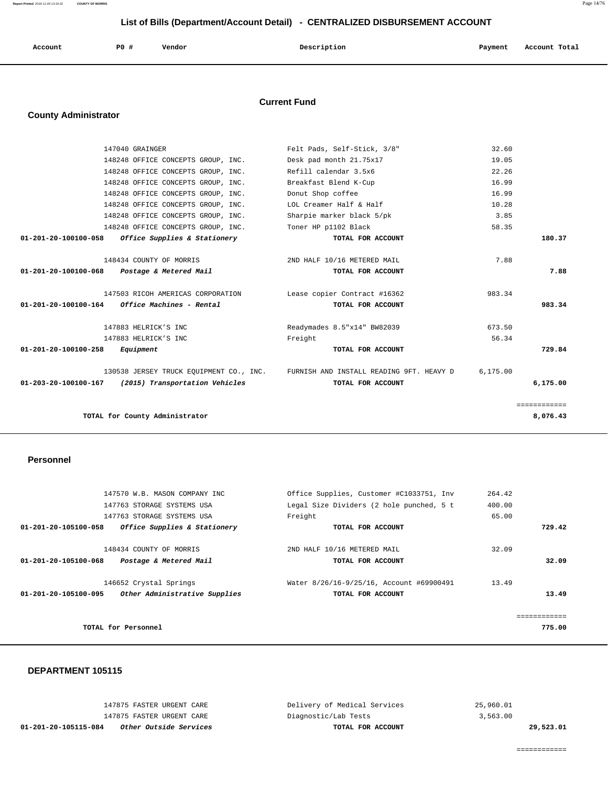**Report Printed** 2016-11-04 13:19:32 **COUNTY OF MORRIS** Page 14/76

# **List of Bills (Department/Account Detail) - CENTRALIZED DISBURSEMENT ACCOUNT**

| Account<br>. | P0 # | Vendor<br>. | Description | Payment<br>. . | Account Total<br>.<br>. |
|--------------|------|-------------|-------------|----------------|-------------------------|
|              |      |             |             |                |                         |

### **Current Fund**

# **County Administrator**

| 147040 GRAINGER                                        | Felt Pads, Self-Stick, 3/8"                                                      | 32.60    |              |
|--------------------------------------------------------|----------------------------------------------------------------------------------|----------|--------------|
| 148248 OFFICE CONCEPTS GROUP, INC.                     | Desk pad month 21.75x17                                                          | 19.05    |              |
| 148248 OFFICE CONCEPTS GROUP, INC.                     | Refill calendar 3.5x6                                                            | 22.26    |              |
| 148248 OFFICE CONCEPTS GROUP, INC.                     | Breakfast Blend K-Cup                                                            | 16.99    |              |
| 148248 OFFICE CONCEPTS GROUP, INC.                     | Donut Shop coffee                                                                | 16.99    |              |
| 148248 OFFICE CONCEPTS GROUP, INC.                     | LOL Creamer Half & Half                                                          | 10.28    |              |
| 148248 OFFICE CONCEPTS GROUP, INC.                     | Sharpie marker black 5/pk                                                        | 3.85     |              |
| 148248 OFFICE CONCEPTS GROUP, INC.                     | Toner HP p1102 Black                                                             | 58.35    |              |
| Office Supplies & Stationery<br>01-201-20-100100-058   | TOTAL FOR ACCOUNT                                                                |          | 180.37       |
| 148434 COUNTY OF MORRIS                                | 2ND HALF 10/16 METERED MAIL                                                      | 7.88     |              |
| 01-201-20-100100-068<br>Postage & Metered Mail         | TOTAL FOR ACCOUNT                                                                |          | 7.88         |
| 147503 RICOH AMERICAS CORPORATION                      | Lease copier Contract #16362                                                     | 983.34   |              |
| 01-201-20-100100-164<br>Office Machines - Rental       | TOTAL FOR ACCOUNT                                                                |          | 983.34       |
| 147883 HELRICK'S INC                                   | Readymades 8.5"x14" BW82039                                                      | 673.50   |              |
| 147883 HELRICK'S INC                                   | Freight                                                                          | 56.34    |              |
| 01-201-20-100100-258<br>Equipment                      | TOTAL FOR ACCOUNT                                                                |          | 729.84       |
|                                                        | 130538 JERSEY TRUCK EQUIPMENT CO., INC. FURNISH AND INSTALL READING 9FT. HEAVY D | 6.175.00 |              |
| (2015) Transportation Vehicles<br>01-203-20-100100-167 | TOTAL FOR ACCOUNT                                                                |          | 6,175.00     |
|                                                        |                                                                                  |          | ============ |
| TOTAL for County Administrator                         |                                                                                  |          | 8,076.43     |

#### **Personnel**

|                      | 147570 W.B. MASON COMPANY INC |         | Office Supplies, Customer #C1033751, Inv | 264.42 |              |
|----------------------|-------------------------------|---------|------------------------------------------|--------|--------------|
|                      | 147763 STORAGE SYSTEMS USA    |         | Legal Size Dividers (2 hole punched, 5 t | 400.00 |              |
|                      | 147763 STORAGE SYSTEMS USA    | Freight |                                          | 65.00  |              |
| 01-201-20-105100-058 | Office Supplies & Stationery  |         | TOTAL FOR ACCOUNT                        |        | 729.42       |
|                      | 148434 COUNTY OF MORRIS       |         | 2ND HALF 10/16 METERED MAIL              | 32.09  |              |
| 01-201-20-105100-068 | Postage & Metered Mail        |         | TOTAL FOR ACCOUNT                        |        | 32.09        |
|                      | 146652 Crystal Springs        |         | Water 8/26/16-9/25/16, Account #69900491 | 13.49  |              |
| 01-201-20-105100-095 | Other Administrative Supplies |         | TOTAL FOR ACCOUNT                        |        | 13.49        |
|                      |                               |         |                                          |        | ============ |
| TOTAL for Personnel  |                               |         |                                          |        | 775.00       |
|                      |                               |         |                                          |        |              |

#### **DEPARTMENT 105115**

| 01-201-20-105115-084 | <i>Other Outside Services</i> | TOTAL FOR ACCOUNT            | 29,523.01 |
|----------------------|-------------------------------|------------------------------|-----------|
|                      | 147875 FASTER URGENT CARE     | Diagnostic/Lab Tests         | 3,563.00  |
|                      | 147875 FASTER URGENT CARE     | Delivery of Medical Services | 25,960.01 |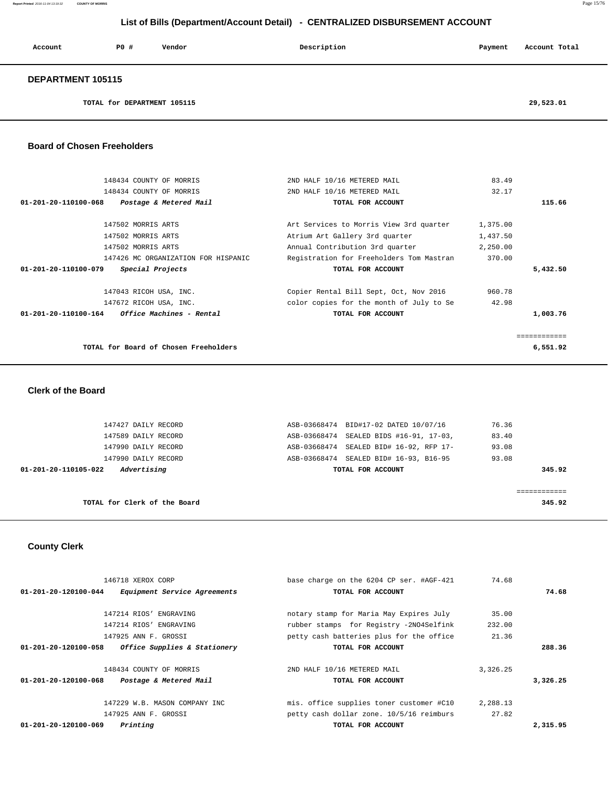# **List of Bills (Department/Account Detail) - CENTRALIZED DISBURSEMENT ACCOUNT**

| Account           | PO#                         | Vendor | Description | Payment | Account Total |  |
|-------------------|-----------------------------|--------|-------------|---------|---------------|--|
| DEPARTMENT 105115 |                             |        |             |         |               |  |
|                   | TOTAL for DEPARTMENT 105115 |        |             |         | 29,523.01     |  |

 **Board of Chosen Freeholders**

| 148434 COUNTY OF MORRIS                                           | 2ND HALF 10/16 METERED MAIL              | 83.49    |          |
|-------------------------------------------------------------------|------------------------------------------|----------|----------|
| 148434 COUNTY OF MORRIS                                           | 2ND HALF 10/16 METERED MAIL              | 32.17    |          |
| $01 - 201 - 20 - 110100 - 068$<br>Postage & Metered Mail          | TOTAL FOR ACCOUNT                        |          | 115.66   |
| 147502 MORRIS ARTS                                                | Art Services to Morris View 3rd quarter  | 1,375.00 |          |
| 147502 MORRIS ARTS                                                |                                          |          |          |
|                                                                   | Atrium Art Gallery 3rd quarter           | 1,437.50 |          |
| 147502 MORRIS ARTS                                                | Annual Contribution 3rd quarter          | 2,250.00 |          |
| 147426 MC ORGANIZATION FOR HISPANIC                               | Registration for Freeholders Tom Mastran | 370.00   |          |
| 01-201-20-110100-079<br>Special Projects                          | TOTAL FOR ACCOUNT                        |          | 5,432.50 |
| 147043 RICOH USA, INC.                                            | Copier Rental Bill Sept, Oct, Nov 2016   | 960.78   |          |
| 147672 RICOH USA, INC.                                            | color copies for the month of July to Se | 42.98    |          |
| $01 - 201 - 20 - 110100 - 164$<br><i>Office Machines - Rental</i> | TOTAL FOR ACCOUNT                        |          | 1,003.76 |
|                                                                   |                                          |          |          |
| TOTAL for Board of Chosen Freeholders                             |                                          |          | 6,551.92 |
|                                                                   |                                          |          |          |

 **Clerk of the Board** 

| TOTAL for Clerk of the Board        |                                         | 345.92 |
|-------------------------------------|-----------------------------------------|--------|
|                                     |                                         |        |
| Advertising<br>01-201-20-110105-022 | TOTAL FOR ACCOUNT                       | 345.92 |
| 147990 DAILY RECORD                 | ASB-03668474 SEALED BID# 16-93, B16-95  | 93.08  |
| 147990 DAILY RECORD                 | ASB-03668474 SEALED BID# 16-92, RFP 17- | 93.08  |
| 147589 DAILY RECORD                 | ASB-03668474 SEALED BIDS #16-91, 17-03, | 83.40  |
| 147427 DAILY RECORD                 | ASB-03668474 BID#17-02 DATED 10/07/16   | 76.36  |

 **County Clerk** 

| 146718 XEROX CORP                                    | base charge on the 6204 CP ser. #AGF-421 | 74.68    |          |
|------------------------------------------------------|------------------------------------------|----------|----------|
| 01-201-20-120100-044<br>Equipment Service Agreements | TOTAL FOR ACCOUNT                        |          | 74.68    |
| 147214 RIOS' ENGRAVING                               |                                          | 35.00    |          |
|                                                      | notary stamp for Maria May Expires July  |          |          |
| 147214 RIOS' ENGRAVING                               | rubber stamps for Registry -2NO4Selfink  | 232.00   |          |
| 147925 ANN F. GROSSI                                 | petty cash batteries plus for the office | 21.36    |          |
| Office Supplies & Stationery<br>01-201-20-120100-058 | TOTAL FOR ACCOUNT                        |          | 288.36   |
| 148434 COUNTY OF MORRIS                              | 2ND HALF 10/16 METERED MAIL              | 3,326.25 |          |
| 01-201-20-120100-068<br>Postage & Metered Mail       | TOTAL FOR ACCOUNT                        |          | 3,326.25 |
| 147229 W.B. MASON COMPANY INC                        | mis. office supplies toner customer #C10 | 2,288.13 |          |
| 147925 ANN F. GROSSI                                 | petty cash dollar zone. 10/5/16 reimburs | 27.82    |          |
| 01-201-20-120100-069<br>Printing                     | TOTAL FOR ACCOUNT                        |          | 2,315.95 |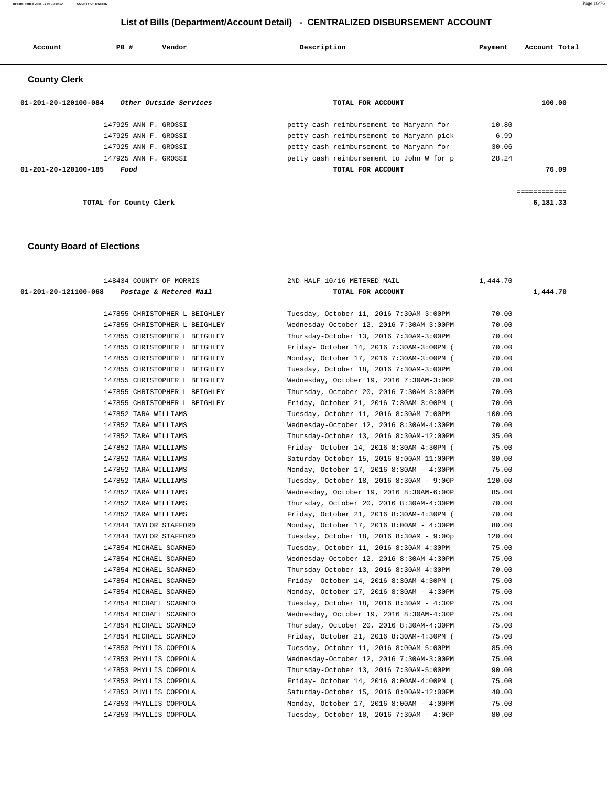**Report Printed** 2016-11-04 13:19:32 **COUNTY OF MORRIS** Page 16/76

# **List of Bills (Department/Account Detail) - CENTRALIZED DISBURSEMENT ACCOUNT**

| Account                        | PO#                    | Vendor                 | Description<br>Payment                   | Account Total |        |
|--------------------------------|------------------------|------------------------|------------------------------------------|---------------|--------|
| <b>County Clerk</b>            |                        |                        |                                          |               |        |
| $01 - 201 - 20 - 120100 - 084$ |                        | Other Outside Services | TOTAL FOR ACCOUNT                        |               | 100.00 |
|                                | 147925 ANN F. GROSSI   |                        | petty cash reimbursement to Maryann for  | 10.80         |        |
|                                | 147925 ANN F. GROSSI   |                        | petty cash reimbursement to Maryann pick | 6.99          |        |
|                                | 147925 ANN F. GROSSI   |                        | petty cash reimbursement to Maryann for  | 30.06         |        |
|                                | 147925 ANN F. GROSSI   |                        | petty cash reimbursement to John W for p | 28.24         |        |
| 01-201-20-120100-185           | Food                   |                        | TOTAL FOR ACCOUNT                        |               | 76.09  |
|                                |                        |                        |                                          |               |        |
|                                | TOTAL for County Clerk |                        |                                          | 6,181.33      |        |

### **County Board of Elections**

| 148434 COUNTY OF MORRIS                        | 2ND HALF 10/16 METERED MAIL              | 1,444.70 |          |  |
|------------------------------------------------|------------------------------------------|----------|----------|--|
| 01-201-20-121100-068<br>Postage & Metered Mail | TOTAL FOR ACCOUNT                        |          | 1,444.70 |  |
| 147855 CHRISTOPHER L BEIGHLEY                  | Tuesday, October 11, 2016 7:30AM-3:00PM  | 70.00    |          |  |
| 147855 CHRISTOPHER L BEIGHLEY                  | Wednesday-October 12, 2016 7:30AM-3:00PM | 70.00    |          |  |
| 147855 CHRISTOPHER L BEIGHLEY                  | Thursday-October 13, 2016 7:30AM-3:00PM  | 70.00    |          |  |
| 147855 CHRISTOPHER L BEIGHLEY                  | Friday- October 14, 2016 7:30AM-3:00PM ( | 70.00    |          |  |
| 147855 CHRISTOPHER L BEIGHLEY                  | Monday, October 17, 2016 7:30AM-3:00PM ( | 70.00    |          |  |
| 147855 CHRISTOPHER L BEIGHLEY                  | Tuesday, October 18, 2016 7:30AM-3:00PM  | 70.00    |          |  |
| 147855 CHRISTOPHER L BEIGHLEY                  | Wednesday, October 19, 2016 7:30AM-3:00P | 70.00    |          |  |
| 147855 CHRISTOPHER L BEIGHLEY                  | Thursday, October 20, 2016 7:30AM-3:00PM | 70.00    |          |  |
| 147855 CHRISTOPHER L BEIGHLEY                  | Friday, October 21, 2016 7:30AM-3:00PM ( | 70.00    |          |  |
| 147852 TARA WILLIAMS                           | Tuesday, October 11, 2016 8:30AM-7:00PM  | 100.00   |          |  |
| 147852 TARA WILLIAMS                           | Wednesday-October 12, 2016 8:30AM-4:30PM | 70.00    |          |  |
| 147852 TARA WILLIAMS                           | Thursday-October 13, 2016 8:30AM-12:00PM | 35.00    |          |  |
| 147852 TARA WILLIAMS                           | Friday- October 14, 2016 8:30AM-4:30PM ( | 75.00    |          |  |
| 147852 TARA WILLIAMS                           | Saturday-October 15, 2016 8:00AM-11:00PM | 30.00    |          |  |
| 147852 TARA WILLIAMS                           | Monday, October 17, 2016 8:30AM - 4:30PM | 75.00    |          |  |
| 147852 TARA WILLIAMS                           | Tuesday, October 18, 2016 8:30AM - 9:00P | 120.00   |          |  |
| 147852 TARA WILLIAMS                           | Wednesday, October 19, 2016 8:30AM-6:00P | 85.00    |          |  |
| 147852 TARA WILLIAMS                           | Thursday, October 20, 2016 8:30AM-4:30PM | 70.00    |          |  |
| 147852 TARA WILLIAMS                           | Friday, October 21, 2016 8:30AM-4:30PM ( | 70.00    |          |  |
| 147844 TAYLOR STAFFORD                         | Monday, October 17, 2016 8:00AM - 4:30PM | 80.00    |          |  |
| 147844 TAYLOR STAFFORD                         | Tuesday, October 18, 2016 8:30AM - 9:00p | 120.00   |          |  |
| 147854 MICHAEL SCARNEO                         | Tuesday, October 11, 2016 8:30AM-4:30PM  | 75.00    |          |  |
| 147854 MICHAEL SCARNEO                         | Wednesday-October 12, 2016 8:30AM-4:30PM | 75.00    |          |  |
| 147854 MICHAEL SCARNEO                         | Thursday-October 13, 2016 8:30AM-4:30PM  | 70.00    |          |  |
| 147854 MICHAEL SCARNEO                         | Friday- October 14, 2016 8:30AM-4:30PM ( | 75.00    |          |  |
| 147854 MICHAEL SCARNEO                         | Monday, October 17, 2016 8:30AM - 4:30PM | 75.00    |          |  |
| 147854 MICHAEL SCARNEO                         | Tuesday, October 18, 2016 8:30AM - 4:30P | 75.00    |          |  |
| 147854 MICHAEL SCARNEO                         | Wednesday, October 19, 2016 8:30AM-4:30P | 75.00    |          |  |
| 147854 MICHAEL SCARNEO                         | Thursday, October 20, 2016 8:30AM-4:30PM | 75.00    |          |  |
| 147854 MICHAEL SCARNEO                         | Friday, October 21, 2016 8:30AM-4:30PM ( | 75.00    |          |  |
| 147853 PHYLLIS COPPOLA                         | Tuesday, October 11, 2016 8:00AM-5:00PM  | 85.00    |          |  |
| 147853 PHYLLIS COPPOLA                         | Wednesday-October 12, 2016 7:30AM-3:00PM | 75.00    |          |  |
| 147853 PHYLLIS COPPOLA                         | Thursday-October 13, 2016 7:30AM-5:00PM  | 90.00    |          |  |
| 147853 PHYLLIS COPPOLA                         | Friday- October 14, 2016 8:00AM-4:00PM ( | 75.00    |          |  |
| 147853 PHYLLIS COPPOLA                         | Saturday-October 15, 2016 8:00AM-12:00PM | 40.00    |          |  |
| 147853 PHYLLIS COPPOLA                         | Monday, October 17, 2016 8:00AM - 4:00PM | 75.00    |          |  |
| 147853 PHYLLIS COPPOLA                         | Tuesday, October 18, 2016 7:30AM - 4:00P | 80.00    |          |  |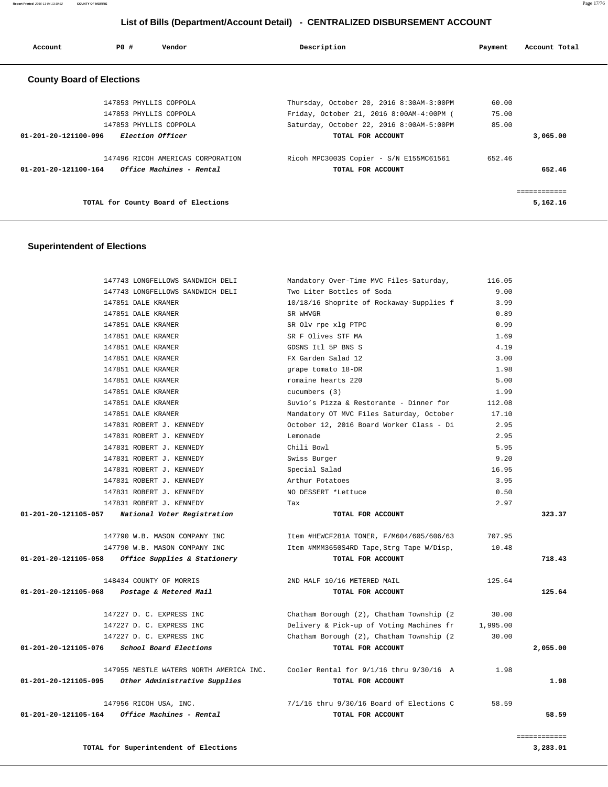# **List of Bills (Department/Account Detail) - CENTRALIZED DISBURSEMENT ACCOUNT**

| Account                          | P0 # | Vendor                              | Description                              | Payment | Account Total |
|----------------------------------|------|-------------------------------------|------------------------------------------|---------|---------------|
| <b>County Board of Elections</b> |      |                                     |                                          |         |               |
|                                  |      | 147853 PHYLLIS COPPOLA              | Thursday, October 20, 2016 8:30AM-3:00PM | 60.00   |               |
|                                  |      | 147853 PHYLLIS COPPOLA              | Friday, October 21, 2016 8:00AM-4:00PM ( | 75.00   |               |
|                                  |      | 147853 PHYLLIS COPPOLA              | Saturday, October 22, 2016 8:00AM-5:00PM | 85.00   |               |
| 01-201-20-121100-096             |      | <i>Election Officer</i>             | TOTAL FOR ACCOUNT                        |         | 3,065.00      |
|                                  |      | 147496 RICOH AMERICAS CORPORATION   | Ricoh MPC3003S Copier - S/N E155MC61561  | 652.46  |               |
| $01 - 201 - 20 - 121100 - 164$   |      | Office Machines - Rental            | TOTAL FOR ACCOUNT                        |         | 652.46        |
|                                  |      |                                     |                                          |         |               |
|                                  |      | TOTAL for County Board of Elections |                                          |         | 5,162.16      |

### **Superintendent of Elections**

|                      | 147743 LONGFELLOWS SANDWICH DELI                   | Mandatory Over-Time MVC Files-Saturday,     | 116.05   |          |
|----------------------|----------------------------------------------------|---------------------------------------------|----------|----------|
|                      | 147743 LONGFELLOWS SANDWICH DELI                   | Two Liter Bottles of Soda                   | 9.00     |          |
|                      | 147851 DALE KRAMER                                 | 10/18/16 Shoprite of Rockaway-Supplies f    | 3.99     |          |
|                      | 147851 DALE KRAMER                                 | SR WHVGR                                    | 0.89     |          |
|                      | 147851 DALE KRAMER                                 | SR Olv rpe xlg PTPC                         | 0.99     |          |
|                      | 147851 DALE KRAMER                                 | SR F Olives STF MA                          | 1.69     |          |
|                      | 147851 DALE KRAMER                                 | GDSNS Itl 5P BNS S                          | 4.19     |          |
|                      | 147851 DALE KRAMER                                 | FX Garden Salad 12                          | 3.00     |          |
|                      | 147851 DALE KRAMER                                 | grape tomato 18-DR                          | 1.98     |          |
|                      | 147851 DALE KRAMER                                 | romaine hearts 220                          | 5.00     |          |
|                      | 147851 DALE KRAMER                                 | cucumbers (3)                               | 1.99     |          |
|                      | 147851 DALE KRAMER                                 | Suvio's Pizza & Restorante - Dinner for     | 112.08   |          |
|                      | 147851 DALE KRAMER                                 | Mandatory OT MVC Files Saturday, October    | 17.10    |          |
|                      | 147831 ROBERT J. KENNEDY                           | October 12, 2016 Board Worker Class - Di    | 2.95     |          |
|                      | 147831 ROBERT J. KENNEDY                           | Lemonade                                    | 2.95     |          |
|                      | 147831 ROBERT J. KENNEDY                           | Chili Bowl                                  | 5.95     |          |
|                      | 147831 ROBERT J. KENNEDY                           | Swiss Burger                                | 9.20     |          |
|                      | 147831 ROBERT J. KENNEDY                           | Special Salad                               | 16.95    |          |
|                      | 147831 ROBERT J. KENNEDY                           | Arthur Potatoes                             | 3.95     |          |
|                      | 147831 ROBERT J. KENNEDY                           | NO DESSERT *Lettuce                         | 0.50     |          |
|                      | 147831 ROBERT J. KENNEDY                           | Tax                                         | 2.97     |          |
| 01-201-20-121105-057 | National Voter Registration                        | TOTAL FOR ACCOUNT                           |          | 323.37   |
|                      | 147790 W.B. MASON COMPANY INC                      | Item #HEWCF281A TONER, F/M604/605/606/63    | 707.95   |          |
|                      | 147790 W.B. MASON COMPANY INC                      | Item #MMM3650S4RD Tape, Strg Tape W/Disp,   | 10.48    |          |
|                      | 01-201-20-121105-058 Office Supplies & Stationery  | TOTAL FOR ACCOUNT                           |          | 718.43   |
|                      | 148434 COUNTY OF MORRIS                            | 2ND HALF 10/16 METERED MAIL                 | 125.64   |          |
| 01-201-20-121105-068 | Postage & Metered Mail                             | TOTAL FOR ACCOUNT                           |          | 125.64   |
|                      | 147227 D. C. EXPRESS INC                           | Chatham Borough (2), Chatham Township (2    | 30.00    |          |
|                      | 147227 D. C. EXPRESS INC                           | Delivery & Pick-up of Voting Machines fr    | 1,995.00 |          |
|                      | 147227 D. C. EXPRESS INC                           | Chatham Borough (2), Chatham Township (2)   | 30.00    |          |
| 01-201-20-121105-076 | School Board Elections                             | TOTAL FOR ACCOUNT                           |          | 2,055.00 |
|                      | 147955 NESTLE WATERS NORTH AMERICA INC.            | Cooler Rental for $9/1/16$ thru $9/30/16$ A | 1.98     |          |
|                      | 01-201-20-121105-095 Other Administrative Supplies | TOTAL FOR ACCOUNT                           |          | 1.98     |
|                      | 147956 RICOH USA, INC.                             | 7/1/16 thru 9/30/16 Board of Elections C    | 58.59    |          |
| 01-201-20-121105-164 | Office Machines - Rental                           | TOTAL FOR ACCOUNT                           |          | 58.59    |
|                      |                                                    |                                             |          |          |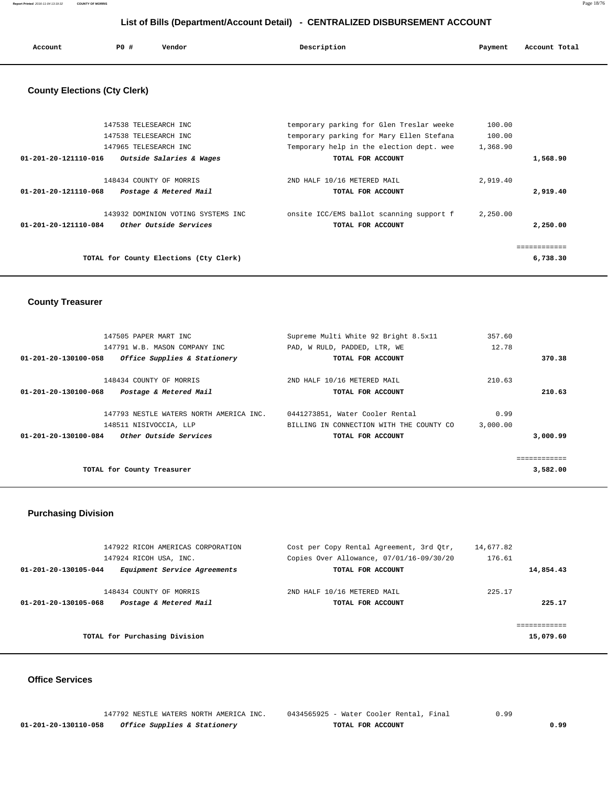**Report Printed** 2016-11-04 13:19:32 **COUNTY OF MORRIS** Page 18/76

# **List of Bills (Department/Account Detail) - CENTRALIZED DISBURSEMENT ACCOUNT**

| Account | P0 # | Vendor | Description<br>$\sim$ $\sim$ | Payment | Account Total<br>.<br>. |
|---------|------|--------|------------------------------|---------|-------------------------|
|         |      |        |                              |         |                         |

# **County Elections (Cty Clerk)**

| 147538 TELESEARCH INC                            | temporary parking for Glen Treslar weeke | 100.00   |          |
|--------------------------------------------------|------------------------------------------|----------|----------|
| 147538 TELESEARCH INC                            | temporary parking for Mary Ellen Stefana | 100.00   |          |
| 147965 TELESEARCH INC                            | Temporary help in the election dept. wee | 1,368.90 |          |
| Outside Salaries & Wages<br>01-201-20-121110-016 | TOTAL FOR ACCOUNT                        |          | 1,568.90 |
| 148434 COUNTY OF MORRIS                          | 2ND HALF 10/16 METERED MAIL              | 2,919.40 |          |
| 01-201-20-121110-068<br>Postage & Metered Mail   | TOTAL FOR ACCOUNT                        |          | 2,919.40 |
| 143932 DOMINION VOTING SYSTEMS INC               | onsite ICC/EMS ballot scanning support f | 2.250.00 |          |
| 01-201-20-121110-084<br>Other Outside Services   | TOTAL FOR ACCOUNT                        |          | 2,250.00 |
|                                                  |                                          |          |          |
| TOTAL for County Elections (Cty Clerk)           |                                          |          | 6,738.30 |
|                                                  |                                          |          |          |

# **County Treasurer**

|          | 357.60   | Supreme Multi White 92 Bright 8.5x11     | 147505 PAPER MART INC                   |                      |
|----------|----------|------------------------------------------|-----------------------------------------|----------------------|
|          | 12.78    | PAD, W RULD, PADDED, LTR, WE             | 147791 W.B. MASON COMPANY INC           |                      |
| 370.38   |          | TOTAL FOR ACCOUNT                        | Office Supplies & Stationery            | 01-201-20-130100-058 |
|          |          |                                          |                                         |                      |
|          | 210.63   | 2ND HALF 10/16 METERED MAIL              | 148434 COUNTY OF MORRIS                 |                      |
| 210.63   |          | TOTAL FOR ACCOUNT                        | Postage & Metered Mail                  | 01-201-20-130100-068 |
|          | 0.99     | 0441273851, Water Cooler Rental          | 147793 NESTLE WATERS NORTH AMERICA INC. |                      |
|          | 3.000.00 | BILLING IN CONNECTION WITH THE COUNTY CO | 148511 NISIVOCCIA, LLP                  |                      |
| 3,000.99 |          | TOTAL FOR ACCOUNT                        | <i>Other Outside Services</i>           | 01-201-20-130100-084 |
|          |          |                                          |                                         |                      |
| 3,582.00 |          |                                          | TOTAL for County Treasurer              |                      |

# **Purchasing Division**

| 147922 RICOH AMERICAS CORPORATION<br>147924 RICOH USA, INC.               | Cost per Copy Rental Agreement, 3rd Otr,<br>Copies Over Allowance, 07/01/16-09/30/20 | 14,677.82<br>176.61 |
|---------------------------------------------------------------------------|--------------------------------------------------------------------------------------|---------------------|
| 01-201-20-130105-044<br>Equipment Service Agreements                      | TOTAL FOR ACCOUNT                                                                    | 14,854.43           |
| 148434 COUNTY OF MORRIS<br>Postage & Metered Mail<br>01-201-20-130105-068 | 2ND HALF 10/16 METERED MAIL<br>TOTAL FOR ACCOUNT                                     | 225.17<br>225.17    |
|                                                                           |                                                                                      |                     |
| TOTAL for Purchasing Division                                             |                                                                                      | 15,079.60           |

#### **Office Services**

|                      | 147792 NESTLE WATERS NORTH AMERICA INC. | 0434565925 - Water Cooler Rental, Final |      |
|----------------------|-----------------------------------------|-----------------------------------------|------|
| 01-201-20-130110-058 | <i>Office Supplies &amp; Stationery</i> | TOTAL FOR ACCOUNT                       | 0.99 |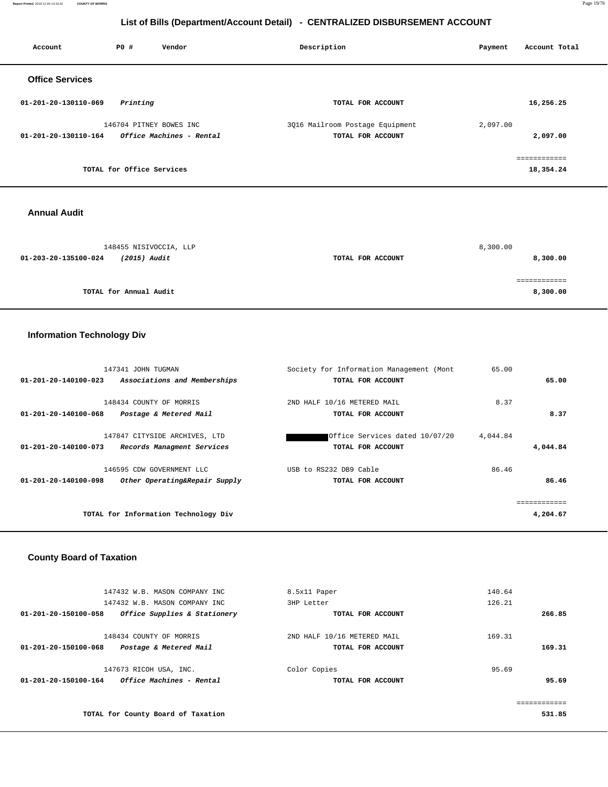**Report Printed** 2016-11-04 13:19:32 **COUNTY OF MORRIS** Page 19/76

# **List of Bills (Department/Account Detail) - CENTRALIZED DISBURSEMENT ACCOUNT**

| Account                | PO#                       | Vendor                   | Description                     | Payment  | Account Total |
|------------------------|---------------------------|--------------------------|---------------------------------|----------|---------------|
| <b>Office Services</b> |                           |                          |                                 |          |               |
| 01-201-20-130110-069   | Printing                  |                          | TOTAL FOR ACCOUNT               |          | 16,256.25     |
|                        |                           | 146704 PITNEY BOWES INC  | 3Q16 Mailroom Postage Equipment | 2,097.00 |               |
| 01-201-20-130110-164   |                           | Office Machines - Rental | TOTAL FOR ACCOUNT               |          | 2,097.00      |
|                        |                           |                          |                                 |          | ============  |
|                        | TOTAL for Office Services |                          |                                 |          | 18,354.24     |
|                        |                           |                          |                                 |          |               |

#### **Annual Audit**

| 148455 NISIVOCCIA, LLP               |                   | 8,300.00 |
|--------------------------------------|-------------------|----------|
| (2015) Audit<br>01-203-20-135100-024 | TOTAL FOR ACCOUNT | 8,300.00 |
|                                      |                   |          |
|                                      |                   |          |
| TOTAL for Annual Audit               |                   | 8,300.00 |

# **Information Technology Div**

| 147341 JOHN TUGMAN                                              | Society for Information Management (Mont | 65.00    |
|-----------------------------------------------------------------|------------------------------------------|----------|
| Associations and Memberships<br>$01 - 201 - 20 - 140100 - 023$  | TOTAL FOR ACCOUNT                        | 65.00    |
|                                                                 |                                          |          |
| 148434 COUNTY OF MORRIS                                         | 2ND HALF 10/16 METERED MAIL              | 8.37     |
| $01 - 201 - 20 - 140100 - 068$<br>Postage & Metered Mail        | TOTAL FOR ACCOUNT                        | 8.37     |
|                                                                 |                                          |          |
| 147847 CITYSIDE ARCHIVES, LTD                                   | Office Services dated 10/07/20           | 4,044.84 |
| Records Managment Services<br>01-201-20-140100-073              | TOTAL FOR ACCOUNT                        | 4,044.84 |
| 146595 CDW GOVERNMENT LLC                                       | USB to RS232 DB9 Cable                   | 86.46    |
| $01 - 201 - 20 - 140100 - 098$<br>Other Operating&Repair Supply | TOTAL FOR ACCOUNT                        | 86.46    |
|                                                                 |                                          |          |
|                                                                 |                                          |          |
| TOTAL for Information Technology Div                            |                                          | 4,204.67 |
|                                                                 |                                          |          |

# **County Board of Taxation**

|                      | 147432 W.B. MASON COMPANY INC      | 8.5x11 Paper                | 140.64 |
|----------------------|------------------------------------|-----------------------------|--------|
|                      | 147432 W.B. MASON COMPANY INC      | 3HP Letter                  | 126.21 |
| 01-201-20-150100-058 | Office Supplies & Stationery       | TOTAL FOR ACCOUNT           | 266.85 |
|                      |                                    |                             |        |
|                      | 148434 COUNTY OF MORRIS            | 2ND HALF 10/16 METERED MAIL | 169.31 |
| 01-201-20-150100-068 | Postage & Metered Mail             | TOTAL FOR ACCOUNT           | 169.31 |
|                      | 147673 RICOH USA, INC.             | Color Copies                | 95.69  |
| 01-201-20-150100-164 | <i>Office Machines - Rental</i>    | TOTAL FOR ACCOUNT           | 95.69  |
|                      |                                    |                             |        |
|                      |                                    |                             |        |
|                      | TOTAL for County Board of Taxation |                             | 531.85 |
|                      |                                    |                             |        |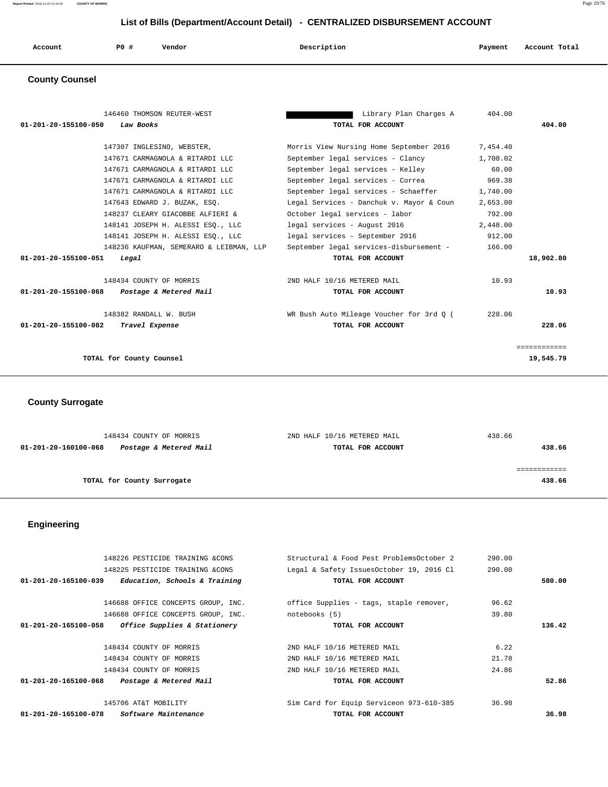**Report Printed** 2016-11-04 13:19:32 **COUNTY OF MORRIS** Page 20/76

# **List of Bills (Department/Account Detail) - CENTRALIZED DISBURSEMENT ACCOUNT**

| Account | P <sub>0</sub> | Vendor<br>. | Description<br>$\sim$ $\sim$ | Payment | Account Total<br>.<br>. |
|---------|----------------|-------------|------------------------------|---------|-------------------------|
|         |                |             |                              |         |                         |

### **County Counsel**

| 146460 THOMSON REUTER-WEST                     | Library Plan Charges A                   | 404.00   |              |
|------------------------------------------------|------------------------------------------|----------|--------------|
| 01-201-20-155100-050<br>Law Books              | TOTAL FOR ACCOUNT                        |          | 404.00       |
| 147307 INGLESINO, WEBSTER,                     | Morris View Nursing Home September 2016  | 7,454.40 |              |
| 147671 CARMAGNOLA & RITARDI LLC                | September legal services - Clancy        | 1,708.02 |              |
| 147671 CARMAGNOLA & RITARDI LLC                | September legal services - Kelley        | 60.00    |              |
| 147671 CARMAGNOLA & RITARDI LLC                | September legal services - Correa        | 969.38   |              |
| 147671 CARMAGNOLA & RITARDI LLC                | September legal services - Schaeffer     | 1,740.00 |              |
| 147643 EDWARD J. BUZAK, ESO.                   | Legal Services - Danchuk v. Mayor & Coun | 2,653.00 |              |
| 148237 CLEARY GIACOBBE ALFIERI &               | October legal services - labor           | 792.00   |              |
| 148141 JOSEPH H. ALESSI ESQ., LLC              | legal services - August 2016             | 2,448.00 |              |
| 148141 JOSEPH H. ALESSI ESO., LLC              | legal services - September 2016          | 912.00   |              |
| 148236 KAUFMAN, SEMERARO & LEIBMAN, LLP        | September legal services-disbursement -  | 166.00   |              |
| 01-201-20-155100-051<br>Legal                  | TOTAL FOR ACCOUNT                        |          | 18,902.80    |
| 148434 COUNTY OF MORRIS                        | 2ND HALF 10/16 METERED MAIL              | 10.93    |              |
| 01-201-20-155100-068<br>Postage & Metered Mail | TOTAL FOR ACCOUNT                        |          | 10.93        |
| 148382 RANDALL W. BUSH                         | WR Bush Auto Mileage Voucher for 3rd 0 ( | 228.06   |              |
| 01-201-20-155100-082<br>Travel Expense         | TOTAL FOR ACCOUNT                        |          | 228.06       |
|                                                |                                          |          | ============ |
| TOTAL for County Counsel                       |                                          |          | 19,545.79    |
|                                                |                                          |          |              |

 **County Surrogate** 

| 148434 COUNTY OF MORRIS                        | 2ND HALF 10/16 METERED MAIL | 438.66 |
|------------------------------------------------|-----------------------------|--------|
| Postage & Metered Mail<br>01-201-20-160100-068 | TOTAL FOR ACCOUNT           | 438.66 |
|                                                |                             |        |
|                                                |                             |        |
| TOTAL for County Surrogate                     |                             | 438.66 |
|                                                |                             |        |

 **Engineering** 

| 148226 PESTICIDE TRAINING &CONS                       | Structural & Food Pest ProblemsOctober 2 | 290.00 |        |
|-------------------------------------------------------|------------------------------------------|--------|--------|
| 148225 PESTICIDE TRAINING &CONS                       | Legal & Safety IssuesOctober 19, 2016 Cl | 290.00 |        |
| Education, Schools & Training<br>01-201-20-165100-039 | TOTAL FOR ACCOUNT                        |        | 580.00 |
| 146688 OFFICE CONCEPTS GROUP, INC.                    | office Supplies - tags, staple remover,  | 96.62  |        |
| 146688 OFFICE CONCEPTS GROUP, INC.                    | notebooks (5)                            | 39.80  |        |
| Office Supplies & Stationery<br>01-201-20-165100-058  | TOTAL FOR ACCOUNT                        |        | 136.42 |
|                                                       |                                          |        |        |
| 148434 COUNTY OF MORRIS                               | 2ND HALF 10/16 METERED MAIL              | 6.22   |        |
| 148434 COUNTY OF MORRIS                               | 2ND HALF 10/16 METERED MAIL              | 21.78  |        |
| 148434 COUNTY OF MORRIS                               | 2ND HALF 10/16 METERED MAIL              | 24.86  |        |
| Postage & Metered Mail<br>01-201-20-165100-068        | TOTAL FOR ACCOUNT                        |        | 52.86  |
| 145706 AT&T MOBILITY                                  | Sim Card for Equip Serviceon 973-610-385 | 36.98  |        |
| 01-201-20-165100-078<br><i>Software Maintenance</i>   | TOTAL FOR ACCOUNT                        |        | 36.98  |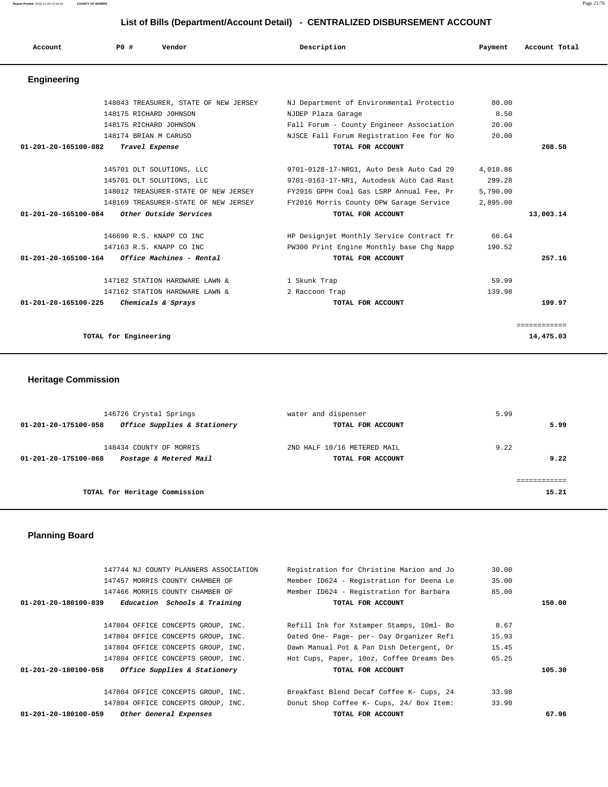**Report Printed** 2016-11-04 13:19:32 **COUNTY OF MORRIS** Page 21/76

#### **List of Bills (Department/Account Detail) - CENTRALIZED DISBURSEMENT ACCOUNT**

| Account                        | PO#                   | Vendor                                | Description                              | Payment  | Account Total |
|--------------------------------|-----------------------|---------------------------------------|------------------------------------------|----------|---------------|
| <b>Engineering</b>             |                       |                                       |                                          |          |               |
|                                |                       | 148043 TREASURER, STATE OF NEW JERSEY | NJ Department of Environmental Protectio | 80.00    |               |
|                                |                       | 148175 RICHARD JOHNSON                | NJDEP Plaza Garage                       | 8.50     |               |
|                                |                       | 148175 RICHARD JOHNSON                | Fall Forum - County Engineer Association | 20.00    |               |
|                                |                       | 148174 BRIAN M CARUSO                 | NJSCE Fall Forum Registration Fee for No | 20.00    |               |
| 01-201-20-165100-082           |                       | Travel Expense                        | TOTAL FOR ACCOUNT                        |          | 208.50        |
|                                |                       | 145701 DLT SOLUTIONS, LLC             | 9701-0128-17-NRG1, Auto Desk Auto Cad 20 | 4,018.86 |               |
|                                |                       | 145701 DLT SOLUTIONS, LLC             | 9701-0163-17-NR1, Autodesk Auto Cad Rast | 299.28   |               |
|                                |                       | 148012 TREASURER-STATE OF NEW JERSEY  | FY2016 GPPH Coal Gas LSRP Annual Fee, Pr | 5,790.00 |               |
|                                |                       | 148169 TREASURER-STATE OF NEW JERSEY  | FY2016 Morris County DPW Garage Service  | 2,895.00 |               |
| 01-201-20-165100-084           |                       | Other Outside Services                | TOTAL FOR ACCOUNT                        |          | 13,003.14     |
|                                |                       | 146690 R.S. KNAPP CO INC              | HP Designjet Monthly Service Contract fr | 66.64    |               |
|                                |                       | 147163 R.S. KNAPP CO INC              | PW300 Print Engine Monthly base Chg Napp | 190.52   |               |
| 01-201-20-165100-164           |                       | Office Machines - Rental              | TOTAL FOR ACCOUNT                        |          | 257.16        |
|                                |                       | 147162 STATION HARDWARE LAWN &        | 1 Skunk Trap                             | 59.99    |               |
|                                |                       | 147162 STATION HARDWARE LAWN &        | 2 Raccoon Trap                           | 139.98   |               |
| $01 - 201 - 20 - 165100 - 225$ |                       | Chemicals & Sprays                    | TOTAL FOR ACCOUNT                        |          | 199.97        |
|                                |                       |                                       |                                          |          | ============  |
|                                | TOTAL for Engineering |                                       |                                          |          | 14,475.03     |

# **Heritage Commission**

| 146726 Crystal Springs                               | water and dispenser         | 5.99  |
|------------------------------------------------------|-----------------------------|-------|
| Office Supplies & Stationery<br>01-201-20-175100-058 | TOTAL FOR ACCOUNT           | 5.99  |
| 148434 COUNTY OF MORRIS                              | 2ND HALF 10/16 METERED MAIL | 9.22  |
| Postage & Metered Mail<br>01-201-20-175100-068       | TOTAL FOR ACCOUNT           | 9.22  |
|                                                      |                             |       |
| TOTAL for Heritage Commission                        |                             | 15.21 |

# **Planning Board**

|                                | 147744 NJ COUNTY PLANNERS ASSOCIATION | Registration for Christine Marion and Jo | 30.00  |
|--------------------------------|---------------------------------------|------------------------------------------|--------|
|                                | 147457 MORRIS COUNTY CHAMBER OF       | Member ID624 - Registration for Deena Le | 35.00  |
|                                | 147466 MORRIS COUNTY CHAMBER OF       | Member ID624 - Registration for Barbara  | 85.00  |
| 01-201-20-180100-039           | Education Schools & Training          | TOTAL FOR ACCOUNT                        | 150.00 |
|                                |                                       |                                          |        |
|                                | 147804 OFFICE CONCEPTS GROUP, INC.    | Refill Ink for Xstamper Stamps, 10ml- Bo | 8.67   |
|                                | 147804 OFFICE CONCEPTS GROUP, INC.    | Dated One- Page- per- Day Organizer Refi | 15.93  |
|                                | 147804 OFFICE CONCEPTS GROUP, INC.    | Dawn Manual Pot & Pan Dish Detergent, Or | 15.45  |
|                                | 147804 OFFICE CONCEPTS GROUP, INC.    | Hot Cups, Paper, 10oz, Coffee Dreams Des | 65.25  |
| $01 - 201 - 20 - 180100 - 058$ | Office Supplies & Stationery          | TOTAL FOR ACCOUNT                        | 105.30 |
|                                |                                       |                                          |        |
|                                | 147804 OFFICE CONCEPTS GROUP, INC.    | Breakfast Blend Decaf Coffee K- Cups, 24 | 33.98  |
|                                | 147804 OFFICE CONCEPTS GROUP, INC.    | Donut Shop Coffee K- Cups, 24/ Box Item: | 33.98  |
| 01-201-20-180100-059           | Other General Expenses                | TOTAL FOR ACCOUNT                        | 67.96  |
|                                |                                       |                                          |        |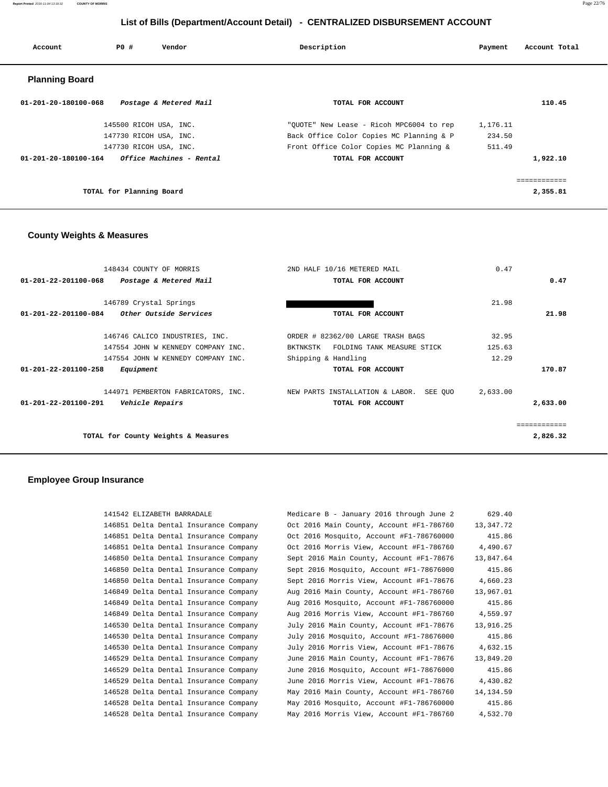**Report Printed** 2016-11-04 13:19:32 **COUNTY OF MORRIS** Page 22/76

# **List of Bills (Department/Account Detail) - CENTRALIZED DISBURSEMENT ACCOUNT**

| Account                        | PO#                      | Vendor                   | Description                              | Payment  | Account Total |
|--------------------------------|--------------------------|--------------------------|------------------------------------------|----------|---------------|
| <b>Planning Board</b>          |                          |                          |                                          |          |               |
| $01 - 201 - 20 - 180100 - 068$ |                          | Postage & Metered Mail   | TOTAL FOR ACCOUNT                        |          | 110.45        |
|                                | 145500 RICOH USA, INC.   |                          | "OUOTE" New Lease - Ricoh MPC6004 to rep | 1,176.11 |               |
|                                | 147730 RICOH USA, INC.   |                          | Back Office Color Copies MC Planning & P | 234.50   |               |
|                                | 147730 RICOH USA, INC.   |                          | Front Office Color Copies MC Planning &  | 511.49   |               |
| 01-201-20-180100-164           |                          | Office Machines - Rental | TOTAL FOR ACCOUNT                        |          | 1,922.10      |
|                                |                          |                          |                                          |          |               |
|                                |                          |                          |                                          |          | ============  |
|                                | TOTAL for Planning Board |                          |                                          |          | 2,355.81      |

# **County Weights & Measures**

| 148434 COUNTY OF MORRIS                               | 2ND HALF 10/16 METERED MAIL             | 0.47     |          |
|-------------------------------------------------------|-----------------------------------------|----------|----------|
| 01-201-22-201100-068<br>Postage & Metered Mail        | TOTAL FOR ACCOUNT                       |          | 0.47     |
|                                                       |                                         |          |          |
| 146789 Crystal Springs                                |                                         | 21.98    |          |
| <i>Other Outside Services</i><br>01-201-22-201100-084 | TOTAL FOR ACCOUNT                       |          | 21.98    |
|                                                       |                                         |          |          |
| 146746 CALICO INDUSTRIES, INC.                        | ORDER # 82362/00 LARGE TRASH BAGS       | 32.95    |          |
| 147554 JOHN W KENNEDY COMPANY INC.                    | FOLDING TANK MEASURE STICK<br>BKTNKSTK  | 125.63   |          |
| 147554 JOHN W KENNEDY COMPANY INC.                    | Shipping & Handling                     | 12.29    |          |
| $01 - 201 - 22 - 201100 - 258$<br>Equipment           | TOTAL FOR ACCOUNT                       |          | 170.87   |
| 144971 PEMBERTON FABRICATORS, INC.                    | NEW PARTS INSTALLATION & LABOR. SEE QUO | 2,633.00 |          |
| 01-201-22-201100-291<br>Vehicle Repairs               | TOTAL FOR ACCOUNT                       |          | 2,633.00 |
|                                                       |                                         |          |          |
| TOTAL for County Weights & Measures                   |                                         |          | 2,826.32 |

# **Employee Group Insurance**

| 629.40    | Medicare B - January 2016 through June 2 | 141542 ELIZABETH BARRADALE            |
|-----------|------------------------------------------|---------------------------------------|
| 13,347.72 | Oct 2016 Main County, Account #F1-786760 | 146851 Delta Dental Insurance Company |
| 415.86    | Oct 2016 Mosquito, Account #F1-786760000 | 146851 Delta Dental Insurance Company |
| 4,490.67  | Oct 2016 Morris View, Account #F1-786760 | 146851 Delta Dental Insurance Company |
| 13,847.64 | Sept 2016 Main County, Account #F1-78676 | 146850 Delta Dental Insurance Company |
| 415.86    | Sept 2016 Mosquito, Account #F1-78676000 | 146850 Delta Dental Insurance Company |
| 4,660.23  | Sept 2016 Morris View, Account #F1-78676 | 146850 Delta Dental Insurance Company |
| 13,967.01 | Aug 2016 Main County, Account #F1-786760 | 146849 Delta Dental Insurance Company |
| 415.86    | Aug 2016 Mosquito, Account #F1-786760000 | 146849 Delta Dental Insurance Company |
| 4,559.97  | Aug 2016 Morris View, Account #F1-786760 | 146849 Delta Dental Insurance Company |
| 13,916.25 | July 2016 Main County, Account #F1-78676 | 146530 Delta Dental Insurance Company |
| 415.86    | July 2016 Mosquito, Account #F1-78676000 | 146530 Delta Dental Insurance Company |
| 4,632.15  | July 2016 Morris View, Account #F1-78676 | 146530 Delta Dental Insurance Company |
| 13,849.20 | June 2016 Main County, Account #F1-78676 | 146529 Delta Dental Insurance Company |
| 415.86    | June 2016 Mosquito, Account #F1-78676000 | 146529 Delta Dental Insurance Company |
| 4,430.82  | June 2016 Morris View, Account #F1-78676 | 146529 Delta Dental Insurance Company |
| 14,134.59 | May 2016 Main County, Account #F1-786760 | 146528 Delta Dental Insurance Company |
| 415.86    | May 2016 Mosquito, Account #F1-786760000 | 146528 Delta Dental Insurance Company |
| 4,532.70  | May 2016 Morris View, Account #F1-786760 | 146528 Delta Dental Insurance Company |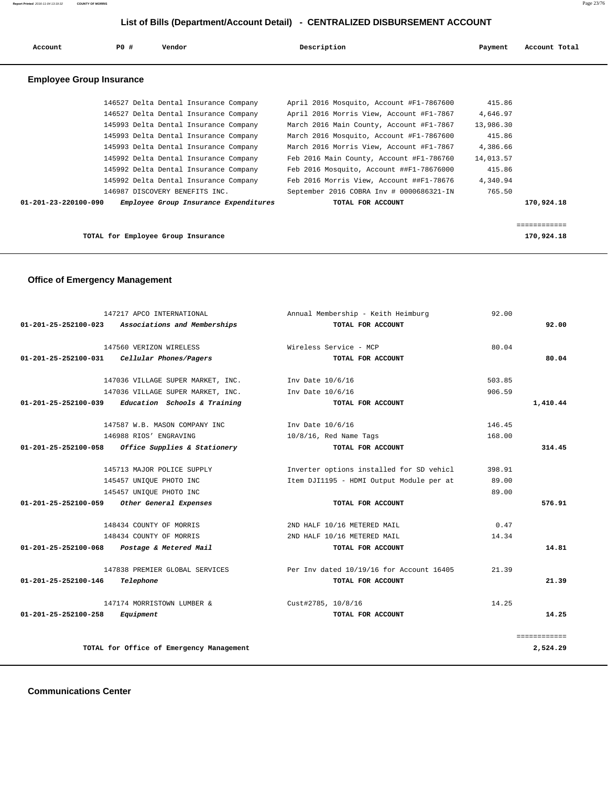# **List of Bills (Department/Account Detail) - CENTRALIZED DISBURSEMENT ACCOUNT**

| Account                                                       | PO#       | Vendor                                                    | Description                                             | Payment   | Account Total              |
|---------------------------------------------------------------|-----------|-----------------------------------------------------------|---------------------------------------------------------|-----------|----------------------------|
| <b>Employee Group Insurance</b>                               |           |                                                           |                                                         |           |                            |
|                                                               |           | 146527 Delta Dental Insurance Company                     | April 2016 Mosquito, Account #F1-7867600                | 415.86    |                            |
|                                                               |           | 146527 Delta Dental Insurance Company                     | April 2016 Morris View, Account #F1-7867                | 4,646.97  |                            |
|                                                               |           | 145993 Delta Dental Insurance Company                     | March 2016 Main County, Account #F1-7867                | 13,986.30 |                            |
|                                                               |           | 145993 Delta Dental Insurance Company                     | March 2016 Mosquito, Account #F1-7867600                | 415.86    |                            |
|                                                               |           | 145993 Delta Dental Insurance Company                     | March 2016 Morris View, Account #F1-7867                | 4,386.66  |                            |
|                                                               |           | 145992 Delta Dental Insurance Company                     | Feb 2016 Main County, Account #F1-786760                | 14,013.57 |                            |
|                                                               |           | 145992 Delta Dental Insurance Company                     | Feb 2016 Mosquito, Account ##F1-78676000                | 415.86    |                            |
|                                                               |           | 145992 Delta Dental Insurance Company                     | Feb 2016 Morris View, Account ##F1-78676                | 4,340.94  |                            |
|                                                               |           | 146987 DISCOVERY BENEFITS INC.                            | September 2016 COBRA Inv # 0000686321-IN                | 765.50    |                            |
| 01-201-23-220100-090                                          |           | Employee Group Insurance Expenditures                     | TOTAL FOR ACCOUNT                                       |           | 170,924.18                 |
|                                                               |           | TOTAL for Employee Group Insurance                        |                                                         |           | ============<br>170,924.18 |
| <b>Office of Emergency Management</b><br>01-201-25-252100-023 |           | 147217 APCO INTERNATIONAL<br>Associations and Memberships | Annual Membership - Keith Heimburg<br>TOTAL FOR ACCOUNT | 92.00     | 92.00                      |
|                                                               |           | 147560 VERIZON WIRELESS                                   | Wireless Service - MCP                                  | 80.04     |                            |
| 01-201-25-252100-031                                          |           | Cellular Phones/Pagers                                    | TOTAL FOR ACCOUNT                                       |           | 80.04                      |
|                                                               |           | 147036 VILLAGE SUPER MARKET, INC.                         | Inv Date 10/6/16                                        | 503.85    |                            |
|                                                               |           | 147036 VILLAGE SUPER MARKET, INC.                         | Inv Date 10/6/16                                        | 906.59    |                            |
| 01-201-25-252100-039                                          |           | Education Schools & Training                              | TOTAL FOR ACCOUNT                                       |           | 1,410.44                   |
|                                                               |           | 147587 W.B. MASON COMPANY INC.                            | Inv Date 10/6/16                                        | 146.45    |                            |
|                                                               |           | 146988 RIOS' ENGRAVING                                    | $10/8/16$ , Red Name Tags                               | 168.00    |                            |
| $01 - 201 - 25 - 252100 - 058$                                |           | Office Supplies & Stationery                              | TOTAL FOR ACCOUNT                                       |           | 314.45                     |
|                                                               |           | 145713 MAJOR POLICE SUPPLY                                | Inverter options installed for SD vehicl                | 398.91    |                            |
|                                                               |           | 145457 UNIQUE PHOTO INC                                   | Item DJI1195 - HDMI Output Module per at                | 89.00     |                            |
|                                                               |           | 145457 UNIQUE PHOTO INC                                   |                                                         | 89.00     |                            |
| 01-201-25-252100-059                                          |           | Other General Expenses                                    | TOTAL FOR ACCOUNT                                       |           | 576.91                     |
|                                                               |           | 148434 COUNTY OF MORRIS                                   | 2ND HALF 10/16 METERED MAIL                             | 0.47      |                            |
|                                                               |           | 148434 COUNTY OF MORRIS                                   | 2ND HALF 10/16 METERED MAIL                             | 14.34     |                            |
| 01-201-25-252100-068                                          |           | Postage & Metered Mail                                    | TOTAL FOR ACCOUNT                                       |           | 14.81                      |
|                                                               |           | 147838 PREMIER GLOBAL SERVICES                            | Per Inv dated 10/19/16 for Account 16405                | 21.39     |                            |
| 01-201-25-252100-146                                          | Telephone |                                                           | TOTAL FOR ACCOUNT                                       |           | 21.39                      |

147174 MORRISTOWN LUMBER & Cust#2785, 10/8/16 14.25  **01-201-25-252100-258 Equipment TOTAL FOR ACCOUNT 14.25**

============

**TOTAL for Office of Emergency Management 2,524.29**

 **Communications Center**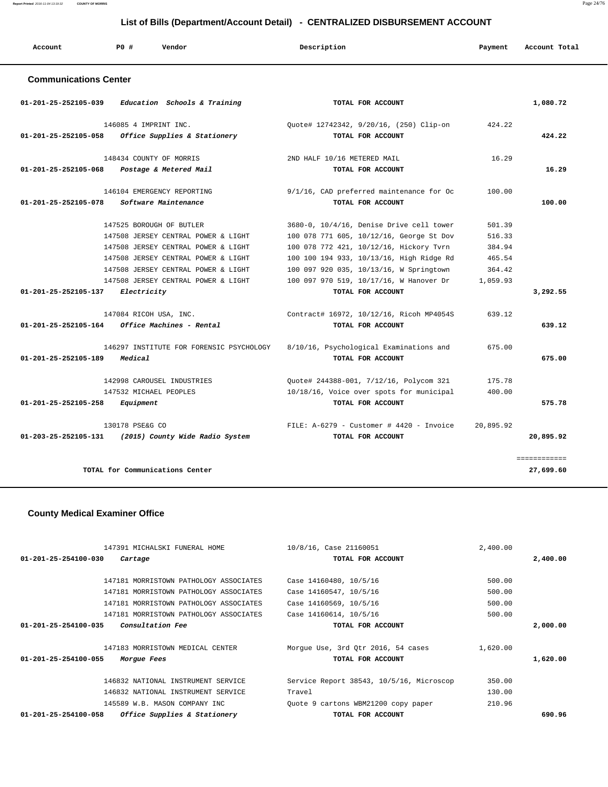| List of Bills (Department/Account Detail) - CENTRALIZED DISBURSEMENT ACCOUNT |                                                    |                                                               |           |               |
|------------------------------------------------------------------------------|----------------------------------------------------|---------------------------------------------------------------|-----------|---------------|
| Account                                                                      | PO#<br>Vendor                                      | Description                                                   | Payment   | Account Total |
| <b>Communications Center</b>                                                 |                                                    |                                                               |           |               |
| 01-201-25-252105-039                                                         | Education Schools & Training                       | TOTAL FOR ACCOUNT                                             |           | 1,080.72      |
|                                                                              | 146085 4 IMPRINT INC.                              | Quote# 12742342, 9/20/16, (250) Clip-on                       | 424.22    |               |
| 01-201-25-252105-058                                                         | Office Supplies & Stationery                       | TOTAL FOR ACCOUNT                                             |           | 424.22        |
|                                                                              | 148434 COUNTY OF MORRIS                            | 2ND HALF 10/16 METERED MAIL                                   | 16.29     |               |
| 01-201-25-252105-068                                                         | Postage & Metered Mail                             | TOTAL FOR ACCOUNT                                             |           | 16.29         |
| $01 - 201 - 25 - 252105 - 078$                                               | 146104 EMERGENCY REPORTING<br>Software Maintenance | 9/1/16, CAD preferred maintenance for Oc<br>TOTAL FOR ACCOUNT | 100.00    | 100.00        |
|                                                                              | 147525 BOROUGH OF BUTLER                           | 3680-0, 10/4/16, Denise Drive cell tower                      | 501.39    |               |
|                                                                              | 147508 JERSEY CENTRAL POWER & LIGHT                | 100 078 771 605, 10/12/16, George St Dov                      | 516.33    |               |
|                                                                              | 147508 JERSEY CENTRAL POWER & LIGHT                | 100 078 772 421, 10/12/16, Hickory Tvrn                       | 384.94    |               |
|                                                                              | 147508 JERSEY CENTRAL POWER & LIGHT                | 100 100 194 933, 10/13/16, High Ridge Rd                      | 465.54    |               |
|                                                                              | 147508 JERSEY CENTRAL POWER & LIGHT                | 100 097 920 035, 10/13/16, W Springtown                       | 364.42    |               |
|                                                                              | 147508 JERSEY CENTRAL POWER & LIGHT                | 100 097 970 519, 10/17/16, W Hanover Dr                       | 1,059.93  |               |
| 01-201-25-252105-137                                                         | Electricity                                        | TOTAL FOR ACCOUNT                                             |           | 3,292.55      |
|                                                                              | 147084 RICOH USA, INC.                             | Contract# 16972, 10/12/16, Ricoh MP4054S                      | 639.12    |               |
| 01-201-25-252105-164                                                         | Office Machines - Rental                           | TOTAL FOR ACCOUNT                                             |           | 639.12        |
|                                                                              | 146297 INSTITUTE FOR FORENSIC PSYCHOLOGY           | 8/10/16, Psychological Examinations and                       | 675.00    |               |
| 01-201-25-252105-189                                                         | Medical                                            | TOTAL FOR ACCOUNT                                             |           | 675.00        |
|                                                                              | 142998 CAROUSEL INDUSTRIES                         | Quote# 244388-001, 7/12/16, Polycom 321                       | 175.78    |               |
|                                                                              | 147532 MICHAEL PEOPLES                             | 10/18/16, Voice over spots for municipal                      | 400.00    |               |
| 01-201-25-252105-258                                                         | Equipment                                          | TOTAL FOR ACCOUNT                                             |           | 575.78        |
|                                                                              | 130178 PSE&G CO                                    | FILE: $A-6279$ - Customer # 4420 - Invoice                    | 20,895.92 |               |
| 01-203-25-252105-131                                                         | (2015) County Wide Radio System                    | TOTAL FOR ACCOUNT                                             |           | 20,895.92     |
|                                                                              |                                                    |                                                               |           | ============  |

**TOTAL for Communications Center 27,699.60**

# **County Medical Examiner Office**

| 147391 MICHALSKI FUNERAL HOME                             | 10/8/16, Case 21160051                   | 2,400.00 |          |
|-----------------------------------------------------------|------------------------------------------|----------|----------|
| $01 - 201 - 25 - 254100 - 030$<br>Cartage                 | TOTAL FOR ACCOUNT                        |          | 2,400.00 |
|                                                           |                                          |          |          |
| 147181 MORRISTOWN PATHOLOGY ASSOCIATES                    | Case 14160480, 10/5/16                   | 500.00   |          |
| 147181 MORRISTOWN PATHOLOGY ASSOCIATES                    | Case 14160547, 10/5/16                   | 500.00   |          |
| 147181 MORRISTOWN PATHOLOGY ASSOCIATES                    | Case 14160569, 10/5/16                   | 500.00   |          |
| 147181 MORRISTOWN PATHOLOGY ASSOCIATES                    | Case 14160614, 10/5/16                   | 500.00   |          |
| <i>Consultation Fee</i><br>$01 - 201 - 25 - 254100 - 035$ | TOTAL FOR ACCOUNT                        |          | 2,000.00 |
|                                                           |                                          |          |          |
| 147183 MORRISTOWN MEDICAL CENTER                          | Morgue Use, 3rd Qtr 2016, 54 cases       | 1,620.00 |          |
| $01 - 201 - 25 - 254100 - 055$<br>Morgue Fees             | TOTAL FOR ACCOUNT                        |          | 1,620.00 |
| 146832 NATIONAL INSTRUMENT SERVICE                        | Service Report 38543, 10/5/16, Microscop | 350.00   |          |
|                                                           |                                          |          |          |
| 146832 NATIONAL INSTRUMENT SERVICE                        | Travel                                   | 130.00   |          |
| 145589 W.B. MASON COMPANY INC                             | Quote 9 cartons WBM21200 copy paper      | 210.96   |          |
| Office Supplies & Stationery<br>01-201-25-254100-058      | TOTAL FOR ACCOUNT                        |          | 690.96   |

**Report Printed** 2016-11-04 13:19:32 **COUNTY OF MORRIS** Page 24/76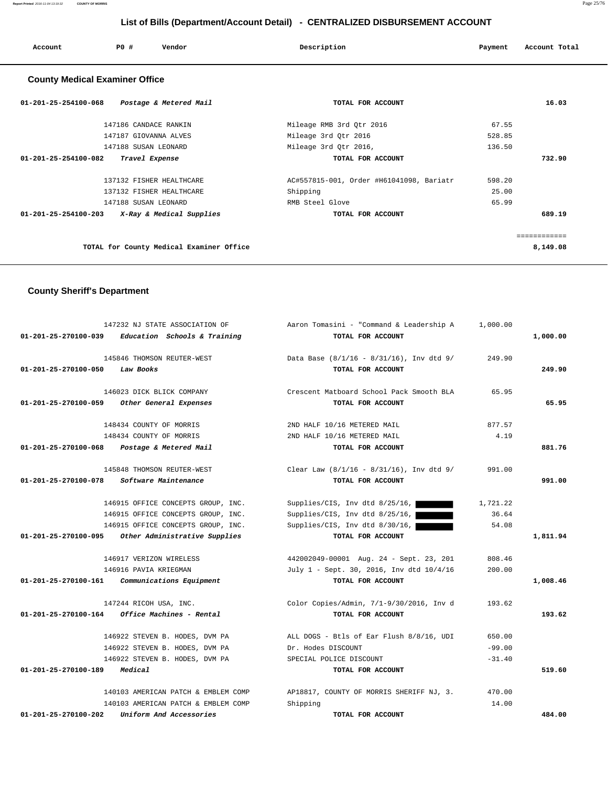**Report Printed** 2016-11-04 13:19:32 **COUNTY OF MORRIS** Page 25/76

# **List of Bills (Department/Account Detail) - CENTRALIZED DISBURSEMENT ACCOUNT**

| Account                               | PO#                  | Vendor                 | Description              | Payment | Account Total |
|---------------------------------------|----------------------|------------------------|--------------------------|---------|---------------|
| <b>County Medical Examiner Office</b> |                      |                        |                          |         |               |
| 01-201-25-254100-068                  |                      | Postage & Metered Mail | TOTAL FOR ACCOUNT        |         | 16.03         |
|                                       |                      | 147186 CANDACE RANKIN  | Mileage RMB 3rd Otr 2016 | 67.55   |               |
|                                       |                      | 147187 GIOVANNA ALVES  | Mileage 3rd Otr 2016     | 528.85  |               |
|                                       | 147188 SUSAN LEONARD |                        | Mileage 3rd Otr 2016,    | 136.50  |               |
| 01-201-25-254100-082                  |                      | Travel Expense         | TOTAL FOR ACCOUNT        |         | 732.90        |

| , , , , , , , |        | TOIALL FOR ACCOUNT                       | <u>01 - 201 - 29 - 29 - 100 - 002 - </u><br>$11a$ vel $12b$ ense |
|---------------|--------|------------------------------------------|------------------------------------------------------------------|
|               | 598.20 | AC#557815-001, Order #H61041098, Bariatr | 137132 FISHER HEALTHCARE                                         |
|               | 25.00  | Shipping                                 | 137132 FISHER HEALTHCARE                                         |
|               | 65.99  | RMB Steel Glove                          | 147188 SUSAN LEONARD                                             |
| 689.19        |        | TOTAL FOR ACCOUNT                        | X-Ray & Medical Supplies<br>01-201-25-254100-203                 |
|               |        |                                          |                                                                  |
|               |        |                                          |                                                                  |
| 8,149.08      |        |                                          | TOTAL for County Medical Examiner Office                         |

# **County Sheriff's Department**

| 01-201-25-270100-039           | 147232 NJ STATE ASSOCIATION OF<br>Education Schools & Training | Aaron Tomasini - "Command & Leadership A<br>TOTAL FOR ACCOUNT | 1,000.00 | 1,000.00 |
|--------------------------------|----------------------------------------------------------------|---------------------------------------------------------------|----------|----------|
|                                | 145846 THOMSON REUTER-WEST                                     | Data Base $(8/1/16 - 8/31/16)$ , Inv dtd 9/                   | 249.90   |          |
| 01-201-25-270100-050           | Law Books                                                      | TOTAL FOR ACCOUNT                                             |          | 249.90   |
|                                | 146023 DICK BLICK COMPANY                                      | Crescent Matboard School Pack Smooth BLA                      | 65.95    |          |
| $01 - 201 - 25 - 270100 - 059$ | Other General Expenses                                         | TOTAL FOR ACCOUNT                                             |          | 65.95    |
|                                | 148434 COUNTY OF MORRIS                                        | 2ND HALF 10/16 METERED MAIL                                   | 877.57   |          |
|                                | 148434 COUNTY OF MORRIS                                        | 2ND HALF 10/16 METERED MAIL                                   | 4.19     |          |
| 01-201-25-270100-068           | Postage & Metered Mail                                         | TOTAL FOR ACCOUNT                                             |          | 881.76   |
|                                | 145848 THOMSON REUTER-WEST                                     | Clear Law $(8/1/16 - 8/31/16)$ , Inv dtd 9/                   | 991.00   |          |
| 01-201-25-270100-078           | Software Maintenance                                           | TOTAL FOR ACCOUNT                                             |          | 991.00   |
|                                | 146915 OFFICE CONCEPTS GROUP, INC.                             | Supplies/CIS, Inv dtd 8/25/16,                                | 1,721.22 |          |
|                                | 146915 OFFICE CONCEPTS GROUP, INC.                             | Supplies/CIS, Inv dtd 8/25/16,                                | 36.64    |          |
|                                | 146915 OFFICE CONCEPTS GROUP, INC.                             | Supplies/CIS, Inv dtd 8/30/16,                                | 54.08    |          |
| 01-201-25-270100-095           | Other Administrative Supplies                                  | TOTAL FOR ACCOUNT                                             |          | 1,811.94 |
|                                | 146917 VERIZON WIRELESS                                        | 442002049-00001 Aug. 24 - Sept. 23, 201                       | 808.46   |          |
|                                | 146916 PAVIA KRIEGMAN                                          | July 1 - Sept. 30, 2016, Inv dtd 10/4/16                      | 200.00   |          |
| 01-201-25-270100-161           | Communications Equipment                                       | TOTAL FOR ACCOUNT                                             |          | 1,008.46 |
|                                | 147244 RICOH USA, INC.                                         | Color Copies/Admin, 7/1-9/30/2016, Inv d                      | 193.62   |          |
| 01-201-25-270100-164           | Office Machines - Rental                                       | TOTAL FOR ACCOUNT                                             |          | 193.62   |
|                                | 146922 STEVEN B. HODES, DVM PA                                 | ALL DOGS - Btls of Ear Flush 8/8/16, UDI                      | 650.00   |          |
|                                | 146922 STEVEN B. HODES, DVM PA                                 | Dr. Hodes DISCOUNT                                            | $-99.00$ |          |
|                                | 146922 STEVEN B. HODES, DVM PA                                 | SPECIAL POLICE DISCOUNT                                       | $-31.40$ |          |
| 01-201-25-270100-189           | Medical                                                        | TOTAL FOR ACCOUNT                                             |          | 519.60   |
|                                | 140103 AMERICAN PATCH & EMBLEM COMP                            | AP18817, COUNTY OF MORRIS SHERIFF NJ, 3.                      | 470.00   |          |
|                                | 140103 AMERICAN PATCH & EMBLEM COMP                            | Shipping                                                      | 14.00    |          |
| $01 - 201 - 25 - 270100 - 202$ | Uniform And Accessories                                        | TOTAL FOR ACCOUNT                                             |          | 484.00   |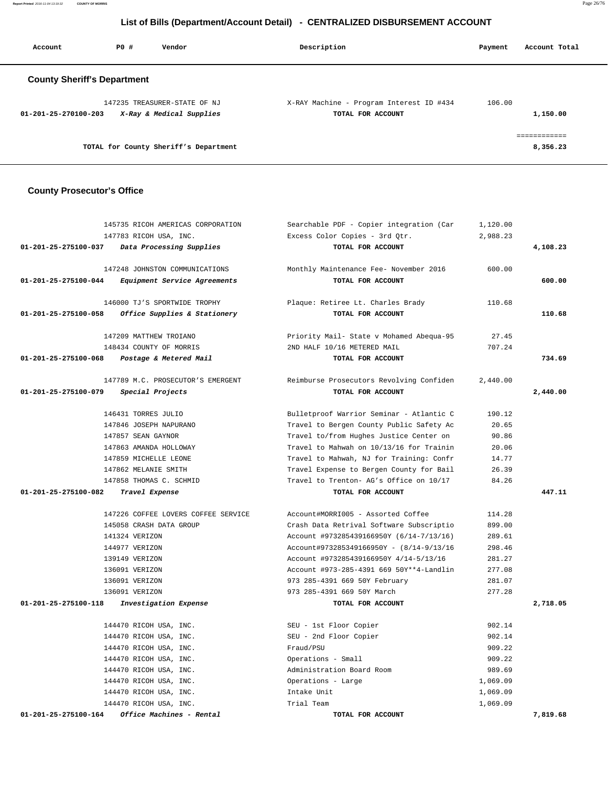**Report Printed** 2016-11-04 13:19:32 **COUNTY OF MORRIS** Page 26/76

# **List of Bills (Department/Account Detail) - CENTRALIZED DISBURSEMENT ACCOUNT**

| Account                            | PO# | Vendor                                                   | Description                                                   | Payment | Account Total |
|------------------------------------|-----|----------------------------------------------------------|---------------------------------------------------------------|---------|---------------|
| <b>County Sheriff's Department</b> |     |                                                          |                                                               |         |               |
| $01 - 201 - 25 - 270100 - 203$     |     | 147235 TREASURER-STATE OF NJ<br>X-Ray & Medical Supplies | X-RAY Machine - Program Interest ID #434<br>TOTAL FOR ACCOUNT | 106.00  | 1,150.00      |
|                                    |     | TOTAL for County Sheriff's Department                    |                                                               |         | 8,356.23      |

# **County Prosecutor's Office**

|                      | 145735 RICOH AMERICAS CORPORATION   | Searchable PDF - Copier integration (Car | 1,120.00 |          |
|----------------------|-------------------------------------|------------------------------------------|----------|----------|
|                      | 147783 RICOH USA, INC.              | Excess Color Copies - 3rd Qtr.           | 2,988.23 |          |
| 01-201-25-275100-037 | Data Processing Supplies            | TOTAL FOR ACCOUNT                        |          | 4,108.23 |
|                      | 147248 JOHNSTON COMMUNICATIONS      | Monthly Maintenance Fee- November 2016   | 600.00   |          |
| 01-201-25-275100-044 | Equipment Service Agreements        | TOTAL FOR ACCOUNT                        |          | 600.00   |
|                      | 146000 TJ'S SPORTWIDE TROPHY        | Plaque: Retiree Lt. Charles Brady        | 110.68   |          |
| 01-201-25-275100-058 | Office Supplies & Stationery        | TOTAL FOR ACCOUNT                        |          | 110.68   |
|                      | 147209 MATTHEW TROIANO              | Priority Mail- State v Mohamed Abequa-95 | 27.45    |          |
|                      | 148434 COUNTY OF MORRIS             | 2ND HALF 10/16 METERED MAIL              | 707.24   |          |
| 01-201-25-275100-068 | Postage & Metered Mail              | TOTAL FOR ACCOUNT                        |          | 734.69   |
|                      | 147789 M.C. PROSECUTOR'S EMERGENT   | Reimburse Prosecutors Revolving Confiden | 2,440.00 |          |
| 01-201-25-275100-079 | Special Projects                    | TOTAL FOR ACCOUNT                        |          | 2,440.00 |
|                      | 146431 TORRES JULIO                 | Bulletproof Warrior Seminar - Atlantic C | 190.12   |          |
|                      | 147846 JOSEPH NAPURANO              | Travel to Bergen County Public Safety Ac | 20.65    |          |
|                      | 147857 SEAN GAYNOR                  | Travel to/from Hughes Justice Center on  | 90.86    |          |
|                      | 147863 AMANDA HOLLOWAY              | Travel to Mahwah on 10/13/16 for Trainin | 20.06    |          |
|                      | 147859 MICHELLE LEONE               | Travel to Mahwah, NJ for Training: Confr | 14.77    |          |
|                      | 147862 MELANIE SMITH                | Travel Expense to Bergen County for Bail | 26.39    |          |
|                      | 147858 THOMAS C. SCHMID             | Travel to Trenton- AG's Office on 10/17  | 84.26    |          |
| 01-201-25-275100-082 | Travel Expense                      | TOTAL FOR ACCOUNT                        |          | 447.11   |
|                      | 147226 COFFEE LOVERS COFFEE SERVICE | Account#MORRI005 - Assorted Coffee       | 114.28   |          |
|                      | 145058 CRASH DATA GROUP             | Crash Data Retrival Software Subscriptio | 899.00   |          |
|                      | 141324 VERIZON                      | Account #973285439166950Y (6/14-7/13/16) | 289.61   |          |
|                      | 144977 VERIZON                      | Account#973285349166950Y - (8/14-9/13/16 | 298.46   |          |
|                      | 139149 VERIZON                      | Account #973285439166950Y 4/14-5/13/16   | 281.27   |          |
|                      | 136091 VERIZON                      | Account #973-285-4391 669 50Y**4-Landlin | 277.08   |          |
|                      | 136091 VERIZON                      | 973 285-4391 669 50Y February            | 281.07   |          |
|                      | 136091 VERIZON                      | 973 285-4391 669 50Y March               | 277.28   |          |
| 01-201-25-275100-118 | Investigation Expense               | TOTAL FOR ACCOUNT                        |          | 2,718.05 |
|                      | 144470 RICOH USA, INC.              | SEU - 1st Floor Copier                   | 902.14   |          |
|                      | 144470 RICOH USA, INC.              | SEU - 2nd Floor Copier                   | 902.14   |          |
|                      | 144470 RICOH USA, INC.              | Fraud/PSU                                | 909.22   |          |
|                      | 144470 RICOH USA, INC.              | Operations - Small                       | 909.22   |          |
|                      | 144470 RICOH USA, INC.              | Administration Board Room                | 989.69   |          |
|                      | 144470 RICOH USA, INC.              | Operations - Large                       | 1,069.09 |          |
|                      | 144470 RICOH USA, INC.              | Intake Unit                              | 1,069.09 |          |
|                      | 144470 RICOH USA, INC.              | Trial Team                               | 1,069.09 |          |
| 01-201-25-275100-164 | Office Machines - Rental            | TOTAL FOR ACCOUNT                        |          | 7,819.68 |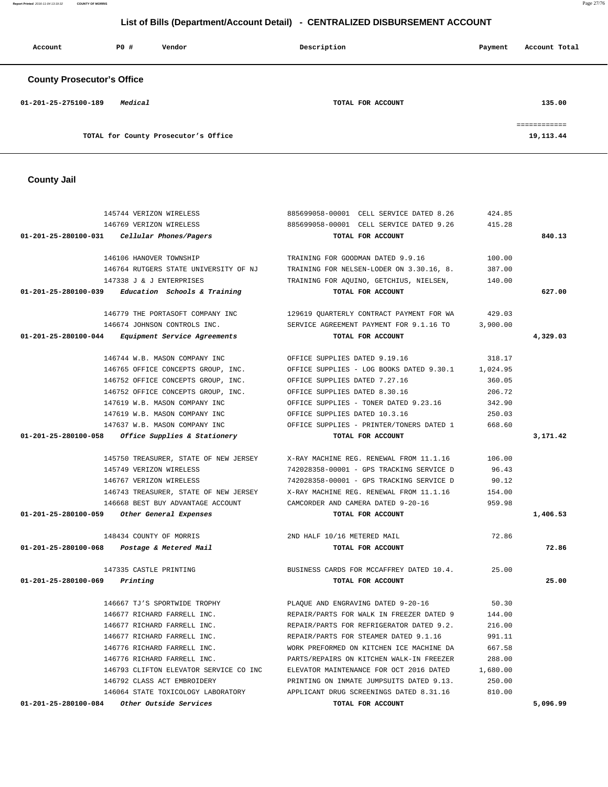**County Jail**  145744 VERIZON WIRELESS 885699058-00001 CELL SERVICE DATED 8.26 424.85 146769 VERIZON WIRELESS 885699058-00001 CELL SERVICE DATED 9.26 415.28  **01-201-25-280100-031 Cellular Phones/Pagers TOTAL FOR ACCOUNT 840.13** 146106 HANOVER TOWNSHIP TRAINING FOR GOODMAN DATED 9.9.16 100.00 146764 RUTGERS STATE UNIVERSITY OF NJ TRAINING FOR NELSEN-LODER ON 3.30.16, 8. 387.00 147338 J & J ENTERPRISES TRAINING FOR AQUINO, GETCHIUS, NIELSEN, 140.00  **01-201-25-280100-039 Education Schools & Training TOTAL FOR ACCOUNT 627.00** 146779 THE PORTASOFT COMPANY INC 129619 QUARTERLY CONTRACT PAYMENT FOR WA 429.03 146674 JOHNSON CONTROLS INC. SERVICE AGREEMENT PAYMENT FOR 9.1.16 TO 3,900.00  **01-201-25-280100-044 Equipment Service Agreements TOTAL FOR ACCOUNT 4,329.03** 146744 W.B. MASON COMPANY INC OFFICE SUPPLIES DATED 9.19.16 318.17 146765 OFFICE CONCEPTS GROUP, INC. OFFICE SUPPLIES - LOG BOOKS DATED 9.30.1 1,024.95 146752 OFFICE CONCEPTS GROUP, INC. OFFICE SUPPLIES DATED 7.27.16 360.05 146752 OFFICE CONCEPTS GROUP, INC. OFFICE SUPPLIES DATED 8.30.16 206.72 147619 W.B. MASON COMPANY INC OFFICE SUPPLIES - TONER DATED 9.23.16 342.90 147619 W.B. MASON COMPANY INC OFFICE SUPPLIES DATED 10.3.16 250.03 147637 W.B. MASON COMPANY INC OFFICE SUPPLIES - PRINTER/TONERS DATED 1 668.60  **01-201-25-280100-058 Office Supplies & Stationery TOTAL FOR ACCOUNT 3,171.42** 145750 TREASURER, STATE OF NEW JERSEY X-RAY MACHINE REG. RENEWAL FROM 11.1.16 106.00 145749 VERIZON WIRELESS 742028358-00001 - GPS TRACKING SERVICE D 96.43 146767 VERIZON WIRELESS 742028358-00001 - GPS TRACKING SERVICE D 90.12 146743 TREASURER, STATE OF NEW JERSEY X-RAY MACHINE REG. RENEWAL FROM 11.1.16 154.00 146668 BEST BUY ADVANTAGE ACCOUNT CAMCORDER AND CAMERA DATED 9-20-16 959.98  **01-201-25-280100-059 Other General Expenses TOTAL FOR ACCOUNT 1,406.53** 148434 COUNTY OF MORRIS 2ND HALF 10/16 METERED MAIL 72.86  **01-201-25-280100-068 Postage & Metered Mail TOTAL FOR ACCOUNT 72.86** 147335 CASTLE PRINTING BUSINESS CARDS FOR MCCAFFREY DATED 10.4. 25.00  **01-201-25-280100-069 Printing TOTAL FOR ACCOUNT 25.00** 146667 TJ'S SPORTWIDE TROPHY PLAQUE AND ENGRAVING DATED 9-20-16 50.30 146677 RICHARD FARRELL INC. REPAIR/PARTS FOR WALK IN FREEZER DATED 9 144.00 146677 RICHARD FARRELL INC. REPAIR/PARTS FOR REFRIGERATOR DATED 9.2. 216.00 146677 RICHARD FARRELL INC. REPAIR/PARTS FOR STEAMER DATED 9.1.16 991.11 146776 RICHARD FARRELL INC. WORK PREFORMED ON KITCHEN ICE MACHINE DA 667.58

 146776 RICHARD FARRELL INC. PARTS/REPAIRS ON KITCHEN WALK-IN FREEZER 288.00 146793 CLIFTON ELEVATOR SERVICE CO INC ELEVATOR MAINTENANCE FOR OCT 2016 DATED 1,680.00 146792 CLASS ACT EMBROIDERY PRINTING ON INMATE JUMPSUITS DATED 9.13. 250.00 146064 STATE TOXICOLOGY LABORATORY APPLICANT DRUG SCREENINGS DATED 8.31.16 810.00  **01-201-25-280100-084 Other Outside Services TOTAL FOR ACCOUNT 5,096.99**

# **County Prosecutor's Office 01-201-25-275100-189 Medical TOTAL FOR ACCOUNT 135.00** ============ TOTAL for County Prosecutor's Office 19,113.44

 **Account P0 # Vendor Description Payment Account Total**

# **List of Bills (Department/Account Detail) - CENTRALIZED DISBURSEMENT ACCOUNT**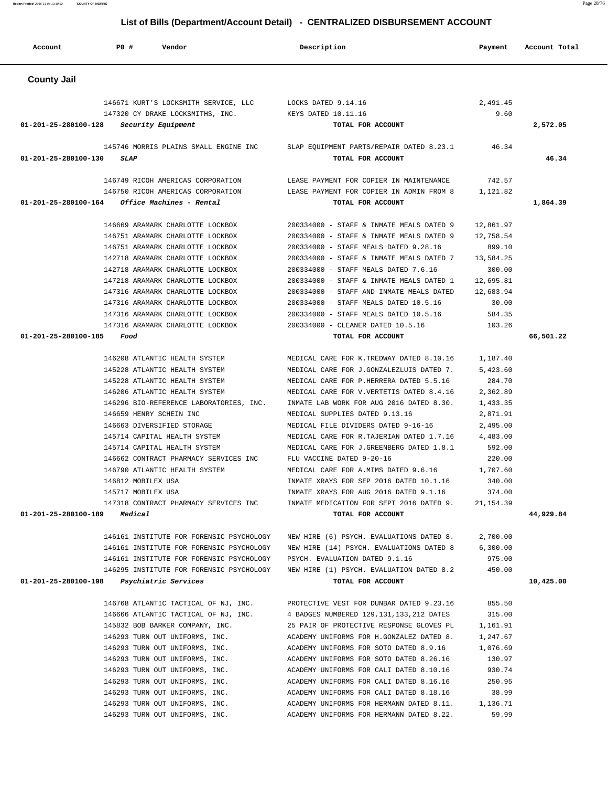| <b>County Jail</b>   |                                                                  |                                                                                     |                   |           |
|----------------------|------------------------------------------------------------------|-------------------------------------------------------------------------------------|-------------------|-----------|
|                      | 146671 KURT'S LOCKSMITH SERVICE, LLC                             | LOCKS DATED 9.14.16                                                                 | 2,491.45          |           |
|                      | 147320 CY DRAKE LOCKSMITHS, INC.                                 | KEYS DATED 10.11.16                                                                 | 9.60              |           |
| 01-201-25-280100-128 | Security Equipment                                               | TOTAL FOR ACCOUNT                                                                   |                   | 2,572.05  |
|                      | 145746 MORRIS PLAINS SMALL ENGINE INC                            | SLAP EQUIPMENT PARTS/REPAIR DATED 8.23.1                                            | 46.34             |           |
| 01-201-25-280100-130 | <b>SLAP</b>                                                      | TOTAL FOR ACCOUNT                                                                   |                   | 46.34     |
|                      | 146749 RICOH AMERICAS CORPORATION                                | LEASE PAYMENT FOR COPIER IN MAINTENANCE                                             | 742.57            |           |
|                      | 146750 RICOH AMERICAS CORPORATION                                | LEASE PAYMENT FOR COPIER IN ADMIN FROM 8                                            | 1,121.82          |           |
| 01-201-25-280100-164 | <i>Office Machines - Rental</i>                                  | TOTAL FOR ACCOUNT                                                                   |                   | 1,864.39  |
|                      | 146669 ARAMARK CHARLOTTE LOCKBOX                                 | 200334000 - STAFF & INMATE MEALS DATED 9                                            | 12,861.97         |           |
|                      | 146751 ARAMARK CHARLOTTE LOCKBOX                                 | 200334000 - STAFF & INMATE MEALS DATED 9                                            | 12,758.54         |           |
|                      | 146751 ARAMARK CHARLOTTE LOCKBOX                                 | 200334000 - STAFF MEALS DATED 9.28.16                                               | 899.10            |           |
|                      | 142718 ARAMARK CHARLOTTE LOCKBOX                                 | 200334000 - STAFF & INMATE MEALS DATED 7                                            | 13,584.25         |           |
|                      | 142718 ARAMARK CHARLOTTE LOCKBOX                                 | 200334000 - STAFF MEALS DATED 7.6.16                                                | 300.00            |           |
|                      | 147218 ARAMARK CHARLOTTE LOCKBOX                                 | 200334000 - STAFF & INMATE MEALS DATED 1                                            | 12,695.81         |           |
|                      | 147316 ARAMARK CHARLOTTE LOCKBOX                                 | 200334000 - STAFF AND INMATE MEALS DATED                                            | 12,683.94         |           |
|                      | 147316 ARAMARK CHARLOTTE LOCKBOX                                 | 200334000 - STAFF MEALS DATED 10.5.16                                               | 30.00             |           |
|                      | 147316 ARAMARK CHARLOTTE LOCKBOX                                 | 200334000 - STAFF MEALS DATED 10.5.16                                               | 584.35            |           |
|                      | 147316 ARAMARK CHARLOTTE LOCKBOX                                 | 200334000 - CLEANER DATED 10.5.16                                                   | 103.26            |           |
| 01-201-25-280100-185 | Food                                                             | TOTAL FOR ACCOUNT                                                                   |                   | 66,501.22 |
|                      | 146208 ATLANTIC HEALTH SYSTEM                                    | MEDICAL CARE FOR K. TREDWAY DATED 8.10.16                                           | 1,187.40          |           |
|                      | 145228 ATLANTIC HEALTH SYSTEM                                    | MEDICAL CARE FOR J.GONZALEZLUIS DATED 7.                                            | 5,423.60          |           |
|                      | 145228 ATLANTIC HEALTH SYSTEM                                    | MEDICAL CARE FOR P.HERRERA DATED 5.5.16                                             | 284.70            |           |
|                      | 146206 ATLANTIC HEALTH SYSTEM                                    | MEDICAL CARE FOR V. VERTETIS DATED 8.4.16                                           | 2,362.89          |           |
|                      | 146296 BIO-REFERENCE LABORATORIES, INC.                          | INMATE LAB WORK FOR AUG 2016 DATED 8.30.                                            | 1,433.35          |           |
|                      | 146659 HENRY SCHEIN INC                                          | MEDICAL SUPPLIES DATED 9.13.16                                                      | 2,871.91          |           |
|                      | 146663 DIVERSIFIED STORAGE                                       | MEDICAL FILE DIVIDERS DATED 9-16-16                                                 | 2,495.00          |           |
|                      | 145714 CAPITAL HEALTH SYSTEM                                     | MEDICAL CARE FOR R. TAJERIAN DATED 1.7.16                                           | 4,483.00          |           |
|                      | 145714 CAPITAL HEALTH SYSTEM                                     | MEDICAL CARE FOR J.GREENBERG DATED 1.8.1                                            | 592.00            |           |
|                      | 146662 CONTRACT PHARMACY SERVICES INC                            | FLU VACCINE DATED 9-20-16                                                           | 220.00            |           |
|                      | 146790 ATLANTIC HEALTH SYSTEM                                    | MEDICAL CARE FOR A.MIMS DATED 9.6.16                                                | 1,707.60          |           |
|                      | 146812 MOBILEX USA                                               | INMATE XRAYS FOR SEP 2016 DATED 10.1.16                                             | 340.00            |           |
|                      | 145717 MOBILEX USA                                               | INMATE XRAYS FOR AUG 2016 DATED 9.1.16                                              | 374.00            |           |
|                      | 147318 CONTRACT PHARMACY SERVICES INC                            | INMATE MEDICATION FOR SEPT 2016 DATED 9.                                            | 21, 154.39        |           |
| 01-201-25-280100-189 | Medical                                                          | TOTAL FOR ACCOUNT                                                                   |                   | 44,929.84 |
|                      | 146161 INSTITUTE FOR FORENSIC PSYCHOLOGY                         | NEW HIRE (6) PSYCH. EVALUATIONS DATED 8.                                            | 2,700.00          |           |
|                      | 146161 INSTITUTE FOR FORENSIC PSYCHOLOGY                         | NEW HIRE (14) PSYCH. EVALUATIONS DATED 8                                            | 6,300.00          |           |
|                      | 146161 INSTITUTE FOR FORENSIC PSYCHOLOGY                         | PSYCH. EVALUATION DATED 9.1.16                                                      | 975.00            |           |
|                      | 146295 INSTITUTE FOR FORENSIC PSYCHOLOGY                         | NEW HIRE (1) PSYCH. EVALUATION DATED 8.2                                            | 450.00            |           |
| 01-201-25-280100-198 | <i>Psychiatric Services</i>                                      | TOTAL FOR ACCOUNT                                                                   |                   | 10,425.00 |
|                      | 146768 ATLANTIC TACTICAL OF NJ, INC.                             | PROTECTIVE VEST FOR DUNBAR DATED 9.23.16                                            | 855.50            |           |
|                      | 146666 ATLANTIC TACTICAL OF NJ, INC.                             | 4 BADGES NUMBERED 129, 131, 133, 212 DATES                                          | 315.00            |           |
|                      | 145832 BOB BARKER COMPANY, INC.                                  | 25 PAIR OF PROTECTIVE RESPONSE GLOVES PL                                            | 1,161.91          |           |
|                      | 146293 TURN OUT UNIFORMS, INC.                                   | ACADEMY UNIFORMS FOR H.GONZALEZ DATED 8.                                            | 1,247.67          |           |
|                      | 146293 TURN OUT UNIFORMS, INC.                                   | ACADEMY UNIFORMS FOR SOTO DATED 8.9.16                                              | 1,076.69          |           |
|                      | 146293 TURN OUT UNIFORMS, INC.                                   | ACADEMY UNIFORMS FOR SOTO DATED 8.26.16                                             | 130.97            |           |
|                      | 146293 TURN OUT UNIFORMS, INC.                                   | ACADEMY UNIFORMS FOR CALI DATED 8.10.16                                             | 930.74            |           |
|                      |                                                                  |                                                                                     |                   |           |
|                      | 146293 TURN OUT UNIFORMS, INC.                                   | ACADEMY UNIFORMS FOR CALI DATED 8.16.16                                             | 250.95            |           |
|                      | 146293 TURN OUT UNIFORMS, INC.<br>146293 TURN OUT UNIFORMS, INC. | ACADEMY UNIFORMS FOR CALI DATED 8.18.16<br>ACADEMY UNIFORMS FOR HERMANN DATED 8.11. | 38.99<br>1,136.71 |           |
|                      | 146293 TURN OUT UNIFORMS, INC.                                   | ACADEMY UNIFORMS FOR HERMANN DATED 8.22.                                            | 59.99             |           |
|                      |                                                                  |                                                                                     |                   |           |

# **List of Bills (Department/Account Detail) - CENTRALIZED DISBURSEMENT ACCOUNT**

Account **PO #** Vendor **Description Description Payment** Account Total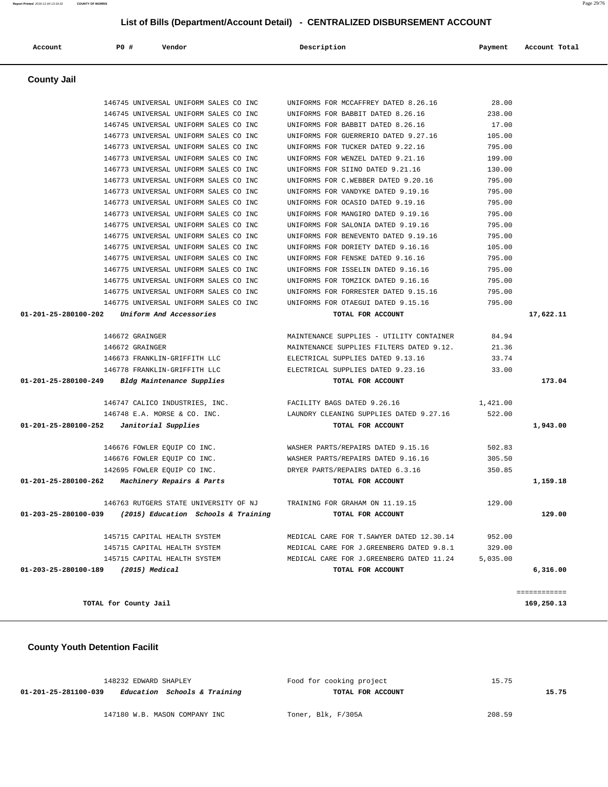# **List of Bills (Department/Account Detail) - CENTRALIZED DISBURSEMENT ACCOUNT**

| Account                                    | P0 #                                | Vendor                                                     | Description                                | Payment  | Account Total |
|--------------------------------------------|-------------------------------------|------------------------------------------------------------|--------------------------------------------|----------|---------------|
| <b>County Jail</b>                         |                                     |                                                            |                                            |          |               |
|                                            |                                     | 146745 UNIVERSAL UNIFORM SALES CO INC                      | UNIFORMS FOR MCCAFFREY DATED 8.26.16 28.00 |          |               |
|                                            |                                     | 146745 UNIVERSAL UNIFORM SALES CO INC                      | UNIFORMS FOR BABBIT DATED 8.26.16          | 238.00   |               |
|                                            |                                     | 146745 UNIVERSAL UNIFORM SALES CO INC                      | UNIFORMS FOR BABBIT DATED 8.26.16          | 17.00    |               |
|                                            |                                     | 146773 UNIVERSAL UNIFORM SALES CO INC                      | UNIFORMS FOR GUERRERIO DATED 9.27.16       | 105.00   |               |
|                                            |                                     | 146773 UNIVERSAL UNIFORM SALES CO INC                      | UNIFORMS FOR TUCKER DATED 9.22.16          | 795.00   |               |
|                                            |                                     | 146773 UNIVERSAL UNIFORM SALES CO INC                      | UNIFORMS FOR WENZEL DATED 9.21.16          | 199.00   |               |
|                                            |                                     | 146773 UNIVERSAL UNIFORM SALES CO INC                      | UNIFORMS FOR SIINO DATED 9.21.16           | 130.00   |               |
|                                            |                                     | 146773 UNIVERSAL UNIFORM SALES CO INC                      | UNIFORMS FOR C.WEBBER DATED 9.20.16        | 795.00   |               |
|                                            |                                     | 146773 UNIVERSAL UNIFORM SALES CO INC                      | UNIFORMS FOR VANDYKE DATED 9.19.16         | 795.00   |               |
|                                            |                                     | 146773 UNIVERSAL UNIFORM SALES CO INC                      | UNIFORMS FOR OCASIO DATED 9.19.16          | 795.00   |               |
|                                            |                                     | 146773 UNIVERSAL UNIFORM SALES CO INC                      | UNIFORMS FOR MANGIRO DATED 9.19.16         | 795.00   |               |
|                                            |                                     | 146775 UNIVERSAL UNIFORM SALES CO INC                      | UNIFORMS FOR SALONIA DATED 9.19.16         | 795.00   |               |
|                                            |                                     | 146775 UNIVERSAL UNIFORM SALES CO INC                      | UNIFORMS FOR BENEVENTO DATED 9.19.16       | 795.00   |               |
|                                            |                                     | 146775 UNIVERSAL UNIFORM SALES CO INC                      | UNIFORMS FOR DORIETY DATED 9.16.16         | 105.00   |               |
|                                            |                                     | 146775 UNIVERSAL UNIFORM SALES CO INC                      | UNIFORMS FOR FENSKE DATED 9.16.16          | 795.00   |               |
|                                            |                                     | 146775 UNIVERSAL UNIFORM SALES CO INC                      | UNIFORMS FOR ISSELIN DATED 9.16.16         | 795.00   |               |
|                                            |                                     | 146775 UNIVERSAL UNIFORM SALES CO INC                      | UNIFORMS FOR TOMZICK DATED 9.16.16         | 795.00   |               |
|                                            |                                     | 146775 UNIVERSAL UNIFORM SALES CO INC                      | UNIFORMS FOR FORRESTER DATED 9.15.16       | 795.00   |               |
|                                            |                                     | 146775 UNIVERSAL UNIFORM SALES CO INC                      | UNIFORMS FOR OTAEGUI DATED 9.15.16         | 795.00   |               |
|                                            |                                     | 01-201-25-280100-202 Uniform And Accessories               | TOTAL FOR ACCOUNT                          |          | 17,622.11     |
|                                            |                                     |                                                            |                                            |          |               |
|                                            | 146672 GRAINGER                     |                                                            | MAINTENANCE SUPPLIES - UTILITY CONTAINER   | 84.94    |               |
|                                            | 146672 GRAINGER                     |                                                            | MAINTENANCE SUPPLIES FILTERS DATED 9.12.   | 21.36    |               |
|                                            |                                     | 146673 FRANKLIN-GRIFFITH LLC                               | ELECTRICAL SUPPLIES DATED 9.13.16          | 33.74    |               |
|                                            |                                     | 146778 FRANKLIN-GRIFFITH LLC                               | ELECTRICAL SUPPLIES DATED 9.23.16          | 33.00    |               |
|                                            |                                     | 01-201-25-280100-249 Bldg Maintenance Supplies             | TOTAL FOR ACCOUNT                          |          | 173.04        |
|                                            |                                     | 146747 CALICO INDUSTRIES, INC.                             | FACILITY BAGS DATED 9.26.16                | 1,421.00 |               |
|                                            |                                     | 146748 E.A. MORSE & CO. INC.                               | LAUNDRY CLEANING SUPPLIES DATED 9.27.16    | 522.00   |               |
| $01-201-25-280100-252$ Janitorial Supplies |                                     |                                                            | TOTAL FOR ACCOUNT                          |          | 1,943.00      |
|                                            |                                     | 146676 FOWLER EQUIP CO INC.                                | WASHER PARTS/REPAIRS DATED 9.15.16         | 502.83   |               |
|                                            |                                     | 146676 FOWLER EQUIP CO INC.                                | WASHER PARTS/REPAIRS DATED 9.16.16         | 305.50   |               |
|                                            |                                     | 142695 FOWLER EQUIP CO INC.                                | DRYER PARTS/REPAIRS DATED 6.3.16           | 350.85   |               |
|                                            |                                     | $01-201-25-280100-262$ Machinery Repairs & Parts           | TOTAL FOR ACCOUNT                          |          | 1,159.18      |
|                                            |                                     | 146763 RUTGERS STATE UNIVERSITY OF NJ                      | TRAINING FOR GRAHAM ON 11.19.15            | 129.00   |               |
|                                            |                                     | $01-203-25-280100-039$ (2015) Education Schools & Training | TOTAL FOR ACCOUNT                          |          | 129.00        |
|                                            |                                     |                                                            |                                            |          |               |
|                                            |                                     | 145715 CAPITAL HEALTH SYSTEM                               | MEDICAL CARE FOR T. SAWYER DATED 12.30.14  | 952.00   |               |
|                                            |                                     | 145715 CAPITAL HEALTH SYSTEM                               | MEDICAL CARE FOR J.GREENBERG DATED 9.8.1   | 329.00   |               |
|                                            |                                     | 145715 CAPITAL HEALTH SYSTEM                               | MEDICAL CARE FOR J.GREENBERG DATED 11.24   | 5,035.00 |               |
|                                            | 01-203-25-280100-189 (2015) Medical |                                                            | TOTAL FOR ACCOUNT                          |          | 6,316.00      |

**TOTAL for County Jail 169,250.13**

### **County Youth Detention Facilit**

| 148232 EDWARD SHAPLEY                                | Food for cooking project | 15.75  |
|------------------------------------------------------|--------------------------|--------|
| Education Schools & Training<br>01-201-25-281100-039 | TOTAL FOR ACCOUNT        | 15.75  |
|                                                      |                          |        |
| 147180 W.B. MASON COMPANY INC                        | Toner, Blk, F/305A       | 208.59 |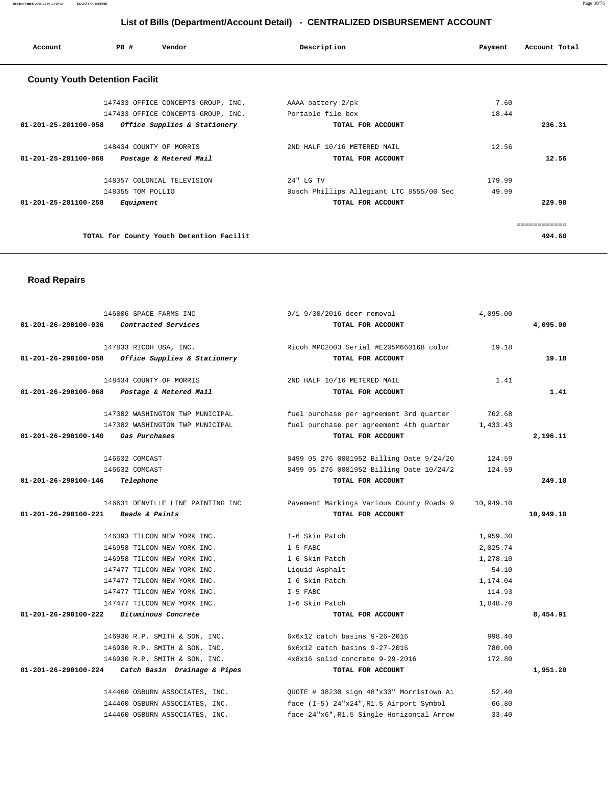**Report Printed** 2016-11-04 13:19:32 **COUNTY OF MORRIS** Page 30/76

# **List of Bills (Department/Account Detail) - CENTRALIZED DISBURSEMENT ACCOUNT**

| Account                               | PO#               | Vendor                                   | Description                              | Payment | Account Total |
|---------------------------------------|-------------------|------------------------------------------|------------------------------------------|---------|---------------|
| <b>County Youth Detention Facilit</b> |                   |                                          |                                          |         |               |
|                                       |                   | 147433 OFFICE CONCEPTS GROUP, INC.       | AAAA battery 2/pk                        | 7.60    |               |
|                                       |                   | 147433 OFFICE CONCEPTS GROUP, INC.       | Portable file box                        | 18.44   |               |
| 01-201-25-281100-058                  |                   | Office Supplies & Stationery             | TOTAL FOR ACCOUNT                        |         | 236.31        |
|                                       |                   | 148434 COUNTY OF MORRIS                  | 2ND HALF 10/16 METERED MAIL              | 12.56   |               |
| 01-201-25-281100-068                  |                   | Postage & Metered Mail                   | TOTAL FOR ACCOUNT                        |         | 12.56         |
|                                       |                   | 148357 COLONIAL TELEVISION               | 24" LG TV                                | 179.99  |               |
|                                       | 148355 TOM POLLIO |                                          | Bosch Phillips Allegiant LTC 8555/00 Sec | 49.99   |               |
| $01 - 201 - 25 - 281100 - 258$        | Equipment         |                                          | TOTAL FOR ACCOUNT                        |         | 229.98        |
|                                       |                   |                                          |                                          |         | ============  |
|                                       |                   | TOTAL for County Youth Detention Facilit |                                          |         | 494.60        |
|                                       |                   |                                          |                                          |         |               |

### **Road Repairs**

|                                     | 146806 SPACE FARMS INC                              | 9/1 9/30/2016 deer removal               | 4,095.00  |           |
|-------------------------------------|-----------------------------------------------------|------------------------------------------|-----------|-----------|
| 01-201-26-290100-036                | Contracted Services                                 | TOTAL FOR ACCOUNT                        |           | 4,095.00  |
|                                     | 147833 RICOH USA, INC.                              | Ricoh MPC2003 Serial #E205M660168 color  | 19.18     |           |
| 01-201-26-290100-058                | Office Supplies & Stationery                        | TOTAL FOR ACCOUNT                        |           | 19.18     |
|                                     | 148434 COUNTY OF MORRIS                             | 2ND HALF 10/16 METERED MAIL              | 1.41      |           |
| 01-201-26-290100-068                | Postage & Metered Mail                              | TOTAL FOR ACCOUNT                        |           | 1.41      |
|                                     | 147382 WASHINGTON TWP MUNICIPAL                     | fuel purchase per agreement 3rd quarter  | 762.68    |           |
|                                     | 147382 WASHINGTON TWP MUNICIPAL                     | fuel purchase per agreement 4th quarter  | 1,433.43  |           |
| 01-201-26-290100-140                | Gas Purchases                                       | TOTAL FOR ACCOUNT                        |           | 2,196.11  |
|                                     | 146632 COMCAST                                      | 8499 05 276 0081952 Billing Date 9/24/20 | 124.59    |           |
|                                     | 146632 COMCAST                                      | 8499 05 276 0081952 Billing Date 10/24/2 | 124.59    |           |
| 01-201-26-290100-146                | Telephone                                           | TOTAL FOR ACCOUNT                        |           | 249.18    |
|                                     | 146631 DENVILLE LINE PAINTING INC                   | Pavement Markings Various County Roads 9 | 10,949.10 |           |
| 01-201-26-290100-221 Beads & Paints |                                                     | TOTAL FOR ACCOUNT                        |           | 10,949.10 |
|                                     | 146393 TILCON NEW YORK INC.                         | I-6 Skin Patch                           | 1,959.30  |           |
|                                     | 146958 TILCON NEW YORK INC.                         | 1-5 FABC                                 | 2,025.74  |           |
|                                     | 146958 TILCON NEW YORK INC.                         | 1-6 Skin Patch                           | 1,278.10  |           |
|                                     | 147477 TILCON NEW YORK INC.                         | Liquid Asphalt                           | 54.10     |           |
|                                     | 147477 TILCON NEW YORK INC.                         | I-6 Skin Patch                           | 1,174.04  |           |
|                                     | 147477 TILCON NEW YORK INC.                         | $I-5$ FABC                               | 114.93    |           |
|                                     | 147477 TILCON NEW YORK INC.                         | I-6 Skin Patch                           | 1,848.70  |           |
| 01-201-26-290100-222                | Bituminous Concrete                                 | TOTAL FOR ACCOUNT                        |           | 8,454.91  |
|                                     | 146930 R.P. SMITH & SON, INC.                       | $6x6x12$ catch basins $9-26-2016$        | 998.40    |           |
|                                     | 146930 R.P. SMITH & SON, INC.                       | $6x6x12$ catch basins $9-27-2016$        | 780.00    |           |
|                                     |                                                     |                                          | 172.80    |           |
|                                     | 146930 R.P. SMITH & SON, INC.                       | 4x8x16 solid concrete 9-29-2016          |           |           |
|                                     | $01-201-26-290100-224$ Catch Basin Drainage & Pipes | TOTAL FOR ACCOUNT                        |           | 1,951.20  |
|                                     | 144460 OSBURN ASSOCIATES, INC.                      | QUOTE # 38230 sign 48"x30" Morristown Ai | 52.40     |           |

144460 OSBURN ASSOCIATES, INC. face 24"x6",R1.5 Single Horizontal Arrow 33.40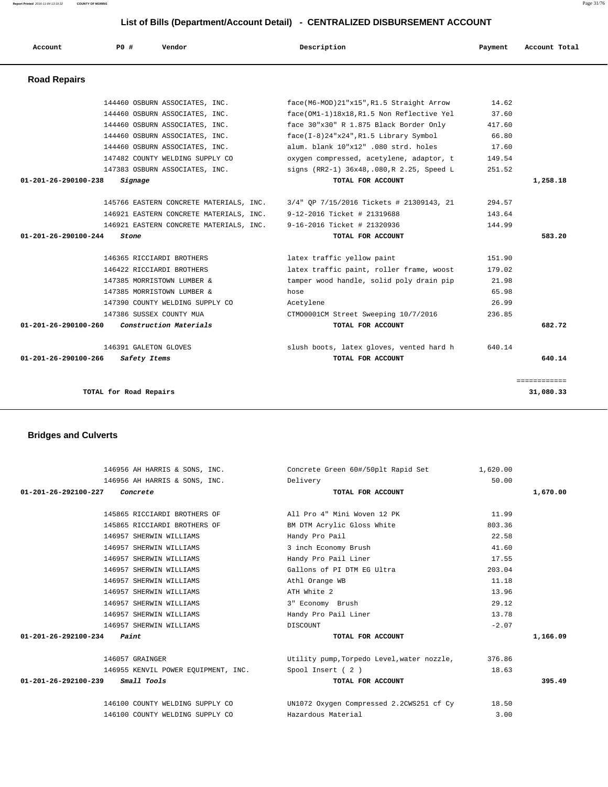|                                |                                     | 146956 AH HARRIS & SONS, INC. Concrete Green 60#/50plt Rapid Set 1,620.00 |         |          |
|--------------------------------|-------------------------------------|---------------------------------------------------------------------------|---------|----------|
|                                | 146956 AH HARRIS & SONS, INC.       | Delivery                                                                  | 50.00   |          |
| $01 - 201 - 26 - 292100 - 227$ | Concrete                            | TOTAL FOR ACCOUNT                                                         |         | 1,670.00 |
|                                | 145865 RICCIARDI BROTHERS OF        | All Pro 4" Mini Woven 12 PK                                               | 11.99   |          |
|                                | 145865 RICCIARDI BROTHERS OF        | BM DTM Acrylic Gloss White                                                | 803.36  |          |
|                                | 146957 SHERWIN WILLIAMS             | Handy Pro Pail                                                            | 22.58   |          |
|                                | 146957 SHERWIN WILLIAMS             | 3 inch Economy Brush                                                      | 41.60   |          |
|                                | 146957 SHERWIN WILLIAMS             | Handy Pro Pail Liner                                                      | 17.55   |          |
|                                | 146957 SHERWIN WILLIAMS             | Gallons of PI DTM EG Ultra                                                | 203.04  |          |
|                                | 146957 SHERWIN WILLIAMS             | Athl Orange WB                                                            | 11.18   |          |
|                                | 146957 SHERWIN WILLIAMS             | ATH White 2                                                               | 13.96   |          |
|                                | 146957 SHERWIN WILLIAMS             | 3" Economy Brush                                                          | 29.12   |          |
|                                | 146957 SHERWIN WILLIAMS             | Handy Pro Pail Liner                                                      | 13.78   |          |
|                                | 146957 SHERWIN WILLIAMS             | DISCOUNT                                                                  | $-2.07$ |          |
| 01-201-26-292100-234           | Paint                               | TOTAL FOR ACCOUNT                                                         |         | 1,166.09 |
|                                | 146057 GRAINGER                     | Utility pump, Torpedo Level, water nozzle,                                | 376.86  |          |
|                                | 146955 KENVIL POWER EQUIPMENT, INC. | Spool Insert (2)                                                          | 18.63   |          |
| 01-201-26-292100-239           | Small Tools                         | TOTAL FOR ACCOUNT                                                         |         | 395.49   |
|                                | 146100 COUNTY WELDING SUPPLY CO     | UN1072 Oxygen Compressed 2.2CWS251 cf Cy                                  | 18.50   |          |
|                                | 146100 COUNTY WELDING SUPPLY CO     | Hazardous Material                                                        | 3.00    |          |

# **Bridges and Culverts**

| Account                        | PO#   | Vendor                                  | Description                               | Payment | Account Total |
|--------------------------------|-------|-----------------------------------------|-------------------------------------------|---------|---------------|
| <b>Road Repairs</b>            |       |                                         |                                           |         |               |
|                                |       | 144460 OSBURN ASSOCIATES, INC.          | face(M6-MOD)21"x15", R1.5 Straight Arrow  | 14.62   |               |
|                                |       | 144460 OSBURN ASSOCIATES, INC.          | face(OM1-1)18x18, R1.5 Non Reflective Yel | 37.60   |               |
|                                |       | 144460 OSBURN ASSOCIATES, INC.          | face 30"x30" R 1.875 Black Border Only    | 417.60  |               |
|                                |       | 144460 OSBURN ASSOCIATES, INC.          | $face(I-8)24"x24", R1.5 Library Symbol$   | 66.80   |               |
|                                |       | 144460 OSBURN ASSOCIATES, INC.          | alum. blank 10"x12" .080 strd. holes      | 17.60   |               |
|                                |       | 147482 COUNTY WELDING SUPPLY CO         | oxygen compressed, acetylene, adaptor, t  | 149.54  |               |
|                                |       | 147383 OSBURN ASSOCIATES, INC.          | signs (RR2-1) 36x48,.080,R 2.25, Speed L  | 251.52  |               |
| 01-201-26-290100-238           |       | Signage                                 | TOTAL FOR ACCOUNT                         |         | 1,258.18      |
|                                |       | 145766 EASTERN CONCRETE MATERIALS, INC. | 3/4" QP 7/15/2016 Tickets # 21309143, 21  | 294.57  |               |
|                                |       | 146921 EASTERN CONCRETE MATERIALS, INC. | 9-12-2016 Ticket # 21319688               | 143.64  |               |
|                                |       | 146921 EASTERN CONCRETE MATERIALS, INC. | 9-16-2016 Ticket # 21320936               | 144.99  |               |
| $01 - 201 - 26 - 290100 - 244$ | Stone |                                         | TOTAL FOR ACCOUNT                         |         | 583.20        |
|                                |       | 146365 RICCIARDI BROTHERS               | latex traffic yellow paint                | 151.90  |               |
|                                |       | 146422 RICCIARDI BROTHERS               | latex traffic paint, roller frame, woost  | 179.02  |               |
|                                |       | 147385 MORRISTOWN LUMBER &              | tamper wood handle, solid poly drain pip  | 21.98   |               |
|                                |       | 147385 MORRISTOWN LUMBER &              | hose                                      | 65.98   |               |
|                                |       | 147390 COUNTY WELDING SUPPLY CO         | Acetylene                                 | 26.99   |               |
|                                |       | 147386 SUSSEX COUNTY MUA                | CTM00001CM Street Sweeping 10/7/2016      | 236.85  |               |
| 01-201-26-290100-260           |       | Construction Materials                  | TOTAL FOR ACCOUNT                         |         | 682.72        |
|                                |       | 146391 GALETON GLOVES                   | slush boots, latex gloves, vented hard h  | 640.14  |               |
| 01-201-26-290100-266           |       | Safety Items                            | TOTAL FOR ACCOUNT                         |         | 640.14        |
|                                |       |                                         |                                           |         | ============  |
|                                |       | TOTAL for Road Repairs                  |                                           |         | 31,080.33     |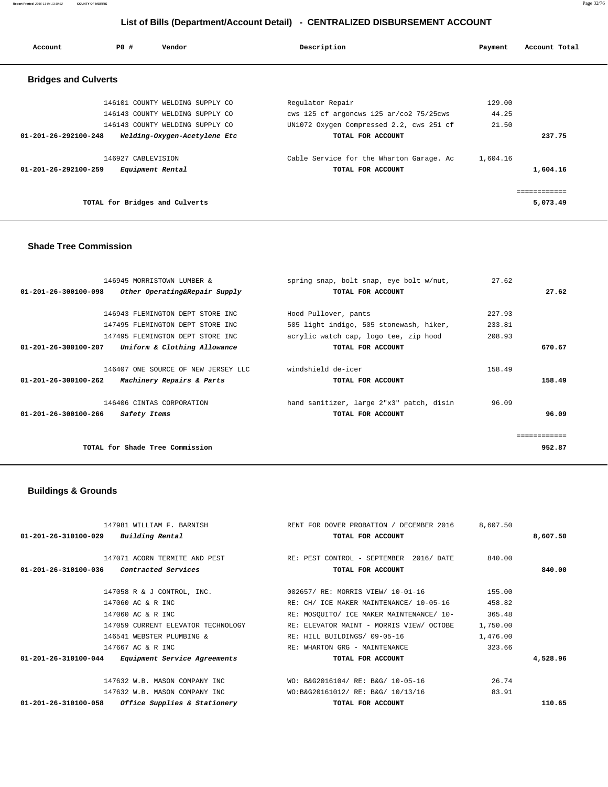**Report Printed** 2016-11-04 13:19:32 **COUNTY OF MORRIS** Page 32/76

# **List of Bills (Department/Account Detail) - CENTRALIZED DISBURSEMENT ACCOUNT**

| Account                        | PO#                | Vendor                          | Description                              | Payment  | Account Total |
|--------------------------------|--------------------|---------------------------------|------------------------------------------|----------|---------------|
| <b>Bridges and Culverts</b>    |                    |                                 |                                          |          |               |
|                                |                    | 146101 COUNTY WELDING SUPPLY CO | Regulator Repair                         | 129.00   |               |
|                                |                    | 146143 COUNTY WELDING SUPPLY CO | cws 125 cf argoncws 125 ar/co2 75/25cws  | 44.25    |               |
|                                |                    | 146143 COUNTY WELDING SUPPLY CO | UN1072 Oxygen Compressed 2.2, cws 251 cf | 21.50    |               |
| $01 - 201 - 26 - 292100 - 248$ |                    | Welding-Oxygen-Acetylene Etc    | TOTAL FOR ACCOUNT                        |          | 237.75        |
|                                | 146927 CABLEVISION |                                 | Cable Service for the Wharton Garage. Ac | 1,604.16 |               |
| $01 - 201 - 26 - 292100 - 259$ |                    | Equipment Rental                | TOTAL FOR ACCOUNT                        |          | 1,604.16      |
|                                |                    |                                 |                                          |          | ============  |
|                                |                    | TOTAL for Bridges and Culverts  |                                          |          | 5,073.49      |

### **Shade Tree Commission**

| 146945 MORRISTOWN LUMBER &                                      | spring snap, bolt snap, eye bolt w/nut,  | 27.62  |       |
|-----------------------------------------------------------------|------------------------------------------|--------|-------|
| $01 - 201 - 26 - 300100 - 098$<br>Other Operating&Repair Supply | TOTAL FOR ACCOUNT                        |        | 27.62 |
|                                                                 |                                          |        |       |
| 146943 FLEMINGTON DEPT STORE INC                                | Hood Pullover, pants                     | 227.93 |       |
| 147495 FLEMINGTON DEPT STORE INC                                | 505 light indigo, 505 stonewash, hiker,  | 233.81 |       |
| 147495 FLEMINGTON DEPT STORE INC                                | acrylic watch cap, logo tee, zip hood    | 208.93 |       |
| Uniform & Clothing Allowance<br>$01 - 201 - 26 - 300100 - 207$  | TOTAL FOR ACCOUNT                        | 670.67 |       |
|                                                                 |                                          |        |       |
| 146407 ONE SOURCE OF NEW JERSEY LLC                             | windshield de-icer                       | 158.49 |       |
| $01 - 201 - 26 - 300100 - 262$<br>Machinery Repairs & Parts     | TOTAL FOR ACCOUNT                        | 158.49 |       |
| 146406 CINTAS CORPORATION                                       | hand sanitizer, large 2"x3" patch, disin | 96.09  |       |
| 01-201-26-300100-266<br>Safety Items                            | TOTAL FOR ACCOUNT                        |        | 96.09 |
|                                                                 |                                          |        |       |
|                                                                 |                                          |        |       |
| TOTAL for Shade Tree Commission                                 |                                          | 952.87 |       |

# **Buildings & Grounds**

| 147981 WILLIAM F. BARNISH                                      | RENT FOR DOVER PROBATION / DECEMBER 2016   | 8,607.50 |          |
|----------------------------------------------------------------|--------------------------------------------|----------|----------|
| Building Rental<br>$01 - 201 - 26 - 310100 - 029$              | TOTAL FOR ACCOUNT                          |          | 8,607.50 |
|                                                                |                                            |          |          |
| 147071 ACORN TERMITE AND PEST                                  | 2016/ DATE<br>RE: PEST CONTROL - SEPTEMBER | 840.00   |          |
| Contracted Services<br>01-201-26-310100-036                    | TOTAL FOR ACCOUNT                          |          | 840.00   |
|                                                                |                                            |          |          |
| 147058 R & J CONTROL, INC.                                     | 002657/ RE: MORRIS VIEW/ 10-01-16          | 155.00   |          |
| 147060 AC & R INC                                              | RE: CH/ ICE MAKER MAINTENANCE/ 10-05-16    | 458.82   |          |
| 147060 AC & R INC                                              | RE: MOSQUITO/ ICE MAKER MAINTENANCE/ 10-   | 365.48   |          |
| 147059 CURRENT ELEVATOR TECHNOLOGY                             | RE: ELEVATOR MAINT - MORRIS VIEW/ OCTOBE   | 1,750.00 |          |
| 146541 WEBSTER PLUMBING &                                      | RE: HILL BUILDINGS/ 09-05-16               | 1,476.00 |          |
| 147667 AC & R INC                                              | RE: WHARTON GRG - MAINTENANCE              | 323.66   |          |
| 01-201-26-310100-044<br><i>Equipment Service Agreements</i>    | TOTAL FOR ACCOUNT                          |          | 4,528.96 |
| 147632 W.B. MASON COMPANY INC                                  | WO: B&G2016104/ RE: B&G/ 10-05-16          | 26.74    |          |
| 147632 W.B. MASON COMPANY INC                                  | WO:B&G20161012/ RE: B&G/ 10/13/16          | 83.91    |          |
| $01 - 201 - 26 - 310100 - 058$<br>Office Supplies & Stationery | TOTAL FOR ACCOUNT                          |          | 110.65   |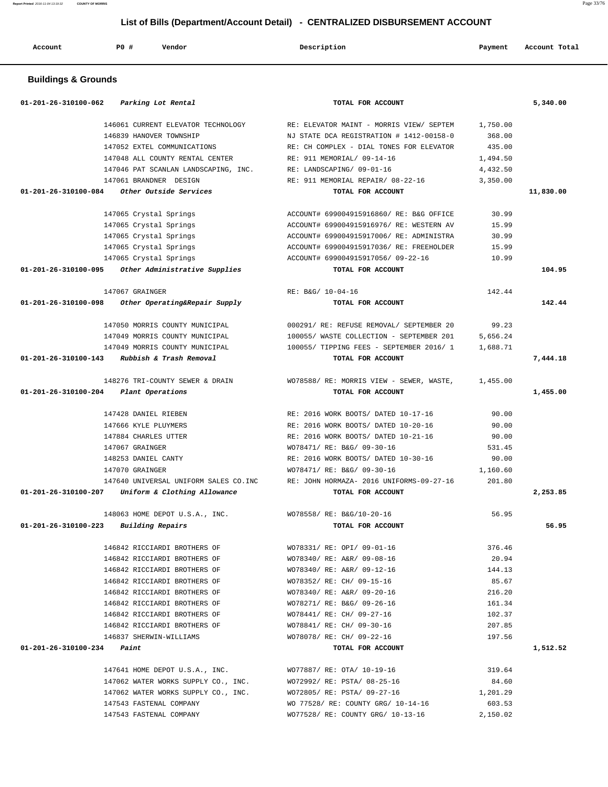**Report Printed** 2016-11-04 13:19:32 **COUNTY OF MORRIS** Page 33/76

# **List of Bills (Department/Account Detail) - CENTRALIZED DISBURSEMENT ACCOUNT**

| Account | PO# | Vendor<br>. | Description | Payment | Account Total |
|---------|-----|-------------|-------------|---------|---------------|
|         |     |             |             |         |               |

### **Buildings & Grounds**

| 01-201-26-310100-062<br>Parking Lot Rental            | TOTAL FOR ACCOUNT                        |          | 5,340.00  |
|-------------------------------------------------------|------------------------------------------|----------|-----------|
| 146061 CURRENT ELEVATOR TECHNOLOGY                    | RE: ELEVATOR MAINT - MORRIS VIEW/ SEPTEM | 1,750.00 |           |
| 146839 HANOVER TOWNSHIP                               | NJ STATE DCA REGISTRATION # 1412-00158-0 | 368.00   |           |
| 147052 EXTEL COMMUNICATIONS                           | RE: CH COMPLEX - DIAL TONES FOR ELEVATOR | 435.00   |           |
| 147048 ALL COUNTY RENTAL CENTER                       | RE: 911 MEMORIAL/ 09-14-16               | 1,494.50 |           |
| 147046 PAT SCANLAN LANDSCAPING, INC.                  | RE: LANDSCAPING/ 09-01-16                | 4,432.50 |           |
| 147061 BRANDNER DESIGN                                | RE: 911 MEMORIAL REPAIR/ 08-22-16        | 3,350.00 |           |
| 01-201-26-310100-084<br>Other Outside Services        | TOTAL FOR ACCOUNT                        |          | 11,830.00 |
| 147065 Crystal Springs                                | ACCOUNT# 699004915916860/ RE: B&G OFFICE | 30.99    |           |
| 147065 Crystal Springs                                | ACCOUNT# 699004915916976/ RE: WESTERN AV | 15.99    |           |
| 147065 Crystal Springs                                | ACCOUNT# 699004915917006/ RE: ADMINISTRA | 30.99    |           |
| 147065 Crystal Springs                                | ACCOUNT# 699004915917036/ RE: FREEHOLDER | 15.99    |           |
| 147065 Crystal Springs                                | ACCOUNT# 699004915917056/ 09-22-16       | 10.99    |           |
| 01-201-26-310100-095 Other Administrative Supplies    | TOTAL FOR ACCOUNT                        |          | 104.95    |
| 147067 GRAINGER                                       | RE: B&G/ 10-04-16                        | 142.44   |           |
| 01-201-26-310100-098<br>Other Operating&Repair Supply | TOTAL FOR ACCOUNT                        |          | 142.44    |
| 147050 MORRIS COUNTY MUNICIPAL                        | 000291/ RE: REFUSE REMOVAL/ SEPTEMBER 20 | 99.23    |           |
| 147049 MORRIS COUNTY MUNICIPAL                        | 100055/ WASTE COLLECTION - SEPTEMBER 201 | 5,656.24 |           |
| 147049 MORRIS COUNTY MUNICIPAL                        | 100055/ TIPPING FEES - SEPTEMBER 2016/ 1 | 1,688.71 |           |
| 01-201-26-310100-143<br>Rubbish & Trash Removal       | TOTAL FOR ACCOUNT                        |          | 7,444.18  |
| 148276 TRI-COUNTY SEWER & DRAIN                       | WO78588/RE: MORRIS VIEW - SEWER, WASTE,  | 1,455.00 |           |
| 01-201-26-310100-204<br>Plant Operations              | TOTAL FOR ACCOUNT                        |          | 1,455.00  |
| 147428 DANIEL RIEBEN                                  | RE: 2016 WORK BOOTS/ DATED 10-17-16      | 90.00    |           |
| 147666 KYLE PLUYMERS                                  | RE: 2016 WORK BOOTS/ DATED 10-20-16      | 90.00    |           |
| 147884 CHARLES UTTER                                  | RE: 2016 WORK BOOTS/ DATED 10-21-16      | 90.00    |           |
| 147067 GRAINGER                                       | WO78471/ RE: B&G/ 09-30-16               | 531.45   |           |
| 148253 DANIEL CANTY                                   | RE: 2016 WORK BOOTS/ DATED 10-30-16      | 90.00    |           |
| 147070 GRAINGER                                       | WO78471/ RE: B&G/ 09-30-16               | 1,160.60 |           |
| 147640 UNIVERSAL UNIFORM SALES CO. INC                | RE: JOHN HORMAZA- 2016 UNIFORMS-09-27-16 | 201.80   |           |
| 01-201-26-310100-207<br>Uniform & Clothing Allowance  | TOTAL FOR ACCOUNT                        |          | 2,253.85  |
| 148063 HOME DEPOT U.S.A., INC.                        | WO78558/ RE: B&G/10-20-16                | 56.95    |           |
| 01-201-26-310100-223<br>Building Repairs              | TOTAL FOR ACCOUNT                        |          | 56.95     |
| 146842 RICCIARDI BROTHERS OF                          | WO78331/ RE: OPI/ 09-01-16               | 376.46   |           |
| 146842 RICCIARDI BROTHERS OF                          | WO78340/ RE: A&R/ 09-08-16               | 20.94    |           |
| 146842 RICCIARDI BROTHERS OF                          | WO78340/ RE: A&R/ 09-12-16               | 144.13   |           |
| 146842 RICCIARDI BROTHERS OF                          | WO78352/ RE: CH/ 09-15-16                | 85.67    |           |
| 146842 RICCIARDI BROTHERS OF                          | WO78340/ RE: A&R/ 09-20-16               | 216.20   |           |
| 146842 RICCIARDI BROTHERS OF                          | WO78271/ RE: B&G/ 09-26-16               | 161.34   |           |
| 146842 RICCIARDI BROTHERS OF                          | WO78441/ RE: CH/ 09-27-16                | 102.37   |           |
| 146842 RICCIARDI BROTHERS OF                          | WO78841/ RE: CH/ 09-30-16                | 207.85   |           |
| 146837 SHERWIN-WILLIAMS                               | WO78078/ RE: CH/ 09-22-16                | 197.56   |           |
| $01 - 201 - 26 - 310100 - 234$ Paint                  | TOTAL FOR ACCOUNT                        |          | 1,512.52  |
| 147641 HOME DEPOT U.S.A., INC.                        | WO77887/ RE: OTA/ 10-19-16               | 319.64   |           |
| 147062 WATER WORKS SUPPLY CO., INC.                   | WO72992/ RE: PSTA/ 08-25-16              | 84.60    |           |
| 147062 WATER WORKS SUPPLY CO., INC.                   | WO72805/ RE: PSTA/ 09-27-16              | 1,201.29 |           |
| 147543 FASTENAL COMPANY                               | WO 77528/ RE: COUNTY GRG/ 10-14-16       | 603.53   |           |
| 147543 FASTENAL COMPANY                               | WO77528/ RE: COUNTY GRG/ 10-13-16        | 2,150.02 |           |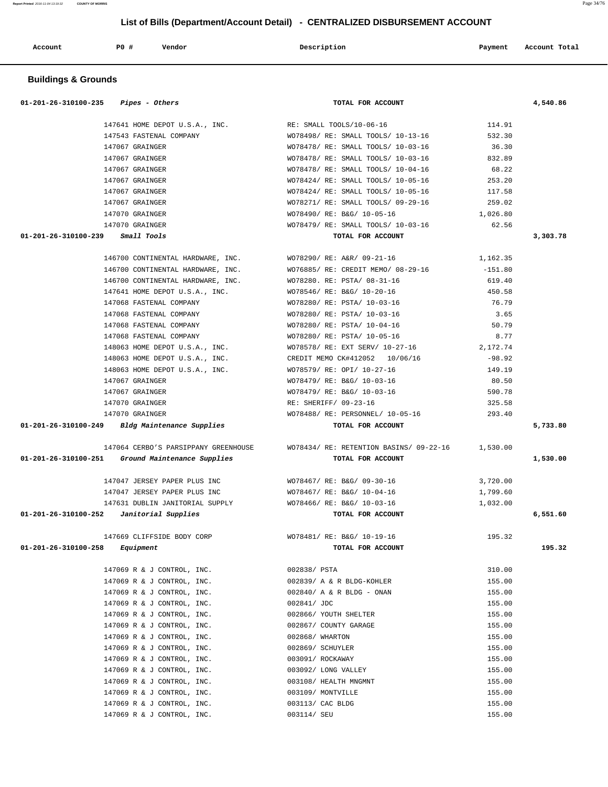| Account                                    | P0 #            | Vendor                               | Description                                      | Payment   | Account Total |
|--------------------------------------------|-----------------|--------------------------------------|--------------------------------------------------|-----------|---------------|
| <b>Buildings &amp; Grounds</b>             |                 |                                      |                                                  |           |               |
| 01-201-26-310100-235                       |                 | Pipes - Others                       | TOTAL FOR ACCOUNT                                |           | 4,540.86      |
|                                            |                 | 147641 HOME DEPOT U.S.A., INC.       | RE: SMALL TOOLS/10-06-16                         | 114.91    |               |
|                                            |                 | 147543 FASTENAL COMPANY              | WO78498/ RE: SMALL TOOLS/ 10-13-16               | 532.30    |               |
|                                            | 147067 GRAINGER |                                      | WO78478/ RE: SMALL TOOLS/ 10-03-16               | 36.30     |               |
|                                            | 147067 GRAINGER |                                      | WO78478/ RE: SMALL TOOLS/ 10-03-16               | 832.89    |               |
|                                            | 147067 GRAINGER |                                      | WO78478/ RE: SMALL TOOLS/ 10-04-16               | 68.22     |               |
|                                            | 147067 GRAINGER |                                      | WO78424/ RE: SMALL TOOLS/ 10-05-16               | 253.20    |               |
|                                            | 147067 GRAINGER |                                      | WO78424/ RE: SMALL TOOLS/ 10-05-16               | 117.58    |               |
|                                            | 147067 GRAINGER |                                      | WO78271/ RE: SMALL TOOLS/ 09-29-16               | 259.02    |               |
|                                            | 147070 GRAINGER |                                      | WO78490/ RE: B&G/ 10-05-16                       | 1,026.80  |               |
|                                            | 147070 GRAINGER |                                      | WO78479/ RE: SMALL TOOLS/ 10-03-16               | 62.56     |               |
| 01-201-26-310100-239                       |                 | Small Tools                          | TOTAL FOR ACCOUNT                                |           | 3,303.78      |
|                                            |                 | 146700 CONTINENTAL HARDWARE, INC.    | WO78290/ RE: A&R/ 09-21-16                       | 1,162.35  |               |
|                                            |                 | 146700 CONTINENTAL HARDWARE, INC.    | WO76885/ RE: CREDIT MEMO/ 08-29-16               | $-151.80$ |               |
|                                            |                 | 146700 CONTINENTAL HARDWARE, INC.    | WO78280. RE: PSTA/ 08-31-16                      | 619.40    |               |
|                                            |                 | 147641 HOME DEPOT U.S.A., INC.       | WO78546/ RE: B&G/ 10-20-16                       | 450.58    |               |
|                                            |                 | 147068 FASTENAL COMPANY              | WO78280/ RE: PSTA/ 10-03-16                      | 76.79     |               |
|                                            |                 | 147068 FASTENAL COMPANY              | WO78280/ RE: PSTA/ 10-03-16                      | 3.65      |               |
|                                            |                 | 147068 FASTENAL COMPANY              | WO78280/ RE: PSTA/ 10-04-16                      | 50.79     |               |
|                                            |                 | 147068 FASTENAL COMPANY              | WO78280/ RE: PSTA/ 10-05-16                      | 8.77      |               |
|                                            |                 | 148063 HOME DEPOT U.S.A., INC.       | WO78578/ RE: EXT SERV/ 10-27-16 2,172.74         |           |               |
|                                            |                 | 148063 HOME DEPOT U.S.A., INC.       | CREDIT MEMO CK#412052 10/06/16                   | $-98.92$  |               |
|                                            |                 | 148063 HOME DEPOT U.S.A., INC.       | WO78579/ RE: OPI/ 10-27-16                       | 149.19    |               |
|                                            | 147067 GRAINGER |                                      | WO78479/ RE: B&G/ 10-03-16                       | 80.50     |               |
|                                            | 147067 GRAINGER |                                      | WO78479/ RE: B&G/ 10-03-16                       | 590.78    |               |
|                                            | 147070 GRAINGER |                                      | RE: SHERIFF/ 09-23-16                            | 325.58    |               |
|                                            | 147070 GRAINGER |                                      | WO78488/ RE: PERSONNEL/ 10-05-16                 | 293.40    |               |
| 01-201-26-310100-249                       |                 | Bldg Maintenance Supplies            | TOTAL FOR ACCOUNT                                |           | 5,733.80      |
|                                            |                 | 147064 CERBO'S PARSIPPANY GREENHOUSE | WO78434/ RE: RETENTION BASINS/ 09-22-16 1,530.00 |           |               |
| 01-201-26-310100-251                       |                 | Ground Maintenance Supplies          | TOTAL FOR ACCOUNT                                |           | 1,530.00      |
|                                            |                 | 147047 JERSEY PAPER PLUS INC         | WO78467/ RE: B&G/ 09-30-16                       | 3,720.00  |               |
|                                            |                 | 147047 JERSEY PAPER PLUS INC         | WO78467/ RE: B&G/ 10-04-16                       | 1,799.60  |               |
|                                            |                 | 147631 DUBLIN JANITORIAL SUPPLY      | WO78466/ RE: B&G/ 10-03-16                       | 1,032.00  |               |
| $01-201-26-310100-252$ Janitorial Supplies |                 |                                      | TOTAL FOR ACCOUNT                                |           | 6,551.60      |
|                                            |                 | 147669 CLIFFSIDE BODY CORP           | WO78481/ RE: B&G/ 10-19-16                       | 195.32    |               |
| 01-201-26-310100-258                       | Equipment       |                                      | TOTAL FOR ACCOUNT                                |           | 195.32        |
|                                            |                 | 147069 R & J CONTROL, INC.           | 002838/ PSTA                                     | 310.00    |               |
|                                            |                 | 147069 R & J CONTROL, INC.           | 002839/ A & R BLDG-KOHLER                        | 155.00    |               |
|                                            |                 | 147069 R & J CONTROL, INC.           | 002840/ A & R BLDG - ONAN                        | 155.00    |               |
|                                            |                 | 147069 R & J CONTROL, INC.           | 002841/ JDC                                      | 155.00    |               |
|                                            |                 | 147069 R & J CONTROL, INC.           | 002866/ YOUTH SHELTER                            | 155.00    |               |
|                                            |                 | 147069 R & J CONTROL, INC.           | 002867/ COUNTY GARAGE                            | 155.00    |               |
|                                            |                 | 147069 R & J CONTROL, INC.           | 002868/ WHARTON                                  | 155.00    |               |
|                                            |                 | 147069 R & J CONTROL, INC.           | 002869/ SCHUYLER                                 | 155.00    |               |
|                                            |                 | 147069 R & J CONTROL, INC.           | 003091/ ROCKAWAY                                 | 155.00    |               |
|                                            |                 | 147069 R & J CONTROL, INC.           | 003092/ LONG VALLEY                              | 155.00    |               |
|                                            |                 | 147069 R & J CONTROL, INC.           | 003108/ HEALTH MNGMNT                            | 155.00    |               |
|                                            |                 | 147069 R & J CONTROL, INC.           | 003109/ MONTVILLE                                | 155.00    |               |
|                                            |                 | 147069 R & J CONTROL, INC.           | 003113/ CAC BLDG                                 | 155.00    |               |
|                                            |                 | 147069 R & J CONTROL, INC.           | 003114/ SEU                                      | 155.00    |               |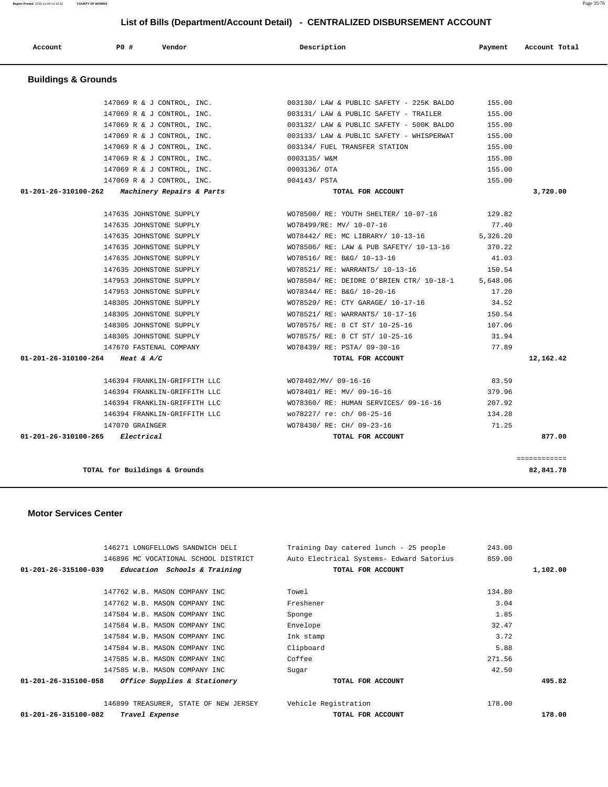| 147584 W.B. MASON COMPANY INC                        | Envelope             | 32.47  |
|------------------------------------------------------|----------------------|--------|
| 147584 W.B. MASON COMPANY INC                        | Ink stamp            | 3.72   |
| 147584 W.B. MASON COMPANY INC                        | Clipboard            | 5.88   |
| 147585 W.B. MASON COMPANY INC                        | Coffee               | 271.56 |
| 147585 W.B. MASON COMPANY INC                        | Sugar                | 42.50  |
| Office Supplies & Stationery<br>01-201-26-315100-058 | TOTAL FOR ACCOUNT    | 495.82 |
| 146899 TREASURER, STATE OF NEW JERSEY                | Vehicle Registration | 178.00 |
| 01-201-26-315100-082<br>Travel Expense               | TOTAL FOR ACCOUNT    | 178.00 |

 **01-201-26-315100-039 Education Schools & Training TOTAL FOR ACCOUNT 1,102.00**

 147762 W.B. MASON COMPANY INC Towel 134.80 147762 W.B. MASON COMPANY INC Freshener 3.04 147584 W.B. MASON COMPANY INC Sponge Sponge 1.85

 146271 LONGFELLOWS SANDWICH DELI Training Day catered lunch - 25 people 243.00 146896 MC VOCATIONAL SCHOOL DISTRICT Auto Electrical Systems- Edward Satorius 859.00

#### **Motor Services Center**

|           | 155.00 | 147069 R & J CONTROL, INC. $003132/$ LAW & PUBLIC SAFETY - 500K BALDO        |                                                  |
|-----------|--------|------------------------------------------------------------------------------|--------------------------------------------------|
|           |        | 147069 R & J CONTROL, INC. 003133/ LAW & PUBLIC SAFETY - WHISPERWAT 155.00   |                                                  |
|           | 155.00 | 147069 R & J CONTROL, INC. 003134/ FUEL TRANSFER STATION                     |                                                  |
|           | 155.00 |                                                                              | 147069 R & J CONTROL, INC. 0003135/ W&M          |
|           | 155.00 |                                                                              | 147069 R & J CONTROL, INC. 6003136/0TA           |
|           | 155.00 |                                                                              | 147069 R & J CONTROL, INC. 004143/ PSTA          |
| 3,720.00  |        | TOTAL FOR ACCOUNT                                                            | $01-201-26-310100-262$ Machinery Repairs & Parts |
|           |        | WO78500/ RE: YOUTH SHELTER/ 10-07-16 129.82                                  | 147635 JOHNSTONE SUPPLY                          |
|           | 77.40  |                                                                              |                                                  |
|           |        | 147635 JOHNSTONE SUPPLY WO78442/ RE: MC LIBRARY/ 10-13-16 5,326.20           |                                                  |
|           |        | 147635 JOHNSTONE SUPPLY 670.22 WO78506/RE: LAW & PUB SAFETY/ 10-13-16 370.22 |                                                  |
|           | 41.03  | 147635 JOHNSTONE SUPPLY WO78516/RE: B&G/ 10-13-16                            |                                                  |
|           |        | 147635 JOHNSTONE SUPPLY 61.54 WO78521/ RE: WARRANTS/ 10-13-16 150.54         |                                                  |
|           |        | 147953 JOHNSTONE SUPPLY WO78504/ RE: DEIDRE O'BRIEN CTR/ 10-18-1 5,648.06    |                                                  |
|           | 17.20  | 147953 JOHNSTONE SUPPLY WO78344/ RE: B&G/ 10-20-16                           |                                                  |
|           | 34.52  | 148305 JOHNSTONE SUPPLY WO78529/RE: CTY GARAGE/ 10-17-16                     |                                                  |
|           | 150.54 | 148305 JOHNSTONE SUPPLY WO78521/RE: WARRANTS/10-17-16                        |                                                  |
|           |        | 148305 JOHNSTONE SUPPLY 6078575/RE: 8 CT ST/ 10-25-16 107.06                 |                                                  |
|           | 31.94  | WO78575/ RE: 8 CT ST/ 10-25-16                                               | 148305 JOHNSTONE SUPPLY                          |
|           | 77.89  | 147670 FASTENAL COMPANY 6000000 WOT8439/RE: PSTA/09-30-16                    |                                                  |
| 12,162.42 |        | TOTAL FOR ACCOUNT                                                            | 01-201-26-310100-264 Heat & A/C                  |
|           | 83.59  | 146394 FRANKLIN-GRIFFITH LLC WO78402/MV/ 09-16-16                            |                                                  |
|           | 379.96 | 146394 FRANKLIN-GRIFFITH LLC WO78401/ RE: MV/ 09-16-16                       |                                                  |
|           | 207.92 | 146394 FRANKLIN-GRIFFITH LLC WO78360/ RE: HUMAN SERVICES/ 09-16-16           |                                                  |
|           |        | 146394 FRANKLIN-GRIFFITH LLC WO78227/ re: ch/ 08-25-16 134.28                |                                                  |
|           | 71.25  | WO78430/ RE: CH/ 09-23-16                                                    | 147070 GRAINGER                                  |
| 877.00    |        | TOTAL FOR ACCOUNT                                                            | $01 - 201 - 26 - 310100 - 265$ Electrical        |

# **Buildings & Grounds**

 **Account P0 # Vendor Description Payment Account Total**

 147069 R & J CONTROL, INC. 003130/ LAW & PUBLIC SAFETY - 225K BALDO 155.00 147069 R & J CONTROL, INC. 003131/ LAW & PUBLIC SAFETY - TRAILER 155.00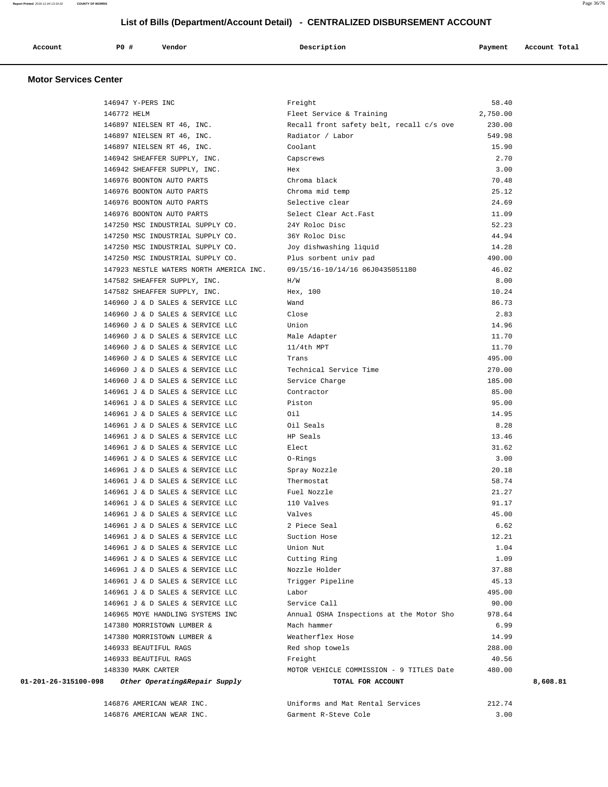# **List of Bills (Department/Account Detail) - CENTRALIZED DISBURSEMENT ACCOUNT**

| Account | P0# | Vendor | Description | Payment | Account Total |
|---------|-----|--------|-------------|---------|---------------|
|         |     |        |             |         |               |

#### **Motor Services Center**

| 146947 Y-PERS INC                                     | Freight                                  | 58.40    |
|-------------------------------------------------------|------------------------------------------|----------|
| 146772 HELM                                           | Fleet Service & Training                 | 2,750.00 |
| 146897 NIELSEN RT 46, INC.                            | Recall front safety belt, recall c/s ove | 230.00   |
| 146897 NIELSEN RT 46, INC.                            | Radiator / Labor                         | 549.98   |
| 146897 NIELSEN RT 46, INC.                            | Coolant                                  | 15.90    |
| 146942 SHEAFFER SUPPLY, INC.                          | Capscrews                                | 2.70     |
| 146942 SHEAFFER SUPPLY, INC.                          | Hex                                      | 3.00     |
| 146976 BOONTON AUTO PARTS                             | Chroma black                             | 70.48    |
| 146976 BOONTON AUTO PARTS                             | Chroma mid temp                          | 25.12    |
| 146976 BOONTON AUTO PARTS                             | Selective clear                          | 24.69    |
| 146976 BOONTON AUTO PARTS                             | Select Clear Act.Fast                    | 11.09    |
| 147250 MSC INDUSTRIAL SUPPLY CO.                      | 24Y Roloc Disc                           | 52.23    |
| 147250 MSC INDUSTRIAL SUPPLY CO.                      | 36Y Roloc Disc                           | 44.94    |
| 147250 MSC INDUSTRIAL SUPPLY CO.                      | Joy dishwashing liquid                   | 14.28    |
| 147250 MSC INDUSTRIAL SUPPLY CO.                      | Plus sorbent univ pad                    | 490.00   |
| 147923 NESTLE WATERS NORTH AMERICA INC.               | 09/15/16-10/14/16 06J0435051180          | 46.02    |
| 147582 SHEAFFER SUPPLY, INC.                          | H/W                                      | 8.00     |
| 147582 SHEAFFER SUPPLY, INC.                          | Hex, 100                                 | 10.24    |
| 146960 J & D SALES & SERVICE LLC                      | Wand                                     | 86.73    |
| 146960 J & D SALES & SERVICE LLC                      | Close                                    | 2.83     |
| 146960 J & D SALES & SERVICE LLC                      | Union                                    | 14.96    |
| 146960 J & D SALES & SERVICE LLC                      | Male Adapter                             | 11.70    |
| 146960 J & D SALES & SERVICE LLC                      | $11/4th$ MPT                             | 11.70    |
| 146960 J & D SALES & SERVICE LLC                      | Trans                                    | 495.00   |
| 146960 J & D SALES & SERVICE LLC                      | Technical Service Time                   | 270.00   |
| 146960 J & D SALES & SERVICE LLC                      | Service Charge                           | 185.00   |
| 146961 J & D SALES & SERVICE LLC                      | Contractor                               | 85.00    |
| 146961 J & D SALES & SERVICE LLC                      | Piston                                   | 95.00    |
| 146961 J & D SALES & SERVICE LLC                      | Oil                                      | 14.95    |
| 146961 J & D SALES & SERVICE LLC                      | Oil Seals                                | 8.28     |
| 146961 J & D SALES & SERVICE LLC                      | HP Seals                                 | 13.46    |
| 146961 J & D SALES & SERVICE LLC                      | Elect                                    | 31.62    |
| 146961 J & D SALES & SERVICE LLC                      | 0-Rings                                  | 3.00     |
| 146961 J & D SALES & SERVICE LLC                      | Spray Nozzle                             | 20.18    |
| 146961 J & D SALES & SERVICE LLC                      | Thermostat                               | 58.74    |
| 146961 J & D SALES & SERVICE LLC                      | Fuel Nozzle                              | 21.27    |
| 146961 J & D SALES & SERVICE LLC                      | 110 Valves                               | 91.17    |
| 146961 J & D SALES & SERVICE LLC                      | Valves                                   | 45.00    |
| 146961 J & D SALES & SERVICE LLC                      | 2 Piece Seal                             | 6.62     |
| 146961 J & D SALES & SERVICE LLC                      | Suction Hose                             | 12.21    |
| 146961 J & D SALES & SERVICE LLC                      | Union Nut                                | 1.04     |
| 146961 J & D SALES & SERVICE LLC                      | Cutting Ring                             | 1.09     |
| 146961 J & D SALES & SERVICE LLC                      | Nozzle Holder                            | 37.88    |
| 146961 J & D SALES & SERVICE LLC                      | Trigger Pipeline                         | 45.13    |
| 146961 J & D SALES & SERVICE LLC                      | Labor                                    | 495.00   |
| 146961 J & D SALES & SERVICE LLC                      | Service Call                             | 90.00    |
| 146965 MOYE HANDLING SYSTEMS INC                      | Annual OSHA Inspections at the Motor Sho | 978.64   |
| 147380 MORRISTOWN LUMBER &                            | Mach hammer                              | 6.99     |
| 147380 MORRISTOWN LUMBER &                            | Weatherflex Hose                         | 14.99    |
| 146933 BEAUTIFUL RAGS                                 | Red shop towels                          | 288.00   |
| 146933 BEAUTIFUL RAGS                                 | Freight                                  | 40.56    |
| 148330 MARK CARTER                                    | MOTOR VEHICLE COMMISSION - 9 TITLES Date | 480.00   |
| 01-201-26-315100-098<br>Other Operating&Repair Supply | TOTAL FOR ACCOUNT                        | 8,608.81 |
|                                                       |                                          |          |

| 146876 AMERICAN WEAR INC. | Uniforms and Mat Rental Services | 212.74 |
|---------------------------|----------------------------------|--------|
| 146876 AMERICAN WEAR INC. | Garment R-Steve Cole             | .00    |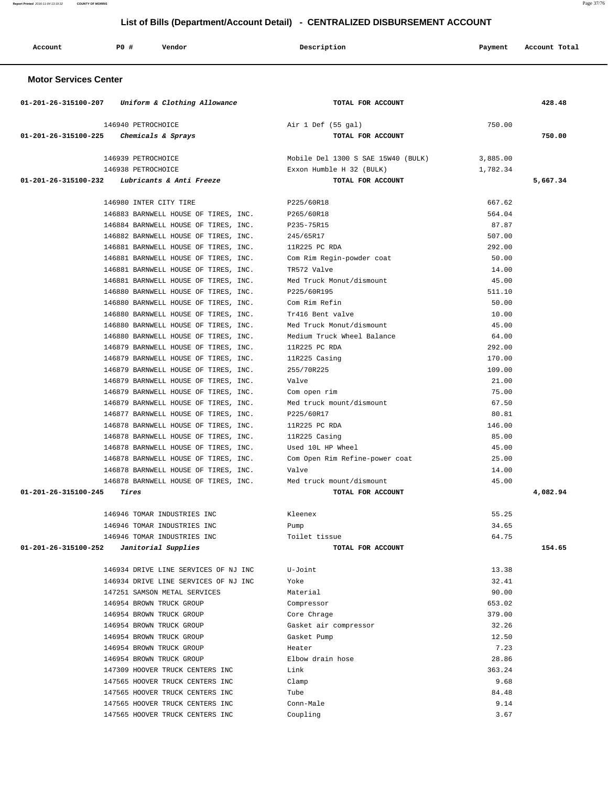**Report Printed** 2016-11-04 13:19:32 **COUNTY OF MORRIS** Page 37/76

## **List of Bills (Department/Account Detail) - CENTRALIZED DISBURSEMENT ACCOUNT**

| Account | P0 # | Vendor | Description | Payment | Account Total |
|---------|------|--------|-------------|---------|---------------|
|         |      |        |             |         |               |

| 01-201-26-315100-207<br>Uniform & Clothing Allowance                         | TOTAL FOR ACCOUNT                        |                 | 428.48   |
|------------------------------------------------------------------------------|------------------------------------------|-----------------|----------|
| 146940 PETROCHOICE                                                           | Air 1 Def (55 gal)                       | 750.00          |          |
| 01-201-26-315100-225<br>Chemicals & Sprays                                   | TOTAL FOR ACCOUNT                        |                 | 750.00   |
| 146939 PETROCHOICE                                                           | Mobile Del 1300 S SAE 15W40 (BULK)       | 3,885.00        |          |
| 146938 PETROCHOICE                                                           | Exxon Humble H 32 (BULK)                 | 1,782.34        |          |
| Lubricants & Anti Freeze<br>01-201-26-315100-232                             | TOTAL FOR ACCOUNT                        |                 | 5,667.34 |
|                                                                              |                                          |                 |          |
| 146980 INTER CITY TIRE                                                       | P225/60R18                               | 667.62          |          |
| 146883 BARNWELL HOUSE OF TIRES, INC.                                         | P265/60R18                               | 564.04          |          |
| 146884 BARNWELL HOUSE OF TIRES, INC.                                         | P235-75R15                               | 87.87           |          |
| 146882 BARNWELL HOUSE OF TIRES, INC.                                         | 245/65R17                                | 507.00          |          |
| 146881 BARNWELL HOUSE OF TIRES, INC.                                         | 11R225 PC RDA                            | 292.00          |          |
| 146881 BARNWELL HOUSE OF TIRES, INC.                                         | Com Rim Regin-powder coat                | 50.00           |          |
| 146881 BARNWELL HOUSE OF TIRES, INC.                                         | TR572 Valve                              | 14.00           |          |
| 146881 BARNWELL HOUSE OF TIRES, INC.                                         | Med Truck Monut/dismount                 | 45.00           |          |
| 146880 BARNWELL HOUSE OF TIRES, INC.                                         | P225/60R195                              | 511.10          |          |
| 146880 BARNWELL HOUSE OF TIRES, INC.                                         | Com Rim Refin                            | 50.00           |          |
| 146880 BARNWELL HOUSE OF TIRES, INC.                                         | Tr416 Bent valve                         | 10.00           |          |
| 146880 BARNWELL HOUSE OF TIRES, INC.                                         | Med Truck Monut/dismount                 | 45.00           |          |
| 146880 BARNWELL HOUSE OF TIRES, INC.                                         | Medium Truck Wheel Balance               | 64.00           |          |
| 146879 BARNWELL HOUSE OF TIRES, INC.                                         | 11R225 PC RDA                            | 292.00          |          |
| 146879 BARNWELL HOUSE OF TIRES, INC.                                         | 11R225 Casing                            | 170.00          |          |
| 146879 BARNWELL HOUSE OF TIRES, INC.                                         | 255/70R225<br>Valve                      | 109.00<br>21.00 |          |
| 146879 BARNWELL HOUSE OF TIRES, INC.<br>146879 BARNWELL HOUSE OF TIRES, INC. |                                          | 75.00           |          |
| 146879 BARNWELL HOUSE OF TIRES, INC.                                         | Com open rim<br>Med truck mount/dismount | 67.50           |          |
| 146877 BARNWELL HOUSE OF TIRES, INC.                                         | P225/60R17                               | 80.81           |          |
| 146878 BARNWELL HOUSE OF TIRES, INC.                                         | 11R225 PC RDA                            | 146.00          |          |
| 146878 BARNWELL HOUSE OF TIRES, INC.                                         | 11R225 Casing                            | 85.00           |          |
| 146878 BARNWELL HOUSE OF TIRES, INC.                                         | Used 10L HP Wheel                        | 45.00           |          |
| 146878 BARNWELL HOUSE OF TIRES, INC.                                         | Com Open Rim Refine-power coat           | 25.00           |          |
| 146878 BARNWELL HOUSE OF TIRES, INC.                                         | Valve                                    | 14.00           |          |
| 146878 BARNWELL HOUSE OF TIRES, INC.                                         | Med truck mount/dismount                 | 45.00           |          |
| 01-201-26-315100-245<br>Tires                                                | TOTAL FOR ACCOUNT                        |                 | 4,082.94 |
| 146946 TOMAR INDUSTRIES INC                                                  | Kleenex                                  | 55.25           |          |
| 146946 TOMAR INDUSTRIES INC                                                  | Pump                                     | 34.65           |          |
| 146946 TOMAR INDUSTRIES INC                                                  | Toilet tissue                            | 64.75           |          |
| 01-201-26-315100-252<br>Janitorial Supplies                                  | TOTAL FOR ACCOUNT                        |                 | 154.65   |
|                                                                              |                                          |                 |          |
| 146934 DRIVE LINE SERVICES OF NJ INC                                         | U-Joint                                  | 13.38           |          |
| 146934 DRIVE LINE SERVICES OF NJ INC                                         | Yoke                                     | 32.41           |          |
| 147251 SAMSON METAL SERVICES                                                 | Material                                 | 90.00           |          |
| 146954 BROWN TRUCK GROUP                                                     | Compressor                               | 653.02          |          |
| 146954 BROWN TRUCK GROUP                                                     | Core Chrage                              | 379.00          |          |
| 146954 BROWN TRUCK GROUP                                                     | Gasket air compressor                    | 32.26           |          |
| 146954 BROWN TRUCK GROUP                                                     | Gasket Pump                              | 12.50           |          |
| 146954 BROWN TRUCK GROUP                                                     | Heater                                   | 7.23            |          |
| 146954 BROWN TRUCK GROUP                                                     | Elbow drain hose                         | 28.86           |          |
| 147309 HOOVER TRUCK CENTERS INC                                              | Link                                     | 363.24          |          |
| 147565 HOOVER TRUCK CENTERS INC                                              | Clamp                                    | 9.68            |          |
| 147565 HOOVER TRUCK CENTERS INC                                              | Tube                                     | 84.48           |          |
| 147565 HOOVER TRUCK CENTERS INC                                              | Conn-Male                                | 9.14            |          |
| 147565 HOOVER TRUCK CENTERS INC                                              | Coupling                                 | 3.67            |          |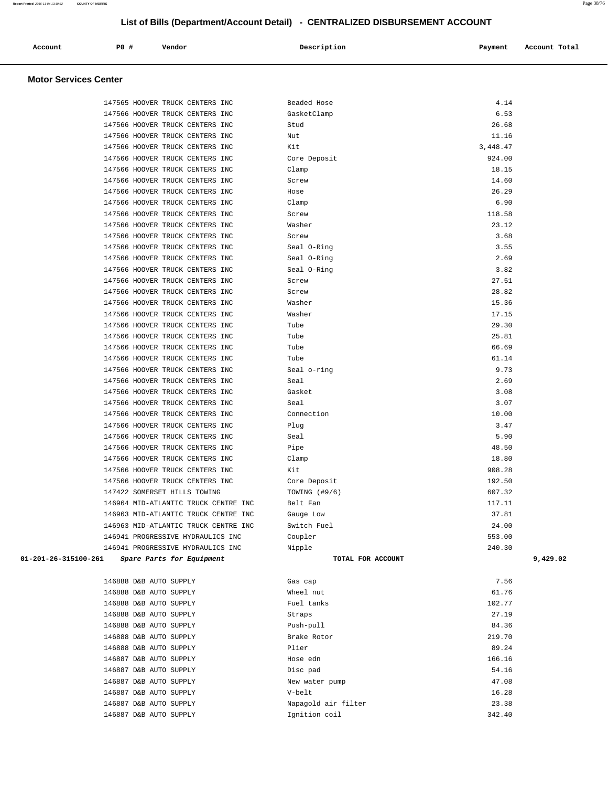|  | Account<br>. | PO# | Vendor | Description | Payment | Account Total |
|--|--------------|-----|--------|-------------|---------|---------------|
|--|--------------|-----|--------|-------------|---------|---------------|

| 147565 HOOVER TRUCK CENTERS INC                   | Beaded Hose                          | 4.14            |          |
|---------------------------------------------------|--------------------------------------|-----------------|----------|
| 147566 HOOVER TRUCK CENTERS INC                   | GasketClamp                          | 6.53            |          |
| 147566 HOOVER TRUCK CENTERS INC                   | Stud                                 | 26.68           |          |
| 147566 HOOVER TRUCK CENTERS INC                   | Nut                                  | 11.16           |          |
| 147566 HOOVER TRUCK CENTERS INC                   | Kit                                  | 3,448.47        |          |
| 147566 HOOVER TRUCK CENTERS INC                   | Core Deposit                         | 924.00          |          |
| 147566 HOOVER TRUCK CENTERS INC                   | Clamp                                | 18.15           |          |
| 147566 HOOVER TRUCK CENTERS INC                   | Screw                                | 14.60           |          |
| 147566 HOOVER TRUCK CENTERS INC                   | Hose                                 | 26.29           |          |
| 147566 HOOVER TRUCK CENTERS INC                   | Clamp                                | 6.90            |          |
| 147566 HOOVER TRUCK CENTERS INC                   | Screw                                | 118.58          |          |
| 147566 HOOVER TRUCK CENTERS INC                   | Washer                               | 23.12           |          |
|                                                   | Screw                                | 3.68            |          |
| 147566 HOOVER TRUCK CENTERS INC                   |                                      |                 |          |
| 147566 HOOVER TRUCK CENTERS INC                   | Seal O-Ring                          | 3.55            |          |
| 147566 HOOVER TRUCK CENTERS INC                   | Seal O-Ring                          | 2.69            |          |
| 147566 HOOVER TRUCK CENTERS INC                   | Seal O-Ring                          | 3.82            |          |
| 147566 HOOVER TRUCK CENTERS INC                   | Screw                                | 27.51           |          |
| 147566 HOOVER TRUCK CENTERS INC                   | Screw                                | 28.82           |          |
| 147566 HOOVER TRUCK CENTERS INC                   | Washer                               | 15.36           |          |
| 147566 HOOVER TRUCK CENTERS INC                   | Washer                               | 17.15           |          |
| 147566 HOOVER TRUCK CENTERS INC                   | Tube                                 | 29.30           |          |
| 147566 HOOVER TRUCK CENTERS INC                   | Tube                                 | 25.81           |          |
| 147566 HOOVER TRUCK CENTERS INC                   | Tube                                 | 66.69           |          |
| 147566 HOOVER TRUCK CENTERS INC                   | Tube                                 | 61.14           |          |
| 147566 HOOVER TRUCK CENTERS INC                   | Seal o-ring                          | 9.73            |          |
| 147566 HOOVER TRUCK CENTERS INC                   | Seal                                 | 2.69            |          |
| 147566 HOOVER TRUCK CENTERS INC                   | Gasket                               | 3.08            |          |
| 147566 HOOVER TRUCK CENTERS INC                   | Seal                                 | 3.07            |          |
| 147566 HOOVER TRUCK CENTERS INC                   | Connection                           | 10.00           |          |
| 147566 HOOVER TRUCK CENTERS INC                   | Plug                                 | 3.47            |          |
| 147566 HOOVER TRUCK CENTERS INC                   | Seal                                 | 5.90            |          |
| 147566 HOOVER TRUCK CENTERS INC                   | Pipe                                 | 48.50           |          |
| 147566 HOOVER TRUCK CENTERS INC                   | Clamp                                | 18.80           |          |
| 147566 HOOVER TRUCK CENTERS INC                   | Kit                                  | 908.28          |          |
| 147566 HOOVER TRUCK CENTERS INC                   | Core Deposit                         | 192.50          |          |
| 147422 SOMERSET HILLS TOWING                      | TOWING (#9/6)                        | 607.32          |          |
| 146964 MID-ATLANTIC TRUCK CENTRE INC              | Belt Fan                             | 117.11          |          |
| 146963 MID-ATLANTIC TRUCK CENTRE INC              | Gauge Low                            | 37.81           |          |
| 146963 MID-ATLANTIC TRUCK CENTRE INC              | Switch Fuel                          | 24.00           |          |
| 146941 PROGRESSIVE HYDRAULICS INC                 | Coupler                              | 553.00          |          |
| 146941 PROGRESSIVE HYDRAULICS INC                 | Nipple                               | 240.30          |          |
| 01-201-26-315100-261<br>Spare Parts for Equipment | TOTAL FOR ACCOUNT                    |                 | 9,429.02 |
|                                                   |                                      |                 |          |
| 146888 D&B AUTO SUPPLY                            | Gas cap                              | 7.56            |          |
| 146888 D&B AUTO SUPPLY                            | Wheel nut                            | 61.76           |          |
| 146888 D&B AUTO SUPPLY                            | Fuel tanks                           | 102.77          |          |
| 146888 D&B AUTO SUPPLY                            |                                      | 27.19           |          |
| 146888 D&B AUTO SUPPLY                            |                                      |                 |          |
|                                                   | Straps                               |                 |          |
|                                                   | Push-pull                            | 84.36           |          |
| 146888 D&B AUTO SUPPLY                            | Brake Rotor                          | 219.70          |          |
| 146888 D&B AUTO SUPPLY                            | Plier                                | 89.24           |          |
| 146887 D&B AUTO SUPPLY                            | Hose edn                             | 166.16          |          |
| 146887 D&B AUTO SUPPLY                            | Disc pad                             | 54.16           |          |
| 146887 D&B AUTO SUPPLY                            | New water pump                       | 47.08           |          |
| 146887 D&B AUTO SUPPLY                            | V-belt                               | 16.28           |          |
| 146887 D&B AUTO SUPPLY<br>146887 D&B AUTO SUPPLY  | Napagold air filter<br>Ignition coil | 23.38<br>342.40 |          |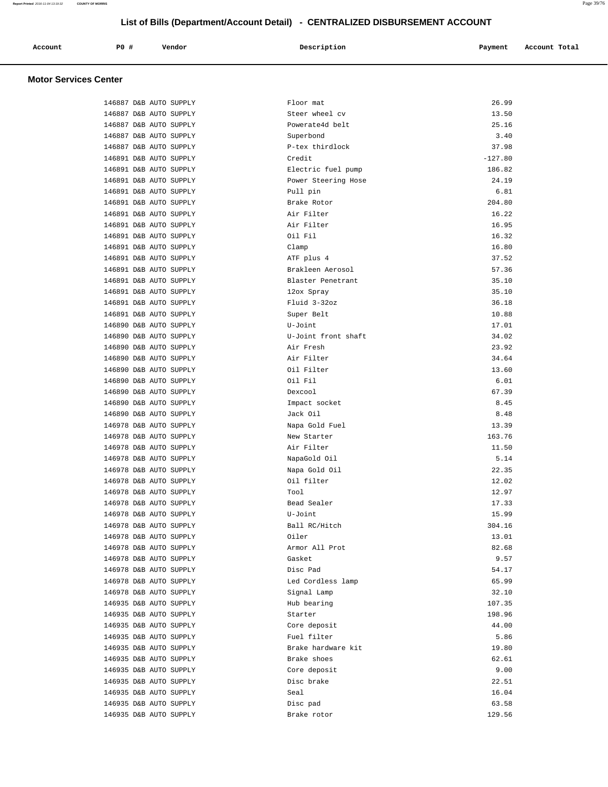|  |  | Account<br>. | P0# | Vendor | Description | Payment | Account Total |
|--|--|--------------|-----|--------|-------------|---------|---------------|
|--|--|--------------|-----|--------|-------------|---------|---------------|

| 146887 D&B AUTO SUPPLY                           | Floor mat                | 26.99           |
|--------------------------------------------------|--------------------------|-----------------|
| 146887 D&B AUTO SUPPLY                           | Steer wheel cv           | 13.50           |
| 146887 D&B AUTO SUPPLY                           | Powerate4d belt          | 25.16           |
| 146887 D&B AUTO SUPPLY                           | Superbond                | 3.40            |
| 146887 D&B AUTO SUPPLY                           | P-tex thirdlock          | 37.98           |
| 146891 D&B AUTO SUPPLY                           | Credit                   | $-127.80$       |
| 146891 D&B AUTO SUPPLY                           | Electric fuel pump       | 186.82          |
| 146891 D&B AUTO SUPPLY                           | Power Steering Hose      | 24.19           |
| 146891 D&B AUTO SUPPLY                           | Pull pin                 | 6.81            |
| 146891 D&B AUTO SUPPLY                           | Brake Rotor              | 204.80          |
| 146891 D&B AUTO SUPPLY                           | Air Filter               | 16.22           |
| 146891 D&B AUTO SUPPLY                           | Air Filter               | 16.95           |
| 146891 D&B AUTO SUPPLY                           | Oil Fil                  | 16.32           |
| 146891 D&B AUTO SUPPLY                           | Clamp                    | 16.80           |
| 146891 D&B AUTO SUPPLY                           | ATF plus 4               | 37.52           |
| 146891 D&B AUTO SUPPLY                           | Brakleen Aerosol         | 57.36           |
| 146891 D&B AUTO SUPPLY                           | Blaster Penetrant        | 35.10           |
| 146891 D&B AUTO SUPPLY                           | 12ox Spray               | 35.10           |
| 146891 D&B AUTO SUPPLY                           | Fluid 3-32oz             | 36.18           |
| 146891 D&B AUTO SUPPLY                           | Super Belt               | 10.88           |
| 146890 D&B AUTO SUPPLY                           | U-Joint                  | 17.01           |
| 146890 D&B AUTO SUPPLY                           | U-Joint front shaft      | 34.02           |
| 146890 D&B AUTO SUPPLY                           | Air Fresh                | 23.92           |
| 146890 D&B AUTO SUPPLY                           | Air Filter               | 34.64           |
| 146890 D&B AUTO SUPPLY                           | Oil Filter               | 13.60           |
| 146890 D&B AUTO SUPPLY                           | Oil Fil                  | 6.01            |
| 146890 D&B AUTO SUPPLY                           | Dexcool                  | 67.39           |
| 146890 D&B AUTO SUPPLY                           | Impact socket            | 8.45            |
| 146890 D&B AUTO SUPPLY                           | Jack Oil                 | 8.48            |
| 146978 D&B AUTO SUPPLY                           | Napa Gold Fuel           | 13.39           |
| 146978 D&B AUTO SUPPLY                           | New Starter              | 163.76          |
| 146978 D&B AUTO SUPPLY                           | Air Filter               | 11.50           |
| 146978 D&B AUTO SUPPLY                           | NapaGold Oil             | 5.14            |
| 146978 D&B AUTO SUPPLY                           | Napa Gold Oil            | 22.35           |
| 146978 D&B AUTO SUPPLY                           | Oil filter               | 12.02           |
| 146978 D&B AUTO SUPPLY                           | Tool                     | 12.97           |
| 146978 D&B AUTO SUPPLY                           | Bead Sealer              | 17.33           |
|                                                  |                          |                 |
| 146978 D&B AUTO SUPPLY                           | U-Joint<br>Ball RC/Hitch | 15.99           |
| 146978 D&B AUTO SUPPLY<br>146978 D&B AUTO SUPPLY | Oiler                    | 304.16<br>13.01 |
|                                                  | Armor All Prot           |                 |
| 146978 D&B AUTO SUPPLY<br>146978 D&B AUTO SUPPLY |                          | 82.68           |
|                                                  | Gasket                   | 9.57            |
| 146978 D&B AUTO SUPPLY                           | Disc Pad                 | 54.17           |
| 146978 D&B AUTO SUPPLY                           | Led Cordless lamp        | 65.99           |
| 146978 D&B AUTO SUPPLY                           | Signal Lamp              | 32.10           |
| 146935 D&B AUTO SUPPLY                           | Hub bearing              | 107.35          |
| 146935 D&B AUTO SUPPLY                           | Starter                  | 198.96          |
| 146935 D&B AUTO SUPPLY                           | Core deposit             | 44.00           |
| 146935 D&B AUTO SUPPLY                           | Fuel filter              | 5.86            |
| 146935 D&B AUTO SUPPLY                           | Brake hardware kit       | 19.80           |
| 146935 D&B AUTO SUPPLY                           | Brake shoes              | 62.61           |
| 146935 D&B AUTO SUPPLY                           | Core deposit             | 9.00            |
| 146935 D&B AUTO SUPPLY                           | Disc brake               | 22.51           |
| 146935 D&B AUTO SUPPLY                           | Seal                     | 16.04           |
| 146935 D&B AUTO SUPPLY                           | Disc pad                 | 63.58           |
| 146935 D&B AUTO SUPPLY                           | Brake rotor              | 129.56          |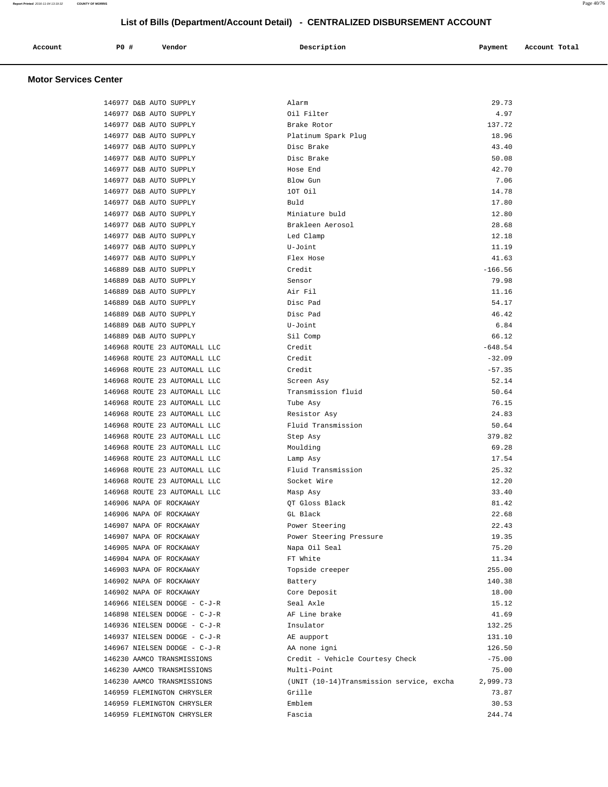| P0 #<br>Description<br>Vendor<br>Account<br>Payment<br>Account Total<br>.<br>. |  |
|--------------------------------------------------------------------------------|--|
|--------------------------------------------------------------------------------|--|

| 146977 D&B AUTO SUPPLY       | Alarm                                    | 29.73     |
|------------------------------|------------------------------------------|-----------|
| 146977 D&B AUTO SUPPLY       | Oil Filter                               | 4.97      |
| 146977 D&B AUTO SUPPLY       | Brake Rotor                              | 137.72    |
| 146977 D&B AUTO SUPPLY       | Platinum Spark Plug                      | 18.96     |
| 146977 D&B AUTO SUPPLY       | Disc Brake                               | 43.40     |
| 146977 D&B AUTO SUPPLY       | Disc Brake                               | 50.08     |
| 146977 D&B AUTO SUPPLY       | Hose End                                 | 42.70     |
| 146977 D&B AUTO SUPPLY       | Blow Gun                                 | 7.06      |
| 146977 D&B AUTO SUPPLY       | 10T Oil                                  | 14.78     |
| 146977 D&B AUTO SUPPLY       | Buld                                     | 17.80     |
| 146977 D&B AUTO SUPPLY       | Miniature buld                           | 12.80     |
| 146977 D&B AUTO SUPPLY       | Brakleen Aerosol                         | 28.68     |
| 146977 D&B AUTO SUPPLY       | Led Clamp                                | 12.18     |
| 146977 D&B AUTO SUPPLY       | U-Joint                                  | 11.19     |
| 146977 D&B AUTO SUPPLY       | Flex Hose                                | 41.63     |
| 146889 D&B AUTO SUPPLY       | Credit                                   | $-166.56$ |
| 146889 D&B AUTO SUPPLY       | Sensor                                   | 79.98     |
| 146889 D&B AUTO SUPPLY       | Air Fil                                  | 11.16     |
| 146889 D&B AUTO SUPPLY       | Disc Pad                                 | 54.17     |
| 146889 D&B AUTO SUPPLY       | Disc Pad                                 | 46.42     |
| 146889 D&B AUTO SUPPLY       | U-Joint                                  | 6.84      |
| 146889 D&B AUTO SUPPLY       | Sil Comp                                 | 66.12     |
| 146968 ROUTE 23 AUTOMALL LLC | Credit                                   | $-648.54$ |
| 146968 ROUTE 23 AUTOMALL LLC | Credit                                   | $-32.09$  |
| 146968 ROUTE 23 AUTOMALL LLC | Credit                                   | $-57.35$  |
| 146968 ROUTE 23 AUTOMALL LLC | Screen Asy                               | 52.14     |
| 146968 ROUTE 23 AUTOMALL LLC | Transmission fluid                       | 50.64     |
| 146968 ROUTE 23 AUTOMALL LLC | Tube Asy                                 | 76.15     |
| 146968 ROUTE 23 AUTOMALL LLC | Resistor Asy                             | 24.83     |
| 146968 ROUTE 23 AUTOMALL LLC | Fluid Transmission                       | 50.64     |
| 146968 ROUTE 23 AUTOMALL LLC | Step Asy                                 | 379.82    |
| 146968 ROUTE 23 AUTOMALL LLC | Moulding                                 | 69.28     |
| 146968 ROUTE 23 AUTOMALL LLC | Lamp Asy                                 | 17.54     |
| 146968 ROUTE 23 AUTOMALL LLC | Fluid Transmission                       | 25.32     |
| 146968 ROUTE 23 AUTOMALL LLC | Socket Wire                              | 12.20     |
| 146968 ROUTE 23 AUTOMALL LLC | Masp Asy                                 | 33.40     |
| 146906 NAPA OF ROCKAWAY      | OT Gloss Black                           | 81.42     |
| 146906 NAPA OF ROCKAWAY      | GL Black                                 | 22.68     |
| 146907 NAPA OF ROCKAWAY      | Power Steering                           | 22.43     |
| 146907 NAPA OF ROCKAWAY      | Power Steering Pressure                  | 19.35     |
| 146905 NAPA OF ROCKAWAY      | Napa Oil Seal                            | 75.20     |
| 146904 NAPA OF ROCKAWAY      | FT White                                 | 11.34     |
| 146903 NAPA OF ROCKAWAY      | Topside creeper                          | 255.00    |
| 146902 NAPA OF ROCKAWAY      | Battery                                  | 140.38    |
| 146902 NAPA OF ROCKAWAY      | Core Deposit                             | 18.00     |
| 146966 NIELSEN DODGE - C-J-R | Seal Axle                                | 15.12     |
| 146898 NIELSEN DODGE - C-J-R | AF Line brake                            | 41.69     |
| 146936 NIELSEN DODGE - C-J-R | Insulator                                | 132.25    |
| 146937 NIELSEN DODGE - C-J-R | AE aupport                               | 131.10    |
| 146967 NIELSEN DODGE - C-J-R | AA none igni                             | 126.50    |
| 146230 AAMCO TRANSMISSIONS   | Credit - Vehicle Courtesy Check          | $-75.00$  |
| 146230 AAMCO TRANSMISSIONS   | Multi-Point                              | 75.00     |
| 146230 AAMCO TRANSMISSIONS   | (UNIT (10-14)Transmission service, excha | 2,999.73  |
| 146959 FLEMINGTON CHRYSLER   | Grille                                   | 73.87     |
| 146959 FLEMINGTON CHRYSLER   | Emblem                                   | 30.53     |
| 146959 FLEMINGTON CHRYSLER   | Fascia                                   | 244.74    |
|                              |                                          |           |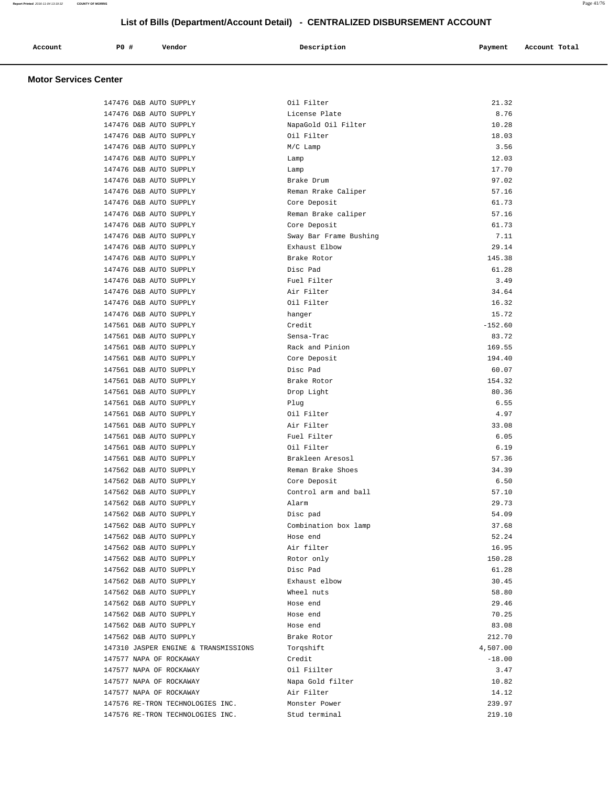| P <sub>0</sub><br>Vendor<br>Account<br>Payment<br>Description<br>$\sim$ $\sim$<br>.<br>. |  |  |  |  |  |  | Account Total<br>. |
|------------------------------------------------------------------------------------------|--|--|--|--|--|--|--------------------|
|------------------------------------------------------------------------------------------|--|--|--|--|--|--|--------------------|

| 147476 D&B AUTO SUPPLY               | Oil Filter             | 21.32     |
|--------------------------------------|------------------------|-----------|
| 147476 D&B AUTO SUPPLY               | License Plate          | 8.76      |
| 147476 D&B AUTO SUPPLY               | NapaGold Oil Filter    | 10.28     |
| 147476 D&B AUTO SUPPLY               | Oil Filter             | 18.03     |
| 147476 D&B AUTO SUPPLY               | M/C Lamp               | 3.56      |
| 147476 D&B AUTO SUPPLY               | Lamp                   | 12.03     |
| 147476 D&B AUTO SUPPLY               | Lamp                   | 17.70     |
| 147476 D&B AUTO SUPPLY               | Brake Drum             | 97.02     |
| 147476 D&B AUTO SUPPLY               | Reman Rrake Caliper    | 57.16     |
| 147476 D&B AUTO SUPPLY               | Core Deposit           | 61.73     |
| 147476 D&B AUTO SUPPLY               | Reman Brake caliper    | 57.16     |
| 147476 D&B AUTO SUPPLY               | Core Deposit           | 61.73     |
| 147476 D&B AUTO SUPPLY               | Sway Bar Frame Bushing | 7.11      |
| 147476 D&B AUTO SUPPLY               | Exhaust Elbow          | 29.14     |
| 147476 D&B AUTO SUPPLY               | Brake Rotor            | 145.38    |
| 147476 D&B AUTO SUPPLY               | Disc Pad               | 61.28     |
| 147476 D&B AUTO SUPPLY               | Fuel Filter            | 3.49      |
| 147476 D&B AUTO SUPPLY               | Air Filter             | 34.64     |
| 147476 D&B AUTO SUPPLY               | Oil Filter             | 16.32     |
| 147476 D&B AUTO SUPPLY               | hanger                 | 15.72     |
| 147561 D&B AUTO SUPPLY               | Credit                 | $-152.60$ |
| 147561 D&B AUTO SUPPLY               | Sensa-Trac             | 83.72     |
| 147561 D&B AUTO SUPPLY               | Rack and Pinion        | 169.55    |
| 147561 D&B AUTO SUPPLY               | Core Deposit           | 194.40    |
| 147561 D&B AUTO SUPPLY               | Disc Pad               | 60.07     |
| 147561 D&B AUTO SUPPLY               | Brake Rotor            | 154.32    |
| 147561 D&B AUTO SUPPLY               | Drop Light             | 80.36     |
| 147561 D&B AUTO SUPPLY               | Plug                   | 6.55      |
| 147561 D&B AUTO SUPPLY               | Oil Filter             | 4.97      |
| 147561 D&B AUTO SUPPLY               | Air Filter             | 33.08     |
| 147561 D&B AUTO SUPPLY               | Fuel Filter            | 6.05      |
| 147561 D&B AUTO SUPPLY               | Oil Filter             | 6.19      |
| 147561 D&B AUTO SUPPLY               | Brakleen Aresosl       | 57.36     |
| 147562 D&B AUTO SUPPLY               | Reman Brake Shoes      | 34.39     |
| 147562 D&B AUTO SUPPLY               | Core Deposit           | 6.50      |
| 147562 D&B AUTO SUPPLY               | Control arm and ball   | 57.10     |
| 147562 D&B AUTO SUPPLY               | Alarm                  | 29.73     |
| 147562 D&B AUTO SUPPLY               | Disc pad               | 54.09     |
| 147562 D&B AUTO SUPPLY               | Combination box lamp   | 37.68     |
| 147562 D&B AUTO SUPPLY               | Hose end               | 52.24     |
| 147562 D&B AUTO SUPPLY               | Air filter             | 16.95     |
| 147562 D&B AUTO SUPPLY               | Rotor only             | 150.28    |
| 147562 D&B AUTO SUPPLY               | Disc Pad               | 61.28     |
| 147562 D&B AUTO SUPPLY               | Exhaust elbow          | 30.45     |
| 147562 D&B AUTO SUPPLY               | Wheel nuts             | 58.80     |
| 147562 D&B AUTO SUPPLY               | Hose end               | 29.46     |
| 147562 D&B AUTO SUPPLY               | Hose end               | 70.25     |
| 147562 D&B AUTO SUPPLY               | Hose end               | 83.08     |
|                                      |                        |           |
| 147562 D&B AUTO SUPPLY               | Brake Rotor            | 212.70    |
| 147310 JASPER ENGINE & TRANSMISSIONS | Torgshift              | 4,507.00  |
| 147577 NAPA OF ROCKAWAY              | Credit                 | $-18.00$  |
| 147577 NAPA OF ROCKAWAY              | Oil Fiilter            | 3.47      |
| 147577 NAPA OF ROCKAWAY              | Napa Gold filter       | 10.82     |
| 147577 NAPA OF ROCKAWAY              | Air Filter             | 14.12     |
| 147576 RE-TRON TECHNOLOGIES INC.     | Monster Power          | 239.97    |
| 147576 RE-TRON TECHNOLOGIES INC.     | Stud terminal          | 219.10    |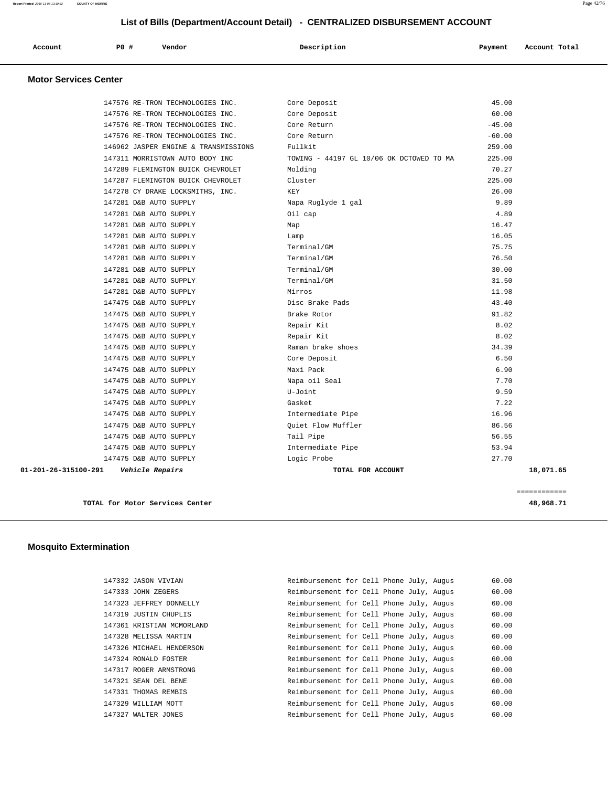| Account | <b>PO #</b> | Vendor | Description | Payment | Account Total |
|---------|-------------|--------|-------------|---------|---------------|
|         |             |        |             |         |               |

## **Motor Services Center**

| 01-201-26-315100-291 | Vehicle Repairs                      | TOTAL FOR ACCOUNT                        | 18,071.65 |
|----------------------|--------------------------------------|------------------------------------------|-----------|
|                      | 147475 D&B AUTO SUPPLY               | Logic Probe                              | 27.70     |
|                      | 147475 D&B AUTO SUPPLY               | Intermediate Pipe                        | 53.94     |
|                      | 147475 D&B AUTO SUPPLY               | Tail Pipe                                | 56.55     |
|                      | 147475 D&B AUTO SUPPLY               | Ouiet Flow Muffler                       | 86.56     |
|                      | 147475 D&B AUTO SUPPLY               | Intermediate Pipe                        | 16.96     |
|                      | 147475 D&B AUTO SUPPLY               | Gasket                                   | 7.22      |
|                      | 147475 D&B AUTO SUPPLY               | U-Joint                                  | 9.59      |
|                      | 147475 D&B AUTO SUPPLY               | Napa oil Seal                            | 7.70      |
|                      | 147475 D&B AUTO SUPPLY               | Maxi Pack                                | 6.90      |
|                      | 147475 D&B AUTO SUPPLY               | Core Deposit                             | 6.50      |
|                      | 147475 D&B AUTO SUPPLY               | Raman brake shoes                        | 34.39     |
|                      | 147475 D&B AUTO SUPPLY               | Repair Kit                               | 8.02      |
|                      | 147475 D&B AUTO SUPPLY               | Repair Kit                               | 8.02      |
|                      | 147475 D&B AUTO SUPPLY               | Brake Rotor                              | 91.82     |
|                      | 147475 D&B AUTO SUPPLY               | Disc Brake Pads                          | 43.40     |
|                      | 147281 D&B AUTO SUPPLY               | Mirros                                   | 11.98     |
|                      | 147281 D&B AUTO SUPPLY               | Terminal/GM                              | 31.50     |
|                      | 147281 D&B AUTO SUPPLY               | Terminal/GM                              | 30.00     |
|                      | 147281 D&B AUTO SUPPLY               | Terminal/GM                              | 76.50     |
|                      | 147281 D&B AUTO SUPPLY               | Terminal/GM                              | 75.75     |
|                      | 147281 D&B AUTO SUPPLY               | Lamp                                     | 16.05     |
|                      | 147281 D&B AUTO SUPPLY               | Map                                      | 16.47     |
|                      | 147281 D&B AUTO SUPPLY               | Oil cap                                  | 4.89      |
|                      | 147281 D&B AUTO SUPPLY               | Napa Ruglyde 1 gal                       | 9.89      |
|                      | 147278 CY DRAKE LOCKSMITHS, INC.     | KEY                                      | 26.00     |
|                      | 147287 FLEMINGTON BUICK CHEVROLET    | Cluster                                  | 225.00    |
|                      | 147289 FLEMINGTON BUICK CHEVROLET    | Molding                                  | 70.27     |
|                      | 147311 MORRISTOWN AUTO BODY INC      | TOWING - 44197 GL 10/06 OK DCTOWED TO MA | 225.00    |
|                      | 146962 JASPER ENGINE & TRANSMISSIONS | Fullkit                                  | 259.00    |
|                      | 147576 RE-TRON TECHNOLOGIES INC.     | Core Return                              | $-60.00$  |
|                      | 147576 RE-TRON TECHNOLOGIES INC.     | Core Return                              | $-45.00$  |
|                      | 147576 RE-TRON TECHNOLOGIES INC.     | Core Deposit                             | 60.00     |
|                      | 147576 RE-TRON TECHNOLOGIES INC.     | Core Deposit                             | 45.00     |

**TOTAL for Motor Services Center 48,968.71**

============

## **Mosquito Extermination**

|  | 147332 JASON VIVIAN       | Reimbursement for Cell Phone July, Augus |  |  | 60.00 |
|--|---------------------------|------------------------------------------|--|--|-------|
|  | 147333 JOHN ZEGERS        | Reimbursement for Cell Phone July, Augus |  |  | 60.00 |
|  | 147323 JEFFREY DONNELLY   | Reimbursement for Cell Phone July, Augus |  |  | 60.00 |
|  | 147319 JUSTIN CHUPLIS     | Reimbursement for Cell Phone July, Augus |  |  | 60.00 |
|  | 147361 KRISTIAN MCMORLAND | Reimbursement for Cell Phone July, Augus |  |  | 60.00 |
|  | 147328 MELISSA MARTIN     | Reimbursement for Cell Phone July, Augus |  |  | 60.00 |
|  | 147326 MICHAEL HENDERSON  | Reimbursement for Cell Phone July, Augus |  |  | 60.00 |
|  | 147324 RONALD FOSTER      | Reimbursement for Cell Phone July, Augus |  |  | 60.00 |
|  | 147317 ROGER ARMSTRONG    | Reimbursement for Cell Phone July, Augus |  |  | 60.00 |
|  | 147321 SEAN DEL BENE      | Reimbursement for Cell Phone July, Augus |  |  | 60.00 |
|  | 147331 THOMAS REMBIS      | Reimbursement for Cell Phone July, Augus |  |  | 60.00 |
|  | 147329 WILLIAM MOTT       | Reimbursement for Cell Phone July, Augus |  |  | 60.00 |
|  | 147327 WALTER JONES       | Reimbursement for Cell Phone July, Augus |  |  | 60.00 |

| Reimbursement for Cell Phone July, Auqus |  |  | 60.00 |
|------------------------------------------|--|--|-------|
| Reimbursement for Cell Phone July, Augus |  |  | 60.00 |
| Reimbursement for Cell Phone July, Augus |  |  | 60.00 |
| Reimbursement for Cell Phone July, Augus |  |  | 60.00 |
| Reimbursement for Cell Phone July, Augus |  |  | 60.00 |
| Reimbursement for Cell Phone July, Augus |  |  | 60.00 |
| Reimbursement for Cell Phone July, Augus |  |  | 60.00 |
| Reimbursement for Cell Phone July, Augus |  |  | 60.00 |
| Reimbursement for Cell Phone July, Augus |  |  | 60.00 |
| Reimbursement for Cell Phone July, Augus |  |  | 60.00 |
| Reimbursement for Cell Phone July, Augus |  |  | 60.00 |
| Reimbursement for Cell Phone July, Augus |  |  | 60.00 |
| Reimbursement for Cell Phone July, Augus |  |  | 60.00 |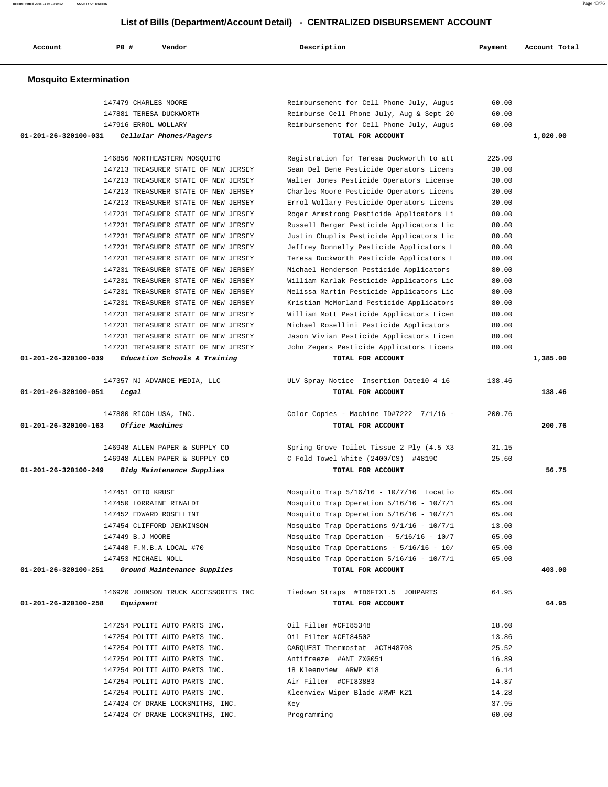| Renort Printed 2016-11-04 13:19:32<br>COUNTY OF MORRIS |     |                                      |                                                                              |         | Page 43/76    |
|--------------------------------------------------------|-----|--------------------------------------|------------------------------------------------------------------------------|---------|---------------|
|                                                        |     |                                      | List of Bills (Department/Account Detail) - CENTRALIZED DISBURSEMENT ACCOUNT |         |               |
| Account                                                | PO# | Vendor                               | Description                                                                  | Payment | Account Total |
| <b>Mosquito Extermination</b>                          |     |                                      |                                                                              |         |               |
|                                                        |     | 147479 CHARLES MOORE                 | Reimbursement for Cell Phone July, Augus                                     | 60.00   |               |
|                                                        |     | 147881 TERESA DUCKWORTH              | Reimburse Cell Phone July, Aug & Sept 20                                     | 60.00   |               |
|                                                        |     | 147916 ERROL WOLLARY                 | Reimbursement for Cell Phone July, Augus                                     | 60.00   |               |
| 01-201-26-320100-031                                   |     | Cellular Phones/Pagers               | TOTAL FOR ACCOUNT                                                            |         | 1,020.00      |
|                                                        |     | 146856 NORTHEASTERN MOSOUITO         | Registration for Teresa Duckworth to att                                     | 225.00  |               |
|                                                        |     | 147213 TREASURER STATE OF NEW JERSEY | Sean Del Bene Pesticide Operators Licens                                     | 30.00   |               |
|                                                        |     | 147213 TREASURER STATE OF NEW JERSEY | Walter Jones Pesticide Operators License                                     | 30.00   |               |
|                                                        |     | 147213 TREASURER STATE OF NEW JERSEY | Charles Moore Pesticide Operators Licens                                     | 30.00   |               |
|                                                        |     | 147213 TREASURER STATE OF NEW JERSEY | Errol Wollary Pesticide Operators Licens                                     | 30.00   |               |
|                                                        |     | 147231 TREASURER STATE OF NEW JERSEY | Roger Armstrong Pesticide Applicators Li                                     | 80.00   |               |
|                                                        |     | 147231 TREASURER STATE OF NEW JERSEY | Russell Berger Pesticide Applicators Lic                                     | 80.00   |               |
|                                                        |     | 147231 TREASURER STATE OF NEW JERSEY | Justin Chuplis Pesticide Applicators Lic                                     | 80.00   |               |
|                                                        |     | 147231 TREASURER STATE OF NEW JERSEY | Jeffrey Donnelly Pesticide Applicators L                                     | 80.00   |               |
|                                                        |     | 147231 TREASURER STATE OF NEW JERSEY | Teresa Duckworth Pesticide Applicators L                                     | 80.00   |               |
|                                                        |     | 147231 TREASURER STATE OF NEW JERSEY | Michael Henderson Pesticide Applicators                                      | 80.00   |               |
|                                                        |     | 147231 TREASURER STATE OF NEW JERSEY | William Karlak Pesticide Applicators Lic                                     | 80.00   |               |
|                                                        |     | 147231 TREASURER STATE OF NEW JERSEY | Melissa Martin Pesticide Applicators Lic                                     | 80.00   |               |
|                                                        |     | 147231 TREASURER STATE OF NEW JERSEY | Kristian McMorland Pesticide Applicators                                     | 80.00   |               |
|                                                        |     | 147231 TREASURER STATE OF NEW JERSEY | William Mott Pesticide Applicators Licen                                     | 80.00   |               |
|                                                        |     | 147231 TREASURER STATE OF NEW JERSEY | Michael Rosellini Pesticide Applicators                                      | 80.00   |               |
|                                                        |     | 147231 TREASURER STATE OF NEW JERSEY | Jason Vivian Pesticide Applicators Licen                                     | 80.00   |               |
|                                                        |     | 147231 TREASURER STATE OF NEW JERSEY | John Zegers Pesticide Applicators Licens                                     | 80.00   |               |
| 01-201-26-320100-039                                   |     | Education Schools & Training         | TOTAL FOR ACCOUNT                                                            |         | 1,385.00      |
|                                                        |     | 147357 NJ ADVANCE MEDIA, LLC         | ULV Spray Notice Insertion Date10-4-16                                       | 138.46  |               |
| 01-201-26-320100-051                                   |     | Legal                                | TOTAL FOR ACCOUNT                                                            |         | 138.46        |
|                                                        |     | 147880 RICOH USA, INC.               | Color Copies - Machine ID#7222 7/1/16 -                                      | 200.76  |               |
| 01-201-26-320100-163                                   |     | Office Machines                      | TOTAL FOR ACCOUNT                                                            |         | 200.76        |
|                                                        |     | 146948 ALLEN PAPER & SUPPLY CO       | Spring Grove Toilet Tissue 2 Ply (4.5 X3                                     | 31.15   |               |
|                                                        |     | 146948 ALLEN PAPER & SUPPLY CO       | C Fold Towel White (2400/CS) #4819C                                          | 25.60   |               |
| 01-201-26-320100-249                                   |     | Bldg Maintenance Supplies            | TOTAL FOR ACCOUNT                                                            |         | 56.75         |
|                                                        |     | 147451 OTTO KRUSE                    | Mosquito Trap 5/16/16 - 10/7/16 Locatio                                      | 65.00   |               |

 147450 LORRAINE RINALDI Mosquito Trap Operation 5/16/16 - 10/7/1 65.00 147452 EDWARD ROSELLINI Mosquito Trap Operation 5/16/16 - 10/7/1 65.00 147454 CLIFFORD JENKINSON Mosquito Trap Operations 9/1/16 - 10/7/1 13.00 147449 B.J MOORE Mosquito Trap Operation - 5/16/16 - 10/7 65.00 147448 F.M.B.A LOCAL #70 Mosquito Trap Operations - 5/16/16 - 10/ 65.00 147453 MICHAEL NOLL Mosquito Trap Operation 5/16/16 - 10/7/1 65.00

## **01-201-26-320100-251 Ground Maintenance Supplies TOTAL FOR ACCOUNT 403.00**

146920 JOHNSON TRUCK ACCESSORIES INC Tiedown Straps #TD6FTX1.5 JOHPARTS 64.95

 **01-201-26-320100-258 Equipment TOTAL FOR ACCOUNT 64.95** 147254 POLITI AUTO PARTS INC. Oil Filter #CFI85348 18.60 147254 POLITI AUTO PARTS INC. Oil Filter #CFI84502 13.86 147254 POLITI AUTO PARTS INC. CARQUEST Thermostat #CTH48708 25.52 147254 POLITI AUTO PARTS INC. Antifreeze #ANT ZXG051 16.89 147254 POLITI AUTO PARTS INC. 18 Kleenview #RWP K18 6.14 147254 POLITI AUTO PARTS INC. Air Filter #CFI83883 14.87 147254 POLITI AUTO PARTS INC. Kleenview Wiper Blade #RWP K21 14.28 147424 CY DRAKE LOCKSMITHS, INC. Key 37.95 147424 CY DRAKE LOCKSMITHS, INC. Programming 60.00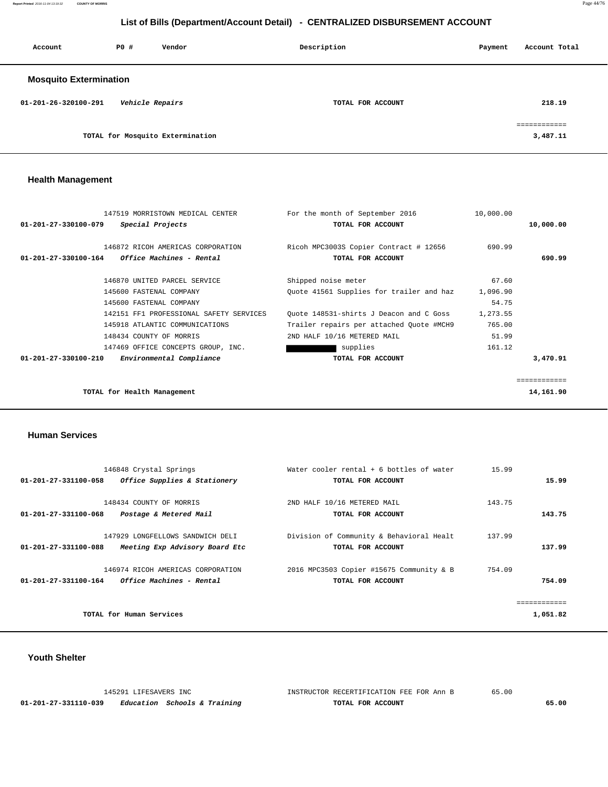**Report Printed** 2016-11-04 13:19:32 **COUNTY OF MORRIS** Page 44/76

## **List of Bills (Department/Account Detail) - CENTRALIZED DISBURSEMENT ACCOUNT**

| Account                       | PO# | Description<br>Vendor            |                   |  | Account Total                            |
|-------------------------------|-----|----------------------------------|-------------------|--|------------------------------------------|
| <b>Mosquito Extermination</b> |     |                                  |                   |  |                                          |
| 01-201-26-320100-291          |     | Vehicle Repairs                  | TOTAL FOR ACCOUNT |  | 218.19                                   |
|                               |     | TOTAL for Mosquito Extermination |                   |  | ------------<br>------------<br>3,487.11 |

## **Health Management**

|                                | 147519 MORRISTOWN MEDICAL CENTER                | For the month of September 2016          | 10,000.00 |              |
|--------------------------------|-------------------------------------------------|------------------------------------------|-----------|--------------|
| 01-201-27-330100-079           | Special Projects                                | TOTAL FOR ACCOUNT                        |           | 10,000.00    |
|                                |                                                 |                                          |           |              |
|                                | 146872 RICOH AMERICAS CORPORATION               | Ricoh MPC3003S Copier Contract # 12656   | 690.99    |              |
|                                | $01-201-27-330100-164$ Office Machines - Rental | TOTAL FOR ACCOUNT                        |           | 690.99       |
|                                | 146870 UNITED PARCEL SERVICE                    | Shipped noise meter                      | 67.60     |              |
|                                | 145600 FASTENAL COMPANY                         |                                          |           |              |
|                                |                                                 | Quote 41561 Supplies for trailer and haz | 1,096.90  |              |
|                                | 145600 FASTENAL COMPANY                         |                                          | 54.75     |              |
|                                | 142151 FF1 PROFESSIONAL SAFETY SERVICES         | Quote 148531-shirts J Deacon and C Goss  | 1,273.55  |              |
|                                | 145918 ATLANTIC COMMUNICATIONS                  | Trailer repairs per attached Quote #MCH9 | 765.00    |              |
|                                | 148434 COUNTY OF MORRIS                         | 2ND HALF 10/16 METERED MAIL              | 51.99     |              |
|                                | 147469 OFFICE CONCEPTS GROUP, INC.              | supplies                                 | 161.12    |              |
| $01 - 201 - 27 - 330100 - 210$ | Environmental Compliance                        | TOTAL FOR ACCOUNT                        |           | 3,470.91     |
|                                |                                                 |                                          |           |              |
|                                |                                                 |                                          |           | ============ |
|                                | TOTAL for Health Management                     |                                          |           | 14,161.90    |
|                                |                                                 |                                          |           |              |

#### **Human Services**

| 146848 Crystal Springs<br>01-201-27-331100-058<br>Office Supplies & Stationery               | Water cooler rental + 6 bottles of water<br>TOTAL FOR ACCOUNT | 15.99<br>15.99   |
|----------------------------------------------------------------------------------------------|---------------------------------------------------------------|------------------|
| 148434 COUNTY OF MORRIS<br>01-201-27-331100-068<br>Postage & Metered Mail                    | 2ND HALF 10/16 METERED MAIL<br>TOTAL FOR ACCOUNT              | 143.75<br>143.75 |
| 147929 LONGFELLOWS SANDWICH DELI<br>01-201-27-331100-088<br>Meeting Exp Advisory Board Etc   | Division of Community & Behavioral Healt<br>TOTAL FOR ACCOUNT | 137.99<br>137.99 |
| 146974 RICOH AMERICAS CORPORATION<br>01-201-27-331100-164<br><i>Office Machines - Rental</i> | 2016 MPC3503 Copier #15675 Community & B<br>TOTAL FOR ACCOUNT | 754.09<br>754.09 |
|                                                                                              |                                                               |                  |
| TOTAL for Human Services                                                                     |                                                               | 1,051.82         |

## **Youth Shelter**

|                      | 145291 LIFESAVERS INC        | INSTRUCTOR RECERTIFICATION FEE FOR Ann B | 65.00 |
|----------------------|------------------------------|------------------------------------------|-------|
| 01-201-27-331110-039 | Education Schools & Training | TOTAL FOR ACCOUNT                        | 65.00 |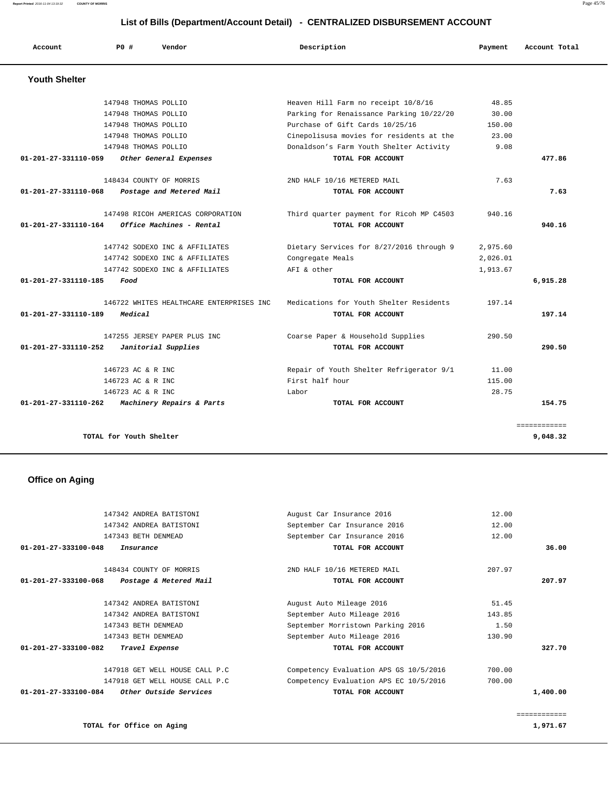**Report Printed** 2016-11-04 13:19:32 **COUNTY OF MORRIS** Page 45/76

## **List of Bills (Department/Account Detail) - CENTRALIZED DISBURSEMENT ACCOUNT**

| Account                        | PO#                     | Vendor                                   | Description                              | Payment  | Account Total |
|--------------------------------|-------------------------|------------------------------------------|------------------------------------------|----------|---------------|
| <b>Youth Shelter</b>           |                         |                                          |                                          |          |               |
|                                | 147948 THOMAS POLLIO    |                                          | Heaven Hill Farm no receipt 10/8/16      | 48.85    |               |
|                                | 147948 THOMAS POLLIO    |                                          | Parking for Renaissance Parking 10/22/20 | 30.00    |               |
|                                | 147948 THOMAS POLLIO    |                                          | Purchase of Gift Cards 10/25/16          | 150.00   |               |
|                                | 147948 THOMAS POLLIO    |                                          | Cinepolisusa movies for residents at the | 23.00    |               |
|                                | 147948 THOMAS POLLIO    |                                          | Donaldson's Farm Youth Shelter Activity  | 9.08     |               |
| 01-201-27-331110-059           |                         | Other General Expenses                   | TOTAL FOR ACCOUNT                        |          | 477.86        |
|                                | 148434 COUNTY OF MORRIS |                                          | 2ND HALF 10/16 METERED MAIL              | 7.63     |               |
| 01-201-27-331110-068           |                         | Postage and Metered Mail                 | TOTAL FOR ACCOUNT                        |          | 7.63          |
|                                |                         | 147498 RICOH AMERICAS CORPORATION        | Third quarter payment for Ricoh MP C4503 | 940.16   |               |
| 01-201-27-331110-164           |                         | Office Machines - Rental                 | TOTAL FOR ACCOUNT                        |          | 940.16        |
|                                |                         | 147742 SODEXO INC & AFFILIATES           | Dietary Services for 8/27/2016 through 9 | 2,975.60 |               |
|                                |                         | 147742 SODEXO INC & AFFILIATES           | Congregate Meals                         | 2,026.01 |               |
|                                |                         | 147742 SODEXO INC & AFFILIATES           | AFI & other                              | 1,913.67 |               |
| $01 - 201 - 27 - 331110 - 185$ | Food                    |                                          | TOTAL FOR ACCOUNT                        |          | 6,915.28      |
|                                |                         | 146722 WHITES HEALTHCARE ENTERPRISES INC | Medications for Youth Shelter Residents  | 197.14   |               |
| $01 - 201 - 27 - 331110 - 189$ | Medical                 |                                          | TOTAL FOR ACCOUNT                        |          | 197.14        |
|                                |                         | 147255 JERSEY PAPER PLUS INC             | Coarse Paper & Household Supplies        | 290.50   |               |
| 01-201-27-331110-252           |                         | Janitorial Supplies                      | TOTAL FOR ACCOUNT                        |          | 290.50        |
|                                | 146723 AC & R INC       |                                          | Repair of Youth Shelter Refrigerator 9/1 | 11.00    |               |
|                                | 146723 AC & R INC       |                                          | First half hour                          | 115.00   |               |
|                                | 146723 AC & R INC       |                                          | Labor                                    | 28.75    |               |
| 01-201-27-331110-262           |                         | Machinery Repairs & Parts                | TOTAL FOR ACCOUNT                        |          | 154.75        |
|                                |                         |                                          |                                          |          | ============  |
|                                | TOTAL for Youth Shelter |                                          |                                          |          | 9,048.32      |

## **Office on Aging**

|                                | 147342 ANDREA BATISTONI        | August Car Insurance 2016              | 12.00  |          |
|--------------------------------|--------------------------------|----------------------------------------|--------|----------|
|                                | 147342 ANDREA BATISTONI        | September Car Insurance 2016           | 12.00  |          |
|                                | 147343 BETH DENMEAD            | September Car Insurance 2016           | 12.00  |          |
| $01 - 201 - 27 - 333100 - 048$ | Insurance                      | TOTAL FOR ACCOUNT                      |        | 36.00    |
|                                | 148434 COUNTY OF MORRIS        | 2ND HALF 10/16 METERED MAIL            | 207.97 |          |
| 01-201-27-333100-068           | Postage & Metered Mail         | TOTAL FOR ACCOUNT                      |        | 207.97   |
|                                | 147342 ANDREA BATISTONI        | August Auto Mileage 2016               | 51.45  |          |
|                                | 147342 ANDREA BATISTONI        | September Auto Mileage 2016            | 143.85 |          |
|                                | 147343 BETH DENMEAD            | September Morristown Parking 2016      | 1.50   |          |
|                                | 147343 BETH DENMEAD            | September Auto Mileage 2016            | 130.90 |          |
| $01 - 201 - 27 - 333100 - 082$ | Travel Expense                 | TOTAL FOR ACCOUNT                      |        | 327.70   |
|                                | 147918 GET WELL HOUSE CALL P.C | Competency Evaluation APS GS 10/5/2016 | 700.00 |          |
|                                | 147918 GET WELL HOUSE CALL P.C | Competency Evaluation APS EC 10/5/2016 | 700.00 |          |
| 01-201-27-333100-084           | Other Outside Services         | TOTAL FOR ACCOUNT                      |        | 1,400.00 |
|                                |                                |                                        |        |          |
|                                |                                |                                        |        |          |

**TOTAL for Office on Aging 1,971.67 1,971.67** 

============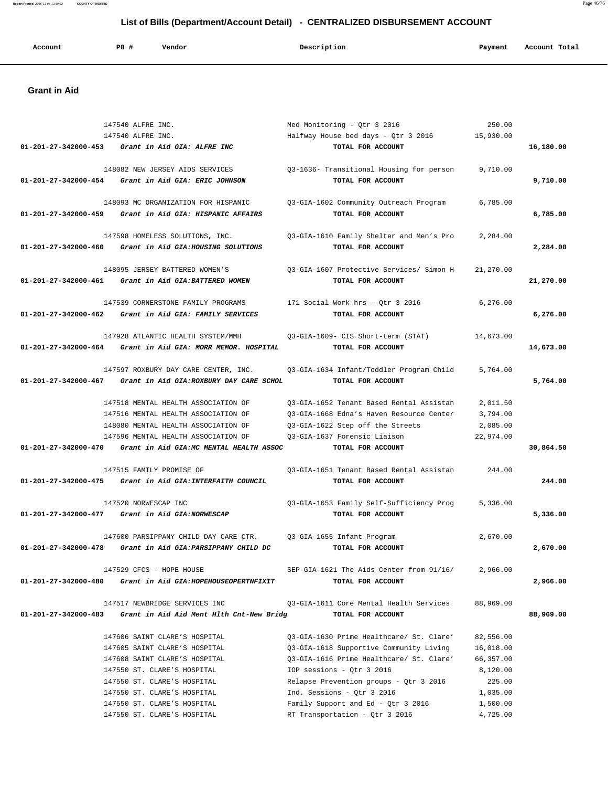## **Report Printed** 2016-11-04 13:19:32 **COUNTY OF MORRIS** Page 46/76  **List of Bills (Department/Account Detail) - CENTRALIZED DISBURSEMENT ACCOUNT**

|  | Account | <b>PO#</b> | Vendor | Description | Payment | Account Total |
|--|---------|------------|--------|-------------|---------|---------------|
|--|---------|------------|--------|-------------|---------|---------------|

## **Grant in Aid**

|                                | 147540 ALFRE INC.<br>147540 ALFRE INC.                                                                                                                        | Med Monitoring - Qtr 3 2016<br>Halfway House bed days - Qtr 3 2016                                                                                                                                     | 250.00<br>15,930.00                                       |           |
|--------------------------------|---------------------------------------------------------------------------------------------------------------------------------------------------------------|--------------------------------------------------------------------------------------------------------------------------------------------------------------------------------------------------------|-----------------------------------------------------------|-----------|
|                                | 01-201-27-342000-453 Grant in Aid GIA: ALFRE INC                                                                                                              | TOTAL FOR ACCOUNT                                                                                                                                                                                      |                                                           | 16,180.00 |
|                                | 148082 NEW JERSEY AIDS SERVICES<br>01-201-27-342000-454 Grant in Aid GIA: ERIC JOHNSON                                                                        | Q3-1636- Transitional Housing for person<br>TOTAL FOR ACCOUNT                                                                                                                                          | 9,710.00                                                  | 9,710.00  |
|                                | 148093 MC ORGANIZATION FOR HISPANIC<br>01-201-27-342000-459 Grant in Aid GIA: HISPANIC AFFAIRS                                                                | Q3-GIA-1602 Community Outreach Program<br>TOTAL FOR ACCOUNT                                                                                                                                            | 6,785.00                                                  | 6,785.00  |
| 01-201-27-342000-460           | 147598 HOMELESS SOLUTIONS, INC.<br>Grant in Aid GIA:HOUSING SOLUTIONS                                                                                         | Q3-GIA-1610 Family Shelter and Men's Pro<br>TOTAL FOR ACCOUNT                                                                                                                                          | 2,284.00                                                  | 2,284.00  |
| 01-201-27-342000-461           | 148095 JERSEY BATTERED WOMEN'S<br>Grant in Aid GIA: BATTERED WOMEN                                                                                            | Q3-GIA-1607 Protective Services/ Simon H<br>TOTAL FOR ACCOUNT                                                                                                                                          | 21,270.00                                                 | 21,270.00 |
|                                | 147539 CORNERSTONE FAMILY PROGRAMS<br>01-201-27-342000-462 Grant in Aid GIA: FAMILY SERVICES                                                                  | 171 Social Work hrs - Qtr 3 2016<br>TOTAL FOR ACCOUNT                                                                                                                                                  | 6, 276.00                                                 | 6,276.00  |
|                                | 147928 ATLANTIC HEALTH SYSTEM/MMH<br>01-201-27-342000-464 Grant in Aid GIA: MORR MEMOR. HOSPITAL                                                              | 03-GIA-1609- CIS Short-term (STAT)<br>TOTAL FOR ACCOUNT                                                                                                                                                | 14,673.00                                                 | 14,673.00 |
|                                | 147597 ROXBURY DAY CARE CENTER, INC.<br>01-201-27-342000-467 Grant in Aid GIA: ROXBURY DAY CARE SCHOL                                                         | Q3-GIA-1634 Infant/Toddler Program Child<br>TOTAL FOR ACCOUNT                                                                                                                                          | 5,764.00                                                  | 5,764.00  |
|                                | 147518 MENTAL HEALTH ASSOCIATION OF<br>147516 MENTAL HEALTH ASSOCIATION OF<br>148080 MENTAL HEALTH ASSOCIATION OF                                             | Q3-GIA-1652 Tenant Based Rental Assistan<br>03-GIA-1668 Edna's Haven Resource Center<br>Q3-GIA-1622 Step off the Streets                                                                               | 2,011.50<br>3,794.00<br>2,085.00                          |           |
|                                | 147596 MENTAL HEALTH ASSOCIATION OF<br>01-201-27-342000-470 Grant in Aid GIA:MC MENTAL HEALTH ASSOC                                                           | Q3-GIA-1637 Forensic Liaison<br>TOTAL FOR ACCOUNT                                                                                                                                                      | 22,974.00                                                 | 30,864.50 |
|                                | 147515 FAMILY PROMISE OF<br>01-201-27-342000-475 Grant in Aid GIA: INTERFAITH COUNCIL                                                                         | Q3-GIA-1651 Tenant Based Rental Assistan<br>TOTAL FOR ACCOUNT                                                                                                                                          | 244.00                                                    | 244.00    |
|                                | 147520 NORWESCAP INC<br>$01-201-27-342000-477$ Grant in Aid GIA: NORWESCAP                                                                                    | 03-GIA-1653 Family Self-Sufficiency Prog<br>TOTAL FOR ACCOUNT                                                                                                                                          | 5,336.00                                                  | 5,336.00  |
| $01 - 201 - 27 - 342000 - 478$ | 147600 PARSIPPANY CHILD DAY CARE CTR.<br>Grant in Aid GIA: PARSIPPANY CHILD DC                                                                                | Q3-GIA-1655 Infant Program<br>TOTAL FOR ACCOUNT                                                                                                                                                        | 2,670.00                                                  | 2,670.00  |
| 01-201-27-342000-480           | 147529 CFCS - HOPE HOUSE<br>Grant in Aid GIA: HOPEHOUSEOPERTNFIXIT                                                                                            | SEP-GIA-1621 The Aids Center from 91/16/<br>TOTAL FOR ACCOUNT                                                                                                                                          | 2,966.00                                                  | 2,966.00  |
| 01-201-27-342000-483           | 147517 NEWBRIDGE SERVICES INC<br>Grant in Aid Aid Ment Hlth Cnt-New Bridg                                                                                     | Q3-GIA-1611 Core Mental Health Services<br>TOTAL FOR ACCOUNT                                                                                                                                           | 88,969.00                                                 | 88,969.00 |
|                                | 147606 SAINT CLARE'S HOSPITAL<br>147605 SAINT CLARE'S HOSPITAL<br>147608 SAINT CLARE'S HOSPITAL<br>147550 ST. CLARE'S HOSPITAL<br>147550 ST. CLARE'S HOSPITAL | 03-GIA-1630 Prime Healthcare/ St. Clare'<br>Q3-GIA-1618 Supportive Community Living<br>Q3-GIA-1616 Prime Healthcare/ St. Clare'<br>IOP sessions - Qtr 3 2016<br>Relapse Prevention groups - Qtr 3 2016 | 82,556.00<br>16,018.00<br>66,357.00<br>8,120.00<br>225.00 |           |
|                                | 147550 ST. CLARE'S HOSPITAL<br>147550 ST. CLARE'S HOSPITAL<br>147550 ST. CLARE'S HOSPITAL                                                                     | Ind. Sessions - Qtr 3 2016<br>Family Support and Ed - Qtr 3 2016<br>RT Transportation - Qtr 3 2016                                                                                                     | 1,035.00<br>1,500.00<br>4,725.00                          |           |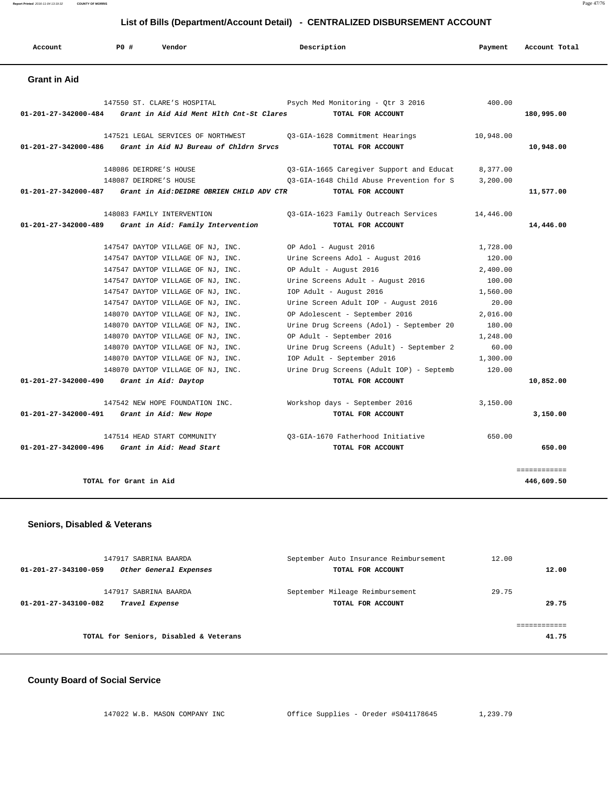**Report Printed** 2016-11-04 13:19:32 **COUNTY OF MORRIS** Page 47/76

## **List of Bills (Department/Account Detail) - CENTRALIZED DISBURSEMENT ACCOUNT**

| Account                                       | PO#                    | Vendor                                                         | Description                              | Payment   | Account Total              |
|-----------------------------------------------|------------------------|----------------------------------------------------------------|------------------------------------------|-----------|----------------------------|
| <b>Grant in Aid</b>                           |                        |                                                                |                                          |           |                            |
|                                               |                        | 147550 ST. CLARE'S HOSPITAL                                    | Psych Med Monitoring - Qtr 3 2016        | 400.00    |                            |
| 01-201-27-342000-484                          |                        | Grant in Aid Aid Ment Hlth Cnt-St Clares                       | TOTAL FOR ACCOUNT                        |           | 180,995.00                 |
|                                               |                        | 147521 LEGAL SERVICES OF NORTHWEST                             | Q3-GIA-1628 Commitment Hearings          | 10,948.00 |                            |
| $01 - 201 - 27 - 342000 - 486$                |                        | Grant in Aid NJ Bureau of Chldrn Srvcs                         | TOTAL FOR ACCOUNT                        |           | 10,948.00                  |
|                                               | 148086 DEIRDRE'S HOUSE |                                                                | 03-GIA-1665 Caregiver Support and Educat | 8,377.00  |                            |
|                                               | 148087 DEIRDRE'S HOUSE |                                                                | 03-GIA-1648 Child Abuse Prevention for S | 3,200.00  |                            |
|                                               |                        | 01-201-27-342000-487 Grant in Aid: DEIDRE OBRIEN CHILD ADV CTR | TOTAL FOR ACCOUNT                        |           | 11,577.00                  |
|                                               |                        | 148083 FAMILY INTERVENTION                                     | Q3-GIA-1623 Family Outreach Services     | 14,446.00 |                            |
| $01 - 201 - 27 - 342000 - 489$                |                        | Grant in Aid: Family Intervention                              | TOTAL FOR ACCOUNT                        |           | 14,446.00                  |
|                                               |                        | 147547 DAYTOP VILLAGE OF NJ, INC.                              | OP Adol - August 2016                    | 1,728.00  |                            |
|                                               |                        | 147547 DAYTOP VILLAGE OF NJ, INC.                              | Urine Screens Adol - August 2016         | 120.00    |                            |
|                                               |                        | 147547 DAYTOP VILLAGE OF NJ, INC.                              | OP Adult - August 2016                   | 2,400.00  |                            |
|                                               |                        | 147547 DAYTOP VILLAGE OF NJ, INC.                              | Urine Screens Adult - August 2016        | 100.00    |                            |
|                                               |                        | 147547 DAYTOP VILLAGE OF NJ, INC.                              | IOP Adult - August 2016                  | 1,560.00  |                            |
|                                               |                        | 147547 DAYTOP VILLAGE OF NJ, INC.                              | Urine Screen Adult IOP - August 2016     | 20.00     |                            |
|                                               |                        | 148070 DAYTOP VILLAGE OF NJ, INC.                              | OP Adolescent - September 2016           | 2,016.00  |                            |
|                                               |                        | 148070 DAYTOP VILLAGE OF NJ, INC.                              | Urine Drug Screens (Adol) - September 20 | 180.00    |                            |
|                                               |                        | 148070 DAYTOP VILLAGE OF NJ, INC.                              | OP Adult - September 2016                | 1,248.00  |                            |
|                                               |                        | 148070 DAYTOP VILLAGE OF NJ, INC.                              | Urine Drug Screens (Adult) - September 2 | 60.00     |                            |
|                                               |                        | 148070 DAYTOP VILLAGE OF NJ, INC.                              | IOP Adult - September 2016               | 1,300.00  |                            |
|                                               |                        | 148070 DAYTOP VILLAGE OF NJ, INC.                              | Urine Drug Screens (Adult IOP) - Septemb | 120.00    |                            |
| 01-201-27-342000-490 Grant in Aid: Daytop     |                        |                                                                | TOTAL FOR ACCOUNT                        |           | 10,852.00                  |
|                                               |                        | 147542 NEW HOPE FOUNDATION INC.                                | Workshop days - September 2016           | 3,150.00  |                            |
| 01-201-27-342000-491                          |                        | Grant in Aid: New Hope                                         | TOTAL FOR ACCOUNT                        |           | 3,150.00                   |
|                                               |                        | 147514 HEAD START COMMUNITY                                    | 03-GIA-1670 Fatherhood Initiative        | 650.00    |                            |
| 01-201-27-342000-496 Grant in Aid: Head Start |                        |                                                                | TOTAL FOR ACCOUNT                        |           | 650.00                     |
|                                               | TOTAL for Grant in Aid |                                                                |                                          |           | ============<br>446,609.50 |

## **Seniors, Disabled & Veterans**

| 147917 SABRINA BAARDA<br>Other General Expenses<br>01-201-27-343100-059 | September Auto Insurance Reimbursement<br>TOTAL FOR ACCOUNT | 12.00 | 12.00 |
|-------------------------------------------------------------------------|-------------------------------------------------------------|-------|-------|
| 147917 SABRINA BAARDA<br>01-201-27-343100-082<br>Travel Expense         | September Mileage Reimbursement<br>TOTAL FOR ACCOUNT        | 29.75 | 29.75 |
| TOTAL for Seniors, Disabled & Veterans                                  |                                                             |       | 41.75 |

## **County Board of Social Service**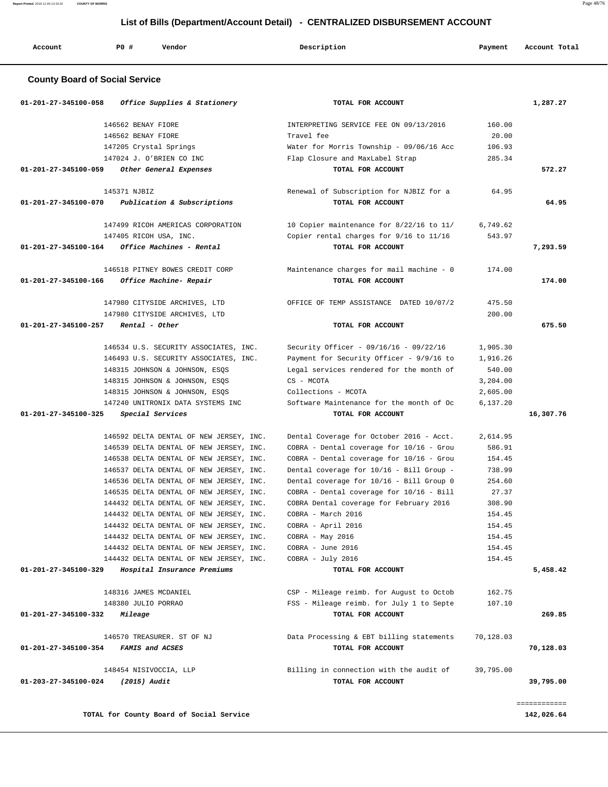| P <sub>0</sub><br>Vendor<br>Account<br>Description<br>Payment<br>Account Total<br>.<br>. |  |  |  |  |  |  |  |
|------------------------------------------------------------------------------------------|--|--|--|--|--|--|--|
|------------------------------------------------------------------------------------------|--|--|--|--|--|--|--|

## **County Board of Social Service**

| 01-201-27-345100-058 | Office Supplies & Stationery             | TOTAL FOR ACCOUNT                        |           | 1,287.27     |
|----------------------|------------------------------------------|------------------------------------------|-----------|--------------|
|                      | 146562 BENAY FIORE                       | INTERPRETING SERVICE FEE ON 09/13/2016   | 160.00    |              |
|                      | 146562 BENAY FIORE                       | Travel fee                               | 20.00     |              |
|                      | 147205 Crystal Springs                   | Water for Morris Township - 09/06/16 Acc | 106.93    |              |
|                      | 147024 J. O'BRIEN CO INC                 | Flap Closure and MaxLabel Strap          | 285.34    |              |
| 01-201-27-345100-059 | Other General Expenses                   | TOTAL FOR ACCOUNT                        |           | 572.27       |
|                      | 145371 NJBIZ                             | Renewal of Subscription for NJBIZ for a  | 64.95     |              |
| 01-201-27-345100-070 | Publication & Subscriptions              | TOTAL FOR ACCOUNT                        |           | 64.95        |
|                      | 147499 RICOH AMERICAS CORPORATION        | 10 Copier maintenance for 8/22/16 to 11/ | 6,749.62  |              |
|                      | 147405 RICOH USA, INC.                   | Copier rental charges for 9/16 to 11/16  | 543.97    |              |
| 01-201-27-345100-164 | Office Machines - Rental                 | TOTAL FOR ACCOUNT                        |           | 7,293.59     |
|                      | 146518 PITNEY BOWES CREDIT CORP          | Maintenance charges for mail machine - 0 | 174.00    |              |
| 01-201-27-345100-166 | Office Machine- Repair                   | TOTAL FOR ACCOUNT                        |           | 174.00       |
|                      | 147980 CITYSIDE ARCHIVES, LTD            | OFFICE OF TEMP ASSISTANCE DATED 10/07/2  | 475.50    |              |
|                      | 147980 CITYSIDE ARCHIVES, LTD            |                                          | 200.00    |              |
| 01-201-27-345100-257 | Rental - Other                           | TOTAL FOR ACCOUNT                        |           | 675.50       |
|                      | 146534 U.S. SECURITY ASSOCIATES, INC.    | Security Officer - 09/16/16 - 09/22/16   | 1,905.30  |              |
|                      | 146493 U.S. SECURITY ASSOCIATES, INC.    | Payment for Security Officer - 9/9/16 to | 1,916.26  |              |
|                      | 148315 JOHNSON & JOHNSON, ESQS           | Legal services rendered for the month of | 540.00    |              |
|                      | 148315 JOHNSON & JOHNSON, ESQS           | CS - MCOTA                               | 3,204.00  |              |
|                      | 148315 JOHNSON & JOHNSON, ESQS           | Collections - MCOTA                      | 2,605.00  |              |
|                      | 147240 UNITRONIX DATA SYSTEMS INC        | Software Maintenance for the month of Oc | 6,137.20  |              |
| 01-201-27-345100-325 | Special Services                         | TOTAL FOR ACCOUNT                        |           | 16,307.76    |
|                      | 146592 DELTA DENTAL OF NEW JERSEY, INC.  | Dental Coverage for October 2016 - Acct. | 2,614.95  |              |
|                      | 146539 DELTA DENTAL OF NEW JERSEY, INC.  | COBRA - Dental coverage for 10/16 - Grou | 586.91    |              |
|                      | 146538 DELTA DENTAL OF NEW JERSEY, INC.  | COBRA - Dental coverage for 10/16 - Grou | 154.45    |              |
|                      | 146537 DELTA DENTAL OF NEW JERSEY, INC.  | Dental coverage for 10/16 - Bill Group - | 738.99    |              |
|                      | 146536 DELTA DENTAL OF NEW JERSEY, INC.  | Dental coverage for 10/16 - Bill Group 0 | 254.60    |              |
|                      | 146535 DELTA DENTAL OF NEW JERSEY, INC.  | COBRA - Dental coverage for 10/16 - Bill | 27.37     |              |
|                      | 144432 DELTA DENTAL OF NEW JERSEY, INC.  | COBRA Dental coverage for February 2016  | 308.90    |              |
|                      | 144432 DELTA DENTAL OF NEW JERSEY, INC.  | COBRA - March 2016                       | 154.45    |              |
|                      | 144432 DELTA DENTAL OF NEW JERSEY, INC.  | COBRA - April 2016                       | 154.45    |              |
|                      | 144432 DELTA DENTAL OF NEW JERSEY, INC.  | COBRA - May 2016                         | 154.45    |              |
|                      | 144432 DELTA DENTAL OF NEW JERSEY, INC.  | COBRA - June 2016                        | 154.45    |              |
|                      | 144432 DELTA DENTAL OF NEW JERSEY, INC.  | COBRA - July 2016                        | 154.45    |              |
| 01-201-27-345100-329 | Hospital Insurance Premiums              | TOTAL FOR ACCOUNT                        |           | 5,458.42     |
|                      | 148316 JAMES MCDANIEL                    | CSP - Mileage reimb. for August to Octob | 162.75    |              |
|                      | 148380 JULIO PORRAO                      | FSS - Mileage reimb. for July 1 to Septe | 107.10    |              |
| 01-201-27-345100-332 | <i>Mileage</i>                           | TOTAL FOR ACCOUNT                        |           | 269.85       |
|                      | 146570 TREASURER. ST OF NJ               | Data Processing & EBT billing statements | 70,128.03 |              |
| 01-201-27-345100-354 | FAMIS and ACSES                          | TOTAL FOR ACCOUNT                        |           | 70,128.03    |
|                      | 148454 NISIVOCCIA, LLP                   | Billing in connection with the audit of  | 39,795.00 |              |
| 01-203-27-345100-024 | (2015) Audit                             | TOTAL FOR ACCOUNT                        |           | 39,795.00    |
|                      |                                          |                                          |           | ============ |
|                      | TOTAL for County Board of Social Service |                                          |           | 142,026.64   |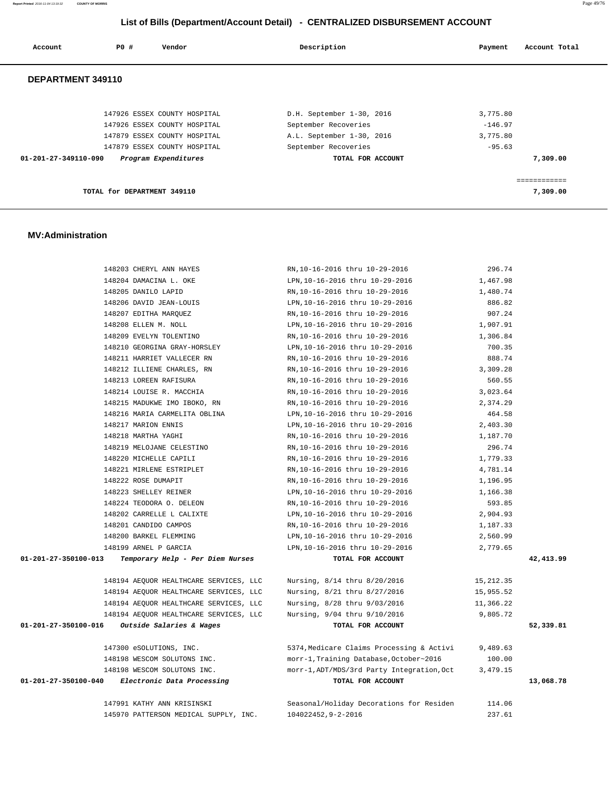**Report Printed** 2016-11-04 13:19:32 **COUNTY OF MORRIS** Page 49/76

## **List of Bills (Department/Account Detail) - CENTRALIZED DISBURSEMENT ACCOUNT**

| Account                        | PO#                          | Vendor | Description               | Account Total<br>Payment |
|--------------------------------|------------------------------|--------|---------------------------|--------------------------|
| DEPARTMENT 349110              |                              |        |                           |                          |
|                                | 147926 ESSEX COUNTY HOSPITAL |        | D.H. September 1-30, 2016 | 3,775.80                 |
|                                | 147926 ESSEX COUNTY HOSPITAL |        | September Recoveries      | $-146.97$                |
|                                | 147879 ESSEX COUNTY HOSPITAL |        | A.L. September 1-30, 2016 | 3,775.80                 |
|                                | 147879 ESSEX COUNTY HOSPITAL |        | September Recoveries      | $-95.63$                 |
| $01 - 201 - 27 - 349110 - 090$ | Program Expenditures         |        | TOTAL FOR ACCOUNT         | 7,309.00                 |
|                                |                              |        |                           |                          |
|                                |                              |        |                           | ============             |
|                                | TOTAL for DEPARTMENT 349110  |        |                           | 7,309.00                 |

#### **MV:Administration**

|                                                 | 148203 CHERYL ANN HAYES                | RN, 10-16-2016 thru 10-29-2016             | 296.74    |           |
|-------------------------------------------------|----------------------------------------|--------------------------------------------|-----------|-----------|
|                                                 | 148204 DAMACINA L. OKE                 | LPN, 10-16-2016 thru 10-29-2016            | 1,467.98  |           |
|                                                 | 148205 DANILO LAPID                    | RN, 10-16-2016 thru 10-29-2016             | 1,480.74  |           |
|                                                 | 148206 DAVID JEAN-LOUIS                | LPN, 10-16-2016 thru 10-29-2016            | 886.82    |           |
|                                                 | 148207 EDITHA MARQUEZ                  | RN, 10-16-2016 thru 10-29-2016             | 907.24    |           |
|                                                 | 148208 ELLEN M. NOLL                   | LPN, 10-16-2016 thru 10-29-2016            | 1,907.91  |           |
|                                                 | 148209 EVELYN TOLENTINO                | RN,10-16-2016 thru 10-29-2016              | 1,306.84  |           |
|                                                 | 148210 GEORGINA GRAY-HORSLEY           | LPN, 10-16-2016 thru 10-29-2016            | 700.35    |           |
|                                                 | 148211 HARRIET VALLECER RN             | RN, 10-16-2016 thru 10-29-2016             | 888.74    |           |
|                                                 | 148212 ILLIENE CHARLES, RN             | RN, 10-16-2016 thru 10-29-2016             | 3,309.28  |           |
|                                                 | 148213 LOREEN RAFISURA                 | RN, 10-16-2016 thru 10-29-2016             | 560.55    |           |
|                                                 | 148214 LOUISE R. MACCHIA               | RN, 10-16-2016 thru 10-29-2016             | 3,023.64  |           |
|                                                 | 148215 MADUKWE IMO IBOKO, RN           | RN, 10-16-2016 thru 10-29-2016             | 2,374.29  |           |
|                                                 | 148216 MARIA CARMELITA OBLINA          | LPN, 10-16-2016 thru 10-29-2016            | 464.58    |           |
|                                                 | 148217 MARION ENNIS                    | LPN, 10-16-2016 thru 10-29-2016            | 2,403.30  |           |
|                                                 | 148218 MARTHA YAGHI                    | RN, 10-16-2016 thru 10-29-2016             | 1,187.70  |           |
|                                                 | 148219 MELOJANE CELESTINO              | RN, 10-16-2016 thru 10-29-2016             | 296.74    |           |
|                                                 | 148220 MICHELLE CAPILI                 | RN, 10-16-2016 thru 10-29-2016             | 1,779.33  |           |
|                                                 | 148221 MIRLENE ESTRIPLET               | RN, 10-16-2016 thru 10-29-2016             | 4,781.14  |           |
|                                                 | 148222 ROSE DUMAPIT                    | RN, 10-16-2016 thru 10-29-2016             | 1,196.95  |           |
|                                                 | 148223 SHELLEY REINER                  | LPN, 10-16-2016 thru 10-29-2016            | 1,166.38  |           |
|                                                 | 148224 TEODORA O. DELEON               | RN, 10-16-2016 thru 10-29-2016             | 593.85    |           |
|                                                 | 148202 CARRELLE L CALIXTE              | LPN, 10-16-2016 thru 10-29-2016            | 2,904.93  |           |
|                                                 | 148201 CANDIDO CAMPOS                  | RN, 10-16-2016 thru 10-29-2016             | 1,187.33  |           |
|                                                 | 148200 BARKEL FLEMMING                 | LPN, 10-16-2016 thru 10-29-2016            | 2,560.99  |           |
|                                                 | 148199 ARNEL P GARCIA                  | LPN, 10-16-2016 thru 10-29-2016            | 2,779.65  |           |
| 01-201-27-350100-013                            | Temporary Help - Per Diem Nurses       | TOTAL FOR ACCOUNT                          |           | 42,413.99 |
|                                                 | 148194 AEQUOR HEALTHCARE SERVICES, LLC | Nursing, 8/14 thru 8/20/2016               | 15,212.35 |           |
|                                                 | 148194 AEQUOR HEALTHCARE SERVICES, LLC | Nursing, 8/21 thru 8/27/2016               | 15,955.52 |           |
|                                                 | 148194 AEQUOR HEALTHCARE SERVICES, LLC | Nursing, 8/28 thru 9/03/2016               | 11,366.22 |           |
|                                                 | 148194 AEQUOR HEALTHCARE SERVICES, LLC | Nursing, 9/04 thru 9/10/2016               | 9,805.72  |           |
| 01-201-27-350100-016                            | Outside Salaries & Wages               | TOTAL FOR ACCOUNT                          |           | 52,339.81 |
|                                                 | 147300 eSOLUTIONS, INC.                | 5374, Medicare Claims Processing & Activi  | 9,489.63  |           |
|                                                 | 148198 WESCOM SOLUTONS INC.            | morr-1, Training Database, October~2016    | 100.00    |           |
|                                                 | 148198 WESCOM SOLUTONS INC.            | morr-1, ADT/MDS/3rd Party Integration, Oct | 3,479.15  |           |
| 01-201-27-350100-040 Electronic Data Processing |                                        | TOTAL FOR ACCOUNT                          |           | 13,068.78 |
|                                                 | 147991 KATHY ANN KRISINSKI             | Seasonal/Holiday Decorations for Residen   | 114.06    |           |
|                                                 | 145970 PATTERSON MEDICAL SUPPLY, INC.  | 104022452, 9-2-2016                        | 237.61    |           |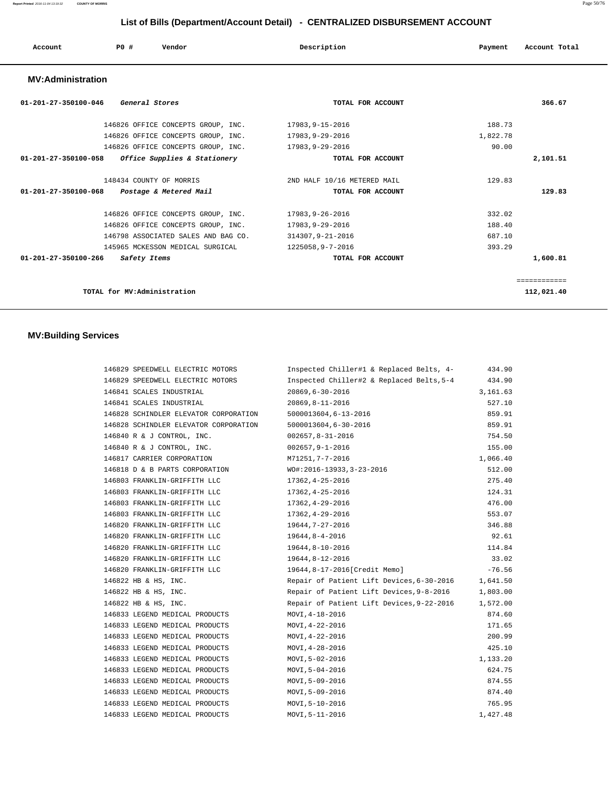|  | Account<br>. | P0 | Vendor | Description | Payment | Account Total |
|--|--------------|----|--------|-------------|---------|---------------|
|--|--------------|----|--------|-------------|---------|---------------|

#### **MV:Administration**

| $01 - 201 - 27 - 350100 - 046$<br>General Stores         | TOTAL FOR ACCOUNT           | 366.67       |
|----------------------------------------------------------|-----------------------------|--------------|
| 146826 OFFICE CONCEPTS GROUP, INC.                       | 17983,9-15-2016             | 188.73       |
| 146826 OFFICE CONCEPTS GROUP, INC.                       | 17983, 9-29-2016            | 1,822.78     |
| 146826 OFFICE CONCEPTS GROUP, INC.                       | 17983, 9-29-2016            | 90.00        |
| 01-201-27-350100-058<br>Office Supplies & Stationery     | TOTAL FOR ACCOUNT           | 2,101.51     |
| 148434 COUNTY OF MORRIS                                  | 2ND HALF 10/16 METERED MAIL | 129.83       |
| $01 - 201 - 27 - 350100 - 068$<br>Postage & Metered Mail | TOTAL FOR ACCOUNT           | 129.83       |
| 146826 OFFICE CONCEPTS GROUP, INC.                       | 17983,9-26-2016             | 332.02       |
| 146826 OFFICE CONCEPTS GROUP, INC.                       | 17983, 9-29-2016            | 188.40       |
| 146798 ASSOCIATED SALES AND BAG CO.                      | 314307, 9-21-2016           | 687.10       |
| 145965 MCKESSON MEDICAL SURGICAL                         | 1225058,9-7-2016            | 393.29       |
| $01 - 201 - 27 - 350100 - 266$<br>Safety Items           | TOTAL FOR ACCOUNT           | 1,600.81     |
|                                                          |                             | ============ |
| TOTAL for MV:Administration                              |                             | 112,021.40   |

## **MV:Building Services**

| 146829 SPEEDWELL ELECTRIC MOTORS                          | Inspected Chiller#1 & Replaced Belts, 4-  | 434.90   |
|-----------------------------------------------------------|-------------------------------------------|----------|
| 146829 SPEEDWELL ELECTRIC MOTORS                          | Inspected Chiller#2 & Replaced Belts, 5-4 | 434.90   |
| 146841 SCALES INDUSTRIAL                                  | 20869,6-30-2016                           | 3,161.63 |
| 146841 SCALES INDUSTRIAL                                  | 20869,8-11-2016                           | 527.10   |
| 146828 SCHINDLER ELEVATOR CORPORATION                     | 5000013604,6-13-2016                      | 859.91   |
| 146828 SCHINDLER ELEVATOR CORPORATION                     | 5000013604,6-30-2016                      | 859.91   |
| 146840 R & J CONTROL, INC.                                | $002657, 8 - 31 - 2016$                   | 754.50   |
| 146840 R & J CONTROL, INC.                                | 002657,9-1-2016                           | 155.00   |
| 146817 CARRIER CORPORATION                                | M71251,7-7-2016                           | 1,066.40 |
| 146818 D & B PARTS CORPORATION WO#:2016-13933,3-23-2016   |                                           | 512.00   |
| 146803 FRANKLIN-GRIFFITH LLC                              | 17362,4-25-2016                           | 275.40   |
| 146803 FRANKLIN-GRIFFITH LLC                              | 17362,4-25-2016                           | 124.31   |
| 146803 FRANKLIN-GRIFFITH LLC                              | 17362,4-29-2016                           | 476.00   |
| 146803 FRANKLIN-GRIFFITH LLC                              | 17362,4-29-2016                           | 553.07   |
| 146820 FRANKLIN-GRIFFITH LLC                              | 19644,7-27-2016                           | 346.88   |
| 146820 FRANKLIN-GRIFFITH LLC                              | 19644,8-4-2016                            | 92.61    |
| 146820 FRANKLIN-GRIFFITH LLC                              | 19644,8-10-2016                           | 114.84   |
| 146820 FRANKLIN-GRIFFITH LLC 19644,8-12-2016              |                                           | 33.02    |
| 146820 FRANKLIN-GRIFFITH LLC 19644,8-17-2016[Credit Memo] |                                           | $-76.56$ |
| 146822 HB & HS, INC.                                      | Repair of Patient Lift Devices, 6-30-2016 | 1,641.50 |
| 146822 HB & HS, INC.                                      | Repair of Patient Lift Devices, 9-8-2016  | 1,803.00 |
| 146822 HB & HS, INC.                                      | Repair of Patient Lift Devices, 9-22-2016 | 1,572.00 |
| 146833 LEGEND MEDICAL PRODUCTS                            | MOVI,4-18-2016                            | 874.60   |
| 146833 LEGEND MEDICAL PRODUCTS MOVI, 4-22-2016            |                                           | 171.65   |
| 146833 LEGEND MEDICAL PRODUCTS                            | MOVI,4-22-2016                            | 200.99   |
| 146833 LEGEND MEDICAL PRODUCTS                            | MOVI, 4-28-2016                           | 425.10   |
| 146833 LEGEND MEDICAL PRODUCTS                            | MOVI, 5-02-2016                           | 1,133.20 |
| 146833 LEGEND MEDICAL PRODUCTS                            | MOVI,5-04-2016                            | 624.75   |
| 146833 LEGEND MEDICAL PRODUCTS                            | MOVI,5-09-2016                            | 874.55   |
| 146833 LEGEND MEDICAL PRODUCTS                            | MOVI,5-09-2016                            | 874.40   |
| 146833 LEGEND MEDICAL PRODUCTS                            | MOVI,5-10-2016                            | 765.95   |
| 146833 LEGEND MEDICAL PRODUCTS                            | MOVI, 5-11-2016                           | 1,427.48 |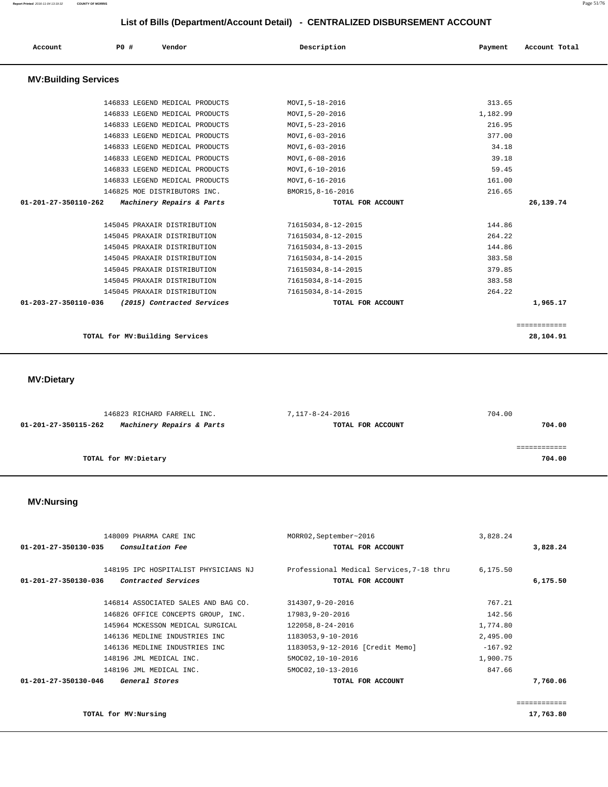| Account                     | PO#                             | Vendor                         | Description        | Payment  | Account Total |
|-----------------------------|---------------------------------|--------------------------------|--------------------|----------|---------------|
| <b>MV:Building Services</b> |                                 |                                |                    |          |               |
|                             |                                 | 146833 LEGEND MEDICAL PRODUCTS | MOVI, 5-18-2016    | 313.65   |               |
|                             |                                 | 146833 LEGEND MEDICAL PRODUCTS | MOVI, 5-20-2016    | 1,182.99 |               |
|                             |                                 | 146833 LEGEND MEDICAL PRODUCTS | MOVI, 5-23-2016    | 216.95   |               |
|                             |                                 | 146833 LEGEND MEDICAL PRODUCTS | MOVI, 6-03-2016    | 377.00   |               |
|                             |                                 | 146833 LEGEND MEDICAL PRODUCTS | MOVI, 6-03-2016    | 34.18    |               |
|                             |                                 | 146833 LEGEND MEDICAL PRODUCTS | MOVI, 6-08-2016    | 39.18    |               |
|                             |                                 | 146833 LEGEND MEDICAL PRODUCTS | MOVI, 6-10-2016    | 59.45    |               |
|                             |                                 | 146833 LEGEND MEDICAL PRODUCTS | MOVI, 6-16-2016    | 161.00   |               |
|                             |                                 | 146825 MOE DISTRIBUTORS INC.   | BMOR15, 8-16-2016  | 216.65   |               |
| 01-201-27-350110-262        |                                 | Machinery Repairs & Parts      | TOTAL FOR ACCOUNT  |          | 26,139.74     |
|                             |                                 | 145045 PRAXAIR DISTRIBUTION    | 71615034,8-12-2015 | 144.86   |               |
|                             |                                 | 145045 PRAXAIR DISTRIBUTION    | 71615034,8-12-2015 | 264.22   |               |
|                             |                                 | 145045 PRAXAIR DISTRIBUTION    | 71615034,8-13-2015 | 144.86   |               |
|                             |                                 | 145045 PRAXAIR DISTRIBUTION    | 71615034,8-14-2015 | 383.58   |               |
|                             |                                 | 145045 PRAXAIR DISTRIBUTION    | 71615034,8-14-2015 | 379.85   |               |
|                             |                                 | 145045 PRAXAIR DISTRIBUTION    | 71615034,8-14-2015 | 383.58   |               |
|                             |                                 | 145045 PRAXAIR DISTRIBUTION    | 71615034,8-14-2015 | 264.22   |               |
| 01-203-27-350110-036        |                                 | (2015) Contracted Services     | TOTAL FOR ACCOUNT  |          | 1,965.17      |
|                             |                                 |                                |                    |          | ============  |
|                             | TOTAL for MV: Building Services |                                |                    |          | 28,104.91     |

 **MV:Dietary** 

| 146823 RICHARD FARRELL INC.                       | 7,117-8-24-2016   | 704.00 |
|---------------------------------------------------|-------------------|--------|
| Machinery Repairs & Parts<br>01-201-27-350115-262 | TOTAL FOR ACCOUNT | 704.00 |
|                                                   |                   |        |
|                                                   |                   |        |
| TOTAL for MV:Dietary                              |                   | 704.00 |
|                                                   |                   |        |

#### **MV:Nursing**

| 148009 PHARMA CARE INC                                                              | MORR02, September~2016                                        | 3,828.24  |          |
|-------------------------------------------------------------------------------------|---------------------------------------------------------------|-----------|----------|
| Consultation Fee<br>01-201-27-350130-035                                            | TOTAL FOR ACCOUNT                                             |           | 3,828.24 |
| 148195 IPC HOSPITALIST PHYSICIANS NJ<br>Contracted Services<br>01-201-27-350130-036 | Professional Medical Services, 7-18 thru<br>TOTAL FOR ACCOUNT | 6, 175.50 | 6,175.50 |
| 146814 ASSOCIATED SALES AND BAG CO.                                                 | 314307,9-20-2016                                              | 767.21    |          |
| 146826 OFFICE CONCEPTS GROUP, INC.                                                  | 17983,9-20-2016                                               | 142.56    |          |
| 145964 MCKESSON MEDICAL SURGICAL                                                    | 122058,8-24-2016                                              | 1,774.80  |          |
| 146136 MEDLINE INDUSTRIES INC                                                       | 1183053,9-10-2016                                             | 2,495.00  |          |
| 146136 MEDLINE INDUSTRIES INC                                                       | 1183053, 9-12-2016 [Credit Memo]                              | $-167.92$ |          |
| 148196 JML MEDICAL INC.                                                             | 5MOC02,10-10-2016                                             | 1,900.75  |          |
| 148196 JML MEDICAL INC.                                                             | 5MOC02, 10-13-2016                                            | 847.66    |          |
| 01-201-27-350130-046<br>General Stores                                              | TOTAL FOR ACCOUNT                                             |           | 7,760.06 |

**TOTAL for MV:Nursing 17,763.80**

============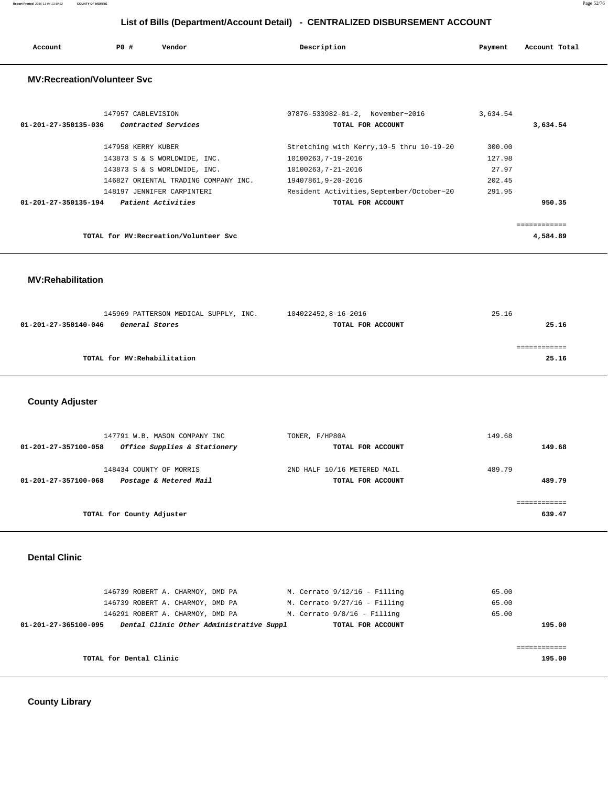| Account<br>. | <b>PO #</b> | Vendor | Description | Payment | Account Total |
|--------------|-------------|--------|-------------|---------|---------------|
|              |             |        |             |         |               |

#### **MV:Recreation/Volunteer Svc**

| 147957 CABLEVISION<br>Contracted Services<br>01-201-27-350135-036 | 07876-533982-01-2, November~2016<br>TOTAL FOR ACCOUNT | 3,634.54 | 3,634.54 |
|-------------------------------------------------------------------|-------------------------------------------------------|----------|----------|
| 147958 KERRY KUBER                                                | Stretching with Kerry, 10-5 thru 10-19-20             | 300.00   |          |
| 143873 S & S WORLDWIDE, INC.                                      | 10100263,7-19-2016                                    | 127.98   |          |
| 143873 S & S WORLDWIDE, INC.                                      | 10100263,7-21-2016                                    | 27.97    |          |
| 146827 ORIENTAL TRADING COMPANY INC.                              | 19407861,9-20-2016                                    | 202.45   |          |
| 148197 JENNIFER CARPINTERI                                        | Resident Activities, September/October~20             | 291.95   |          |
| Patient Activities<br>01-201-27-350135-194                        | TOTAL FOR ACCOUNT                                     |          | 950.35   |
|                                                                   |                                                       |          |          |
| TOTAL for MV: Recreation/Volunteer Svc                            |                                                       |          | 4,584.89 |

## **MV:Rehabilitation**

| 145969 PATTERSON MEDICAL SUPPLY, INC.  | 104022452,8-16-2016 | 25.16 |
|----------------------------------------|---------------------|-------|
| 01-201-27-350140-046<br>General Stores | TOTAL FOR ACCOUNT   | 25.16 |
|                                        |                     |       |
|                                        |                     |       |
| TOTAL for MV: Rehabilitation           |                     | 25.16 |

## **County Adjuster**

| TONER, F/HP80A              | 149.68      |
|-----------------------------|-------------|
| TOTAL FOR ACCOUNT           | 149.68      |
| 2ND HALF 10/16 METERED MAIL | 489.79      |
| TOTAL FOR ACCOUNT           | 489.79      |
|                             | ----------- |
|                             | 639.47      |
|                             |             |

#### **Dental Clinic**

|                         | 146739 ROBERT A. CHARMOY, DMD PA         | M. Cerrato $9/12/16$ - Filling | 65.00  |
|-------------------------|------------------------------------------|--------------------------------|--------|
|                         | 146739 ROBERT A. CHARMOY, DMD PA         | M. Cerrato $9/27/16$ - Filling | 65.00  |
|                         | 146291 ROBERT A. CHARMOY, DMD PA         | M. Cerrato 9/8/16 - Filling    | 65.00  |
| 01-201-27-365100-095    | Dental Clinic Other Administrative Suppl | TOTAL FOR ACCOUNT              | 195.00 |
|                         |                                          |                                |        |
|                         |                                          |                                |        |
| TOTAL for Dental Clinic |                                          |                                | 195.00 |
|                         |                                          |                                |        |

 **County Library**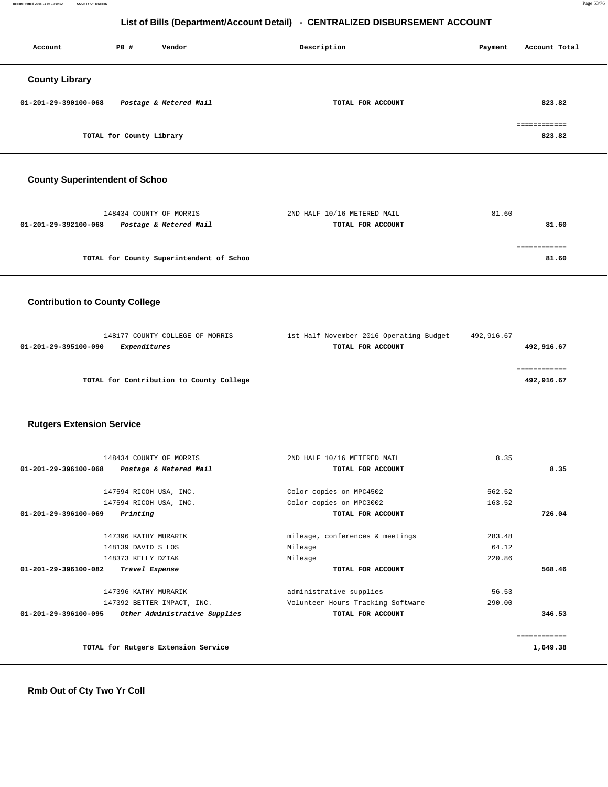**Report Printed** 2016-11-04 13:19:32 **COUNTY OF MORRIS** Page 53/76

## **List of Bills (Department/Account Detail) - CENTRALIZED DISBURSEMENT ACCOUNT**

| Account               | P0 #                     | Vendor                 | Description       | Payment | Account Total          |
|-----------------------|--------------------------|------------------------|-------------------|---------|------------------------|
| <b>County Library</b> |                          |                        |                   |         |                        |
| 01-201-29-390100-068  |                          | Postage & Metered Mail | TOTAL FOR ACCOUNT |         | 823.82                 |
|                       | TOTAL for County Library |                        |                   |         | ============<br>823.82 |

## **County Superintendent of Schoo**

| 2ND HALF 10/16 METERED MAIL<br>81.60 |
|--------------------------------------|
| 81.60<br>TOTAL FOR ACCOUNT           |
|                                      |
|                                      |
| 81.60                                |
|                                      |

## **Contribution to County College**

| 148177 COUNTY COLLEGE OF MORRIS             | 1st Half November 2016 Operating Budget | 492,916.67 |
|---------------------------------------------|-----------------------------------------|------------|
| <i>Expenditures</i><br>01-201-29-395100-090 | TOTAL FOR ACCOUNT                       | 492,916.67 |
|                                             |                                         |            |
|                                             |                                         |            |
| TOTAL for Contribution to County College    |                                         | 492,916.67 |
|                                             |                                         |            |

## **Rutgers Extension Service**

| 148434 COUNTY OF MORRIS                                  | 2ND HALF 10/16 METERED MAIL       | 8.35         |
|----------------------------------------------------------|-----------------------------------|--------------|
| $01 - 201 - 29 - 396100 - 068$<br>Postage & Metered Mail | TOTAL FOR ACCOUNT                 | 8.35         |
|                                                          |                                   |              |
| 147594 RICOH USA, INC.                                   | Color copies on MPC4502           | 562.52       |
| 147594 RICOH USA, INC.                                   | Color copies on MPC3002           | 163.52       |
| $01 - 201 - 29 - 396100 - 069$<br>Printing               | TOTAL FOR ACCOUNT                 | 726.04       |
|                                                          |                                   |              |
| 147396 KATHY MURARIK                                     | mileage, conferences & meetings   | 283.48       |
| 148139 DAVID S LOS                                       | Mileage                           | 64.12        |
| 148373 KELLY DZIAK                                       | Mileage                           | 220.86       |
| $01 - 201 - 29 - 396100 - 082$<br>Travel Expense         | TOTAL FOR ACCOUNT                 | 568.46       |
| 147396 KATHY MURARIK                                     | administrative supplies           | 56.53        |
| 147392 BETTER IMPACT, INC.                               | Volunteer Hours Tracking Software | 290.00       |
| Other Administrative Supplies<br>01-201-29-396100-095    | TOTAL FOR ACCOUNT                 | 346.53       |
|                                                          |                                   | ============ |
| TOTAL for Rutgers Extension Service                      |                                   | 1,649.38     |
|                                                          |                                   |              |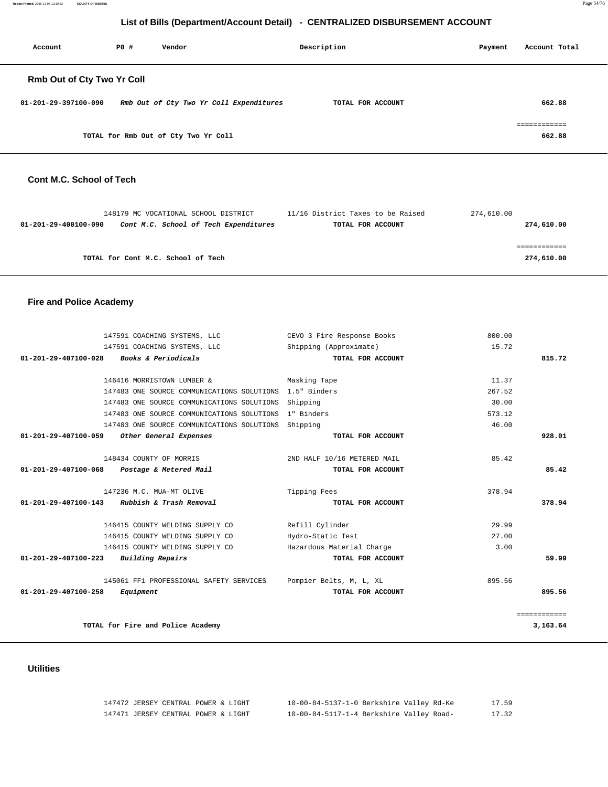**Report Printed** 2016-11-04 13:19:32 **COUNTY OF MORRIS** Page 54/76

## **List of Bills (Department/Account Detail) - CENTRALIZED DISBURSEMENT ACCOUNT**

| Account                    | PO# | Vendor                                  | Description       | Payment | Account Total          |
|----------------------------|-----|-----------------------------------------|-------------------|---------|------------------------|
| Rmb Out of Cty Two Yr Coll |     |                                         |                   |         |                        |
| 01-201-29-397100-090       |     | Rmb Out of Cty Two Yr Coll Expenditures | TOTAL FOR ACCOUNT |         | 662.88                 |
|                            |     | TOTAL for Rmb Out of Cty Two Yr Coll    |                   |         | ------------<br>662.88 |

## **Cont M.C. School of Tech**

|                      | 148179 MC VOCATIONAL SCHOOL DISTRICT  | 11/16 District Taxes to be Raised | 274,610.00 |
|----------------------|---------------------------------------|-----------------------------------|------------|
| 01-201-29-400100-090 | Cont M.C. School of Tech Expenditures | TOTAL FOR ACCOUNT                 | 274,610.00 |
|                      |                                       |                                   |            |
|                      |                                       |                                   | ---------- |
|                      | TOTAL for Cont M.C. School of Tech    |                                   | 274,610.00 |
|                      |                                       |                                   |            |

## **Fire and Police Academy**

| 147591 COACHING SYSTEMS, LLC                          | CEVO 3 Fire Response Books  | 800.00       |
|-------------------------------------------------------|-----------------------------|--------------|
| 147591 COACHING SYSTEMS, LLC                          | Shipping (Approximate)      | 15.72        |
| Books & Periodicals<br>$01 - 201 - 29 - 407100 - 028$ | TOTAL FOR ACCOUNT           | 815.72       |
|                                                       |                             |              |
| 146416 MORRISTOWN LUMBER &                            | Masking Tape                | 11.37        |
| 147483 ONE SOURCE COMMUNICATIONS SOLUTIONS            | 1.5" Binders                | 267.52       |
| 147483 ONE SOURCE COMMUNICATIONS SOLUTIONS            | Shipping                    | 30.00        |
| 147483 ONE SOURCE COMMUNICATIONS SOLUTIONS            | 1" Binders                  | 573.12       |
| 147483 ONE SOURCE COMMUNICATIONS SOLUTIONS Shipping   |                             | 46.00        |
| 01-201-29-407100-059<br>Other General Expenses        | TOTAL FOR ACCOUNT           | 928.01       |
| 148434 COUNTY OF MORRIS                               | 2ND HALF 10/16 METERED MAIL | 85.42        |
| 01-201-29-407100-068<br>Postage & Metered Mail        | TOTAL FOR ACCOUNT           | 85.42        |
| 147236 M.C. MUA-MT OLIVE                              | Tipping Fees                | 378.94       |
| 01-201-29-407100-143<br>Rubbish & Trash Removal       | TOTAL FOR ACCOUNT           | 378.94       |
| 146415 COUNTY WELDING SUPPLY CO                       | Refill Cylinder             | 29.99        |
| 146415 COUNTY WELDING SUPPLY CO                       | Hydro-Static Test           | 27.00        |
| 146415 COUNTY WELDING SUPPLY CO                       | Hazardous Material Charge   | 3.00         |
| Building Repairs<br>$01 - 201 - 29 - 407100 - 223$    | TOTAL FOR ACCOUNT           | 59.99        |
| 145061 FF1 PROFESSIONAL SAFETY SERVICES               | Pompier Belts, M, L, XL     | 895.56       |
| $01 - 201 - 29 - 407100 - 258$<br>Equipment           | TOTAL FOR ACCOUNT           | 895.56       |
|                                                       |                             | ============ |
| TOTAL for Fire and Police Academy                     |                             | 3,163.64     |

## **Utilities**

| 147472 JERSEY CENTRAL POWER & LIGHT | 10-00-84-5137-1-0 Berkshire Valley Rd-Ke | 17.59 |
|-------------------------------------|------------------------------------------|-------|
| 147471 JERSEY CENTRAL POWER & LIGHT | 10-00-84-5117-1-4 Berkshire Valley Road- | 17.32 |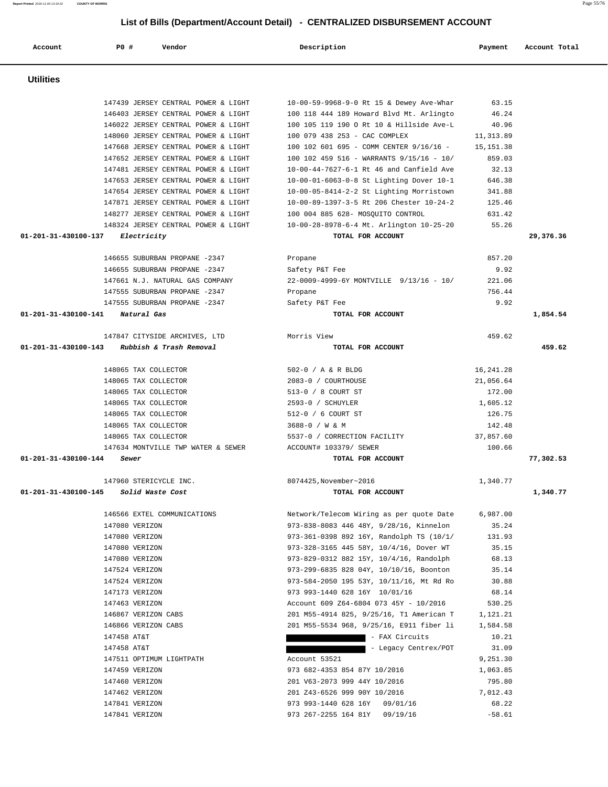| Account              | PO#<br>Vendor                         | Description                              | Payment    | Account Total |
|----------------------|---------------------------------------|------------------------------------------|------------|---------------|
| <b>Utilities</b>     |                                       |                                          |            |               |
|                      | 147439 JERSEY CENTRAL POWER & LIGHT   | 10-00-59-9968-9-0 Rt 15 & Dewey Ave-Whar | 63.15      |               |
|                      | 146403 JERSEY CENTRAL POWER & LIGHT   | 100 118 444 189 Howard Blvd Mt. Arlingto | 46.24      |               |
|                      | 146022 JERSEY CENTRAL POWER & LIGHT   | 100 105 119 190 O Rt 10 & Hillside Ave-L | 40.96      |               |
|                      | 148060 JERSEY CENTRAL POWER & LIGHT   | 100 079 438 253 - CAC COMPLEX            | 11,313.89  |               |
|                      | 147668 JERSEY CENTRAL POWER & LIGHT   | 100 102 601 695 - COMM CENTER 9/16/16 -  | 15, 151.38 |               |
|                      | 147652 JERSEY CENTRAL POWER & LIGHT   | 100 102 459 516 - WARRANTS 9/15/16 - 10/ | 859.03     |               |
|                      | 147481 JERSEY CENTRAL POWER & LIGHT   | 10-00-44-7627-6-1 Rt 46 and Canfield Ave | 32.13      |               |
|                      | 147653 JERSEY CENTRAL POWER & LIGHT   | 10-00-01-6063-0-8 St Lighting Dover 10-1 | 646.38     |               |
|                      | 147654 JERSEY CENTRAL POWER & LIGHT   | 10-00-05-8414-2-2 St Lighting Morristown | 341.88     |               |
|                      | 147871 JERSEY CENTRAL POWER & LIGHT   | 10-00-89-1397-3-5 Rt 206 Chester 10-24-2 | 125.46     |               |
|                      | 148277 JERSEY CENTRAL POWER & LIGHT   | 100 004 885 628- MOSQUITO CONTROL        | 631.42     |               |
|                      | 148324 JERSEY CENTRAL POWER & LIGHT   | 10-00-28-8978-6-4 Mt. Arlington 10-25-20 | 55.26      |               |
| 01-201-31-430100-137 | Electricity                           | TOTAL FOR ACCOUNT                        |            | 29,376.36     |
|                      | 146655 SUBURBAN PROPANE -2347         | Propane                                  | 857.20     |               |
|                      | 146655 SUBURBAN PROPANE -2347         | Safety P&T Fee                           | 9.92       |               |
|                      | 147661 N.J. NATURAL GAS COMPANY       | 22-0009-4999-6Y MONTVILLE 9/13/16 - 10/  | 221.06     |               |
|                      | 147555 SUBURBAN PROPANE -2347         | Propane                                  | 756.44     |               |
|                      | 147555 SUBURBAN PROPANE -2347         | Safety P&T Fee                           | 9.92       |               |
| 01-201-31-430100-141 | Natural Gas                           | TOTAL FOR ACCOUNT                        |            | 1,854.54      |
|                      | 147847 CITYSIDE ARCHIVES, LTD         | Morris View                              | 459.62     |               |
| 01-201-31-430100-143 | Rubbish & Trash Removal               | TOTAL FOR ACCOUNT                        |            | 459.62        |
|                      | 148065 TAX COLLECTOR                  | 502-0 / A & R BLDG                       | 16, 241.28 |               |
|                      | 148065 TAX COLLECTOR                  | 2083-0 / COURTHOUSE                      | 21,056.64  |               |
|                      | 148065 TAX COLLECTOR                  | 513-0 / 8 COURT ST                       | 172.00     |               |
|                      | 148065 TAX COLLECTOR                  | 2593-0 / SCHUYLER                        | 1,605.12   |               |
|                      | 148065 TAX COLLECTOR                  | 512-0 / 6 COURT ST                       | 126.75     |               |
|                      | 148065 TAX COLLECTOR                  | 3688-0 / W & M                           | 142.48     |               |
|                      | 148065 TAX COLLECTOR                  | 5537-0 / CORRECTION FACILITY             | 37,857.60  |               |
|                      | 147634 MONTVILLE TWP WATER & SEWER    | ACCOUNT# 103379/ SEWER                   | 100.66     |               |
| 01-201-31-430100-144 | Sewer                                 | TOTAL FOR ACCOUNT                        |            | 77,302.53     |
|                      | 147960 STERICYCLE INC.                | 8074425, November~2016                   | 1,340.77   |               |
|                      | 01-201-31-430100-145 Solid Waste Cost | TOTAL FOR ACCOUNT                        |            | 1,340.77      |
|                      |                                       |                                          |            |               |
|                      | 146566 EXTEL COMMUNICATIONS           | Network/Telecom Wiring as per quote Date | 6,987.00   |               |
|                      | 147080 VERIZON                        | 973-838-8083 446 48Y, 9/28/16, Kinnelon  | 35.24      |               |
|                      | 147080 VERIZON                        | 973-361-0398 892 16Y, Randolph TS (10/1/ | 131.93     |               |
|                      | 147080 VERIZON                        | 973-328-3165 445 58Y, 10/4/16, Dover WT  | 35.15      |               |
|                      | 147080 VERIZON                        | 973-829-0312 882 15Y, 10/4/16, Randolph  | 68.13      |               |
|                      | 147524 VERIZON                        | 973-299-6835 828 04Y, 10/10/16, Boonton  | 35.14      |               |
|                      | 147524 VERIZON                        | 973-584-2050 195 53Y, 10/11/16, Mt Rd Ro | 30.88      |               |
|                      | 147173 VERIZON                        | 973 993-1440 628 16Y 10/01/16            | 68.14      |               |
|                      | 147463 VERIZON                        | Account 609 Z64-6804 073 45Y - 10/2016   | 530.25     |               |
|                      | 146867 VERIZON CABS                   | 201 M55-4914 825, 9/25/16, T1 American T | 1,121.21   |               |
|                      | 146866 VERIZON CABS                   | 201 M55-5534 968, 9/25/16, E911 fiber li | 1,584.58   |               |
|                      | 147458 AT&T                           | - FAX Circuits                           | 10.21      |               |
|                      | 147458 AT&T                           | - Legacy Centrex/POT                     | 31.09      |               |
|                      | 147511 OPTIMUM LIGHTPATH              | Account 53521                            | 9,251.30   |               |
|                      | 147459 VERIZON                        | 973 682-4353 854 87Y 10/2016             | 1,063.85   |               |
|                      | 147460 VERIZON                        | 201 V63-2073 999 44Y 10/2016             | 795.80     |               |
|                      | 147462 VERIZON                        | 201 Z43-6526 999 90Y 10/2016             | 7,012.43   |               |
|                      | 147841 VERIZON                        | 973 993-1440 628 16Y 09/01/16            | 68.22      |               |
|                      | 147841 VERIZON                        | 973 267-2255 164 81Y 09/19/16            | $-58.61$   |               |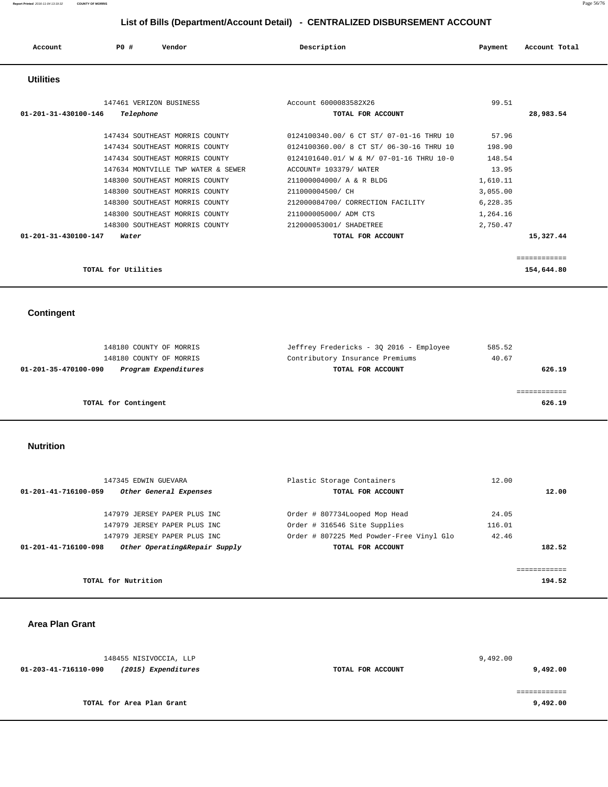| Account              | P0#<br>Vendor                      | Description                              | Payment  | Account Total |
|----------------------|------------------------------------|------------------------------------------|----------|---------------|
| <b>Utilities</b>     |                                    |                                          |          |               |
|                      | 147461 VERIZON BUSINESS            | Account 6000083582X26                    | 99.51    |               |
| 01-201-31-430100-146 | Telephone                          | TOTAL FOR ACCOUNT                        |          | 28,983.54     |
|                      | 147434 SOUTHEAST MORRIS COUNTY     | 0124100340.00/ 6 CT ST/ 07-01-16 THRU 10 | 57.96    |               |
|                      | 147434 SOUTHEAST MORRIS COUNTY     | 0124100360.00/ 8 CT ST/ 06-30-16 THRU 10 | 198.90   |               |
|                      | 147434 SOUTHEAST MORRIS COUNTY     | 0124101640.01/ W & M/ 07-01-16 THRU 10-0 | 148.54   |               |
|                      | 147634 MONTVILLE TWP WATER & SEWER | ACCOUNT# 103379/ WATER                   | 13.95    |               |
|                      | 148300 SOUTHEAST MORRIS COUNTY     | 211000004000/ A & R BLDG                 | 1,610.11 |               |
|                      | 148300 SOUTHEAST MORRIS COUNTY     | 211000004500/ CH                         | 3,055.00 |               |
|                      | 148300 SOUTHEAST MORRIS COUNTY     | 212000084700/ CORRECTION FACILITY        | 6,228.35 |               |
|                      | 148300 SOUTHEAST MORRIS COUNTY     | 211000005000/ ADM CTS                    | 1,264.16 |               |
|                      | 148300 SOUTHEAST MORRIS COUNTY     | 212000053001/ SHADETREE                  | 2,750.47 |               |
| 01-201-31-430100-147 | Water                              | TOTAL FOR ACCOUNT                        |          | 15,327.44     |
|                      |                                    |                                          |          |               |
|                      |                                    |                                          |          | ============  |
|                      | TOTAL for Utilities                |                                          |          | 154,644.80    |

 **Contingent** 

| 148180 COUNTY OF MORRIS                      | Jeffrey Fredericks - 30 2016 - Employee | 585.52 |
|----------------------------------------------|-----------------------------------------|--------|
| 148180 COUNTY OF MORRIS                      | Contributory Insurance Premiums         | 40.67  |
| Program Expenditures<br>01-201-35-470100-090 | TOTAL FOR ACCOUNT                       | 626.19 |
|                                              |                                         |        |
|                                              |                                         |        |
| TOTAL for Contingent                         |                                         | 626.19 |
|                                              |                                         |        |

 **Nutrition** 

| 147345 EDWIN GUEVARA                                  | Plastic Storage Containers               | 12.00  |
|-------------------------------------------------------|------------------------------------------|--------|
| 01-201-41-716100-059<br>Other General Expenses        | TOTAL FOR ACCOUNT                        | 12.00  |
| 147979 JERSEY PAPER PLUS INC                          | Order # 807734Looped Mop Head            | 24.05  |
| 147979 JERSEY PAPER PLUS INC                          | Order # 316546 Site Supplies             | 116.01 |
| 147979 JERSEY PAPER PLUS INC                          | Order # 807225 Med Powder-Free Vinyl Glo | 42.46  |
| Other Operating&Repair Supply<br>01-201-41-716100-098 | TOTAL FOR ACCOUNT                        | 182.52 |
|                                                       |                                          |        |
| TOTAL for Nutrition                                   |                                          | 194.52 |

 **Area Plan Grant** 

| 148455 NISIVOCCIA, LLP                      |                   | 9,492.00 |
|---------------------------------------------|-------------------|----------|
| (2015) Expenditures<br>01-203-41-716110-090 | TOTAL FOR ACCOUNT | 9,492.00 |
|                                             |                   |          |
|                                             |                   |          |
| TOTAL for Area Plan Grant                   |                   | 9,492.00 |
|                                             |                   |          |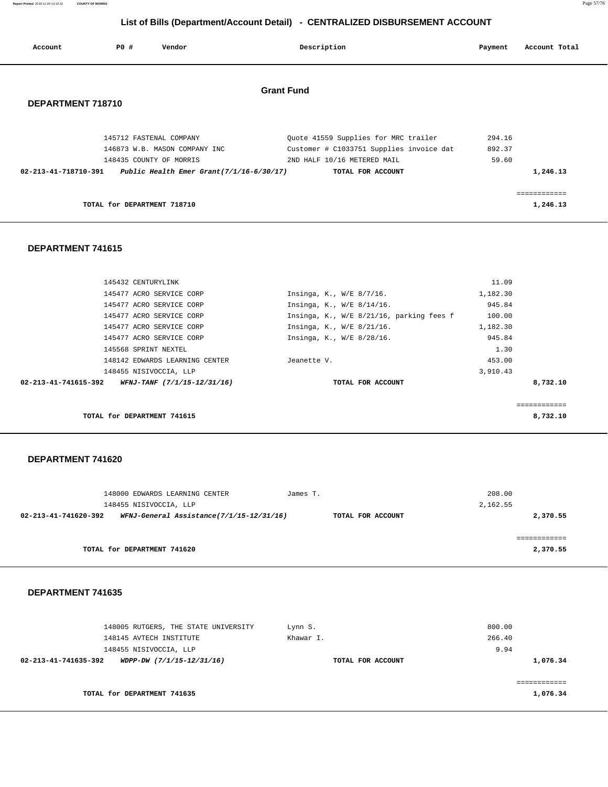**Report Printed** 2016-11-04 13:19:32 **COUNTY OF MORRIS** Page 57/76

## **List of Bills (Department/Account Detail) - CENTRALIZED DISBURSEMENT ACCOUNT**

| Account              | PO#                         | Vendor                                      | Description                              | Payment | Account Total            |
|----------------------|-----------------------------|---------------------------------------------|------------------------------------------|---------|--------------------------|
| DEPARTMENT 718710    |                             |                                             | <b>Grant Fund</b>                        |         |                          |
|                      |                             | 145712 FASTENAL COMPANY                     | Quote 41559 Supplies for MRC trailer     | 294.16  |                          |
|                      |                             | 146873 W.B. MASON COMPANY INC               | Customer # C1033751 Supplies invoice dat | 892.37  |                          |
|                      |                             | 148435 COUNTY OF MORRIS                     | 2ND HALF 10/16 METERED MAIL              | 59.60   |                          |
| 02-213-41-718710-391 |                             | Public Health Emer Grant $(7/1/16-6/30/17)$ | TOTAL FOR ACCOUNT                        |         | 1,246.13                 |
|                      | TOTAL for DEPARTMENT 718710 |                                             |                                          |         | ============<br>1,246.13 |

#### **DEPARTMENT 741615**

|                      | TOTAL for DEPARTMENT 741615    |                                          |          | 8,732.10 |
|----------------------|--------------------------------|------------------------------------------|----------|----------|
|                      |                                |                                          |          |          |
| 02-213-41-741615-392 | WFNJ-TANF (7/1/15-12/31/16)    | TOTAL FOR ACCOUNT                        |          | 8,732.10 |
|                      | 148455 NISIVOCCIA, LLP         |                                          | 3,910.43 |          |
|                      | 148142 EDWARDS LEARNING CENTER | Jeanette V.                              | 453.00   |          |
|                      | 145568 SPRINT NEXTEL           |                                          | 1.30     |          |
|                      | 145477 ACRO SERVICE CORP       | Insinga, K., W/E 8/28/16.                | 945.84   |          |
|                      | 145477 ACRO SERVICE CORP       | Insinga, K., W/E 8/21/16.                | 1,182.30 |          |
|                      | 145477 ACRO SERVICE CORP       | Insinga, K., W/E 8/21/16, parking fees f | 100.00   |          |
|                      | 145477 ACRO SERVICE CORP       | Insinga, K., W/E 8/14/16.                | 945.84   |          |
|                      | 145477 ACRO SERVICE CORP       | Insinga, K., W/E 8/7/16.                 | 1,182.30 |          |
|                      | 145432 CENTURYLINK             |                                          | 11.09    |          |

#### **DEPARTMENT 741620**

| 148000 EDWARDS LEARNING CENTER<br>James T.                                            | 208.00   |
|---------------------------------------------------------------------------------------|----------|
| 148455 NISIVOCCIA, LLP                                                                | 2,162.55 |
| WFNJ-General Assistance(7/1/15-12/31/16)<br>02-213-41-741620-392<br>TOTAL FOR ACCOUNT | 2,370.55 |
|                                                                                       |          |
|                                                                                       |          |
| TOTAL for DEPARTMENT 741620                                                           | 2,370.55 |
|                                                                                       |          |

| 148005 RUTGERS, THE STATE UNIVERSITY              | Lynn S.           | 800.00   |
|---------------------------------------------------|-------------------|----------|
| 148145 AVTECH INSTITUTE                           | Khawar I.         | 266.40   |
| 148455 NISIVOCCIA, LLP                            |                   | 9.94     |
| 02-213-41-741635-392<br>WDPP-DW (7/1/15-12/31/16) | TOTAL FOR ACCOUNT | 1,076.34 |
|                                                   |                   |          |
|                                                   |                   |          |
| TOTAL for DEPARTMENT 741635                       |                   | 1,076.34 |
|                                                   |                   |          |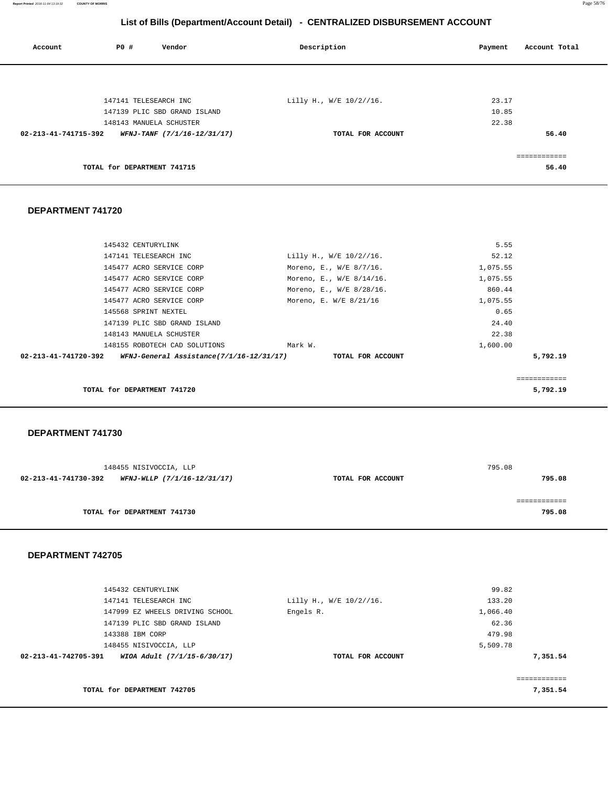**Report Printed** 2016-11-04 13:19:32 **COUNTY OF MORRIS** Page 58/76

## **List of Bills (Department/Account Detail) - CENTRALIZED DISBURSEMENT ACCOUNT**

| Account              | P0 #                        | Vendor                       | Description             | Account Total<br>Payment |
|----------------------|-----------------------------|------------------------------|-------------------------|--------------------------|
|                      |                             |                              |                         |                          |
|                      |                             | 147141 TELESEARCH INC        | Lilly H., W/E 10/2//16. | 23.17                    |
|                      |                             | 147139 PLIC SBD GRAND ISLAND |                         | 10.85                    |
|                      |                             | 148143 MANUELA SCHUSTER      |                         | 22.38                    |
| 02-213-41-741715-392 |                             | WFNJ-TANF (7/1/16-12/31/17)  | TOTAL FOR ACCOUNT       | 56.40                    |
|                      |                             |                              |                         | eessessesses             |
|                      | TOTAL for DEPARTMENT 741715 |                              |                         | 56.40                    |
|                      |                             |                              |                         |                          |

#### **DEPARTMENT 741720**

|                      | 145432 CENTURYLINK            |                          | 5.55        |
|----------------------|-------------------------------|--------------------------|-------------|
|                      | 147141 TELESEARCH INC         | Lilly H., W/E 10/2//16.  | 52.12       |
|                      | 145477 ACRO SERVICE CORP      | Moreno, E., W/E 8/7/16.  | 1,075.55    |
|                      | 145477 ACRO SERVICE CORP      | Moreno, E., W/E 8/14/16. | 1,075.55    |
|                      | 145477 ACRO SERVICE CORP      | Moreno, E., W/E 8/28/16. | 860.44      |
|                      | 145477 ACRO SERVICE CORP      | Moreno, E. W/E 8/21/16   | 1,075.55    |
|                      | 145568 SPRINT NEXTEL          |                          | 0.65        |
|                      | 147139 PLIC SBD GRAND ISLAND  |                          | 24.40       |
|                      | 148143 MANUELA SCHUSTER       |                          | 22.38       |
|                      | 148155 ROBOTECH CAD SOLUTIONS | Mark W.                  | 1,600.00    |
| 02-213-41-741720-392 |                               |                          | 5,792.19    |
|                      |                               |                          |             |
|                      |                               |                          | =========== |
|                      | TOTAL for DEPARTMENT 741720   |                          | 5,792.19    |
|                      |                               |                          |             |

#### **DEPARTMENT 741730**

| 148455 NISIVOCCIA, LLP                              |                   | 795.08 |
|-----------------------------------------------------|-------------------|--------|
| 02-213-41-741730-392<br>WFNJ-WLLP (7/1/16-12/31/17) | TOTAL FOR ACCOUNT | 795.08 |
|                                                     |                   |        |
|                                                     |                   |        |
| TOTAL for DEPARTMENT 741730                         |                   | 795.08 |

|                      | 145432 CENTURYLINK              |                         | 99.82    |
|----------------------|---------------------------------|-------------------------|----------|
|                      | 147141 TELESEARCH INC           | Lilly H., W/E 10/2//16. | 133.20   |
|                      | 147999 EZ WHEELS DRIVING SCHOOL | Engels R.               | 1,066.40 |
|                      | 147139 PLIC SBD GRAND ISLAND    |                         | 62.36    |
|                      | 143388 IBM CORP                 |                         | 479.98   |
|                      | 148455 NISIVOCCIA, LLP          |                         | 5,509.78 |
| 02-213-41-742705-391 | WIOA Adult (7/1/15-6/30/17)     | TOTAL FOR ACCOUNT       | 7,351.54 |
|                      |                                 |                         |          |
|                      |                                 |                         |          |
|                      | TOTAL for DEPARTMENT 742705     |                         | 7,351.54 |
|                      |                                 |                         |          |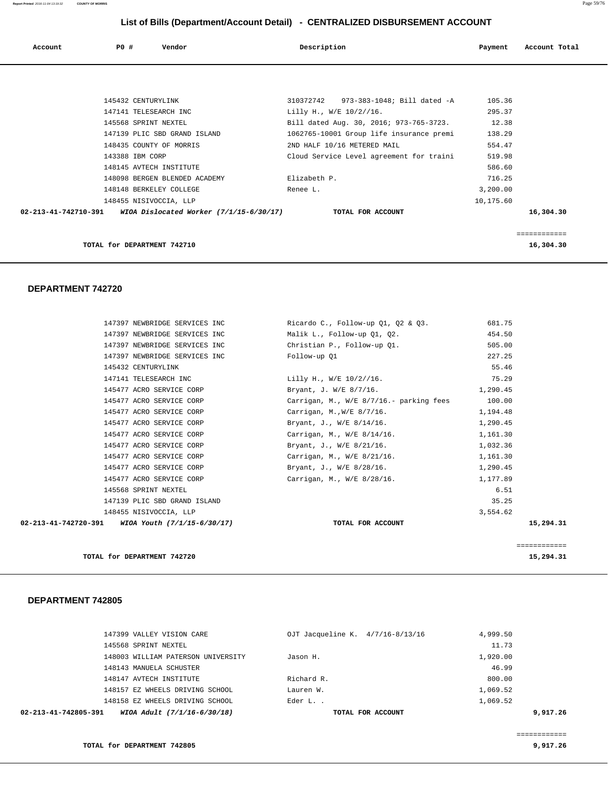| Account | P0 # | Vendor | Description | Payment | Account Total |
|---------|------|--------|-------------|---------|---------------|
|         |      |        |             |         |               |

|                      | TOTAL for DEPARTMENT 742710             |                                          |           | 16,304.30 |
|----------------------|-----------------------------------------|------------------------------------------|-----------|-----------|
|                      |                                         |                                          |           |           |
| 02-213-41-742710-391 | WIOA Dislocated Worker (7/1/15-6/30/17) | TOTAL FOR ACCOUNT                        |           | 16,304.30 |
|                      | 148455 NISIVOCCIA, LLP                  |                                          | 10,175.60 |           |
|                      | 148148 BERKELEY COLLEGE                 | Renee L.                                 | 3,200.00  |           |
|                      | 148098 BERGEN BLENDED ACADEMY           | Elizabeth P.                             | 716.25    |           |
|                      | 148145 AVTECH INSTITUTE                 |                                          | 586.60    |           |
|                      | 143388 IBM CORP                         | Cloud Service Level agreement for traini | 519.98    |           |
|                      | 148435 COUNTY OF MORRIS                 | 2ND HALF 10/16 METERED MAIL              | 554.47    |           |
|                      | 147139 PLIC SBD GRAND ISLAND            | 1062765-10001 Group life insurance premi | 138.29    |           |
|                      | 145568 SPRINT NEXTEL                    | Bill dated Aug. 30, 2016; 973-765-3723.  | 12.38     |           |
|                      | 147141 TELESEARCH INC                   | Lilly H., W/E 10/2//16.                  | 295.37    |           |
|                      | 145432 CENTURYLINK                      | 973-383-1048; Bill dated -A<br>310372742 | 105.36    |           |

#### **DEPARTMENT 742720**

| 147397 NEWBRIDGE SERVICES INC                      | Ricardo C., Follow-up 01, 02 & 03.                 | 681.75   |              |
|----------------------------------------------------|----------------------------------------------------|----------|--------------|
| 147397 NEWBRIDGE SERVICES INC                      | Malik L., Follow-up Q1, Q2.                        | 454.50   |              |
| 147397 NEWBRIDGE SERVICES INC                      | Christian P., Follow-up 01.                        | 505.00   |              |
| 147397 NEWBRIDGE SERVICES INC                      | Follow-up 01                                       | 227.25   |              |
| 145432 CENTURYLINK                                 |                                                    | 55.46    |              |
| 147141 TELESEARCH INC                              | Lilly H., W/E 10/2//16.                            | 75.29    |              |
| 145477 ACRO SERVICE CORP                           | Bryant, J. W/E 8/7/16.                             | 1,290.45 |              |
| 145477 ACRO SERVICE CORP                           | Carrigan, M., $W/E = 8/7/16$ . parking fees 100.00 |          |              |
| 145477 ACRO SERVICE CORP                           | Carrigan, M.,W/E 8/7/16.                           | 1,194.48 |              |
| 145477 ACRO SERVICE CORP                           | Bryant, J., W/E 8/14/16.                           | 1,290.45 |              |
| 145477 ACRO SERVICE CORP                           | Carrigan, M., W/E 8/14/16.                         | 1,161.30 |              |
| 145477 ACRO SERVICE CORP                           | Bryant, J., W/E 8/21/16.                           | 1,032.36 |              |
| 145477 ACRO SERVICE CORP                           | Carrigan, M., W/E 8/21/16.                         | 1,161.30 |              |
| 145477 ACRO SERVICE CORP                           | Bryant, J., W/E 8/28/16.                           | 1,290.45 |              |
| 145477 ACRO SERVICE CORP                           | Carrigan, M., W/E 8/28/16.                         | 1,177.89 |              |
| 145568 SPRINT NEXTEL                               |                                                    | 6.51     |              |
| 147139 PLIC SBD GRAND ISLAND                       |                                                    | 35.25    |              |
| 148455 NISIVOCCIA, LLP                             |                                                    | 3,554.62 |              |
| 02-213-41-742720-391 WIOA Youth $(7/1/15-6/30/17)$ | TOTAL FOR ACCOUNT                                  |          | 15,294.31    |
|                                                    |                                                    |          |              |
|                                                    |                                                    |          | ============ |
| TOTAL for DEPARTMENT 742720                        |                                                    |          | 15,294.31    |

| WIOA Adult (7/1/16-6/30/18)<br>02-213-41-742805-391 | TOTAL FOR ACCOUNT                | 9,917,26 |
|-----------------------------------------------------|----------------------------------|----------|
| 148158 EZ WHEELS DRIVING SCHOOL                     | Eder L. .                        | 1,069.52 |
| 148157 EZ WHEELS DRIVING SCHOOL                     | Lauren W.                        | 1,069.52 |
| 148147 AVTECH INSTITUTE                             | Richard R.                       | 800.00   |
| 148143 MANUELA SCHUSTER                             |                                  | 46.99    |
| 148003 WILLIAM PATERSON UNIVERSITY                  | Jason H.                         | 1,920.00 |
| 145568 SPRINT NEXTEL                                |                                  | 11.73    |
| 147399 VALLEY VISION CARE                           | OJT Jacqueline K. 4/7/16-8/13/16 | 4,999.50 |
|                                                     |                                  |          |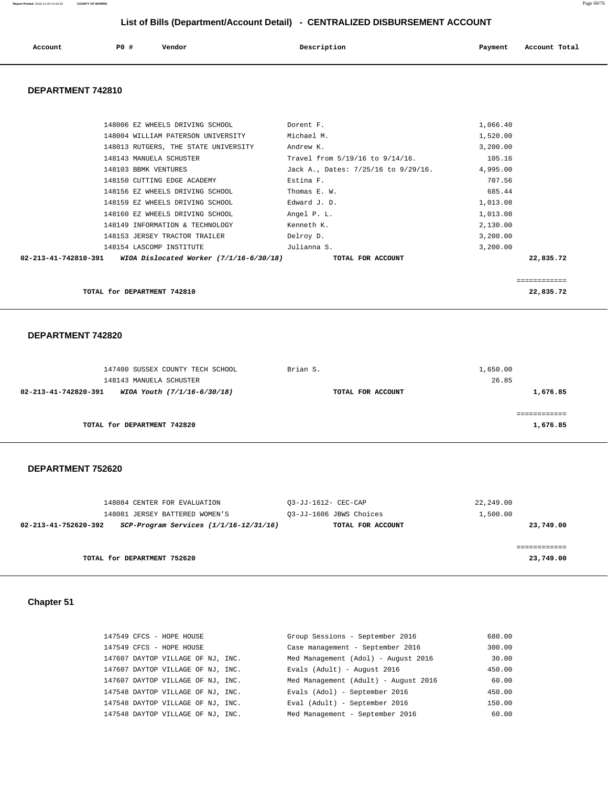| Account | PO # | Vendor | Description | Payment | Account Total |
|---------|------|--------|-------------|---------|---------------|
|         |      |        |             |         |               |

#### **DEPARTMENT 742810**

| TOTAL for DEPARTMENT 742810 |                                                               |                                     |          | 22,835.72   |
|-----------------------------|---------------------------------------------------------------|-------------------------------------|----------|-------------|
|                             |                                                               |                                     |          | =========== |
| 02-213-41-742810-391        | WIOA Dislocated Worker $(7/1/16 - 6/30/18)$ TOTAL FOR ACCOUNT |                                     |          | 22,835.72   |
| 148154 LASCOMP INSTITUTE    |                                                               | Julianna S.                         | 3,200.00 |             |
|                             | 148153 JERSEY TRACTOR TRAILER                                 | Delroy D.                           | 3,200.00 |             |
|                             | 148149 INFORMATION & TECHNOLOGY                               | Kenneth K.                          | 2,130.00 |             |
|                             | 148160 EZ WHEELS DRIVING SCHOOL                               | Angel P. L.                         | 1,013.08 |             |
|                             | 148159 EZ WHEELS DRIVING SCHOOL                               | Edward J. D.                        | 1,013.08 |             |
|                             | 148156 EZ WHEELS DRIVING SCHOOL                               | Thomas E. W.                        | 685.44   |             |
| 148150 CUTTING EDGE ACADEMY |                                                               | Estina F.                           | 707.56   |             |
| 148103 BBMK VENTURES        |                                                               | Jack A., Dates: 7/25/16 to 9/29/16. | 4,995.00 |             |
| 148143 MANUELA SCHUSTER     |                                                               | Travel from 5/19/16 to 9/14/16.     | 105.16   |             |
|                             | 148013 RUTGERS, THE STATE UNIVERSITY                          | Andrew K.                           | 3,200.00 |             |
|                             | 148004 WILLIAM PATERSON UNIVERSITY                            | Michael M.                          | 1,520.00 |             |
|                             | 148006 EZ WHEELS DRIVING SCHOOL                               | Dorent F.                           | 1,066.40 |             |
|                             |                                                               |                                     |          |             |

#### **DEPARTMENT 742820**

|                      | 147400 SUSSEX COUNTY TECH SCHOOL | Brian S.          | 1,650.00 |
|----------------------|----------------------------------|-------------------|----------|
|                      | 148143 MANUELA SCHUSTER          |                   | 26.85    |
| 02-213-41-742820-391 | WIOA Youth (7/1/16-6/30/18)      | TOTAL FOR ACCOUNT | 1,676.85 |
|                      |                                  |                   |          |
|                      |                                  |                   |          |
|                      | TOTAL for DEPARTMENT 742820      |                   | 1,676.85 |
|                      |                                  |                   |          |

#### **DEPARTMENT 752620**

| 148084 CENTER FOR EVALUATION<br>148081 JERSEY BATTERED WOMEN'S     | 03-JJ-1612- CEC-CAP<br>03-JJ-1606 JBWS Choices | 22,249.00<br>1,500.00 |
|--------------------------------------------------------------------|------------------------------------------------|-----------------------|
| $SCP-Program$ Services $(1/1/16-12/31/16)$<br>02-213-41-752620-392 | TOTAL FOR ACCOUNT                              | 23,749.00             |
|                                                                    |                                                |                       |
| TOTAL for DEPARTMENT 752620                                        |                                                | 23,749.00             |

## **Chapter 51**

| 147549 CFCS - HOPE HOUSE          | Group Sessions - September 2016      | 680.00 |
|-----------------------------------|--------------------------------------|--------|
| 147549 CFCS - HOPE HOUSE          | Case management - September 2016     | 300.00 |
| 147607 DAYTOP VILLAGE OF NJ, INC. | Med Management (Adol) - August 2016  | 30.00  |
| 147607 DAYTOP VILLAGE OF NJ, INC. | Evals (Adult) - August 2016          | 450.00 |
| 147607 DAYTOP VILLAGE OF NJ, INC. | Med Management (Adult) - August 2016 | 60.00  |
| 147548 DAYTOP VILLAGE OF NJ. INC. | Evals (Adol) - September 2016        | 450.00 |
| 147548 DAYTOP VILLAGE OF NJ, INC. | Eval (Adult) - September 2016        | 150.00 |
| 147548 DAYTOP VILLAGE OF NJ, INC. | Med Management - September 2016      | 60.00  |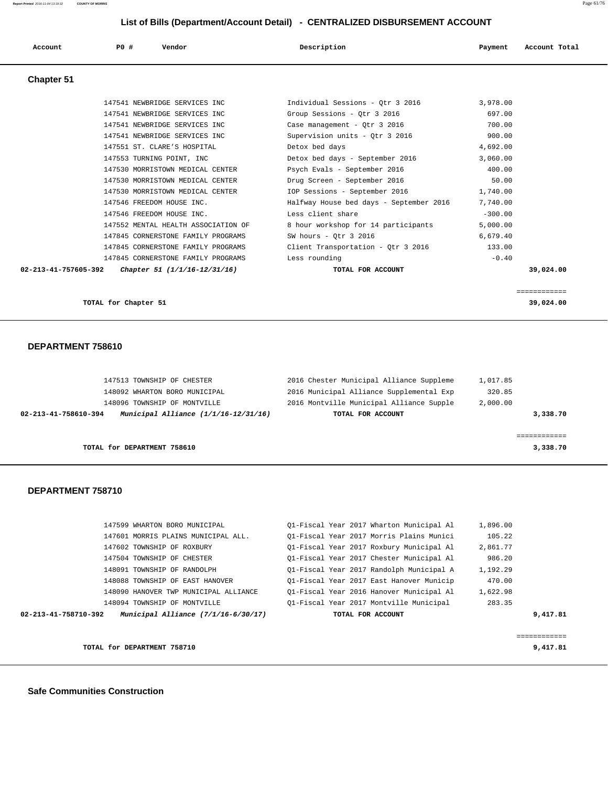| Account           | PO#<br>Vendor                       | Description                             | Account Total<br>Payment |  |  |
|-------------------|-------------------------------------|-----------------------------------------|--------------------------|--|--|
| <b>Chapter 51</b> |                                     |                                         |                          |  |  |
|                   | 147541 NEWBRIDGE SERVICES INC       | Individual Sessions - Otr 3 2016        | 3,978.00                 |  |  |
|                   | 147541 NEWBRIDGE SERVICES INC       | Group Sessions - Qtr 3 2016             | 697.00                   |  |  |
|                   | 147541 NEWBRIDGE SERVICES INC       | Case management - Qtr 3 2016            | 700.00                   |  |  |
|                   | 147541 NEWBRIDGE SERVICES INC       | Supervision units - Otr 3 2016          | 900.00                   |  |  |
|                   | 147551 ST. CLARE'S HOSPITAL         | Detox bed days                          | 4,692.00                 |  |  |
|                   | 147553 TURNING POINT, INC           | Detox bed days - September 2016         | 3,060.00                 |  |  |
|                   | 147530 MORRISTOWN MEDICAL CENTER    | Psych Evals - September 2016            | 400.00                   |  |  |
|                   | 147530 MORRISTOWN MEDICAL CENTER    | Drug Screen - September 2016            | 50.00                    |  |  |
|                   | 147530 MORRISTOWN MEDICAL CENTER    | IOP Sessions - September 2016           | 1,740.00                 |  |  |
|                   | 147546 FREEDOM HOUSE INC.           | Halfway House bed days - September 2016 | 7,740.00                 |  |  |
|                   | 147546 FREEDOM HOUSE INC.           | Less client share                       | $-300.00$                |  |  |
|                   | 147552 MENTAL HEALTH ASSOCIATION OF | 8 hour workshop for 14 participants     | 5,000.00                 |  |  |
|                   | 147845 CORNERSTONE FAMILY PROGRAMS  | SW hours - Qtr 3 2016                   | 6,679.40                 |  |  |

 147845 CORNERSTONE FAMILY PROGRAMS Client Transportation - Qtr 3 2016 133.00 147845 CORNERSTONE FAMILY PROGRAMS Less rounding  $-0.40$  **02-213-41-757605-392 Chapter 51 (1/1/16-12/31/16) TOTAL FOR ACCOUNT 39,024.00**

============

```
 TOTAL for Chapter 51 39,024.00
```
#### **DEPARTMENT 758610**

| TOTAL for DEPARTMENT 758610                                  |                                          | 3,338.70 |
|--------------------------------------------------------------|------------------------------------------|----------|
|                                                              |                                          |          |
| Municipal Alliance (1/1/16-12/31/16)<br>02-213-41-758610-394 | TOTAL FOR ACCOUNT                        | 3,338.70 |
| 148096 TOWNSHIP OF MONTVILLE                                 | 2016 Montville Municipal Alliance Supple | 2,000.00 |
| 148092 WHARTON BORO MUNICIPAL                                | 2016 Municipal Alliance Supplemental Exp | 320.85   |
| 147513 TOWNSHIP OF CHESTER                                   | 2016 Chester Municipal Alliance Suppleme | 1,017.85 |

#### **DEPARTMENT 758710**

|                      |                                       |                                          | ----------- |
|----------------------|---------------------------------------|------------------------------------------|-------------|
|                      |                                       |                                          |             |
| 02-213-41-758710-392 | Municipal Alliance $(7/1/16-6/30/17)$ | TOTAL FOR ACCOUNT                        | 9,417.81    |
|                      | 148094 TOWNSHIP OF MONTVILLE          | 01-Fiscal Year 2017 Montville Municipal  | 283.35      |
|                      | 148090 HANOVER TWP MUNICIPAL ALLIANCE | 01-Fiscal Year 2016 Hanover Municipal Al | 1,622.98    |
|                      | 148088 TOWNSHIP OF EAST HANOVER       | 01-Fiscal Year 2017 East Hanover Municip | 470.00      |
|                      | 148091 TOWNSHIP OF RANDOLPH           | Ol-Fiscal Year 2017 Randolph Municipal A | 1,192.29    |
|                      | 147504 TOWNSHIP OF CHESTER            | 01-Fiscal Year 2017 Chester Municipal Al | 986.20      |
|                      | 147602 TOWNSHIP OF ROXBURY            | 01-Fiscal Year 2017 Roxbury Municipal Al | 2,861.77    |
|                      | 147601 MORRIS PLAINS MUNICIPAL ALL.   | 01-Fiscal Year 2017 Morris Plains Munici | 105.22      |
|                      | 147599 WHARTON BORO MUNICIPAL         | Ol-Fiscal Year 2017 Wharton Municipal Al | 1,896.00    |

**TOTAL for DEPARTMENT 758710** 9,417.81

 **Safe Communities Construction**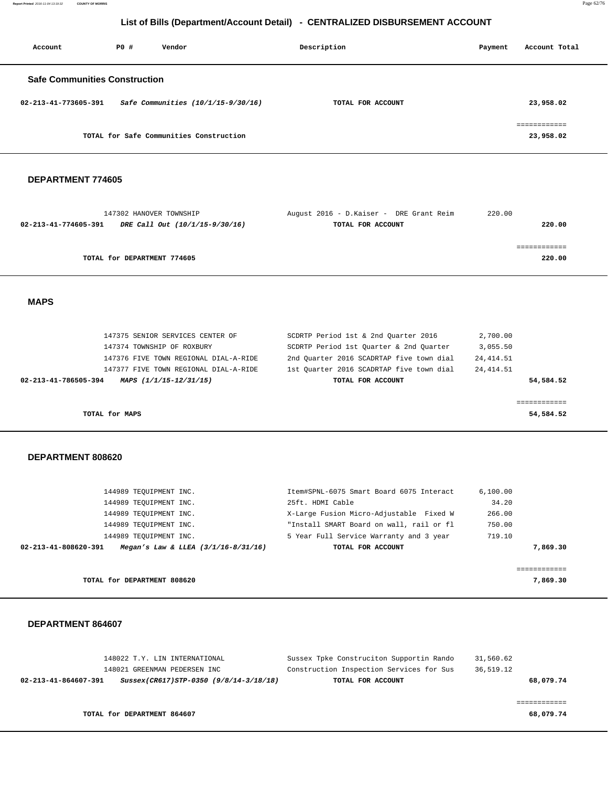**Report Printed** 2016-11-04 13:19:32 **COUNTY OF MORRIS** Page 62/76

## **List of Bills (Department/Account Detail) - CENTRALIZED DISBURSEMENT ACCOUNT**

| Account                              | PO# | Vendor                                  | Description       | Payment | Account Total             |
|--------------------------------------|-----|-----------------------------------------|-------------------|---------|---------------------------|
| <b>Safe Communities Construction</b> |     |                                         |                   |         |                           |
| 02-213-41-773605-391                 |     | Safe Communities $(10/1/15 - 9/30/16)$  | TOTAL FOR ACCOUNT |         | 23,958.02                 |
|                                      |     | TOTAL for Safe Communities Construction |                   |         | ------------<br>23,958.02 |

#### **DEPARTMENT 774605**

| 147302 HANOVER TOWNSHIP                                | August 2016 - D.Kaiser - DRE Grant Reim | 220.00 |
|--------------------------------------------------------|-----------------------------------------|--------|
| DRE Call Out (10/1/15-9/30/16)<br>02-213-41-774605-391 | TOTAL FOR ACCOUNT                       | 220.00 |
|                                                        |                                         |        |
|                                                        |                                         |        |
| TOTAL for DEPARTMENT 774605                            |                                         | 220.00 |
|                                                        |                                         |        |

 **MAPS** 

| 02-213-41-786505-394 | MAPS (1/1/15-12/31/15)                | TOTAL FOR ACCOUNT                        | 54,584.52  |
|----------------------|---------------------------------------|------------------------------------------|------------|
|                      | 147377 FIVE TOWN REGIONAL DIAL-A-RIDE | 1st Ouarter 2016 SCADRTAP five town dial | 24, 414.51 |
|                      | 147376 FIVE TOWN REGIONAL DIAL-A-RIDE | 2nd Quarter 2016 SCADRTAP five town dial | 24,414.51  |
|                      | 147374 TOWNSHIP OF ROXBURY            | SCDRTP Period 1st Ouarter & 2nd Ouarter  | 3,055.50   |
|                      | 147375 SENIOR SERVICES CENTER OF      | SCDRTP Period 1st & 2nd Quarter 2016     | 2,700.00   |
|                      |                                       |                                          |            |

TOTAL for MAPS 54,584.52

#### **DEPARTMENT 808620**

| 02-213-41-808620-391 | Megan's Law & LLEA $(3/1/16 - 8/31/16)$ | TOTAL FOR ACCOUNT                        | 7,869.30 |
|----------------------|-----------------------------------------|------------------------------------------|----------|
|                      | 144989 TEOUIPMENT INC.                  | 5 Year Full Service Warranty and 3 year  | 719.10   |
|                      | 144989 TEOUIPMENT INC.                  | "Install SMART Board on wall, rail or fl | 750.00   |
|                      | 144989 TEOUIPMENT INC.                  | X-Large Fusion Micro-Adjustable Fixed W  | 266.00   |
|                      | 144989 TEOUIPMENT INC.                  | 25ft. HDMI Cable                         | 34.20    |
|                      | 144989 TEOUIPMENT INC.                  | Item#SPNL-6075 Smart Board 6075 Interact | 6.100.00 |

**TOTAL for DEPARTMENT 808620 7,869.30**

|  | DEPARTMENT 864607 |  |
|--|-------------------|--|
|--|-------------------|--|

| 148022 T.Y. LIN INTERNATIONAL                                  | Sussex Tpke Construciton Supportin Rando | 31,560.62 |
|----------------------------------------------------------------|------------------------------------------|-----------|
| 148021 GREENMAN PEDERSEN INC                                   | Construction Inspection Services for Sus | 36,519.12 |
| Sussex(CR617)STP-0350 (9/8/14-3/18/18)<br>02-213-41-864607-391 | TOTAL FOR ACCOUNT                        | 68,079.74 |
|                                                                |                                          |           |
|                                                                |                                          |           |
| TOTAL for DEPARTMENT 864607                                    |                                          | 68,079.74 |
|                                                                |                                          |           |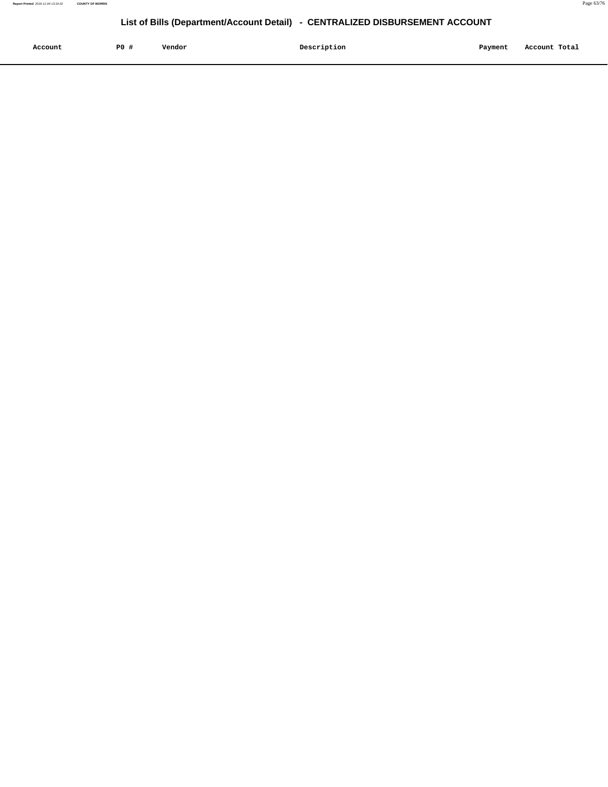| Account<br>. | P <sub>0</sub> | Vendor | Description | Payment | Account Total |
|--------------|----------------|--------|-------------|---------|---------------|
|              |                |        |             |         |               |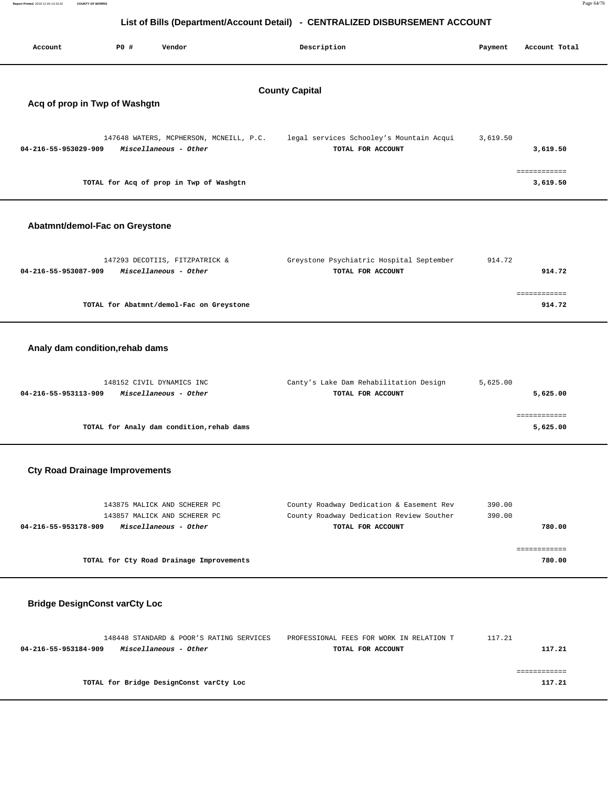| Report Printed 2016-11-04 13:19:32                                           | <b>COUNTY OF MORRIS</b>                                |                                                                  |                                                               |          | Page 64/76               |  |  |  |  |
|------------------------------------------------------------------------------|--------------------------------------------------------|------------------------------------------------------------------|---------------------------------------------------------------|----------|--------------------------|--|--|--|--|
| List of Bills (Department/Account Detail) - CENTRALIZED DISBURSEMENT ACCOUNT |                                                        |                                                                  |                                                               |          |                          |  |  |  |  |
| Account                                                                      | P0 #                                                   | Vendor                                                           | Description                                                   | Payment  | Account Total            |  |  |  |  |
|                                                                              | <b>County Capital</b><br>Acq of prop in Twp of Washgtn |                                                                  |                                                               |          |                          |  |  |  |  |
| 04-216-55-953029-909                                                         |                                                        | 147648 WATERS, MCPHERSON, MCNEILL, P.C.<br>Miscellaneous - Other | legal services Schooley's Mountain Acqui<br>TOTAL FOR ACCOUNT | 3,619.50 | 3,619.50                 |  |  |  |  |
|                                                                              |                                                        | TOTAL for Acq of prop in Twp of Washgtn                          |                                                               |          | ============<br>3,619.50 |  |  |  |  |
| Abatmnt/demol-Fac on Greystone                                               |                                                        |                                                                  |                                                               |          |                          |  |  |  |  |
| 04-216-55-953087-909                                                         |                                                        | 147293 DECOTIIS, FITZPATRICK &<br>Miscellaneous - Other          | Greystone Psychiatric Hospital September<br>TOTAL FOR ACCOUNT | 914.72   | 914.72                   |  |  |  |  |
|                                                                              |                                                        | TOTAL for Abatmnt/demol-Fac on Greystone                         |                                                               |          | ============<br>914.72   |  |  |  |  |
| Analy dam condition, rehab dams                                              |                                                        |                                                                  |                                                               |          |                          |  |  |  |  |
| 04-216-55-953113-909                                                         |                                                        | 148152 CIVIL DYNAMICS INC<br>Miscellaneous - Other               | Canty's Lake Dam Rehabilitation Design<br>TOTAL FOR ACCOUNT   | 5,625.00 | 5,625.00                 |  |  |  |  |
|                                                                              |                                                        |                                                                  |                                                               |          | ============             |  |  |  |  |

# **Cty Road Drainage Improvements**

| 143875 MALICK AND SCHERER PC<br>143857 MALICK AND SCHERER PC | County Roadway Dedication & Easement Rev<br>County Roadway Dedication Review Souther | 390.00<br>390.00 |
|--------------------------------------------------------------|--------------------------------------------------------------------------------------|------------------|
| 04-216-55-953178-909<br>Miscellaneous - Other                | TOTAL FOR ACCOUNT                                                                    | 780.00           |
| TOTAL for Cty Road Drainage Improvements                     |                                                                                      | 780.00           |

**TOTAL for Analy dam condition,rehab dams 5,625.00**

## **Bridge DesignConst varCty Loc**

|                      | 148448 STANDARD & POOR'S RATING SERVICES | PROFESSIONAL FEES FOR WORK IN RELATION T | 117.21 |
|----------------------|------------------------------------------|------------------------------------------|--------|
| 04-216-55-953184-909 | Miscellaneous - Other                    | TOTAL FOR ACCOUNT                        | 117.21 |
|                      |                                          |                                          |        |
|                      |                                          |                                          |        |
|                      | TOTAL for Bridge DesignConst varCty Loc  |                                          | 117.21 |
|                      |                                          |                                          |        |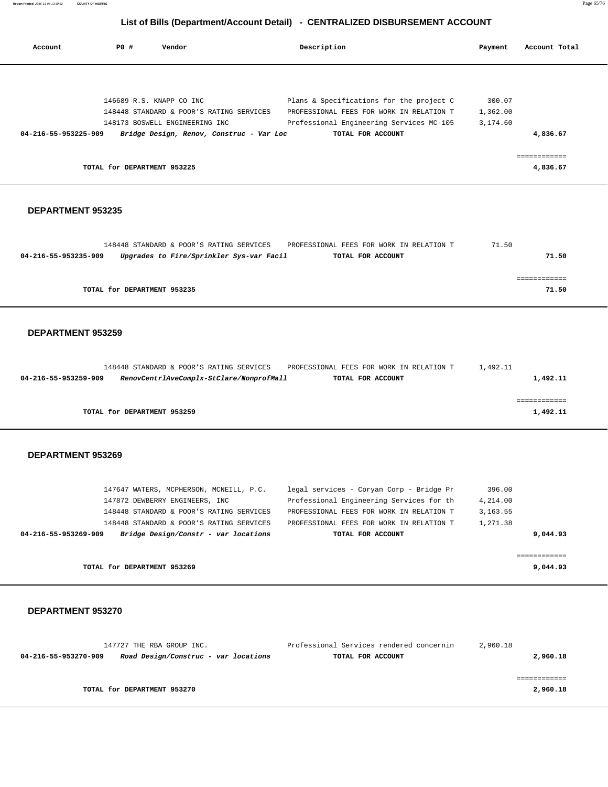**Report Printed** 2016-11-04 13:19:32 **COUNTY OF MORRIS** Page 65/76

## **List of Bills (Department/Account Detail) - CENTRALIZED DISBURSEMENT ACCOUNT**

| Account              | PO#                         | Vendor                                   | Description                              | Payment  | Account Total |
|----------------------|-----------------------------|------------------------------------------|------------------------------------------|----------|---------------|
|                      |                             |                                          |                                          |          |               |
|                      | 146689 R.S. KNAPP CO INC    |                                          | Plans & Specifications for the project C | 300.07   |               |
|                      |                             | 148448 STANDARD & POOR'S RATING SERVICES | PROFESSIONAL FEES FOR WORK IN RELATION T | 1,362.00 |               |
|                      |                             | 148173 BOSWELL ENGINEERING INC           | Professional Engineering Services MC-105 | 3,174.60 |               |
| 04-216-55-953225-909 |                             | Bridge Design, Renov, Construc - Var Loc | TOTAL FOR ACCOUNT                        |          | 4,836.67      |
|                      |                             |                                          |                                          |          | ------------- |
|                      | TOTAL for DEPARTMENT 953225 |                                          |                                          |          | 4,836.67      |

#### **DEPARTMENT 953235**

|                             | 148448 STANDARD & POOR'S RATING SERVICES | PROFESSIONAL FEES FOR WORK IN RELATION T | 71.50 |       |
|-----------------------------|------------------------------------------|------------------------------------------|-------|-------|
| 04-216-55-953235-909        | Upgrades to Fire/Sprinkler Sys-var Facil | TOTAL FOR ACCOUNT                        |       | 71.50 |
|                             |                                          |                                          |       |       |
|                             |                                          |                                          |       |       |
| TOTAL for DEPARTMENT 953235 |                                          |                                          |       | 71.50 |
|                             |                                          |                                          |       |       |

#### **DEPARTMENT 953259**

|                      |                             | 148448 STANDARD & POOR'S RATING SERVICES | PROFESSIONAL FEES FOR WORK IN RELATION T | 1,492.11 |
|----------------------|-----------------------------|------------------------------------------|------------------------------------------|----------|
| 04-216-55-953259-909 |                             | RenovCentrlAveComplx-StClare/NonprofMall | TOTAL FOR ACCOUNT                        | 1,492.11 |
|                      |                             |                                          |                                          |          |
|                      |                             |                                          |                                          |          |
|                      | TOTAL for DEPARTMENT 953259 |                                          |                                          | 1,492.11 |

#### **DEPARTMENT 953269**

|                      | TOTAL for DEPARTMENT 953269              |                                          | 9,044.93  |
|----------------------|------------------------------------------|------------------------------------------|-----------|
|                      |                                          |                                          |           |
| 04-216-55-953269-909 | Bridge Design/Constr - var locations     | TOTAL FOR ACCOUNT                        | 9,044.93  |
|                      | 148448 STANDARD & POOR'S RATING SERVICES | PROFESSIONAL FEES FOR WORK IN RELATION T | 1,271.38  |
|                      | 148448 STANDARD & POOR'S RATING SERVICES | PROFESSIONAL FEES FOR WORK IN RELATION T | 3, 163.55 |
|                      | 147872 DEWBERRY ENGINEERS, INC.          | Professional Engineering Services for th | 4,214.00  |
|                      | 147647 WATERS, MCPHERSON, MCNEILL, P.C.  | legal services - Coryan Corp - Bridge Pr | 396.00    |

|                             | 147727 THE RBA GROUP INC.            | Professional Services rendered concernin | 2,960.18 |
|-----------------------------|--------------------------------------|------------------------------------------|----------|
| 04-216-55-953270-909        | Road Design/Construc - var locations | TOTAL FOR ACCOUNT                        | 2,960.18 |
|                             |                                      |                                          |          |
|                             |                                      |                                          |          |
| TOTAL for DEPARTMENT 953270 |                                      |                                          | 2,960.18 |
|                             |                                      |                                          |          |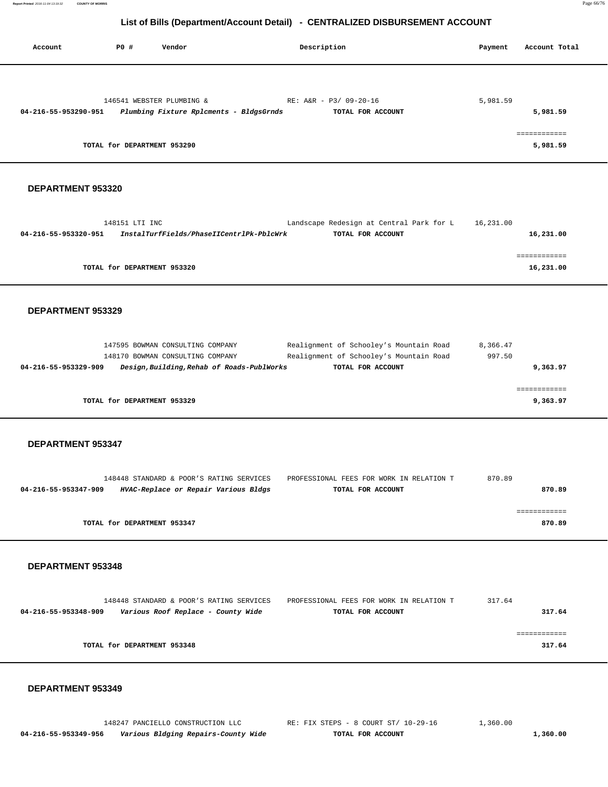**Report Printed** 2016-11-04 13:19:32 **COUNTY OF MORRIS** Page 66/76

#### **List of Bills (Department/Account Detail) - CENTRALIZED DISBURSEMENT ACCOUNT**

| Account              | P0 #                        | Vendor                                  | Description            | Payment  | Account Total            |
|----------------------|-----------------------------|-----------------------------------------|------------------------|----------|--------------------------|
|                      |                             | 146541 WEBSTER PLUMBING &               | RE: A&R - P3/ 09-20-16 | 5,981.59 |                          |
| 04-216-55-953290-951 |                             | Plumbing Fixture Rplcments - BldgsGrnds | TOTAL FOR ACCOUNT      |          | 5,981.59                 |
|                      | TOTAL for DEPARTMENT 953290 |                                         |                        |          | ------------<br>5,981.59 |

#### **DEPARTMENT 953320**

|                      | 148151 LTI INC                           | Landscape Redesign at Central Park for L | 16,231.00 |
|----------------------|------------------------------------------|------------------------------------------|-----------|
| 04-216-55-953320-951 | InstalTurfFields/PhaseIICentrlPk-PblcWrk | TOTAL FOR ACCOUNT                        | 16,231.00 |
|                      |                                          |                                          |           |
|                      |                                          |                                          |           |
|                      | TOTAL for DEPARTMENT 953320              |                                          | 16,231.00 |
|                      |                                          |                                          |           |

#### **DEPARTMENT 953329**

|                             | 147595 BOWMAN CONSULTING COMPANY           | Realignment of Schooley's Mountain Road | 8,366.47 |          |
|-----------------------------|--------------------------------------------|-----------------------------------------|----------|----------|
|                             | 148170 BOWMAN CONSULTING COMPANY           | Realignment of Schooley's Mountain Road | 997.50   |          |
| 04-216-55-953329-909        | Design, Building, Rehab of Roads-PublWorks | TOTAL FOR ACCOUNT                       |          | 9,363.97 |
|                             |                                            |                                         |          |          |
|                             |                                            |                                         |          |          |
| TOTAL for DEPARTMENT 953329 |                                            |                                         |          | 9,363.97 |
|                             |                                            |                                         |          |          |

#### **DEPARTMENT 953347**

|                      | 148448 STANDARD & POOR'S RATING SERVICES | PROFESSIONAL FEES FOR WORK IN RELATION T | 870.89 |
|----------------------|------------------------------------------|------------------------------------------|--------|
| 04-216-55-953347-909 | HVAC-Replace or Repair Various Bldgs     | TOTAL FOR ACCOUNT                        | 870.89 |
|                      |                                          |                                          |        |
|                      |                                          |                                          |        |
|                      | TOTAL for DEPARTMENT 953347              |                                          | 870.89 |
|                      |                                          |                                          |        |

#### **DEPARTMENT 953348**

|                      | 148448 STANDARD & POOR'S RATING SERVICES | PROFESSIONAL FEES FOR WORK IN RELATION T | 317.64 |        |
|----------------------|------------------------------------------|------------------------------------------|--------|--------|
| 04-216-55-953348-909 | Various Roof Replace - County Wide       | TOTAL FOR ACCOUNT                        |        | 317.64 |
|                      |                                          |                                          |        |        |
|                      |                                          |                                          |        |        |
|                      | TOTAL for DEPARTMENT 953348              |                                          |        | 317.64 |
|                      |                                          |                                          |        |        |

#### **DEPARTMENT 953349**

 **04-216-55-953349-956 Various Bldging Repairs-County Wide TOTAL FOR ACCOUNT 1,360.00**

148247 PANCIELLO CONSTRUCTION LLC RE: FIX STEPS - 8 COURT ST/ 10-29-16 1,360.00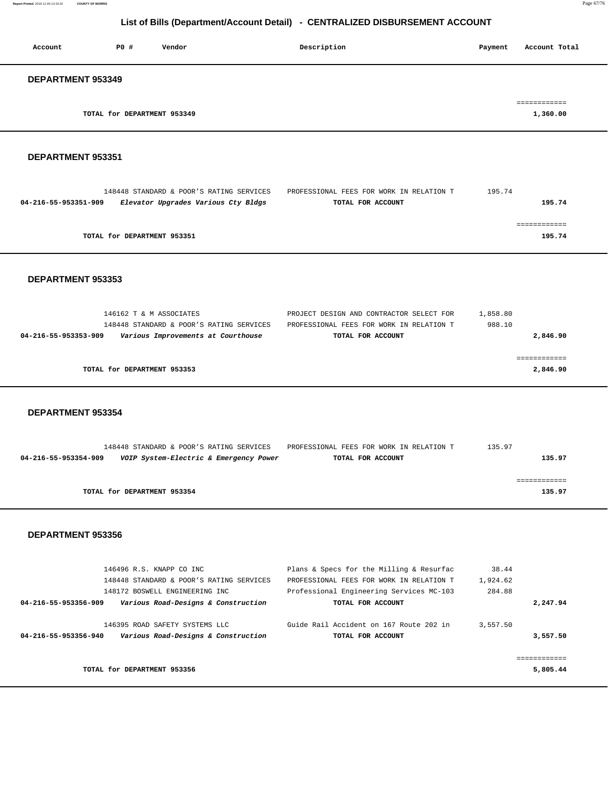| Account           | PO#                         | Vendor | Description | Account Total<br>Payment |
|-------------------|-----------------------------|--------|-------------|--------------------------|
| DEPARTMENT 953349 |                             |        |             |                          |
|                   | TOTAL for DEPARTMENT 953349 |        |             | 1,360.00                 |

#### **DEPARTMENT 953351**

|                      | 148448 STANDARD & POOR'S RATING SERVICES | PROFESSIONAL FEES FOR WORK IN RELATION T | 195.74 |
|----------------------|------------------------------------------|------------------------------------------|--------|
| 04-216-55-953351-909 | Elevator Upgrades Various Cty Bldgs      | TOTAL FOR ACCOUNT                        | 195.74 |
|                      |                                          |                                          |        |
|                      |                                          |                                          |        |
|                      | TOTAL for DEPARTMENT 953351              |                                          | 195.74 |
|                      |                                          |                                          |        |

#### **DEPARTMENT 953353**

| 146162 T & M ASSOCIATES                                    | PROJECT DESIGN AND CONTRACTOR SELECT FOR | 1,858.80 |
|------------------------------------------------------------|------------------------------------------|----------|
| 148448 STANDARD & POOR'S RATING SERVICES                   | PROFESSIONAL FEES FOR WORK IN RELATION T | 988.10   |
| Various Improvements at Courthouse<br>04-216-55-953353-909 | TOTAL FOR ACCOUNT                        | 2,846.90 |
|                                                            |                                          |          |
|                                                            |                                          |          |
| TOTAL for DEPARTMENT 953353                                |                                          | 2,846.90 |
|                                                            |                                          |          |

#### **DEPARTMENT 953354**

|                      | 148448 STANDARD & POOR'S RATING SERVICES | PROFESSIONAL FEES FOR WORK IN RELATION T | 135.97 |
|----------------------|------------------------------------------|------------------------------------------|--------|
| 04-216-55-953354-909 | VOIP System-Electric & Emergency Power   | TOTAL FOR ACCOUNT                        | 135.97 |
|                      |                                          |                                          |        |
|                      |                                          |                                          |        |
|                      | TOTAL for DEPARTMENT 953354              |                                          | 135.97 |
|                      |                                          |                                          |        |

| 146496 R.S. KNAPP CO INC                                    | Plans & Specs for the Milling & Resurfac | 38.44    |              |
|-------------------------------------------------------------|------------------------------------------|----------|--------------|
| 148448 STANDARD & POOR'S RATING SERVICES                    | PROFESSIONAL FEES FOR WORK IN RELATION T | 1,924.62 |              |
| 148172 BOSWELL ENGINEERING INC                              | Professional Engineering Services MC-103 | 284.88   |              |
| Various Road-Designs & Construction<br>04-216-55-953356-909 | TOTAL FOR ACCOUNT                        |          | 2,247.94     |
|                                                             |                                          |          |              |
| 146395 ROAD SAFETY SYSTEMS LLC                              | Guide Rail Accident on 167 Route 202 in  | 3,557.50 |              |
| Various Road-Designs & Construction<br>04-216-55-953356-940 | TOTAL FOR ACCOUNT                        |          | 3,557.50     |
|                                                             |                                          |          |              |
|                                                             |                                          |          | ------------ |
| TOTAL for DEPARTMENT 953356                                 |                                          |          | 5,805.44     |
|                                                             |                                          |          |              |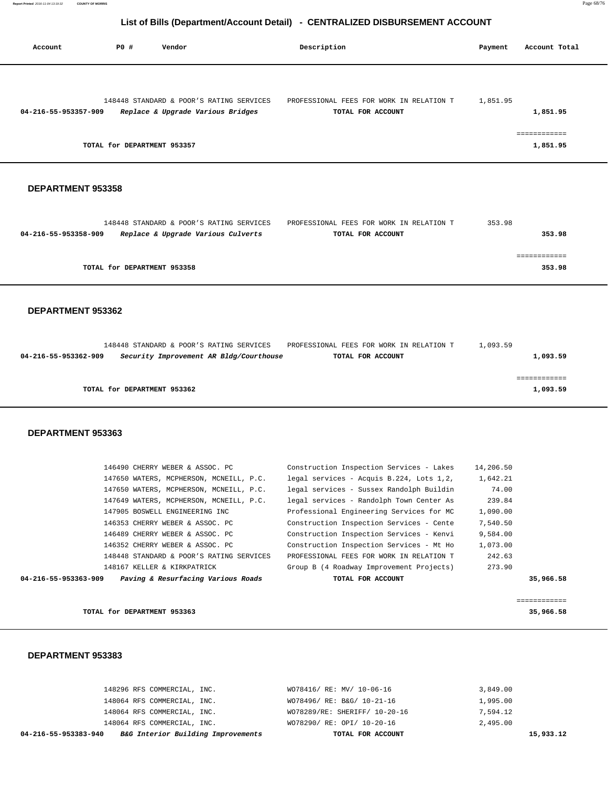| Account              | PO#                         | Vendor                                                                        | Description                                                   | Payment  | Account Total            |
|----------------------|-----------------------------|-------------------------------------------------------------------------------|---------------------------------------------------------------|----------|--------------------------|
| 04-216-55-953357-909 |                             | 148448 STANDARD & POOR'S RATING SERVICES<br>Replace & Upgrade Various Bridges | PROFESSIONAL FEES FOR WORK IN RELATION T<br>TOTAL FOR ACCOUNT | 1,851.95 | 1,851.95                 |
|                      | TOTAL for DEPARTMENT 953357 |                                                                               |                                                               |          | ============<br>1,851.95 |

#### **DEPARTMENT 953358**

|                      | 148448 STANDARD & POOR'S RATING SERVICES | PROFESSIONAL FEES FOR WORK IN RELATION T | 353.98 |
|----------------------|------------------------------------------|------------------------------------------|--------|
| 04-216-55-953358-909 | Replace & Upgrade Various Culverts       | TOTAL FOR ACCOUNT                        | 353.98 |
|                      |                                          |                                          |        |
|                      |                                          |                                          |        |
|                      | TOTAL for DEPARTMENT 953358              |                                          | 353.98 |
|                      |                                          |                                          |        |

#### **DEPARTMENT 953362**

|                      | 148448 STANDARD & POOR'S RATING SERVICES | PROFESSIONAL FEES FOR WORK IN RELATION T | 1,093.59 |
|----------------------|------------------------------------------|------------------------------------------|----------|
| 04-216-55-953362-909 | Security Improvement AR Bldg/Courthouse  | TOTAL FOR ACCOUNT                        | 1,093.59 |
|                      |                                          |                                          |          |
|                      |                                          |                                          |          |
|                      | TOTAL for DEPARTMENT 953362              |                                          | 1,093.59 |
|                      |                                          |                                          |          |
|                      |                                          |                                          |          |

#### **DEPARTMENT 953363**

|                      | 146490 CHERRY WEBER & ASSOC. PC          | Construction Inspection Services - Lakes | 14,206.50 |
|----------------------|------------------------------------------|------------------------------------------|-----------|
|                      | 147650 WATERS, MCPHERSON, MCNEILL, P.C.  | legal services - Acquis B.224, Lots 1,2, | 1,642.21  |
|                      | 147650 WATERS, MCPHERSON, MCNEILL, P.C.  | legal services - Sussex Randolph Buildin | 74.00     |
|                      | 147649 WATERS, MCPHERSON, MCNEILL, P.C.  | legal services - Randolph Town Center As | 239.84    |
|                      | 147905 BOSWELL ENGINEERING INC           | Professional Engineering Services for MC | 1,090.00  |
|                      | 146353 CHERRY WEBER & ASSOC. PC          | Construction Inspection Services - Cente | 7,540.50  |
|                      | 146489 CHERRY WEBER & ASSOC. PC          | Construction Inspection Services - Kenvi | 9,584.00  |
|                      | 146352 CHERRY WEBER & ASSOC. PC          | Construction Inspection Services - Mt Ho | 1,073.00  |
|                      | 148448 STANDARD & POOR'S RATING SERVICES | PROFESSIONAL FEES FOR WORK IN RELATION T | 242.63    |
|                      | 148167 KELLER & KIRKPATRICK              | Group B (4 Roadway Improvement Projects) | 273.90    |
| 04-216-55-953363-909 | Paving & Resurfacing Various Roads       | TOTAL FOR ACCOUNT                        | 35,966.58 |
|                      |                                          |                                          |           |

|                             | _____________<br>____________ |
|-----------------------------|-------------------------------|
| TOTAL for DEPARTMENT 953363 | 35,966.58                     |

| B&G Interior Building Improvements<br>04-216-55-953383-940 | TOTAL FOR ACCOUNT             | 15,933.12 |
|------------------------------------------------------------|-------------------------------|-----------|
| 148064 RFS COMMERCIAL, INC.                                | WO78290/ RE: OPI/ 10-20-16    | 2,495.00  |
| 148064 RFS COMMERCIAL, INC.                                | WO78289/RE: SHERIFF/ 10-20-16 | 7,594.12  |
| 148064 RFS COMMERCIAL, INC.                                | WO78496/ RE: B&G/ 10-21-16    | 1,995.00  |
| 148296 RFS COMMERCIAL, INC.                                | WO78416/ RE: MV/ 10-06-16     | 3,849.00  |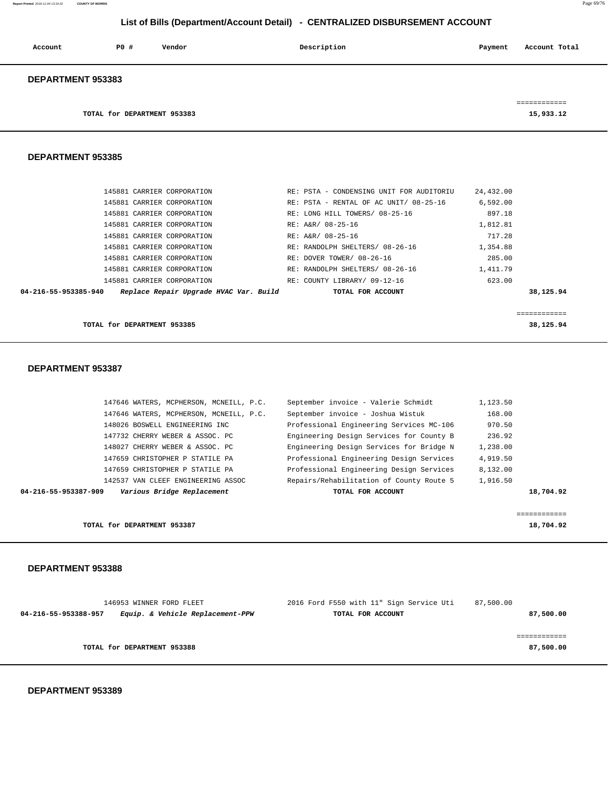**Report Printed** 2016-11-04 13:19:32 **COUNTY OF MORRIS** Page 69/76

## **List of Bills (Department/Account Detail) - CENTRALIZED DISBURSEMENT ACCOUNT**

| Account                  | PO# | Vendor | Description | Payment | Account Total |
|--------------------------|-----|--------|-------------|---------|---------------|
| <b>DEPARTMENT 953383</b> |     |        |             |         | ------------  |

**TOTAL for DEPARTMENT 953383 15,933.12** 

#### **DEPARTMENT 953385**

| 145881 CARRIER CORPORATION                                     | RE: PSTA - CONDENSING UNIT FOR AUDITORIU | 24,432.00 |
|----------------------------------------------------------------|------------------------------------------|-----------|
| 145881 CARRIER CORPORATION                                     | RE: PSTA - RENTAL OF AC UNIT/ 08-25-16   | 6.592.00  |
| 145881 CARRIER CORPORATION                                     | RE: LONG HILL TOWERS/ 08-25-16           | 897.18    |
| 145881 CARRIER CORPORATION                                     | RE: A&R/ 08-25-16                        | 1,812.81  |
| 145881 CARRIER CORPORATION                                     | RE: A&R/ 08-25-16                        | 717.28    |
| 145881 CARRIER CORPORATION                                     | RE: RANDOLPH SHELTERS/ 08-26-16          | 1,354.88  |
| 145881 CARRIER CORPORATION                                     | RE: DOVER TOWER/ 08-26-16                | 285.00    |
| 145881 CARRIER CORPORATION                                     | RE: RANDOLPH SHELTERS/ 08-26-16          | 1,411.79  |
| 145881 CARRIER CORPORATION                                     | RE: COUNTY LIBRARY/ 09-12-16             | 623.00    |
| Replace Repair Upgrade HVAC Var. Build<br>04-216-55-953385-940 | TOTAL FOR ACCOUNT                        | 38,125.94 |
|                                                                |                                          |           |
|                                                                |                                          |           |

**TOTAL for DEPARTMENT 953385** 38,125.94

#### **DEPARTMENT 953387**

| TOTAL for DEPARTMENT 953387                        |                                          | 18,704.92 |
|----------------------------------------------------|------------------------------------------|-----------|
| Various Bridge Replacement<br>04-216-55-953387-909 | TOTAL FOR ACCOUNT                        | 18,704.92 |
| 142537 VAN CLEEF ENGINEERING ASSOC                 | Repairs/Rehabilitation of County Route 5 | 1,916.50  |
| 147659 CHRISTOPHER P STATILE PA                    | Professional Engineering Design Services | 8,132.00  |
| 147659 CHRISTOPHER P STATILE PA                    | Professional Engineering Design Services | 4,919.50  |
| 148027 CHERRY WEBER & ASSOC. PC                    | Engineering Design Services for Bridge N | 1,238.00  |
| 147732 CHERRY WEBER & ASSOC. PC                    | Engineering Design Services for County B | 236.92    |
| 148026 BOSWELL ENGINEERING INC                     | Professional Engineering Services MC-106 | 970.50    |
| 147646 WATERS, MCPHERSON, MCNEILL, P.C.            | September invoice - Joshua Wistuk        | 168.00    |
| 147646 WATERS, MCPHERSON, MCNEILL, P.C.            | September invoice - Valerie Schmidt      | 1,123.50  |

#### **DEPARTMENT 953388**

| 146953 WINNER FORD FLEET                                 | 2016 Ford F550 with 11" Sign Service Uti<br>87,500.00 |
|----------------------------------------------------------|-------------------------------------------------------|
| Equip. & Vehicle Replacement-PPW<br>04-216-55-953388-957 | 87,500.00<br>TOTAL FOR ACCOUNT                        |
|                                                          |                                                       |
|                                                          |                                                       |
| TOTAL for DEPARTMENT 953388                              | 87,500.00                                             |
|                                                          |                                                       |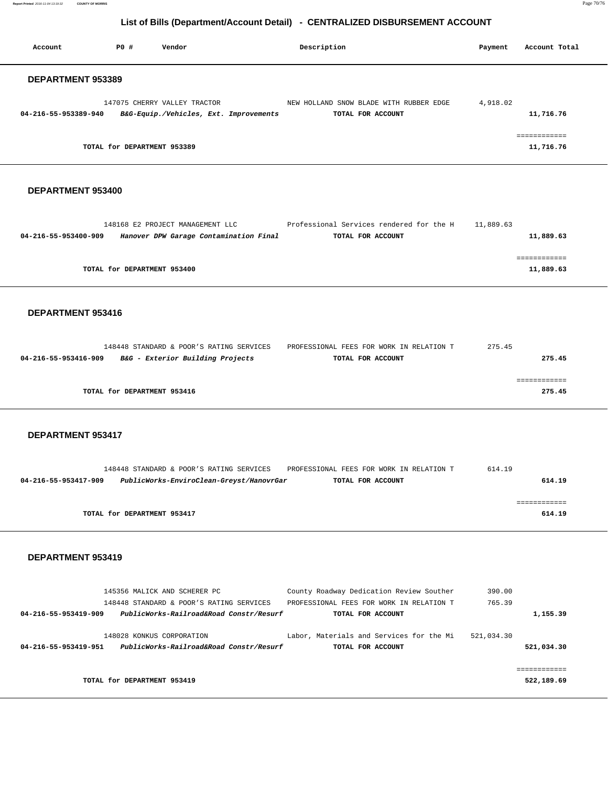**Report Printed** 2016-11-04 13:19:32 **COUNTY OF MORRIS** Page 70/76

## **List of Bills (Department/Account Detail) - CENTRALIZED DISBURSEMENT ACCOUNT**

| Account                  | PO#                         | Vendor                                                                 | Description                                                  | Payment  | Account Total             |
|--------------------------|-----------------------------|------------------------------------------------------------------------|--------------------------------------------------------------|----------|---------------------------|
| <b>DEPARTMENT 953389</b> |                             |                                                                        |                                                              |          |                           |
| 04-216-55-953389-940     |                             | 147075 CHERRY VALLEY TRACTOR<br>B&G-Equip./Vehicles, Ext. Improvements | NEW HOLLAND SNOW BLADE WITH RUBBER EDGE<br>TOTAL FOR ACCOUNT | 4,918.02 | 11,716.76                 |
|                          | TOTAL for DEPARTMENT 953389 |                                                                        |                                                              |          | ------------<br>11,716.76 |

#### **DEPARTMENT 953400**

|                      | 148168 E2 PROJECT MANAGEMENT LLC       | Professional Services rendered for the H | 11,889.63 |           |
|----------------------|----------------------------------------|------------------------------------------|-----------|-----------|
| 04-216-55-953400-909 | Hanover DPW Garage Contamination Final | TOTAL FOR ACCOUNT                        |           | 11,889.63 |
|                      |                                        |                                          |           |           |
|                      |                                        |                                          |           |           |
|                      | TOTAL for DEPARTMENT 953400            |                                          |           | 11,889.63 |
|                      |                                        |                                          |           |           |

#### **DEPARTMENT 953416**

| 148448 STANDARD & POOR'S RATING SERVICES                 | PROFESSIONAL FEES FOR WORK IN RELATION T | 275.45 |
|----------------------------------------------------------|------------------------------------------|--------|
| B&G - Exterior Building Projects<br>04-216-55-953416-909 | TOTAL FOR ACCOUNT                        | 275.45 |
|                                                          |                                          |        |
|                                                          |                                          |        |
| TOTAL for DEPARTMENT 953416                              |                                          | 275.45 |
|                                                          |                                          |        |

## **DEPARTMENT 953417**

|                      | 148448 STANDARD & POOR'S RATING SERVICES |                                          | PROFESSIONAL FEES FOR WORK IN RELATION T | 614.19 |
|----------------------|------------------------------------------|------------------------------------------|------------------------------------------|--------|
| 04-216-55-953417-909 |                                          | PublicWorks-EnviroClean-Greyst/HanovrGar | TOTAL FOR ACCOUNT                        | 614.19 |
|                      |                                          |                                          |                                          |        |
|                      |                                          |                                          |                                          |        |
|                      | TOTAL for DEPARTMENT 953417              |                                          |                                          | 614.19 |

|                      | 145356 MALICK AND SCHERER PC<br>148448 STANDARD & POOR'S RATING SERVICES | County Roadway Dedication Review Souther<br>PROFESSIONAL FEES FOR WORK IN RELATION T | 390.00<br>765.39           |
|----------------------|--------------------------------------------------------------------------|--------------------------------------------------------------------------------------|----------------------------|
| 04-216-55-953419-909 | PublicWorks-Railroad&Road Constr/Resurf                                  | TOTAL FOR ACCOUNT                                                                    | 1,155.39                   |
| 04-216-55-953419-951 | 148028 KONKUS CORPORATION<br>PublicWorks-Railroad&Road Constr/Resurf     | Labor, Materials and Services for the Mi<br>TOTAL FOR ACCOUNT                        | 521,034.30<br>521,034.30   |
|                      | TOTAL for DEPARTMENT 953419                                              |                                                                                      | ------------<br>522,189.69 |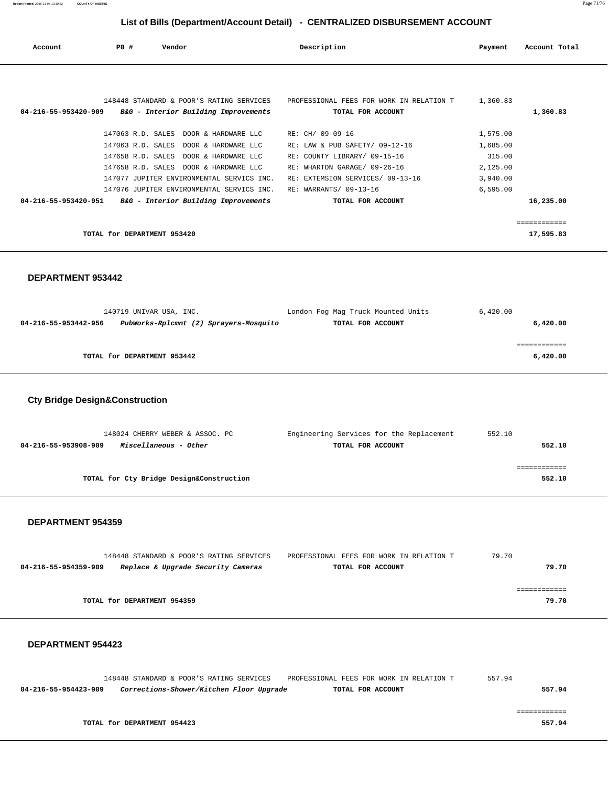**Report Printed** 2016-11-04 13:19:32 **COUNTY OF MORRIS** Page 71/76

## **List of Bills (Department/Account Detail) - CENTRALIZED DISBURSEMENT ACCOUNT**

| Account              | PO#                                    | Vendor                                                                                                                                                                                                                                                         | Description                                                                                                                                                                                           | Payment                                                            | Account Total             |
|----------------------|----------------------------------------|----------------------------------------------------------------------------------------------------------------------------------------------------------------------------------------------------------------------------------------------------------------|-------------------------------------------------------------------------------------------------------------------------------------------------------------------------------------------------------|--------------------------------------------------------------------|---------------------------|
| 04-216-55-953420-909 |                                        | 148448 STANDARD & POOR'S RATING SERVICES<br>B&G - Interior Building Improvements                                                                                                                                                                               | PROFESSIONAL FEES FOR WORK IN RELATION T<br>TOTAL FOR ACCOUNT                                                                                                                                         | 1,360.83                                                           | 1,360.83                  |
| 04-216-55-953420-951 | 147063 R.D. SALES<br>147658 R.D. SALES | 147063 R.D. SALES DOOR & HARDWARE LLC<br>DOOR & HARDWARE LLC<br>DOOR & HARDWARE LLC<br>147658 R.D. SALES DOOR & HARDWARE LLC<br>147077 JUPITER ENVIRONMENTAL SERVICS INC.<br>147076 JUPITER ENVIRONMENTAL SERVICS INC.<br>B&G - Interior Building Improvements | RE: CH/ 09-09-16<br>RE: LAW & PUB SAFETY/ 09-12-16<br>RE: COUNTY LIBRARY/ 09-15-16<br>RE: WHARTON GARAGE/ 09-26-16<br>RE: EXTEMSION SERVICES/ 09-13-16<br>RE: WARRANTS/ 09-13-16<br>TOTAL FOR ACCOUNT | 1,575.00<br>1,685.00<br>315.00<br>2,125.00<br>3,940.00<br>6,595.00 | 16,235.00                 |
|                      | TOTAL for DEPARTMENT 953420            |                                                                                                                                                                                                                                                                |                                                                                                                                                                                                       |                                                                    | ============<br>17,595.83 |

#### **DEPARTMENT 953442**

| London Fog Mag Truck Mounted Units | 6,420.00                               |
|------------------------------------|----------------------------------------|
| TOTAL FOR ACCOUNT                  | 6,420.00                               |
|                                    |                                        |
|                                    |                                        |
|                                    | 6,420.00                               |
|                                    | PubWorks-Rplcmnt (2) Sprayers-Mosquito |

## **Cty Bridge Design&Construction**

| 148024 CHERRY WEBER & ASSOC. PC               | Engineering Services for the Replacement | 552.10 |
|-----------------------------------------------|------------------------------------------|--------|
| Miscellaneous - Other<br>04-216-55-953908-909 | TOTAL FOR ACCOUNT                        | 552.10 |
|                                               |                                          |        |
|                                               |                                          |        |
| TOTAL for Cty Bridge Design&Construction      |                                          | 552.10 |
|                                               |                                          |        |

#### **DEPARTMENT 954359**

|                      | 148448 STANDARD & POOR'S RATING SERVICES | PROFESSIONAL FEES FOR WORK IN RELATION T | 79.70 |
|----------------------|------------------------------------------|------------------------------------------|-------|
| 04-216-55-954359-909 | Replace & Upgrade Security Cameras       | TOTAL FOR ACCOUNT                        | 79.70 |
|                      |                                          |                                          |       |
|                      |                                          |                                          |       |
|                      | TOTAL for DEPARTMENT 954359              |                                          | 79.70 |

|                      | 148448 STANDARD & POOR'S RATING SERVICES |                                          | PROFESSIONAL FEES FOR WORK IN RELATION T |                   | 557.94 |        |
|----------------------|------------------------------------------|------------------------------------------|------------------------------------------|-------------------|--------|--------|
| 04-216-55-954423-909 |                                          | Corrections-Shower/Kitchen Floor Upgrade |                                          | TOTAL FOR ACCOUNT |        | 557.94 |
|                      |                                          |                                          |                                          |                   |        |        |
|                      |                                          |                                          |                                          |                   |        |        |
|                      | TOTAL for DEPARTMENT 954423              |                                          |                                          |                   |        | 557.94 |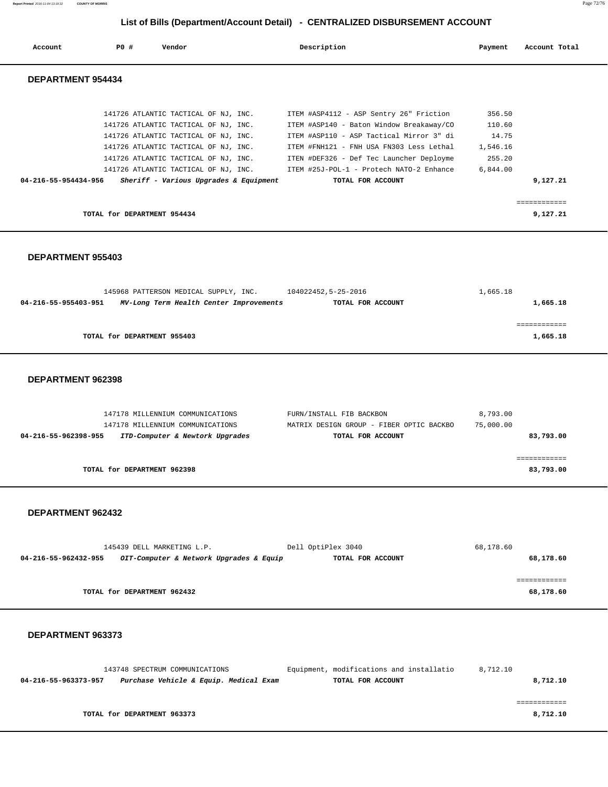| Report Printed 2016-11-04 13:19:32 | <b>COUNTY OF MORRIS</b> | Page 72/76 |
|------------------------------------|-------------------------|------------|
|                                    |                         |            |

| Account                  | PO# | Vendor                                 | Description                              | Payment  | Account Total |
|--------------------------|-----|----------------------------------------|------------------------------------------|----------|---------------|
| <b>DEPARTMENT 954434</b> |     |                                        |                                          |          |               |
|                          |     |                                        |                                          |          |               |
|                          |     | 141726 ATLANTIC TACTICAL OF NJ, INC.   | ITEM #ASP4112 - ASP Sentry 26" Friction  | 356.50   |               |
|                          |     | 141726 ATLANTIC TACTICAL OF NJ, INC.   | ITEM #ASP140 - Baton Window Breakaway/CO | 110.60   |               |
|                          |     | 141726 ATLANTIC TACTICAL OF NJ, INC.   | ITEM #ASP110 - ASP Tactical Mirror 3" di | 14.75    |               |
|                          |     | 141726 ATLANTIC TACTICAL OF NJ, INC.   | ITEM #FNH121 - FNH USA FN303 Less Lethal | 1,546.16 |               |
|                          |     | 141726 ATLANTIC TACTICAL OF NJ, INC.   | ITEN #DEF326 - Def Tec Launcher Deployme | 255.20   |               |
|                          |     | 141726 ATLANTIC TACTICAL OF NJ, INC.   | ITEM #25J-POL-1 - Protech NATO-2 Enhance | 6,844.00 |               |
| 04-216-55-954434-956     |     | Sheriff - Various Upgrades & Equipment | TOTAL FOR ACCOUNT                        |          | 9,127.21      |
|                          |     |                                        |                                          |          |               |
|                          |     |                                        |                                          |          |               |
|                          |     | TOTAL for DEPARTMENT 954434            |                                          |          | 9,127.21      |

#### **DEPARTMENT 955403**

|                      | 145968 PATTERSON MEDICAL SUPPLY, INC. |                                         | 104022452,5-25-2016 | 1,665.18 |
|----------------------|---------------------------------------|-----------------------------------------|---------------------|----------|
| 04-216-55-955403-951 |                                       | MV-Long Term Health Center Improvements | TOTAL FOR ACCOUNT   | 1,665.18 |
|                      |                                       |                                         |                     |          |
|                      |                                       |                                         |                     |          |
|                      | TOTAL for DEPARTMENT 955403           |                                         |                     | 1,665.18 |

#### **DEPARTMENT 962398**

| 147178 MILLENNIUM COMMUNICATIONS                        | FURN/INSTALL FIB BACKBON                 | 8,793.00  |
|---------------------------------------------------------|------------------------------------------|-----------|
| 147178 MILLENNIUM COMMUNICATIONS                        | MATRIX DESIGN GROUP - FIBER OPTIC BACKBO | 75,000.00 |
| ITD-Computer & Newtork Upgrades<br>04-216-55-962398-955 | TOTAL FOR ACCOUNT                        | 83,793.00 |
|                                                         |                                          |           |
|                                                         |                                          |           |
| TOTAL for DEPARTMENT 962398                             |                                          | 83,793.00 |

#### **DEPARTMENT 962432**

| 145439 DELL MARKETING L.P.                                      | Dell OptiPlex 3040 | 68,178.60 |
|-----------------------------------------------------------------|--------------------|-----------|
| OIT-Computer & Network Upgrades & Equip<br>04-216-55-962432-955 | TOTAL FOR ACCOUNT  | 68,178.60 |
|                                                                 |                    |           |
|                                                                 |                    |           |
| TOTAL for DEPARTMENT 962432                                     |                    | 68,178.60 |

| 143748 SPECTRUM COMMUNICATIONS |                      |                                        | Equipment, modifications and installatio | 8,712.10 |
|--------------------------------|----------------------|----------------------------------------|------------------------------------------|----------|
|                                | 04-216-55-963373-957 | Purchase Vehicle & Equip. Medical Exam | TOTAL FOR ACCOUNT                        | 8,712.10 |
|                                |                      |                                        |                                          |          |
|                                |                      |                                        |                                          |          |
|                                |                      | TOTAL for DEPARTMENT 963373            |                                          | 8,712.10 |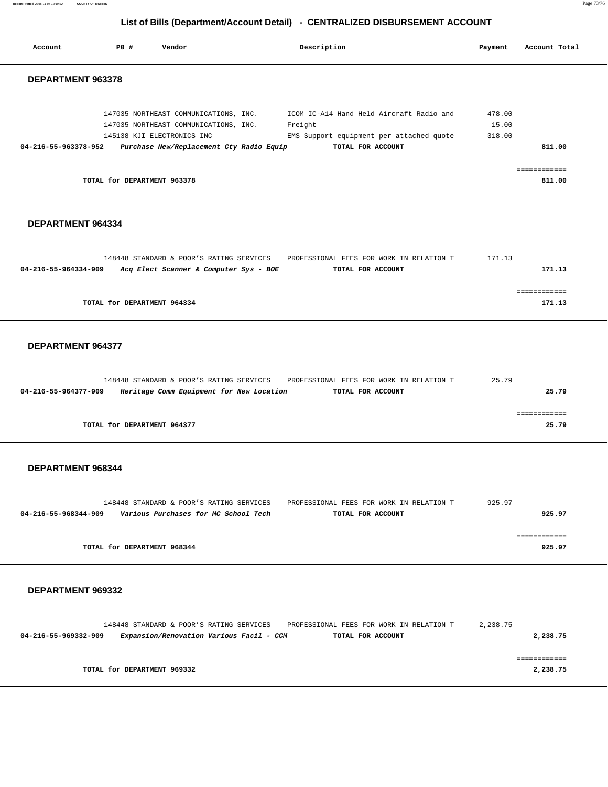| Report Printed 2016-11-04 13:19:32<br><b>COUNTY OF MORRIS</b> |                             |                                                                                                                                                          |                                                                                                                      |                           |                        | Page 73/76 |
|---------------------------------------------------------------|-----------------------------|----------------------------------------------------------------------------------------------------------------------------------------------------------|----------------------------------------------------------------------------------------------------------------------|---------------------------|------------------------|------------|
|                                                               |                             |                                                                                                                                                          | List of Bills (Department/Account Detail) - CENTRALIZED DISBURSEMENT ACCOUNT                                         |                           |                        |            |
| Account                                                       | P0 #                        | Vendor                                                                                                                                                   | Description                                                                                                          | Payment                   | Account Total          |            |
| DEPARTMENT 963378                                             |                             |                                                                                                                                                          |                                                                                                                      |                           |                        |            |
| 04-216-55-963378-952                                          |                             | 147035 NORTHEAST COMMUNICATIONS, INC.<br>147035 NORTHEAST COMMUNICATIONS, INC.<br>145138 KJI ELECTRONICS INC<br>Purchase New/Replacement Cty Radio Equip | ICOM IC-A14 Hand Held Aircraft Radio and<br>Freight<br>EMS Support equipment per attached quote<br>TOTAL FOR ACCOUNT | 478.00<br>15.00<br>318.00 | 811.00                 |            |
|                                                               | TOTAL for DEPARTMENT 963378 |                                                                                                                                                          |                                                                                                                      |                           | ============<br>811.00 |            |
| DEPARTMENT 964334                                             |                             |                                                                                                                                                          |                                                                                                                      |                           |                        |            |
| 04-216-55-964334-909                                          |                             | 148448 STANDARD & POOR'S RATING SERVICES<br>Acq Elect Scanner & Computer Sys - BOE                                                                       | PROFESSIONAL FEES FOR WORK IN RELATION T<br>TOTAL FOR ACCOUNT                                                        | 171.13                    | 171.13                 |            |
|                                                               | TOTAL for DEPARTMENT 964334 |                                                                                                                                                          |                                                                                                                      |                           | ============<br>171.13 |            |
| DEPARTMENT 964377                                             |                             |                                                                                                                                                          |                                                                                                                      |                           |                        |            |
| 04-216-55-964377-909                                          |                             | 148448 STANDARD & POOR'S RATING SERVICES<br>Heritage Comm Equipment for New Location                                                                     | PROFESSIONAL FEES FOR WORK IN RELATION T<br>TOTAL FOR ACCOUNT                                                        | 25.79                     | 25.79                  |            |
|                                                               | TOTAL for DEPARTMENT 964377 |                                                                                                                                                          |                                                                                                                      |                           | 25.79                  |            |
| DEPARTMENT 968344                                             |                             |                                                                                                                                                          |                                                                                                                      |                           |                        |            |
| 04-216-55-968344-909                                          |                             | 148448 STANDARD & POOR'S RATING SERVICES<br>Various Purchases for MC School Tech                                                                         | PROFESSIONAL FEES FOR WORK IN RELATION T<br>TOTAL FOR ACCOUNT                                                        | 925.97                    | 925.97                 |            |
|                                                               |                             |                                                                                                                                                          |                                                                                                                      |                           |                        |            |

### **DEPARTMENT 969332**

| 148448 STANDARD & POOR'S RATING SERVICES | PROFESSIONAL FEES FOR WORK IN RELATION T                      | 2,238.75 |
|------------------------------------------|---------------------------------------------------------------|----------|
| 04-216-55-969332-909                     | Expansion/Renovation Various Facil - CCM<br>TOTAL FOR ACCOUNT | 2,238.75 |
|                                          |                                                               |          |
|                                          |                                                               |          |
| TOTAL for DEPARTMENT 969332              |                                                               | 2,238.75 |

**TOTAL for DEPARTMENT 968344** 925.97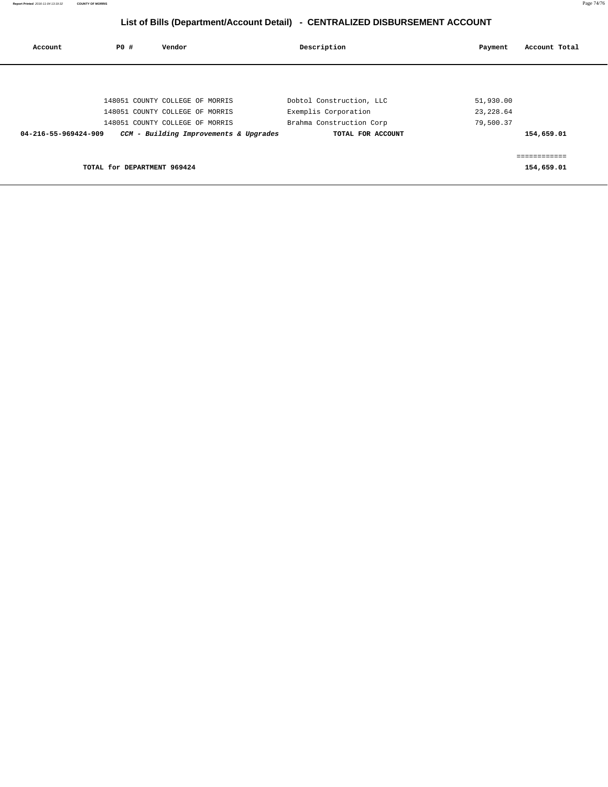# **List of Bills (Department/Account Detail) - CENTRALIZED DISBURSEMENT ACCOUNT**

| Account              | PO#                         | Vendor                                 | Description              | Payment    | Account Total |
|----------------------|-----------------------------|----------------------------------------|--------------------------|------------|---------------|
|                      |                             |                                        |                          |            |               |
|                      |                             | 148051 COUNTY COLLEGE OF MORRIS        | Dobtol Construction, LLC | 51,930.00  |               |
|                      |                             | 148051 COUNTY COLLEGE OF MORRIS        | Exemplis Corporation     | 23, 228.64 |               |
|                      |                             | 148051 COUNTY COLLEGE OF MORRIS        | Brahma Construction Corp | 79,500.37  |               |
| 04-216-55-969424-909 |                             | CCM - Building Improvements & Upgrades | TOTAL FOR ACCOUNT        |            | 154,659.01    |
|                      |                             |                                        |                          |            |               |
|                      |                             |                                        |                          |            | ============  |
|                      | TOTAL for DEPARTMENT 969424 |                                        |                          |            | 154,659.01    |
|                      |                             |                                        |                          |            |               |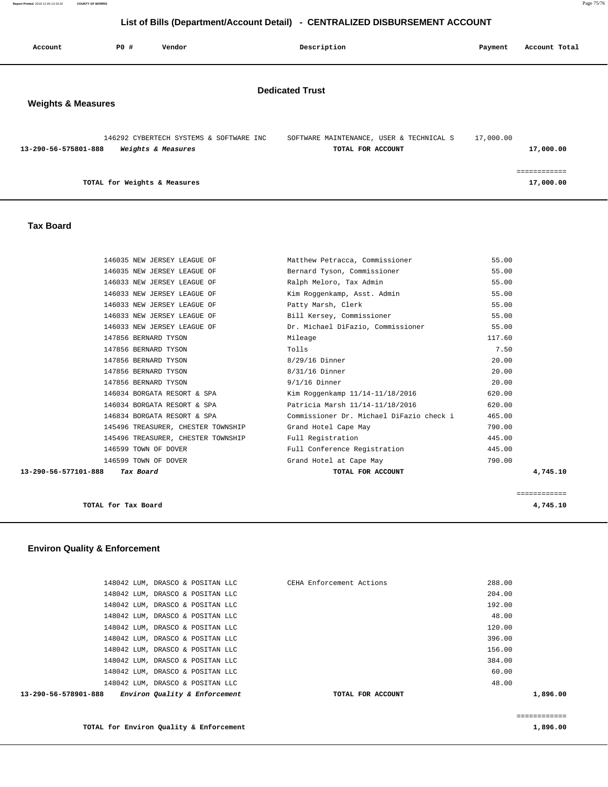## **List of Bills (Department/Account Detail) - CENTRALIZED DISBURSEMENT ACCOUNT**

| Account                                                 | <b>PO #</b> | Vendor                                                        |  | Description                                                   | Payment   | Account Total             |
|---------------------------------------------------------|-------------|---------------------------------------------------------------|--|---------------------------------------------------------------|-----------|---------------------------|
| <b>Dedicated Trust</b><br><b>Weights &amp; Measures</b> |             |                                                               |  |                                                               |           |                           |
| 13-290-56-575801-888                                    |             | 146292 CYBERTECH SYSTEMS & SOFTWARE INC<br>Weights & Measures |  | SOFTWARE MAINTENANCE, USER & TECHNICAL S<br>TOTAL FOR ACCOUNT | 17,000.00 | 17,000.00                 |
|                                                         |             | TOTAL for Weights & Measures                                  |  |                                                               |           | ============<br>17,000.00 |

#### **Tax Board**

|                      |                                    |                                          | ============ |
|----------------------|------------------------------------|------------------------------------------|--------------|
| 13-290-56-577101-888 | Tax Board                          | TOTAL FOR ACCOUNT                        | 4,745.10     |
|                      | 146599 TOWN OF DOVER               | Grand Hotel at Cape May                  | 790.00       |
|                      | 146599 TOWN OF DOVER               | Full Conference Registration             | 445.00       |
|                      | 145496 TREASURER, CHESTER TOWNSHIP | Full Registration                        | 445.00       |
|                      | 145496 TREASURER, CHESTER TOWNSHIP | Grand Hotel Cape May                     | 790.00       |
|                      | 146834 BORGATA RESORT & SPA        | Commissioner Dr. Michael DiFazio check i | 465.00       |
|                      | 146034 BORGATA RESORT & SPA        | Patricia Marsh 11/14-11/18/2016          | 620.00       |
|                      | 146034 BORGATA RESORT & SPA        | Kim Roggenkamp 11/14-11/18/2016          | 620.00       |
|                      | 147856 BERNARD TYSON               | $9/1/16$ Dinner                          | 20.00        |
|                      | 147856 BERNARD TYSON               | 8/31/16 Dinner                           | 20.00        |
|                      | 147856 BERNARD TYSON               | 8/29/16 Dinner                           | 20.00        |
|                      | 147856 BERNARD TYSON               | Tolls                                    | 7.50         |
|                      | 147856 BERNARD TYSON               | Mileage                                  | 117.60       |
|                      | 146033 NEW JERSEY LEAGUE OF        | Dr. Michael DiFazio, Commissioner        | 55.00        |
|                      | 146033 NEW JERSEY LEAGUE OF        | Bill Kersey, Commissioner                | 55.00        |
|                      | 146033 NEW JERSEY LEAGUE OF        | Patty Marsh, Clerk                       | 55.00        |
|                      | 146033 NEW JERSEY LEAGUE OF        | Kim Roqqenkamp, Asst. Admin              | 55.00        |
|                      | 146033 NEW JERSEY LEAGUE OF        | Ralph Meloro, Tax Admin                  | 55.00        |
|                      | 146035 NEW JERSEY LEAGUE OF        | Bernard Tyson, Commissioner              | 55.00        |
|                      | 146035 NEW JERSEY LEAGUE OF        | Matthew Petracca, Commissioner           | 55.00        |

|  | TOTAL for Tax Board |  | 4,745.10 |
|--|---------------------|--|----------|
|--|---------------------|--|----------|

# **Environ Quality & Enforcement**

| Environ Quality & Enforcement<br>13-290-56-578901-888 | TOTAL FOR ACCOUNT        | 1,896.00 |
|-------------------------------------------------------|--------------------------|----------|
| 148042 LUM, DRASCO & POSITAN LLC                      |                          | 48.00    |
| 148042 LUM, DRASCO & POSITAN LLC                      |                          | 60.00    |
| 148042 LUM, DRASCO & POSITAN LLC                      |                          | 384.00   |
| 148042 LUM, DRASCO & POSITAN LLC                      |                          | 156.00   |
| 148042 LUM, DRASCO & POSITAN LLC                      |                          | 396.00   |
| 148042 LUM, DRASCO & POSITAN LLC                      |                          | 120.00   |
| 148042 LUM, DRASCO & POSITAN LLC                      |                          | 48.00    |
| 148042 LUM, DRASCO & POSITAN LLC                      |                          | 192.00   |
| 148042 LUM, DRASCO & POSITAN LLC                      |                          | 204.00   |
| 148042 LUM, DRASCO & POSITAN LLC                      | CEHA Enforcement Actions | 288.00   |
|                                                       |                          |          |

**TOTAL for Environ Quality & Enforcement 1,896.00**